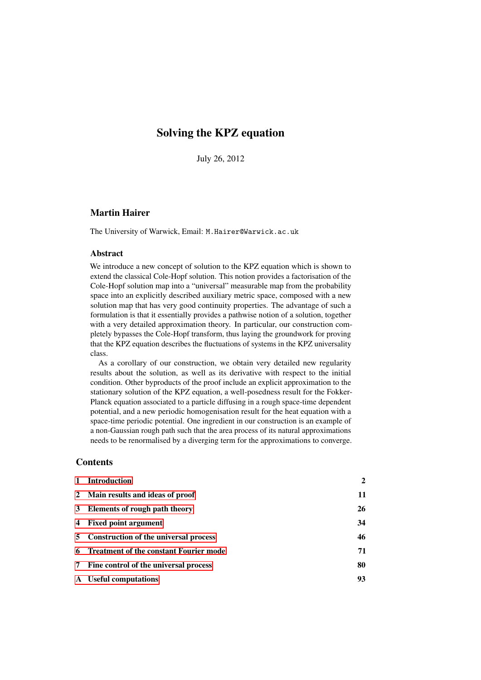# Solving the KPZ equation

July 26, 2012

# Martin Hairer

The University of Warwick, Email: M.Hairer@Warwick.ac.uk

### Abstract

We introduce a new concept of solution to the KPZ equation which is shown to extend the classical Cole-Hopf solution. This notion provides a factorisation of the Cole-Hopf solution map into a "universal" measurable map from the probability space into an explicitly described auxiliary metric space, composed with a new solution map that has very good continuity properties. The advantage of such a formulation is that it essentially provides a pathwise notion of a solution, together with a very detailed approximation theory. In particular, our construction completely bypasses the Cole-Hopf transform, thus laying the groundwork for proving that the KPZ equation describes the fluctuations of systems in the KPZ universality class.

As a corollary of our construction, we obtain very detailed new regularity results about the solution, as well as its derivative with respect to the initial condition. Other byproducts of the proof include an explicit approximation to the stationary solution of the KPZ equation, a well-posedness result for the Fokker-Planck equation associated to a particle diffusing in a rough space-time dependent potential, and a new periodic homogenisation result for the heat equation with a space-time periodic potential. One ingredient in our construction is an example of a non-Gaussian rough path such that the area process of its natural approximations needs to be renormalised by a diverging term for the approximations to converge.

### **Contents**

| $\mathbf{1}$ | <b>Introduction</b>                           | $\overline{2}$ |
|--------------|-----------------------------------------------|----------------|
|              | 2 Main results and ideas of proof             | 11             |
|              | 3 Elements of rough path theory               | 26             |
| 4            | <b>Fixed point argument</b>                   | 34             |
|              | 5 Construction of the universal process       | 46             |
| 6            | <b>Treatment of the constant Fourier mode</b> | 71             |
| 7            | Fine control of the universal process         | 80             |
|              | A Useful computations                         | 93             |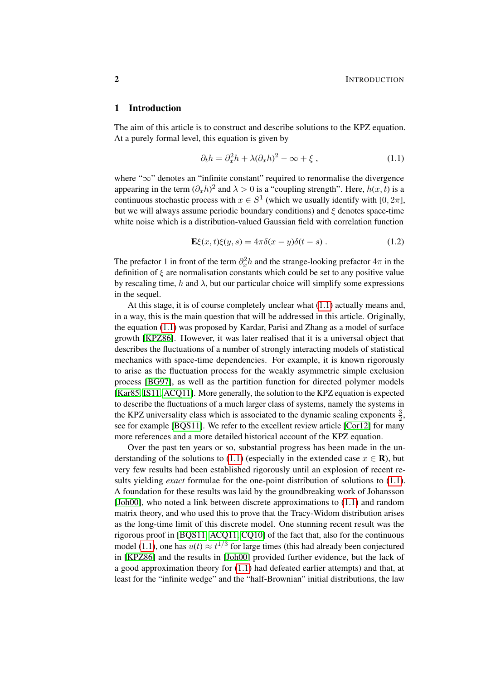### <span id="page-1-0"></span>1 Introduction

The aim of this article is to construct and describe solutions to the KPZ equation. At a purely formal level, this equation is given by

<span id="page-1-1"></span>
$$
\partial_t h = \partial_x^2 h + \lambda (\partial_x h)^2 - \infty + \xi , \qquad (1.1)
$$

where "∞" denotes an "infinite constant" required to renormalise the divergence appearing in the term  $(\partial_x h)^2$  and  $\lambda > 0$  is a "coupling strength". Here,  $h(x, t)$  is a continuous stochastic process with  $x \in S^1$  (which we usually identify with [0,  $2\pi$ ], but we will always assume periodic boundary conditions) and  $\xi$  denotes space-time white noise which is a distribution-valued Gaussian field with correlation function

$$
\mathbf{E}\xi(x,t)\xi(y,s) = 4\pi\delta(x-y)\delta(t-s) \,. \tag{1.2}
$$

The prefactor 1 in front of the term  $\partial_x^2 h$  and the strange-looking prefactor  $4\pi$  in the definition of  $\xi$  are normalisation constants which could be set to any positive value by rescaling time, h and  $\lambda$ , but our particular choice will simplify some expressions in the sequel.

At this stage, it is of course completely unclear what [\(1.1\)](#page-1-1) actually means and, in a way, this is the main question that will be addressed in this article. Originally, the equation [\(1.1\)](#page-1-1) was proposed by Kardar, Parisi and Zhang as a model of surface growth [\[KPZ86\]](#page-101-0). However, it was later realised that it is a universal object that describes the fluctuations of a number of strongly interacting models of statistical mechanics with space-time dependencies. For example, it is known rigorously to arise as the fluctuation process for the weakly asymmetric simple exclusion process [\[BG97\]](#page-99-0), as well as the partition function for directed polymer models [\[Kar85,](#page-101-1) [IS11,](#page-100-0) [ACQ11\]](#page-99-1). More generally, the solution to the KPZ equation is expected to describe the fluctuations of a much larger class of systems, namely the systems in the KPZ universality class which is associated to the dynamic scaling exponents  $\frac{3}{2}$ , see for example [\[BQS11\]](#page-99-2). We refer to the excellent review article [\[Cor12\]](#page-99-3) for many more references and a more detailed historical account of the KPZ equation.

Over the past ten years or so, substantial progress has been made in the un-derstanding of the solutions to [\(1.1\)](#page-1-1) (especially in the extended case  $x \in \mathbb{R}$ ), but very few results had been established rigorously until an explosion of recent results yielding *exact* formulae for the one-point distribution of solutions to [\(1.1\)](#page-1-1). A foundation for these results was laid by the groundbreaking work of Johansson [\[Joh00\]](#page-101-2), who noted a link between discrete approximations to [\(1.1\)](#page-1-1) and random matrix theory, and who used this to prove that the Tracy-Widom distribution arises as the long-time limit of this discrete model. One stunning recent result was the rigorous proof in [\[BQS11,](#page-99-2) [ACQ11,](#page-99-1) [CQ10\]](#page-99-4) of the fact that, also for the continuous model [\(1.1\)](#page-1-1), one has  $u(t) \approx t^{1/3}$  for large times (this had already been conjectured in [\[KPZ86\]](#page-101-0) and the results in [\[Joh00\]](#page-101-2) provided further evidence, but the lack of a good approximation theory for [\(1.1\)](#page-1-1) had defeated earlier attempts) and that, at least for the "infinite wedge" and the "half-Brownian" initial distributions, the law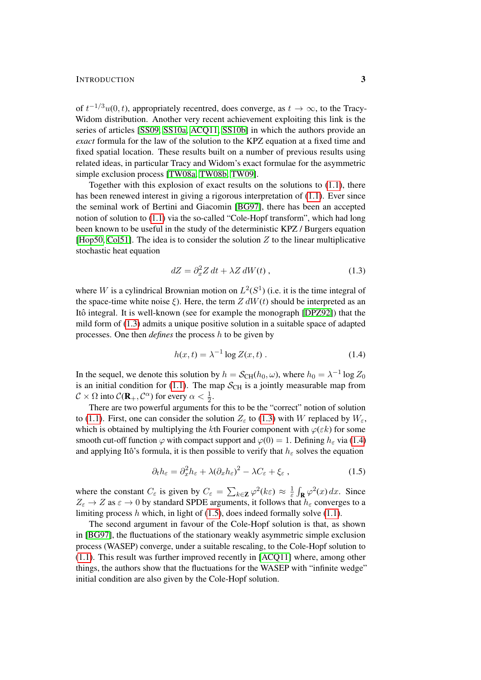#### INTRODUCTION 3

of  $t^{-1/3}u(0, t)$ , appropriately recentred, does converge, as  $t \to \infty$ , to the Tracy-Widom distribution. Another very recent achievement exploiting this link is the series of articles [\[SS09,](#page-101-3) [SS10a,](#page-101-4) [ACQ11,](#page-99-1) [SS10b\]](#page-101-5) in which the authors provide an *exact* formula for the law of the solution to the KPZ equation at a fixed time and fixed spatial location. These results built on a number of previous results using related ideas, in particular Tracy and Widom's exact formulae for the asymmetric simple exclusion process [\[TW08a,](#page-102-0) [TW08b,](#page-102-1) [TW09\]](#page-102-2).

Together with this explosion of exact results on the solutions to [\(1.1\)](#page-1-1), there has been renewed interest in giving a rigorous interpretation of [\(1.1\)](#page-1-1). Ever since the seminal work of Bertini and Giacomin [\[BG97\]](#page-99-0), there has been an accepted notion of solution to [\(1.1\)](#page-1-1) via the so-called "Cole-Hopf transform", which had long been known to be useful in the study of the deterministic KPZ / Burgers equation [\[Hop50,](#page-100-1) [Col51\]](#page-99-5). The idea is to consider the solution  $Z$  to the linear multiplicative stochastic heat equation

<span id="page-2-0"></span>
$$
dZ = \partial_x^2 Z dt + \lambda Z dW(t) , \qquad (1.3)
$$

where W is a cylindrical Brownian motion on  $L^2(S^1)$  (i.e. it is the time integral of the space-time white noise ξ). Here, the term  $Z dW(t)$  should be interpreted as an Itô integral. It is well-known (see for example the monograph [[DPZ92\]](#page-100-2)) that the mild form of [\(1.3\)](#page-2-0) admits a unique positive solution in a suitable space of adapted processes. One then *defines* the process h to be given by

<span id="page-2-1"></span>
$$
h(x,t) = \lambda^{-1} \log Z(x,t) \tag{1.4}
$$

In the sequel, we denote this solution by  $h = \mathcal{S}_{CH}(h_0, \omega)$ , where  $h_0 = \lambda^{-1} \log Z_0$ is an initial condition for [\(1.1\)](#page-1-1). The map  $S_{CH}$  is a jointly measurable map from  $\mathcal{C} \times \Omega$  into  $\mathcal{C}(\mathbf{R}_+,\mathcal{C}^{\alpha})$  for every  $\alpha < \frac{1}{2}$ .

There are two powerful arguments for this to be the "correct" notion of solution to [\(1.1\)](#page-1-1). First, one can consider the solution  $Z_{\varepsilon}$  to [\(1.3\)](#page-2-0) with W replaced by  $W_{\varepsilon}$ , which is obtained by multiplying the kth Fourier component with  $\varphi(\varepsilon k)$  for some smooth cut-off function  $\varphi$  with compact support and  $\varphi(0) = 1$ . Defining  $h_{\varepsilon}$  via [\(1.4\)](#page-2-1) and applying Itô's formula, it is then possible to verify that  $h_{\varepsilon}$  solves the equation

<span id="page-2-2"></span>
$$
\partial_t h_{\varepsilon} = \partial_x^2 h_{\varepsilon} + \lambda (\partial_x h_{\varepsilon})^2 - \lambda C_{\varepsilon} + \xi_{\varepsilon} , \qquad (1.5)
$$

where the constant  $C_{\varepsilon}$  is given by  $C_{\varepsilon} = \sum_{k \in \mathbf{Z}} \varphi^2(k\varepsilon) \approx \frac{1}{\varepsilon}$  $\frac{1}{\varepsilon} \int_{\mathbf{R}} \varphi^2(x) dx$ . Since  $Z_{\varepsilon} \to Z$  as  $\varepsilon \to 0$  by standard SPDE arguments, it follows that  $h_{\varepsilon}$  converges to a limiting process h which, in light of [\(1.5\)](#page-2-2), does indeed formally solve [\(1.1\)](#page-1-1).

The second argument in favour of the Cole-Hopf solution is that, as shown in [\[BG97\]](#page-99-0), the fluctuations of the stationary weakly asymmetric simple exclusion process (WASEP) converge, under a suitable rescaling, to the Cole-Hopf solution to [\(1.1\)](#page-1-1). This result was further improved recently in [\[ACQ11\]](#page-99-1) where, among other things, the authors show that the fluctuations for the WASEP with "infinite wedge" initial condition are also given by the Cole-Hopf solution.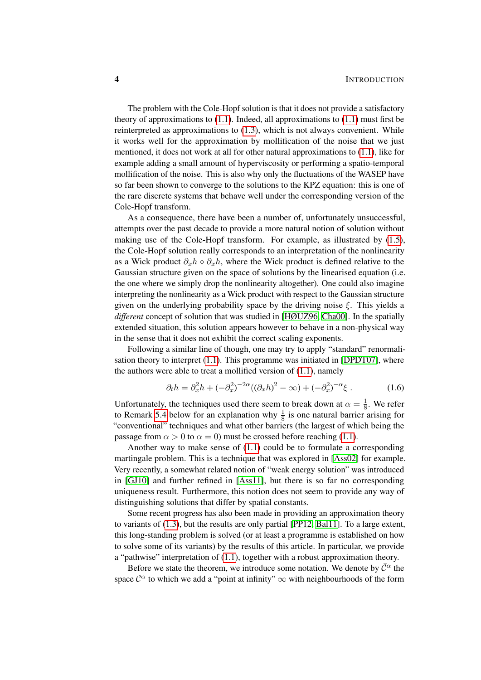The problem with the Cole-Hopf solution is that it does not provide a satisfactory theory of approximations to  $(1.1)$ . Indeed, all approximations to  $(1.1)$  must first be reinterpreted as approximations to [\(1.3\)](#page-2-0), which is not always convenient. While it works well for the approximation by mollification of the noise that we just mentioned, it does not work at all for other natural approximations to [\(1.1\)](#page-1-1), like for example adding a small amount of hyperviscosity or performing a spatio-temporal mollification of the noise. This is also why only the fluctuations of the WASEP have so far been shown to converge to the solutions to the KPZ equation: this is one of the rare discrete systems that behave well under the corresponding version of the Cole-Hopf transform.

As a consequence, there have been a number of, unfortunately unsuccessful, attempts over the past decade to provide a more natural notion of solution without making use of the Cole-Hopf transform. For example, as illustrated by [\(1.5\)](#page-2-2), the Cole-Hopf solution really corresponds to an interpretation of the nonlinearity as a Wick product  $\partial_x h \diamond \partial_x h$ , where the Wick product is defined relative to the Gaussian structure given on the space of solutions by the linearised equation (i.e. the one where we simply drop the nonlinearity altogether). One could also imagine interpreting the nonlinearity as a Wick product with respect to the Gaussian structure given on the underlying probability space by the driving noise  $\xi$ . This yields a *different* concept of solution that was studied in [\[HØUZ96,](#page-100-3) [Cha00\]](#page-99-6). In the spatially extended situation, this solution appears however to behave in a non-physical way in the sense that it does not exhibit the correct scaling exponents.

Following a similar line of though, one may try to apply "standard" renormalisation theory to interpret  $(1.1)$ . This programme was initiated in [\[DPDT07\]](#page-99-7), where the authors were able to treat a mollified version of  $(1.1)$ , namely

$$
\partial_t h = \partial_x^2 h + (-\partial_x^2)^{-2\alpha} ((\partial_x h)^2 - \infty) + (-\partial_x^2)^{-\alpha} \xi . \tag{1.6}
$$

Unfortunately, the techniques used there seem to break down at  $\alpha = \frac{1}{8}$  $\frac{1}{8}$ . We refer to Remark [5.4](#page-48-0) below for an explanation why  $\frac{1}{8}$  is one natural barrier arising for "conventional" techniques and what other barriers (the largest of which being the passage from  $\alpha > 0$  to  $\alpha = 0$ ) must be crossed before reaching [\(1.1\)](#page-1-1).

Another way to make sense of [\(1.1\)](#page-1-1) could be to formulate a corresponding martingale problem. This is a technique that was explored in [\[Ass02\]](#page-99-8) for example. Very recently, a somewhat related notion of "weak energy solution" was introduced in [\[GJ10\]](#page-100-4) and further refined in [\[Ass11\]](#page-99-9), but there is so far no corresponding uniqueness result. Furthermore, this notion does not seem to provide any way of distinguishing solutions that differ by spatial constants.

Some recent progress has also been made in providing an approximation theory to variants of [\(1.3\)](#page-2-0), but the results are only partial [\[PP12,](#page-101-6) [Bal11\]](#page-99-10). To a large extent, this long-standing problem is solved (or at least a programme is established on how to solve some of its variants) by the results of this article. In particular, we provide a "pathwise" interpretation of [\(1.1\)](#page-1-1), together with a robust approximation theory.

Before we state the theorem, we introduce some notation. We denote by  $\bar{C}^{\alpha}$  the space  $\mathcal{C}^{\alpha}$  to which we add a "point at infinity"  $\infty$  with neighbourhoods of the form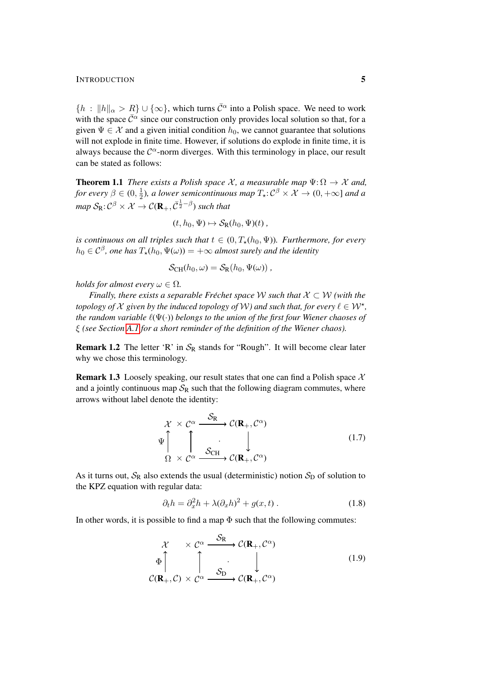#### INTRODUCTION 5

 ${h : ||h||_{\alpha} > R} \cup {\infty}$ , which turns  $\bar{C}^{\alpha}$  into a Polish space. We need to work with the space  $\bar{\mathcal{C}}^{\alpha}$  since our construction only provides local solution so that, for a given  $\Psi \in \mathcal{X}$  and a given initial condition  $h_0$ , we cannot guarantee that solutions will not explode in finite time. However, if solutions do explode in finite time, it is always because the  $\mathcal{C}^{\alpha}$ -norm diverges. With this terminology in place, our result can be stated as follows:

<span id="page-4-3"></span>**Theorem 1.1** *There exists a Polish space*  $\mathcal{X}$ *, a measurable map*  $\Psi: \Omega \to \mathcal{X}$  *and, for every*  $\beta \in (0, \frac{1}{2})$  $\frac{1}{2}$ ), a lower semicontinuous map  $T_{\star} : \mathcal{C}^{\beta} \times \mathcal{X} \to (0, +\infty]$  and a map  $\mathcal{S}_{\mathsf{R}} \!:\! \mathcal{C}^\beta \times \mathcal{X} \to \mathcal{C}(\mathbf{R}_+, \bar{\mathcal{C}}^{\frac{1}{2} - \beta})$  such that

$$
(t, h_0, \Psi) \mapsto \mathcal{S}_{\mathbb{R}}(h_0, \Psi)(t) ,
$$

*is continuous on all triples such that*  $t \in (0, T_{\star}(h_0, \Psi))$ *. Furthermore, for every*  $h_0 \in \mathcal{C}^\beta$ , one has  $T_\star(h_0,\Psi(\omega))=+\infty$  almost surely and the identity

$$
\mathcal{S}_{\mathrm{CH}}(h_0,\omega)=\mathcal{S}_{\mathrm{R}}(h_0,\Psi(\omega)),
$$

*holds for almost every*  $\omega \in \Omega$ .

*Finally, there exists a separable Fréchet space*  $W$  *such that*  $X \subset W$  *(with the topology of*  $X$  given by the induced topology of  $W$ ) and such that, for every  $\ell \in W^*$ , *the random variable*  $\ell(\Psi(\cdot))$  *belongs to the union of the first four Wiener chaoses of* ξ *(see Section [A.1](#page-92-1) for a short reminder of the definition of the Wiener chaos).*

**Remark 1.2** The letter 'R' in  $S_R$  stands for "Rough". It will become clear later why we chose this terminology.

**Remark 1.3** Loosely speaking, our result states that one can find a Polish space  $\mathcal{X}$ and a jointly continuous map  $S_R$  such that the following diagram commutes, where arrows without label denote the identity:

<span id="page-4-2"></span>
$$
\mathcal{X} \times \mathcal{C}^{\alpha} \xrightarrow{\mathcal{S}_{\mathbf{R}}} \mathcal{C}(\mathbf{R}_{+}, \mathcal{C}^{\alpha})
$$
\n
$$
\Psi \uparrow \qquad \qquad \downarrow \qquad \qquad \downarrow
$$
\n
$$
\Omega \times \mathcal{C}^{\alpha} \xrightarrow{\mathcal{S}_{\text{CH}}} \mathcal{C}(\mathbf{R}_{+}, \mathcal{C}^{\alpha})
$$
\n
$$
(1.7)
$$

As it turns out,  $S_R$  also extends the usual (deterministic) notion  $S_D$  of solution to the KPZ equation with regular data:

<span id="page-4-1"></span><span id="page-4-0"></span>
$$
\partial_t h = \partial_x^2 h + \lambda (\partial_x h)^2 + g(x, t) . \tag{1.8}
$$

In other words, it is possible to find a map  $\Phi$  such that the following commutes:

$$
\mathcal{X} \times \mathcal{C}^{\alpha} \xrightarrow{\mathcal{S}_{\mathbf{R}}} \mathcal{C}(\mathbf{R}_{+}, \mathcal{C}^{\alpha})
$$
\n
$$
\Phi \uparrow \qquad \qquad \downarrow \qquad \qquad (1.9)
$$
\n
$$
\mathcal{C}(\mathbf{R}_{+}, \mathcal{C}) \times \mathcal{C}^{\alpha} \xrightarrow{\mathcal{S}_{\mathbf{D}}} \mathcal{C}(\mathbf{R}_{+}, \mathcal{C}^{\alpha})
$$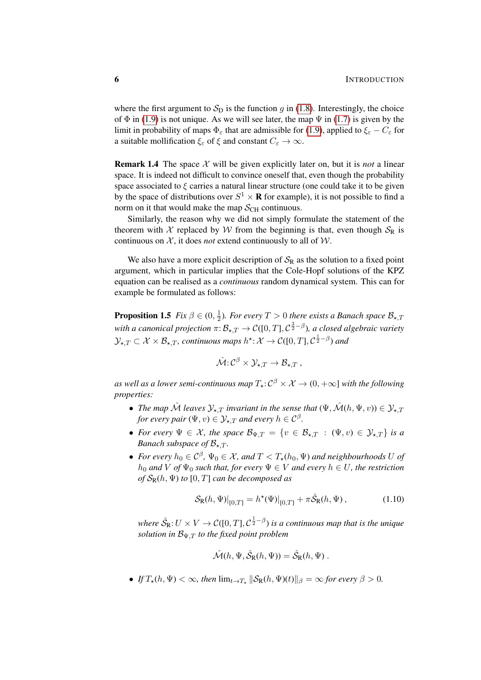where the first argument to  $S<sub>D</sub>$  is the function g in [\(1.8\)](#page-4-0). Interestingly, the choice of  $\Phi$  in [\(1.9\)](#page-4-1) is not unique. As we will see later, the map  $\Psi$  in [\(1.7\)](#page-4-2) is given by the limit in probability of maps  $\Phi_{\varepsilon}$  that are admissible for [\(1.9\)](#page-4-1), applied to  $\xi_{\varepsilon} - C_{\varepsilon}$  for a suitable mollification  $\xi_{\varepsilon}$  of  $\xi$  and constant  $C_{\varepsilon} \to \infty$ .

**Remark 1.4** The space X will be given explicitly later on, but it is *not* a linear space. It is indeed not difficult to convince oneself that, even though the probability space associated to  $\xi$  carries a natural linear structure (one could take it to be given by the space of distributions over  $S^1 \times \mathbf{R}$  for example), it is not possible to find a norm on it that would make the map  $S_{\text{CH}}$  continuous.

Similarly, the reason why we did not simply formulate the statement of the theorem with X replaced by W from the beginning is that, even though  $S_R$  is continuous on  $X$ , it does *not* extend continuously to all of  $W$ .

We also have a more explicit description of  $S_R$  as the solution to a fixed point argument, which in particular implies that the Cole-Hopf solutions of the KPZ equation can be realised as a *continuous* random dynamical system. This can for example be formulated as follows:

<span id="page-5-1"></span>**Proposition 1.5** *Fix*  $\beta \in (0, \frac{1}{2})$  $\frac{1}{2}$ ). For every  $T > 0$  there exists a Banach space  $\mathcal{B}_{\star,T}$ with a canonical projection  $\pi\!:\! \mathcal{B}_{\star,T} \to \mathcal{C}([0,T],\mathcal{C}^{\frac{3}{2}-\beta}),$  a closed algebraic variety  $\mathcal{Y}_{\star,T}\subset \mathcal{X}\times\mathcal{B}_{\star,T}$ , continuous maps  $h^\star\!:\mathcal{X}\to\mathcal{C}([0,T],\mathcal{C}^{\frac{1}{2}-\beta})$  and

$$
\hat{\mathcal{M}}: \mathcal{C}^{\beta} \times \mathcal{Y}_{\star,T} \to \mathcal{B}_{\star,T} ,
$$

as well as a lower semi-continuous map  $T_\star\!:\! \mathcal{C}^\beta \times \mathcal{X} \to (0,+\infty]$  with the following *properties:*

- *The map*  $\hat{\mathcal{M}}$  *leaves*  $\mathcal{Y}_{\star,T}$  *invariant in the sense that*  $(\Psi, \hat{\mathcal{M}}(h, \Psi, v)) \in \mathcal{Y}_{\star,T}$ for every pair  $(\Psi, v) \in \mathcal{Y}_{\star, T}$  and every  $h \in \mathcal{C}^\beta$ .
- For every  $\Psi \in \mathcal{X}$ , the space  $\mathcal{B}_{\Psi,T} = \{v \in \mathcal{B}_{\star,T} : (\Psi, v) \in \mathcal{Y}_{\star,T}\}\$ is a *Banach subspace of*  $B_{\star,T}$ *.*
- For every  $h_0 \in C^{\beta}$ ,  $\Psi_0 \in \mathcal{X}$ , and  $T < T_{\star}(h_0, \Psi)$  and neighbourhoods U of  $h_0$  *and* V *of*  $\Psi_0$  *such that, for every*  $\Psi \in V$  *and every*  $h \in U$ *, the restriction of*  $\mathcal{S}_{R}(h, \Psi)$  *to*  $[0, T]$  *can be decomposed as*

$$
\mathcal{S}_{R}(h,\Psi)|_{[0,T]} = h^{\star}(\Psi)|_{[0,T]} + \pi \hat{\mathcal{S}}_{R}(h,\Psi), \qquad (1.10)
$$

where  $\hat{\mathcal{S}}_{\text{R}}$ :  $U\times V\rightarrow \mathcal{C}([0,T],\mathcal{C}^{\frac{1}{2}-\beta})$  is a continuous map that is the unique *solution in*  $B_{\Psi,T}$  *to the fixed point problem* 

<span id="page-5-0"></span>
$$
\hat{\mathcal{M}}(h, \Psi, \hat{\mathcal{S}}_R(h, \Psi)) = \hat{\mathcal{S}}_R(h, \Psi) .
$$

• *If*  $T_{\star}(h, \Psi) < \infty$ , then  $\lim_{t \to T_{\star}} \|\mathcal{S}_{R}(h, \Psi)(t)\|_{\beta} = \infty$  for every  $\beta > 0$ .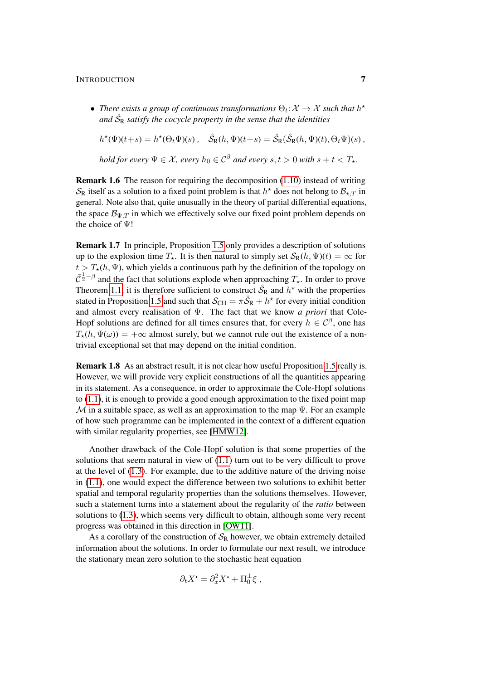### INTRODUCTION 7

• There exists a group of continuous transformations  $\Theta_t: \mathcal{X} \to \mathcal{X}$  such that  $h^*$ and  $\hat{\mathcal{S}}_\text{R}$  satisfy the cocycle property in the sense that the identities

 $h^*(\Psi)(t+s) = h^*(\Theta_t \Psi)(s)$ ,  $\hat{\mathcal{S}}_R(h, \Psi)(t+s) = \hat{\mathcal{S}}_R(\hat{\mathcal{S}}_R(h, \Psi)(t), \Theta_t \Psi)(s)$ , *hold for every*  $\Psi \in \mathcal{X}$ *, every*  $h_0 \in \mathcal{C}^\beta$  *and every*  $s, t > 0$  *with*  $s + t < T_*$ *.* 

Remark 1.6 The reason for requiring the decomposition [\(1.10\)](#page-5-0) instead of writing  $\mathcal{S}_{\rm R}$  itself as a solution to a fixed point problem is that  $h^*$  does not belong to  $\mathcal{B}_{\star,T}$  in general. Note also that, quite unusually in the theory of partial differential equations, the space  $\mathcal{B}_{\Psi,T}$  in which we effectively solve our fixed point problem depends on the choice of Ψ!

Remark 1.7 In principle, Proposition [1.5](#page-5-1) only provides a description of solutions up to the explosion time  $T_{\star}$ . It is then natural to simply set  $S_{\rm R}(h, \Psi)(t) = \infty$  for  $t > T_{\star}(h, \Psi)$ , which yields a continuous path by the definition of the topology on  $\bar{C}^{\frac{1}{2}-\beta}$  and the fact that solutions explode when approaching  $T_{\star}$ . In order to prove Theorem [1.1,](#page-4-3) it is therefore sufficient to construct  $\hat{S}_R$  and  $h^*$  with the properties stated in Proposition [1.5](#page-5-1) and such that  $\mathcal{S}_{CH} = \pi \hat{\mathcal{S}}_R + h^*$  for every initial condition and almost every realisation of Ψ. The fact that we know *a priori* that Cole-Hopf solutions are defined for all times ensures that, for every  $h \in \mathcal{C}^{\beta}$ , one has  $T_{\star}(h, \Psi(\omega)) = +\infty$  almost surely, but we cannot rule out the existence of a nontrivial exceptional set that may depend on the initial condition.

Remark 1.8 As an abstract result, it is not clear how useful Proposition [1.5](#page-5-1) really is. However, we will provide very explicit constructions of all the quantities appearing in its statement. As a consequence, in order to approximate the Cole-Hopf solutions to  $(1.1)$ , it is enough to provide a good enough approximation to the fixed point map M in a suitable space, as well as an approximation to the map  $\Psi$ . For an example of how such programme can be implemented in the context of a different equation with similar regularity properties, see [\[HMW12\]](#page-100-5).

Another drawback of the Cole-Hopf solution is that some properties of the solutions that seem natural in view of [\(1.1\)](#page-1-1) turn out to be very difficult to prove at the level of [\(1.3\)](#page-2-0). For example, due to the additive nature of the driving noise in [\(1.1\)](#page-1-1), one would expect the difference between two solutions to exhibit better spatial and temporal regularity properties than the solutions themselves. However, such a statement turns into a statement about the regularity of the *ratio* between solutions to [\(1.3\)](#page-2-0), which seems very difficult to obtain, although some very recent progress was obtained in this direction in [\[OW11\]](#page-101-7).

As a corollary of the construction of  $S_R$  however, we obtain extremely detailed information about the solutions. In order to formulate our next result, we introduce the stationary mean zero solution to the stochastic heat equation

$$
\partial_t X^{\bullet} = \partial_x^2 X^{\bullet} + \Pi_0^{\perp} \xi ,
$$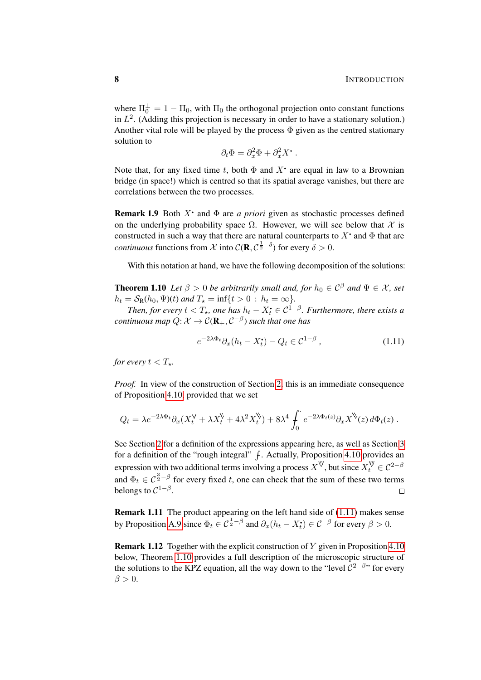where  $\Pi_0^{\perp} = 1 - \Pi_0$ , with  $\Pi_0$  the orthogonal projection onto constant functions in  $L^2$ . (Adding this projection is necessary in order to have a stationary solution.) Another vital role will be played by the process  $\Phi$  given as the centred stationary solution to

$$
\partial_t \Phi = \partial_x^2 \Phi + \partial_x^2 X^{\bullet} .
$$

Note that, for any fixed time t, both  $\Phi$  and  $X^{\bullet}$  are equal in law to a Brownian bridge (in space!) which is centred so that its spatial average vanishes, but there are correlations between the two processes.

**Remark 1.9** Both  $X^*$  and  $\Phi$  are *a priori* given as stochastic processes defined on the underlying probability space  $\Omega$ . However, we will see below that X is constructed in such a way that there are natural counterparts to  $X^{\bullet}$  and  $\Phi$  that are *continuous* functions from X into  $\mathcal{C}(\mathbf{R}, \mathcal{C}^{\frac{1}{2}-\delta})$  for every  $\delta > 0$ .

With this notation at hand, we have the following decomposition of the solutions:

<span id="page-7-1"></span>**Theorem 1.10** *Let*  $\beta > 0$  *be arbitrarily small and, for*  $h_0 \in C^{\beta}$  *and*  $\Psi \in \mathcal{X}$ *, set*  $h_t = S_R(h_0, \Psi)(t)$  *and*  $T_{\star} = \inf\{t > 0 : h_t = \infty\}.$ 

*Then, for every*  $t < T_{\star}$ , one has  $h_t - X_t^{\bullet} \in C^{1-\beta}$ . Furthermore, there exists a *continuous map*  $Q: \mathcal{X} \to \mathcal{C}(\mathbf{R}_+, \mathcal{C}^{-\beta})$  *such that one has* 

<span id="page-7-0"></span>
$$
e^{-2\lambda\Phi_t}\partial_x(h_t - X_t^{\bullet}) - Q_t \in \mathcal{C}^{1-\beta} \,,\tag{1.11}
$$

*for every*  $t < T_*$ *.* 

*Proof.* In view of the construction of Section [2,](#page-10-0) this is an immediate consequence of Proposition [4.10,](#page-44-0) provided that we set

$$
Q_t = \lambda e^{-2\lambda \Phi_t} \partial_x (X_t^{\mathbf{V}} + \lambda X_t^{\mathbf{V}} + 4\lambda^2 X_t^{\mathbf{V}}) + 8\lambda^4 \int_0^{\cdot} e^{-2\lambda \Phi_t(z)} \partial_x X^{\mathbf{V}}(z) d\Phi_t(z) .
$$

See Section [2](#page-10-0) for a definition of the expressions appearing here, as well as Section [3](#page-25-0) for a definition of the "rough integral"  $f$ . Actually, Proposition [4.10](#page-44-0) provides an expression with two additional terms involving a process  $X^{\mathbb{V}}$ , but since  $X_t^{\mathbb{V}} \in C^{2-\beta}$ and  $\Phi_t \in C^{\frac{3}{2}-\beta}$  for every fixed t, one can check that the sum of these two terms belongs to  $C^{1-\beta}$ .  $\Box$ 

Remark 1.11 The product appearing on the left hand side of [\(1.11\)](#page-7-0) makes sense by Proposition [A.9](#page-98-0) since  $\Phi_t \in C^{\frac{1}{2}-\beta}$  and  $\partial_x(h_t - X_t^{\bullet}) \in C^{-\beta}$  for every  $\beta > 0$ .

**Remark 1.12** Together with the explicit construction of Y given in Proposition [4.10](#page-44-0) below, Theorem [1.10](#page-7-1) provides a full description of the microscopic structure of the solutions to the KPZ equation, all the way down to the "level  $C^{2-\beta}$ " for every  $\beta > 0$ .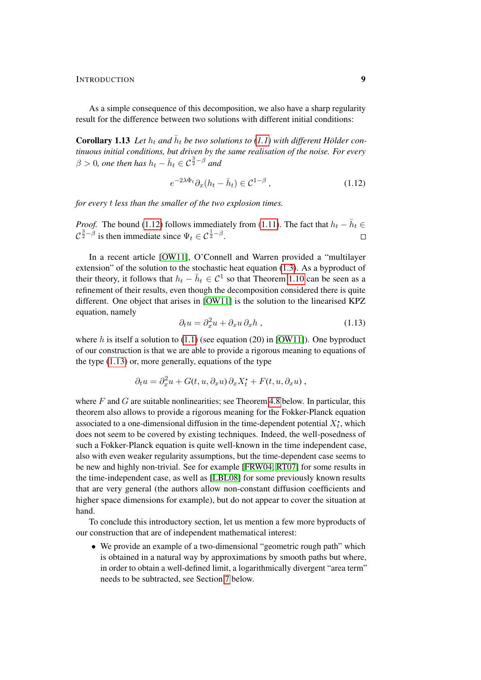### INTRODUCTION 9

As a simple consequence of this decomposition, we also have a sharp regularity result for the difference between two solutions with different initial conditions:

**Corollary 1.13** Let  $h_t$  and  $\bar{h}_t$  be two solutions to [\(1.1\)](#page-1-1) with different Hölder con*tinuous initial conditions, but driven by the same realisation of the noise. For every*  $\beta > 0$ , one then has  $h_t - \bar{h}_t \in \mathcal{C}^{\frac{3}{2} - \beta}$  and

<span id="page-8-0"></span>
$$
e^{-2\lambda\Phi_t}\partial_x(h_t - \bar{h}_t) \in \mathcal{C}^{1-\beta},\tag{1.12}
$$

*for every* t *less than the smaller of the two explosion times.*

*Proof.* The bound [\(1.12\)](#page-8-0) follows immediately from [\(1.11\)](#page-7-0). The fact that  $h_t - \overline{h}_t \in$  $C^{\frac{3}{2}-\beta}$  is then immediate since  $\Psi_t \in C^{\frac{1}{2}-\beta}$ .  $\Box$ 

In a recent article [\[OW11\]](#page-101-7), O'Connell and Warren provided a "multilayer extension" of the solution to the stochastic heat equation [\(1.3\)](#page-2-0). As a byproduct of their theory, it follows that  $h_t - \bar{h}_t \in C^1$  so that Theorem [1.10](#page-7-1) can be seen as a refinement of their results, even though the decomposition considered there is quite different. One object that arises in [\[OW11\]](#page-101-7) is the solution to the linearised KPZ equation, namely

<span id="page-8-1"></span>
$$
\partial_t u = \partial_x^2 u + \partial_x u \, \partial_x h \,, \tag{1.13}
$$

where h is itself a solution to  $(1.1)$  (see equation  $(20)$  in [\[OW11\]](#page-101-7)). One byproduct of our construction is that we are able to provide a rigorous meaning to equations of the type [\(1.13\)](#page-8-1) or, more generally, equations of the type

$$
\partial_t u = \partial_x^2 u + G(t, u, \partial_x u) \partial_x X_t^{\bullet} + F(t, u, \partial_x u) ,
$$

where  $F$  and  $G$  are suitable nonlinearities; see Theorem [4.8](#page-41-0) below. In particular, this theorem also allows to provide a rigorous meaning for the Fokker-Planck equation associated to a one-dimensional diffusion in the time-dependent potential  $X_t^*$ , which does not seem to be covered by existing techniques. Indeed, the well-posedness of such a Fokker-Planck equation is quite well-known in the time independent case, also with even weaker regularity assumptions, but the time-dependent case seems to be new and highly non-trivial. See for example [\[FRW04,](#page-100-6) [RT07\]](#page-101-8) for some results in the time-independent case, as well as [\[LBL08\]](#page-101-9) for some previously known results that are very general (the authors allow non-constant diffusion coefficients and higher space dimensions for example), but do not appear to cover the situation at hand.

To conclude this introductory section, let us mention a few more byproducts of our construction that are of independent mathematical interest:

• We provide an example of a two-dimensional "geometric rough path" which is obtained in a natural way by approximations by smooth paths but where, in order to obtain a well-defined limit, a logarithmically divergent "area term" needs to be subtracted, see Section [7](#page-79-0) below.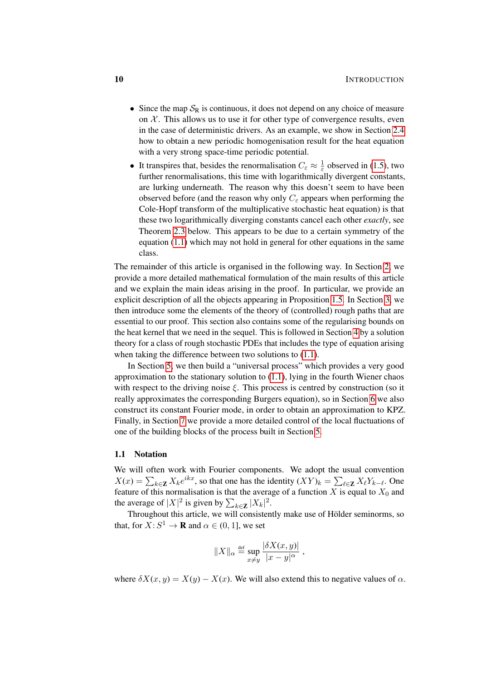- Since the map  $S_R$  is continuous, it does not depend on any choice of measure on  $X$ . This allows us to use it for other type of convergence results, even in the case of deterministic drivers. As an example, we show in Section [2.4](#page-23-0) how to obtain a new periodic homogenisation result for the heat equation with a very strong space-time periodic potential.
- It transpires that, besides the renormalisation  $C_{\varepsilon} \approx \frac{1}{\varepsilon}$  $\frac{1}{\varepsilon}$  observed in [\(1.5\)](#page-2-2), two further renormalisations, this time with logarithmically divergent constants, are lurking underneath. The reason why this doesn't seem to have been observed before (and the reason why only  $C_{\varepsilon}$  appears when performing the Cole-Hopf transform of the multiplicative stochastic heat equation) is that these two logarithmically diverging constants cancel each other *exactly*, see Theorem [2.3](#page-13-0) below. This appears to be due to a certain symmetry of the equation [\(1.1\)](#page-1-1) which may not hold in general for other equations in the same class.

The remainder of this article is organised in the following way. In Section [2,](#page-10-0) we provide a more detailed mathematical formulation of the main results of this article and we explain the main ideas arising in the proof. In particular, we provide an explicit description of all the objects appearing in Proposition [1.5.](#page-5-1) In Section [3,](#page-25-0) we then introduce some the elements of the theory of (controlled) rough paths that are essential to our proof. This section also contains some of the regularising bounds on the heat kernel that we need in the sequel. This is followed in Section [4](#page-33-0) by a solution theory for a class of rough stochastic PDEs that includes the type of equation arising when taking the difference between two solutions to  $(1.1)$ .

In Section [5,](#page-45-0) we then build a "universal process" which provides a very good approximation to the stationary solution to [\(1.1\)](#page-1-1), lying in the fourth Wiener chaos with respect to the driving noise  $\xi$ . This process is centred by construction (so it really approximates the corresponding Burgers equation), so in Section [6](#page-70-0) we also construct its constant Fourier mode, in order to obtain an approximation to KPZ. Finally, in Section [7](#page-79-0) we provide a more detailed control of the local fluctuations of one of the building blocks of the process built in Section [5.](#page-45-0)

#### 1.1 Notation

We will often work with Fourier components. We adopt the usual convention  $X(x) = \sum_{k \in \mathbb{Z}} X_k e^{ikx}$ , so that one has the identity  $(XY)_k = \sum_{\ell \in \mathbb{Z}} X_\ell Y_{k-\ell}$ . One feature of this normalisation is that the average of a function X is equal to  $X_0$  and the average of  $|X|^2$  is given by  $\sum_{k \in \mathbb{Z}} |X_k|^2$ .

Throughout this article, we will consistently make use of Hölder seminorms, so that, for  $X: S^1 \to \mathbf{R}$  and  $\alpha \in (0, 1]$ , we set

$$
||X||_{\alpha} \stackrel{\text{def}}{=} \sup_{x \neq y} \frac{|\delta X(x, y)|}{|x - y|^{\alpha}},
$$

where  $\delta X(x, y) = X(y) - X(x)$ . We will also extend this to negative values of  $\alpha$ .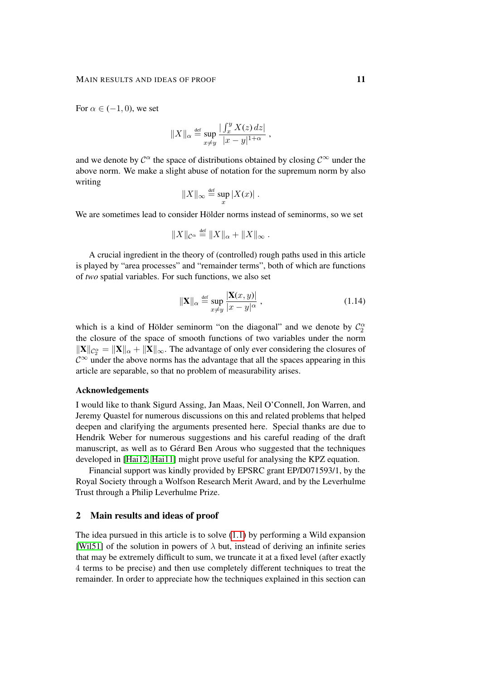For  $\alpha \in (-1,0)$ , we set

$$
||X||_{\alpha} \stackrel{\text{def}}{=} \sup_{x \neq y} \frac{|\int_x^y X(z) \, dz|}{|x - y|^{1 + \alpha}} ,
$$

and we denote by  $\mathcal{C}^{\alpha}$  the space of distributions obtained by closing  $\mathcal{C}^{\infty}$  under the above norm. We make a slight abuse of notation for the supremum norm by also writing

$$
||X||_{\infty} \stackrel{\text{def}}{=} \sup_x |X(x)|.
$$

We are sometimes lead to consider Hölder norms instead of seminorms, so we set

$$
||X||_{\mathcal{C}^{\alpha}} \stackrel{\text{def}}{=} ||X||_{\alpha} + ||X||_{\infty}.
$$

A crucial ingredient in the theory of (controlled) rough paths used in this article is played by "area processes" and "remainder terms", both of which are functions of *two* spatial variables. For such functions, we also set

$$
\|\mathbf{X}\|_{\alpha} \stackrel{\text{def}}{=} \sup_{x \neq y} \frac{|\mathbf{X}(x, y)|}{|x - y|^{\alpha}}, \tag{1.14}
$$

which is a kind of Hölder seminorm "on the diagonal" and we denote by  $\mathcal{C}_2^{\alpha}$ the closure of the space of smooth functions of two variables under the norm  $\|\mathbf{X}\|_{\mathcal{C}_2^{\alpha}} = \|\mathbf{X}\|_{\alpha} + \|\mathbf{X}\|_{\infty}$ . The advantage of only ever considering the closures of  $\mathcal{C}^{\infty}$  under the above norms has the advantage that all the spaces appearing in this article are separable, so that no problem of measurability arises.

# Acknowledgements

I would like to thank Sigurd Assing, Jan Maas, Neil O'Connell, Jon Warren, and Jeremy Quastel for numerous discussions on this and related problems that helped deepen and clarifying the arguments presented here. Special thanks are due to Hendrik Weber for numerous suggestions and his careful reading of the draft manuscript, as well as to Gérard Ben Arous who suggested that the techniques developed in [\[Hai12,](#page-100-7) [Hai11\]](#page-100-8) might prove useful for analysing the KPZ equation.

Financial support was kindly provided by EPSRC grant EP/D071593/1, by the Royal Society through a Wolfson Research Merit Award, and by the Leverhulme Trust through a Philip Leverhulme Prize.

# <span id="page-10-0"></span>2 Main results and ideas of proof

The idea pursued in this article is to solve [\(1.1\)](#page-1-1) by performing a Wild expansion [\[Wil51\]](#page-102-3) of the solution in powers of  $\lambda$  but, instead of deriving an infinite series that may be extremely difficult to sum, we truncate it at a fixed level (after exactly 4 terms to be precise) and then use completely different techniques to treat the remainder. In order to appreciate how the techniques explained in this section can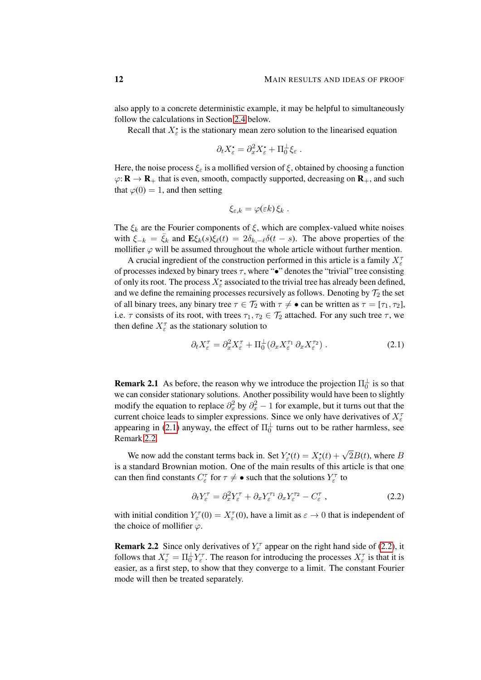also apply to a concrete deterministic example, it may be helpful to simultaneously follow the calculations in Section [2.4](#page-23-0) below.

Recall that  $X_{\varepsilon}^{\bullet}$  is the stationary mean zero solution to the linearised equation

$$
\partial_t X_{\varepsilon}^{\bullet} = \partial_x^2 X_{\varepsilon}^{\bullet} + \Pi_0^{\perp} \xi_{\varepsilon} .
$$

Here, the noise process  $\xi_{\varepsilon}$  is a mollified version of  $\xi$ , obtained by choosing a function  $\varphi: \mathbf{R} \to \mathbf{R}_+$  that is even, smooth, compactly supported, decreasing on  $\mathbf{R}_+$ , and such that  $\varphi(0) = 1$ , and then setting

$$
\xi_{\varepsilon,k} = \varphi(\varepsilon k) \xi_k.
$$

The  $\xi_k$  are the Fourier components of  $\xi$ , which are complex-valued white noises with  $\xi_{-k} = \bar{\xi}_k$  and  $\mathbf{E}\xi_k(s)\xi_\ell(t) = 2\delta_{k,-\ell}\delta(t-s)$ . The above properties of the mollifier  $\varphi$  will be assumed throughout the whole article without further mention.

A crucial ingredient of the construction performed in this article is a family  $X_{\varepsilon}^{\tau}$ of processes indexed by binary trees  $\tau$ , where " $\bullet$ " denotes the "trivial" tree consisting of only its root. The process  $X_{\varepsilon}^{\bullet}$  associated to the trivial tree has already been defined, and we define the remaining processes recursively as follows. Denoting by  $\mathcal{T}_2$  the set of all binary trees, any binary tree  $\tau \in \mathcal{T}_2$  with  $\tau \neq \bullet$  can be written as  $\tau = [\tau_1, \tau_2]$ , i.e.  $\tau$  consists of its root, with trees  $\tau_1, \tau_2 \in \mathcal{T}_2$  attached. For any such tree  $\tau$ , we then define  $X_{\varepsilon}^{\tau}$  as the stationary solution to

<span id="page-11-0"></span>
$$
\partial_t X_{\varepsilon}^{\tau} = \partial_x^2 X_{\varepsilon}^{\tau} + \Pi_0^{\perp} (\partial_x X_{\varepsilon}^{\tau_1} \partial_x X_{\varepsilon}^{\tau_2}). \tag{2.1}
$$

**Remark 2.1** As before, the reason why we introduce the projection  $\Pi_0^{\perp}$  is so that we can consider stationary solutions. Another possibility would have been to slightly modify the equation to replace  $\partial_x^2$  by  $\partial_x^2$  – 1 for example, but it turns out that the current choice leads to simpler expressions. Since we only have derivatives of  $X_{\varepsilon}^{\tau}$ appearing in [\(2.1\)](#page-11-0) anyway, the effect of  $\Pi_0^{\perp}$  turns out to be rather harmless, see Remark [2.2.](#page-11-1)

We now add the constant terms back in. Set  $Y_{\varepsilon}^{\bullet}(t) = X_{\varepsilon}^{\bullet}(t) +$ √  $2B(t)$ , where  $B$ is a standard Brownian motion. One of the main results of this article is that one can then find constants  $C_{\varepsilon}^{\tau}$  for  $\tau \neq \bullet$  such that the solutions  $Y_{\varepsilon}^{\tau}$  to

<span id="page-11-2"></span>
$$
\partial_t Y_{\varepsilon}^{\tau} = \partial_x^2 Y_{\varepsilon}^{\tau} + \partial_x Y_{\varepsilon}^{\tau_1} \partial_x Y_{\varepsilon}^{\tau_2} - C_{\varepsilon}^{\tau} , \qquad (2.2)
$$

with initial condition  $Y_{\varepsilon}^{\tau}(0) = X_{\varepsilon}^{\tau}(0)$ , have a limit as  $\varepsilon \to 0$  that is independent of the choice of mollifier  $\varphi$ .

<span id="page-11-1"></span>**Remark 2.2** Since only derivatives of  $Y_{\varepsilon}^{\tau}$  appear on the right hand side of [\(2.2\)](#page-11-2), it follows that  $X_{\varepsilon}^{\tau} = \Pi_0^{\perp} Y_{\varepsilon}^{\tau}$ . The reason for introducing the processes  $X_{\varepsilon}^{\tau}$  is that it is easier, as a first step, to show that they converge to a limit. The constant Fourier mode will then be treated separately.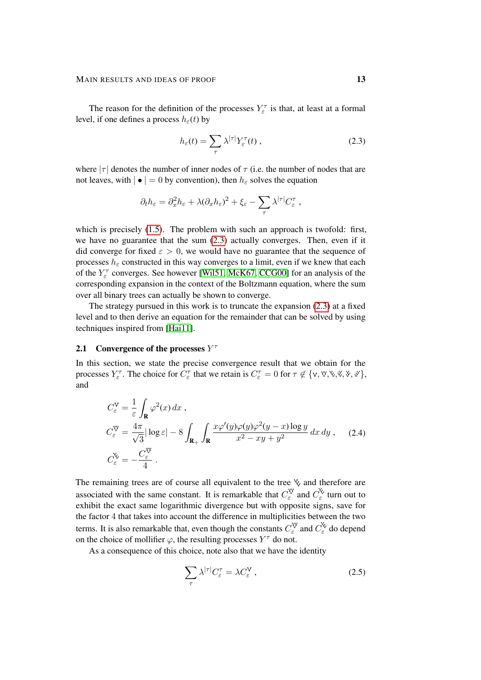The reason for the definition of the processes  $Y_{\varepsilon}^{\tau}$  is that, at least at a formal level, if one defines a process  $h_{\varepsilon}(t)$  by

<span id="page-12-0"></span>
$$
h_{\varepsilon}(t) = \sum_{\tau} \lambda^{|\tau|} Y_{\varepsilon}^{\tau}(t) , \qquad (2.3)
$$

where  $|\tau|$  denotes the number of inner nodes of  $\tau$  (i.e. the number of nodes that are not leaves, with  $|\bullet| = 0$  by convention), then  $h_{\varepsilon}$  solves the equation

$$
\partial_t h_{\varepsilon} = \partial_x^2 h_{\varepsilon} + \lambda (\partial_x h_{\varepsilon})^2 + \xi_{\varepsilon} - \sum_{\tau} \lambda^{|\tau|} C_{\varepsilon}^{\tau} ,
$$

which is precisely [\(1.5\)](#page-2-2). The problem with such an approach is twofold: first, we have no guarantee that the sum [\(2.3\)](#page-12-0) actually converges. Then, even if it did converge for fixed  $\varepsilon > 0$ , we would have no guarantee that the sequence of processes  $h_{\varepsilon}$  constructed in this way converges to a limit, even if we knew that each of the  $Y_{\varepsilon}^{\tau}$  converges. See however [\[Wil51,](#page-102-3) [McK67,](#page-101-10) [CCG00\]](#page-99-11) for an analysis of the corresponding expansion in the context of the Boltzmann equation, where the sum over all binary trees can actually be shown to converge.

The strategy pursued in this work is to truncate the expansion [\(2.3\)](#page-12-0) at a fixed level and to then derive an equation for the remainder that can be solved by using techniques inspired from [\[Hai11\]](#page-100-8).

# **2.1** Convergence of the processes  $Y^{\dagger}$

In this section, we state the precise convergence result that we obtain for the processes  $Y_{\varepsilon}^{\tau}$ . The choice for  $C_{\varepsilon}^{\tau}$  that we retain is  $C_{\varepsilon}^{\tau} = 0$  for  $\tau \notin \{v, \forall, \forall, \forall, \forall, \forall, \forall\}$ , and

$$
C_{\varepsilon}^{\mathbf{V}} = \frac{1}{\varepsilon} \int_{\mathbf{R}} \varphi^{2}(x) dx ,
$$
  
\n
$$
C_{\varepsilon}^{\mathbf{V}} = \frac{4\pi}{\sqrt{3}} |\log \varepsilon| - 8 \int_{\mathbf{R}_{+}} \int_{\mathbf{R}} \frac{x \varphi'(y) \varphi(y) \varphi^{2}(y - x) \log y}{x^{2} - xy + y^{2}} dx dy ,
$$
 (2.4)  
\n
$$
C_{\varepsilon}^{\mathbf{V}} = -\frac{C_{\varepsilon}^{\mathbf{V}}}{4} .
$$

The remaining trees are of course all equivalent to the tree  $\chi$  and therefore are associated with the same constant. It is remarkable that  $C_{\varepsilon}^{\vee}$  and  $C_{\varepsilon}^{\vee}$  turn out to exhibit the exact same logarithmic divergence but with opposite signs, save for the factor 4 that takes into account the difference in multiplicities between the two terms. It is also remarkable that, even though the constants  $C_{\varepsilon}^{\vee}$  and  $C_{\varepsilon}^{\vee}$  do depend on the choice of mollifier  $\varphi$ , the resulting processes  $Y^{\tau}$  do not.

As a consequence of this choice, note also that we have the identity

$$
\sum_{\tau} \lambda^{|\tau|} C_{\varepsilon}^{\tau} = \lambda C_{\varepsilon}^{\mathsf{V}} , \qquad (2.5)
$$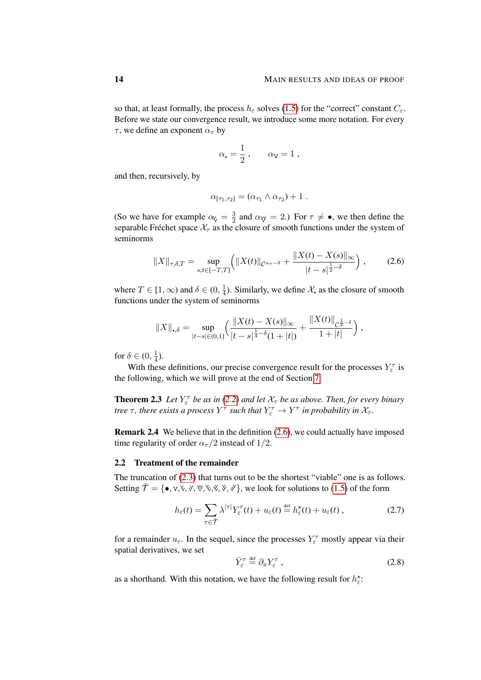so that, at least formally, the process  $h_{\varepsilon}$  solves [\(1.5\)](#page-2-2) for the "correct" constant  $C_{\varepsilon}$ . Before we state our convergence result, we introduce some more notation. For every  $\tau$ , we define an exponent  $\alpha_{\tau}$  by

$$
\alpha_{\bullet} = \frac{1}{2} \; , \qquad \alpha_{\rm V} = 1 \; ,
$$

and then, recursively, by

<span id="page-13-1"></span>
$$
\alpha_{[\tau_1,\tau_2]} = (\alpha_{\tau_1} \wedge \alpha_{\tau_2}) + 1.
$$

(So we have for example  $\alpha_{\mathsf{V}} = \frac{3}{2}$  $\frac{3}{2}$  and  $\alpha_{\text{VV}} = 2$ .) For  $\tau \neq \bullet$ , we then define the separable Fréchet space  $\mathcal{X}_{\tau}$  as the closure of smooth functions under the system of seminorms

$$
||X||_{\tau,\delta,T} = \sup_{s,t \in [-T,T]} \left( ||X(t)||_{\mathcal{C}^{\alpha_{\tau}-\delta}} + \frac{||X(t) - X(s)||_{\infty}}{|t - s|^{\frac{1}{2} - \delta}} \right),\tag{2.6}
$$

where  $T \in [1,\infty)$  and  $\delta \in (0, \frac{1}{4})$  $\frac{1}{4}$ ). Similarly, we define  $\mathcal{X}_{\bullet}$  as the closure of smooth functions under the system of seminorms

$$
||X||_{\bullet,\delta} = \sup_{|t-s| \in (0,1]} \left( \frac{||X(t) - X(s)||_{\infty}}{|t-s|^{\frac{1}{4}-\delta}(1+|t|)} + \frac{||X(t)||_{\mathcal{C}^{\frac{1}{2}-\delta}}}{1+|t|} \right),
$$

for  $\delta \in (0, \frac{1}{4})$  $\frac{1}{4}$ ).

With these definitions, our precise convergence result for the processes  $Y_{\varepsilon}^{\tau}$  is the following, which we will prove at the end of Section [7.](#page-79-0)

<span id="page-13-0"></span>**Theorem 2.3** Let  $Y_{\varepsilon}^{\tau}$  be as in [\(2.2\)](#page-11-2) and let  $X_{\tau}$  be as above. Then, for every binary *tree*  $\tau$ , *there exists a process*  $Y^{\tau}$  *such that*  $Y_{\varepsilon}^{\tau} \to Y^{\tau}$  *in probability in*  $\mathcal{X}_{\tau}$ *.* 

Remark 2.4 We believe that in the definition [\(2.6\)](#page-13-1), we could actually have imposed time regularity of order  $\alpha_{\tau}/2$  instead of 1/2.

### 2.2 Treatment of the remainder

The truncation of [\(2.3\)](#page-12-0) that turns out to be the shortest "viable" one is as follows. Setting  $\overline{\mathcal{T}} = \{\bullet, \vee, \vee, \vee, \vee, \vee, \vee, \vee, \vee\}$ , we look for solutions to [\(1.5\)](#page-2-2) of the form

$$
h_{\varepsilon}(t) = \sum_{\tau \in \overline{\mathcal{T}}} \lambda^{|\tau|} Y_{\varepsilon}^{\tau}(t) + u_{\varepsilon}(t) \stackrel{\text{def}}{=} h_{\varepsilon}^{\star}(t) + u_{\varepsilon}(t) , \qquad (2.7)
$$

for a remainder  $u_{\varepsilon}$ . In the sequel, since the processes  $Y_{\varepsilon}^{\tau}$  mostly appear via their spatial derivatives, we set

<span id="page-13-3"></span>
$$
\bar{Y}_{\varepsilon}^{\tau} \stackrel{\text{def}}{=} \partial_x Y_{\varepsilon}^{\tau} , \qquad (2.8)
$$

<span id="page-13-2"></span>as a shorthand. With this notation, we have the following result for  $h_{\varepsilon}^*$ :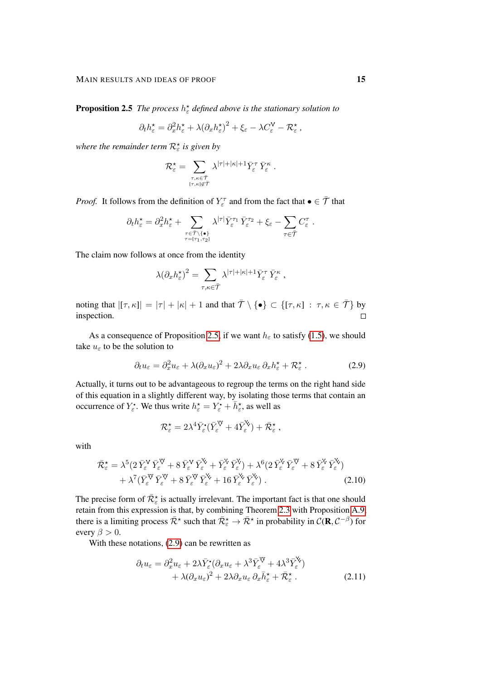**Proposition 2.5** The process  $h^*_{\varepsilon}$  defined above is the stationary solution to

$$
\partial_t h_{\varepsilon}^{\star} = \partial_x^2 h_{\varepsilon}^{\star} + \lambda (\partial_x h_{\varepsilon}^{\star})^2 + \xi_{\varepsilon} - \lambda C_{\varepsilon}^{\vee} - \mathcal{R}_{\varepsilon}^{\star} ,
$$

where the remainder term  $\mathcal{R}^\star_\varepsilon$  is given by

$$
\mathcal{R}_{\varepsilon}^{\star} = \sum_{\stackrel{\tau,\kappa \in \bar{\mathcal{T}}}{ [\tau,\kappa] \notin \bar{\mathcal{T}}}} \lambda^{|\tau| + |\kappa| + 1} \bar{Y}_{\varepsilon}^{\tau} \, \bar{Y}_{\varepsilon}^{\kappa} \; .
$$

*Proof.* It follows from the definition of  $Y_{\varepsilon}^{\tau}$  and from the fact that  $\bullet \in \overline{\mathcal{T}}$  that

$$
\partial_t h_\varepsilon^\star = \partial_x^2 h_\varepsilon^\star + \sum_{\substack{\tau \in \bar{\mathcal{T}} \backslash \{\bullet\} \\ \tau = [\tau_1, \tau_2]}} \lambda^{|\tau|} \bar{Y}_\varepsilon^{\tau_1} \bar{Y}_\varepsilon^{\tau_2} + \xi_\varepsilon - \sum_{\tau \in \bar{\mathcal{T}}} C_\varepsilon^{\tau}.
$$

The claim now follows at once from the identity

$$
\lambda \big(\partial_x h^\star_\varepsilon\big)^2 = \sum_{\tau,\kappa\in\bar{\mathcal{T}}}\lambda^{|\tau|+|\kappa|+1}\bar{Y}^\tau_\varepsilon\,\bar{Y}^\kappa_\varepsilon\;,
$$

noting that  $|[\tau,\kappa]| = |\tau| + |\kappa| + 1$  and that  $\bar{\tau} \setminus {\{\bullet\}} \subset {\{\tau,\kappa\}} : \tau,\kappa \in \bar{\mathcal{T}}\}$  by inspection.  $\Box$ 

As a consequence of Proposition [2.5,](#page-13-2) if we want  $h_{\varepsilon}$  to satisfy [\(1.5\)](#page-2-2), we should take  $u_{\varepsilon}$  to be the solution to

$$
\partial_t u_{\varepsilon} = \partial_x^2 u_{\varepsilon} + \lambda (\partial_x u_{\varepsilon})^2 + 2\lambda \partial_x u_{\varepsilon} \, \partial_x h_{\varepsilon}^{\star} + \mathcal{R}_{\varepsilon}^{\star} \,. \tag{2.9}
$$

Actually, it turns out to be advantageous to regroup the terms on the right hand side of this equation in a slightly different way, by isolating those terms that contain an occurrence of  $Y_{\varepsilon}^{\bullet}$ . We thus write  $h_{\varepsilon}^{\star} = Y_{\varepsilon}^{\bullet} + \overline{h}_{\varepsilon}^{\star}$ , as well as

<span id="page-14-2"></span><span id="page-14-0"></span>
$$
\mathcal{R}_{\varepsilon}^{\star} = 2\lambda^4 \bar{Y}_{\varepsilon}^{\bullet} (\bar{Y}_{\varepsilon}^{\nabla} + 4 \bar{Y}_{\varepsilon}^{\nabla}) + \bar{\mathcal{R}}_{\varepsilon}^{\star} ,
$$

with

$$
\begin{split} \bar{\mathcal{R}}_{\varepsilon}^{\star} &= \lambda^{5} (2 \, \bar{Y}_{\varepsilon}^{\mathsf{V}} \, \bar{Y}_{\varepsilon}^{\mathsf{V}} + 8 \, \bar{Y}_{\varepsilon}^{\mathsf{V}} \, \bar{Y}_{\varepsilon}^{\mathsf{V}} + \bar{Y}_{\varepsilon}^{\mathsf{V}} \, \bar{Y}_{\varepsilon}^{\mathsf{V}}) + \lambda^{6} (2 \, \bar{Y}_{\varepsilon}^{\mathsf{V}} \, \bar{Y}_{\varepsilon}^{\mathsf{V}} + 8 \, \bar{Y}_{\varepsilon}^{\mathsf{V}} \, \bar{Y}_{\varepsilon}^{\mathsf{V}}) \\ &+ \lambda^{7} (\bar{Y}_{\varepsilon}^{\mathsf{V}} \, \bar{Y}_{\varepsilon}^{\mathsf{V}} + 8 \, \bar{Y}_{\varepsilon}^{\mathsf{V}} \, \bar{Y}_{\varepsilon}^{\mathsf{V}} + 16 \, \bar{Y}_{\varepsilon}^{\mathsf{V}} \, \bar{Y}_{\varepsilon}^{\mathsf{V}}) \,. \end{split} \tag{2.10}
$$

The precise form of  $\bar{\mathcal{R}}_{\varepsilon}^{\star}$  is actually irrelevant. The important fact is that one should retain from this expression is that, by combining Theorem [2.3](#page-13-0) with Proposition [A.9,](#page-98-0) there is a limiting process  $\bar{\mathcal{R}}^*$  such that  $\bar{\mathcal{R}}^*_{\varepsilon} \to \bar{\mathcal{R}}^*$  in probability in  $\mathcal{C}(\mathbf{R}, \mathcal{C}^{-\beta})$  for every  $\beta > 0$ .

With these notations, [\(2.9\)](#page-14-0) can be rewritten as

<span id="page-14-1"></span>
$$
\partial_t u_{\varepsilon} = \partial_x^2 u_{\varepsilon} + 2\lambda \bar{Y}_{\varepsilon}^{\bullet} (\partial_x u_{\varepsilon} + \lambda^3 \bar{Y}_{\varepsilon}^{\vee} + 4\lambda^3 \bar{Y}_{\varepsilon}^{\vee}) \n+ \lambda (\partial_x u_{\varepsilon})^2 + 2\lambda \partial_x u_{\varepsilon} \partial_x \bar{h}_{\varepsilon}^{\star} + \bar{\mathcal{R}}_{\varepsilon}^{\star}.
$$
\n(2.11)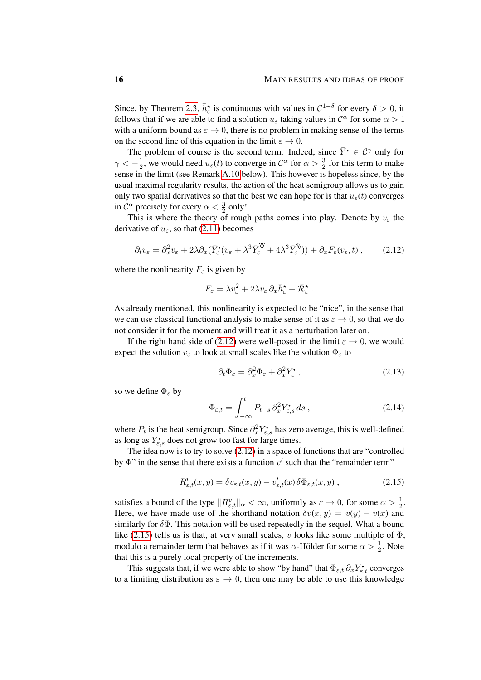Since, by Theorem [2.3,](#page-13-0)  $\bar{h}_{\varepsilon}^*$  is continuous with values in  $\mathcal{C}^{1-\delta}$  for every  $\delta > 0$ , it follows that if we are able to find a solution  $u_{\varepsilon}$  taking values in  $\mathcal{C}^{\alpha}$  for some  $\alpha > 1$ with a uniform bound as  $\varepsilon \to 0$ , there is no problem in making sense of the terms on the second line of this equation in the limit  $\varepsilon \to 0$ .

The problem of course is the second term. Indeed, since  $\bar{Y}$   $\in \mathcal{C}^{\gamma}$  only for  $\gamma < -\frac{1}{2}$  $\frac{1}{2}$ , we would need  $u_{\varepsilon}(t)$  to converge in  $\mathcal{C}^{\alpha}$  for  $\alpha > \frac{3}{2}$  for this term to make sense in the limit (see Remark [A.10](#page-98-1) below). This however is hopeless since, by the usual maximal regularity results, the action of the heat semigroup allows us to gain only two spatial derivatives so that the best we can hope for is that  $u_{\varepsilon}(t)$  converges in  $\mathcal{C}^{\alpha}$  precisely for every  $\alpha < \frac{3}{2}$  only!

This is where the theory of rough paths comes into play. Denote by  $v_{\varepsilon}$  the derivative of  $u_{\varepsilon}$ , so that [\(2.11\)](#page-14-1) becomes

$$
\partial_t v_{\varepsilon} = \partial_x^2 v_{\varepsilon} + 2\lambda \partial_x (\bar{Y}_{\varepsilon}^{\bullet}(v_{\varepsilon} + \lambda^3 \bar{Y}_{\varepsilon}^{\nabla} + 4\lambda^3 \bar{Y}_{\varepsilon}^{\nabla}) ) + \partial_x F_{\varepsilon}(v_{\varepsilon}, t) , \qquad (2.12)
$$

where the nonlinearity  $F_{\varepsilon}$  is given by

<span id="page-15-0"></span>
$$
F_{\varepsilon} = \lambda v_{\varepsilon}^2 + 2\lambda v_{\varepsilon} \, \partial_x \bar{h}_{\varepsilon}^{\star} + \bar{\mathcal{R}}_{\varepsilon}^{\star} \; .
$$

As already mentioned, this nonlinearity is expected to be "nice", in the sense that we can use classical functional analysis to make sense of it as  $\varepsilon \to 0$ , so that we do not consider it for the moment and will treat it as a perturbation later on.

If the right hand side of [\(2.12\)](#page-15-0) were well-posed in the limit  $\varepsilon \to 0$ , we would expect the solution  $v_{\varepsilon}$  to look at small scales like the solution  $\Phi_{\varepsilon}$  to

<span id="page-15-2"></span>
$$
\partial_t \Phi_{\varepsilon} = \partial_x^2 \Phi_{\varepsilon} + \partial_x^2 Y_{\varepsilon}^{\bullet} , \qquad (2.13)
$$

so we define  $\Phi_{\varepsilon}$  by

<span id="page-15-1"></span>
$$
\Phi_{\varepsilon,t} = \int_{-\infty}^{t} P_{t-s} \, \partial_x^2 Y_{\varepsilon,s} \, ds \,, \tag{2.14}
$$

where  $P_t$  is the heat semigroup. Since  $\partial_x^2 Y_{\varepsilon,s}^{\bullet}$  has zero average, this is well-defined as long as  $Y_{\varepsilon,s}^{\bullet}$  does not grow too fast for large times.

The idea now is to try to solve [\(2.12\)](#page-15-0) in a space of functions that are "controlled by  $\Phi$ " in the sense that there exists a function  $v'$  such that the "remainder term"

$$
R_{\varepsilon,t}^v(x,y) = \delta v_{\varepsilon,t}(x,y) - v_{\varepsilon,t}'(x)\,\delta\Phi_{\varepsilon,t}(x,y) ,\qquad (2.15)
$$

satisfies a bound of the type  $||R_{\varepsilon,t}^v||_{\alpha} < \infty$ , uniformly as  $\varepsilon \to 0$ , for some  $\alpha > \frac{1}{2}$ . Here, we have made use of the shorthand notation  $\delta v(x, y) = v(y) - v(x)$  and similarly for  $\delta\Phi$ . This notation will be used repeatedly in the sequel. What a bound like [\(2.15\)](#page-15-1) tells us is that, at very small scales, v looks like some multiple of  $\Phi$ , modulo a remainder term that behaves as if it was  $\alpha$ -Hölder for some  $\alpha > \frac{1}{2}$ . Note that this is a purely local property of the increments.

This suggests that, if we were able to show "by hand" that  $\Phi_{\varepsilon,t} \partial_x Y_{\varepsilon,t}$  converges to a limiting distribution as  $\varepsilon \to 0$ , then one may be able to use this knowledge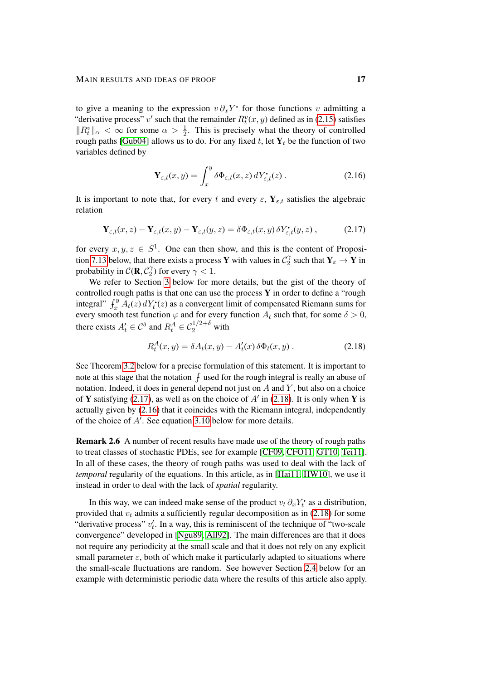to give a meaning to the expression  $v \partial_x Y$  for those functions v admitting a "derivative process" v' such that the remainder  $R_t^v(x, y)$  defined as in [\(2.15\)](#page-15-1) satisfies  $||R_t^v||_{\alpha} < \infty$  for some  $\alpha > \frac{1}{2}$ . This is precisely what the theory of controlled rough paths [\[Gub04\]](#page-100-9) allows us to do. For any fixed t, let  $Y_t$  be the function of two variables defined by

<span id="page-16-2"></span><span id="page-16-0"></span>
$$
\mathbf{Y}_{\varepsilon,t}(x,y) = \int_x^y \delta \Phi_{\varepsilon,t}(x,z) \, dY_{\varepsilon,t}^\bullet(z) \,. \tag{2.16}
$$

It is important to note that, for every t and every  $\varepsilon$ ,  $Y_{\varepsilon,t}$  satisfies the algebraic relation

$$
\mathbf{Y}_{\varepsilon,t}(x,z) - \mathbf{Y}_{\varepsilon,t}(x,y) - \mathbf{Y}_{\varepsilon,t}(y,z) = \delta \Phi_{\varepsilon,t}(x,y) \, \delta Y_{\varepsilon,t}^{\bullet}(y,z) \,, \tag{2.17}
$$

for every  $x, y, z \in S^1$ . One can then show, and this is the content of Proposi-tion [7.13](#page-90-0) below, that there exists a process Y with values in  $\mathcal{C}_2^{\gamma}$  $Y_2^{\gamma}$  such that  $Y_{\varepsilon} \to Y$  in probability in  $\mathcal{C}(\mathbf{R}, \mathcal{C}_2)$  $\binom{\gamma}{2}$  for every  $\gamma < 1$ .

We refer to Section [3](#page-25-0) below for more details, but the gist of the theory of controlled rough paths is that one can use the process  $Y$  in order to define a "rough integral"  $\int_x^y A_t(z) dY_t^{\bullet}(z)$  as a convergent limit of compensated Riemann sums for every smooth test function  $\varphi$  and for every function  $A_t$  such that, for some  $\delta > 0$ , there exists  $A_t' \in \mathcal{C}^{\delta}$  and  $R_t^A \in \mathcal{C}_2^{1/2+\delta}$  with

<span id="page-16-1"></span>
$$
R_t^A(x, y) = \delta A_t(x, y) - A'_t(x)\,\delta\Phi_t(x, y) \,. \tag{2.18}
$$

See Theorem [3.2](#page-27-0) below for a precise formulation of this statement. It is important to note at this stage that the notation  $\int$  used for the rough integral is really an abuse of notation. Indeed, it does in general depend not just on  $A$  and  $Y$ , but also on a choice of Y satisfying [\(2.17\)](#page-16-0), as well as on the choice of  $A'$  in [\(2.18\)](#page-16-1). It is only when Y is actually given by [\(2.16\)](#page-16-2) that it coincides with the Riemann integral, independently of the choice of  $A'$ . See equation [3.10](#page-29-0) below for more details.

Remark 2.6 A number of recent results have made use of the theory of rough paths to treat classes of stochastic PDEs, see for example [\[CF09,](#page-99-12) [CFO11,](#page-99-13) [GT10,](#page-100-10) [Tei11\]](#page-102-4). In all of these cases, the theory of rough paths was used to deal with the lack of *temporal* regularity of the equations. In this article, as in [\[Hai11,](#page-100-8) [HW10\]](#page-100-11), we use it instead in order to deal with the lack of *spatial* regularity.

In this way, we can indeed make sense of the product  $v_t \partial_x Y_t^*$  as a distribution, provided that  $v_t$  admits a sufficiently regular decomposition as in [\(2.18\)](#page-16-1) for some "derivative process"  $v'_t$ . In a way, this is reminiscent of the technique of "two-scale" convergence" developed in [\[Ngu89,](#page-101-11) [All92\]](#page-99-14). The main differences are that it does not require any periodicity at the small scale and that it does not rely on any explicit small parameter  $\varepsilon$ , both of which make it particularly adapted to situations where the small-scale fluctuations are random. See however Section [2.4](#page-23-0) below for an example with deterministic periodic data where the results of this article also apply.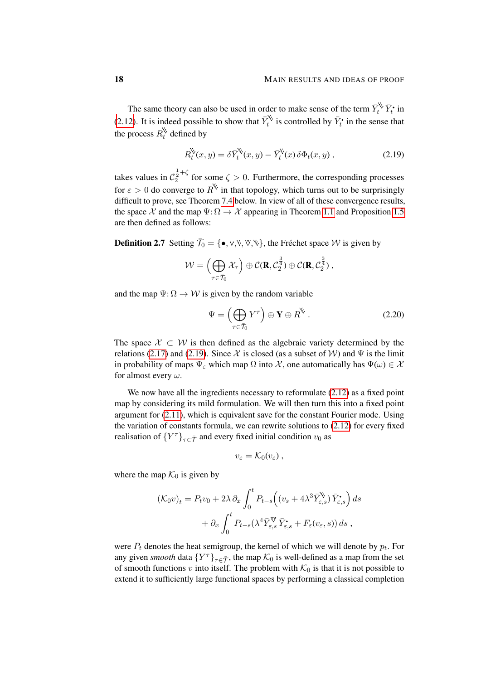The same theory can also be used in order to make sense of the term  $\bar{Y}_t^{\check{\vee}} \bar{Y}_t^{\check{\bullet}}$  in [\(2.12\)](#page-15-0). It is indeed possible to show that  $\overline{Y}_t^{\mathcal{L}}$  is controlled by  $\overline{Y}_t^{\bullet}$  in the sense that the process  $R_t^{\mathbf{k}}$  defined by

<span id="page-17-0"></span>
$$
R_t^{\check{\mathsf{X}}}(x,y) = \delta \bar{Y}_t^{\check{\mathsf{X}}}(x,y) - \bar{Y}_t^{\check{\mathsf{X}}}(x)\,\delta\Phi_t(x,y) \;, \tag{2.19}
$$

takes values in  $C_2^{\frac{1}{2}+\zeta}$  for some  $\zeta > 0$ . Furthermore, the corresponding processes for  $\varepsilon > 0$  do converge to  $\overline{R}^k$  in that topology, which turns out to be surprisingly difficult to prove, see Theorem [7.4](#page-81-0) below. In view of all of these convergence results, the space X and the map  $\Psi: \Omega \to \mathcal{X}$  appearing in Theorem [1.1](#page-4-3) and Proposition [1.5](#page-5-1) are then defined as follows:

**Definition 2.7** Setting  $\bar{\mathcal{T}}_0 = \{ \bullet, v, v, w, w \}$ , the Fréchet space W is given by

$$
\mathcal{W} = \left(\bigoplus_{\tau \in \bar{\mathcal{T}}_0} \mathcal{X}_{\tau}\right) \oplus \mathcal{C}(\mathbf{R}, \mathcal{C}_2^{\frac{3}{4}}) \oplus \mathcal{C}(\mathbf{R}, \mathcal{C}_2^{\frac{3}{4}}),
$$

and the map  $\Psi: \Omega \to W$  is given by the random variable

$$
\Psi = \left(\bigoplus_{\tau \in \overline{\mathcal{T}}_0} Y^{\tau}\right) \oplus \mathbf{Y} \oplus R^{\mathsf{V}}.
$$
 (2.20)

The space  $X \subset W$  is then defined as the algebraic variety determined by the relations [\(2.17\)](#page-16-0) and [\(2.19\)](#page-17-0). Since X is closed (as a subset of W) and  $\Psi$  is the limit in probability of maps  $\Psi_{\varepsilon}$  which map  $\Omega$  into X, one automatically has  $\Psi(\omega) \in \mathcal{X}$ for almost every  $\omega$ .

We now have all the ingredients necessary to reformulate  $(2.12)$  as a fixed point map by considering its mild formulation. We will then turn this into a fixed point argument for [\(2.11\)](#page-14-1), which is equivalent save for the constant Fourier mode. Using the variation of constants formula, we can rewrite solutions to [\(2.12\)](#page-15-0) for every fixed realisation of  ${Y^{\tau}}_{\tau \in \bar{\mathcal{T}}}$  and every fixed initial condition  $v_0$  as

$$
v_{\varepsilon}=\mathcal{K}_0(v_{\varepsilon})\,,
$$

where the map  $\mathcal{K}_0$  is given by

$$
(\mathcal{K}_0 v)_t = P_t v_0 + 2\lambda \partial_x \int_0^t P_{t-s} \left( (v_s + 4\lambda^3 \bar{Y}_{\varepsilon,s}^{\mathbf{v}}) \bar{Y}_{\varepsilon,s} \right) ds + \partial_x \int_0^t P_{t-s} (\lambda^4 \bar{Y}_{\varepsilon,s}^{\mathbf{v}} \bar{Y}_{\varepsilon,s}^{\bullet} + F_{\varepsilon}(v_{\varepsilon}, s)) ds,
$$

were  $P_t$  denotes the heat semigroup, the kernel of which we will denote by  $p_t$ . For any given *smooth* data  $\{Y^{\tau}\}_{\tau \in \bar{\mathcal{T}}}$ , the map  $\mathcal{K}_0$  is well-defined as a map from the set of smooth functions v into itself. The problem with  $K_0$  is that it is not possible to extend it to sufficiently large functional spaces by performing a classical completion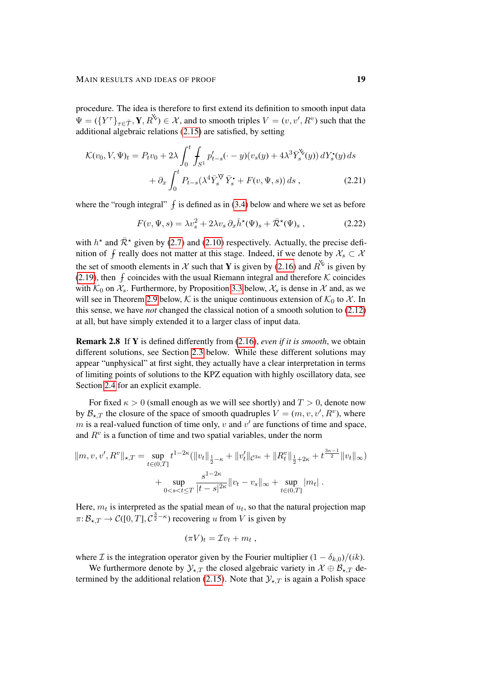procedure. The idea is therefore to first extend its definition to smooth input data  $\Psi = (\{Y^{\tau}\}_{\tau \in \bar{\mathcal{T}}}, Y, R^{\mathcal{V}}) \in \mathcal{X}$ , and to smooth triples  $V = (v, v', R^v)$  such that the additional algebraic relations [\(2.15\)](#page-15-1) are satisfied, by setting

$$
\mathcal{K}(v_0, V, \Psi)_t = P_t v_0 + 2\lambda \int_0^t \int_{S^1} p'_{t-s}(\cdot - y)(v_s(y) + 4\lambda^3 \bar{Y}_s^{\mathbf{X}}(y)) dY_s^{\bullet}(y) ds + \partial_x \int_0^t P_{t-s}(\lambda^4 \bar{Y}_s^{\mathbf{W}} \bar{Y}_s^{\bullet} + F(v, \Psi, s)) ds ,
$$
 (2.21)

where the "rough integral"  $\int$  is defined as in [\(3.4\)](#page-27-1) below and where we set as before

<span id="page-18-1"></span><span id="page-18-0"></span>
$$
F(v, \Psi, s) = \lambda v_s^2 + 2\lambda v_s \, \partial_x \bar{h}^{\star}(\Psi)_s + \bar{\mathcal{R}}^{\star}(\Psi)_s , \qquad (2.22)
$$

with  $h^*$  and  $\bar{\mathcal{R}}^*$  given by [\(2.7\)](#page-13-3) and [\(2.10\)](#page-14-2) respectively. Actually, the precise definition of  $f$  really does not matter at this stage. Indeed, if we denote by  $\mathcal{X}_s \subset \mathcal{X}$ the set of smooth elements in X such that Y is given by [\(2.16\)](#page-16-2) and  $R^{\mathcal{K}}$  is given by [\(2.19\)](#page-17-0), then  $f$  coincides with the usual Riemann integral and therefore  $K$  coincides with  $\mathcal{K}_0$  on  $\mathcal{X}_s$ . Furthermore, by Proposition [3.3](#page-27-2) below,  $\mathcal{X}_s$  is dense in X and, as we will see in Theorem [2.9](#page-19-0) below, K is the unique continuous extension of  $\mathcal{K}_0$  to X. In this sense, we have *not* changed the classical notion of a smooth solution to [\(2.12\)](#page-15-0) at all, but have simply extended it to a larger class of input data.

Remark 2.8 If Y is defined differently from [\(2.16\)](#page-16-2), *even if it is smooth*, we obtain different solutions, see Section [2.3](#page-22-0) below. While these different solutions may appear "unphysical" at first sight, they actually have a clear interpretation in terms of limiting points of solutions to the KPZ equation with highly oscillatory data, see Section [2.4](#page-23-0) for an explicit example.

For fixed  $\kappa > 0$  (small enough as we will see shortly) and  $T > 0$ , denote now by  $\mathcal{B}_{\star,T}$  the closure of the space of smooth quadruples  $V = (m, v, v', R^v)$ , where m is a real-valued function of time only,  $v$  and  $v'$  are functions of time and space, and  $R<sup>v</sup>$  is a function of time and two spatial variables, under the norm

$$
||m, v, v', R^{v}||_{\star,T} = \sup_{t \in (0,T]} t^{1-2\kappa} (||v_t||_{\frac{1}{2}-\kappa} + ||v'_t||_{\mathcal{C}^{3\kappa}} + ||R_t^v||_{\frac{1}{2}+2\kappa} + t^{\frac{3\kappa-1}{2}} ||v_t||_{\infty})
$$
  
+ 
$$
\sup_{0 < s < t \leq T} \frac{s^{1-2\kappa}}{|t-s|^{2\kappa}} ||v_t - v_s||_{\infty} + \sup_{t \in (0,T]} |m_t| .
$$

Here,  $m_t$  is interpreted as the spatial mean of  $u_t$ , so that the natural projection map  $\pi: \mathcal{B}_{\star,T} \to \mathcal{C}([0,T],\mathcal{C}^{\frac{3}{2}-\kappa})$  recovering u from V is given by

$$
(\pi V)_t = \mathcal{I} v_t + m_t ,
$$

where *I* is the integration operator given by the Fourier multiplier  $(1 - \delta_{k,0})/(ik)$ .

We furthermore denote by  $\mathcal{Y}_{\star,T}$  the closed algebraic variety in  $\mathcal{X} \oplus \mathcal{B}_{\star,T}$  de-termined by the additional relation [\(2.15\)](#page-15-1). Note that  $\mathcal{Y}_{\star,T}$  is again a Polish space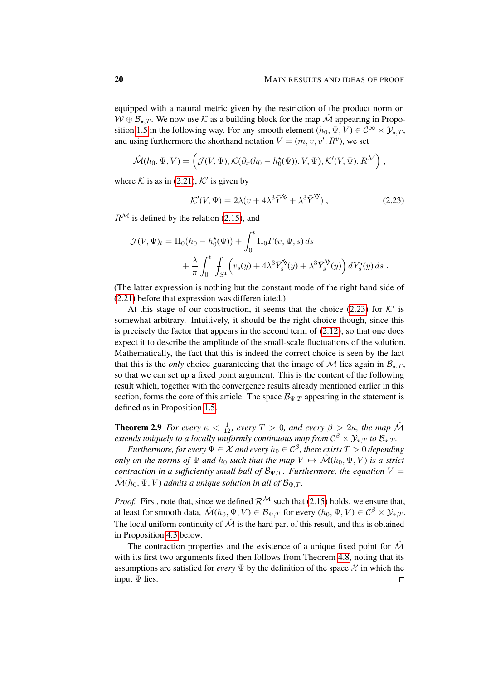equipped with a natural metric given by the restriction of the product norm on  $W \oplus \mathcal{B}_{\star,T}$ . We now use K as a building block for the map  $\hat{\mathcal{M}}$  appearing in Propo-sition [1.5](#page-5-1) in the following way. For any smooth element  $(h_0, \Psi, V) \in C^{\infty} \times \mathcal{Y}_{\star,T}$ , and using furthermore the shorthand notation  $V = (m, v, v', R^v)$ , we set

$$
\hat{\mathcal{M}}(h_0, \Psi, V) = \left( \mathcal{J}(V, \Psi), \mathcal{K}(\partial_x(h_0 - h_0^{\star}(\Psi)), V, \Psi), \mathcal{K}'(V, \Psi), R^{\mathcal{M}} \right),
$$

where K is as in [\(2.21\)](#page-18-0),  $K'$  is given by

<span id="page-19-1"></span>
$$
\mathcal{K}'(V,\Psi) = 2\lambda(v + 4\lambda^3 \bar{Y}^{\Psi} + \lambda^3 \bar{Y}^{\Psi}), \qquad (2.23)
$$

 $R^{\mathcal{M}}$  is defined by the relation [\(2.15\)](#page-15-1), and

$$
\mathcal{J}(V, \Psi)_t = \Pi_0(h_0 - h_0^{\star}(\Psi)) + \int_0^t \Pi_0 F(v, \Psi, s) ds
$$
  
+ 
$$
\frac{\lambda}{\pi} \int_0^t \int_{S^1} \left( v_s(y) + 4\lambda^3 \bar{Y}_s^{\star}(y) + \lambda^3 \bar{Y}_s^{\star}(y) \right) dY_s^{\star}(y) ds.
$$

(The latter expression is nothing but the constant mode of the right hand side of [\(2.21\)](#page-18-0) before that expression was differentiated.)

At this stage of our construction, it seems that the choice [\(2.23\)](#page-19-1) for  $K'$  is somewhat arbitrary. Intuitively, it should be the right choice though, since this is precisely the factor that appears in the second term of [\(2.12\)](#page-15-0), so that one does expect it to describe the amplitude of the small-scale fluctuations of the solution. Mathematically, the fact that this is indeed the correct choice is seen by the fact that this is the *only* choice guaranteeing that the image of  $\hat{M}$  lies again in  $\mathcal{B}_{\star,T}$ , so that we can set up a fixed point argument. This is the content of the following result which, together with the convergence results already mentioned earlier in this section, forms the core of this article. The space  $\mathcal{B}_{\Psi,T}$  appearing in the statement is defined as in Proposition [1.5.](#page-5-1)

<span id="page-19-0"></span>**Theorem 2.9** *For every*  $\kappa < \frac{1}{12}$ *, every*  $T > 0$ *, and every*  $\beta > 2\kappa$ *, the map*  $\hat{\mathcal{M}}$ *extends uniquely to a locally uniformly continuous map from*  $C^{\beta} \times \mathcal{Y}_{\star,T}$  to  $\mathcal{B}_{\star,T}$ .

 $\emph{Furthermore, for every $\Psi \in \mathcal{X}$ and every $h_0 \in \mathcal{C}^\beta$, there exists $T > 0$ depending}$ *only on the norms of*  $\Psi$  *and*  $h_0$  *such that the map*  $V \mapsto \mathcal{M}(h_0, \Psi, V)$  *is a strict contraction in a sufficiently small ball of*  $\mathcal{B}_{\Psi,T}$ *. Furthermore, the equation*  $V =$  $\mathcal{\hat{M}}(h_0, \Psi, V)$  *admits a unique solution in all of*  $\mathcal{B}_{\Psi, T}$ *.* 

*Proof.* First, note that, since we defined  $\mathcal{R}^{\mathcal{M}}$  such that [\(2.15\)](#page-15-1) holds, we ensure that, at least for smooth data,  $\mathcal{M}(h_0, \Psi, V) \in \mathcal{B}_{\Psi, T}$  for every  $(h_0, \Psi, V) \in \mathcal{C}^{\beta} \times \mathcal{Y}_{\star, T}$ . The local uniform continuity of  $\hat{\mathcal{M}}$  is the hard part of this result, and this is obtained in Proposition [4.3](#page-37-0) below.

The contraction properties and the existence of a unique fixed point for  $\hat{\mathcal{M}}$ with its first two arguments fixed then follows from Theorem [4.8,](#page-41-0) noting that its assumptions are satisfied for *every*  $\Psi$  by the definition of the space  $X$  in which the input Ψ lies. $\Box$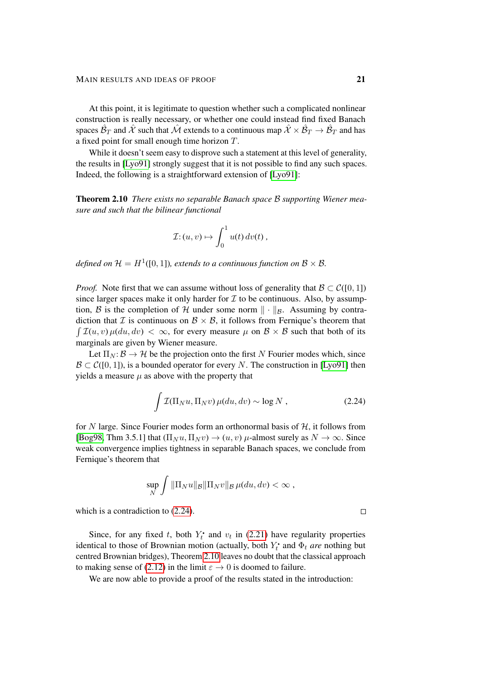At this point, it is legitimate to question whether such a complicated nonlinear construction is really necessary, or whether one could instead find fixed Banach spaces  $\hat{\cal B}_T$  and  $\hat{\cal X}$  such that  $\hat{\cal M}$  extends to a continuous map  $\hat{\cal X}\times\hat{\cal B}_T\to\hat{\cal B}_T$  and has a fixed point for small enough time horizon T.

While it doesn't seem easy to disprove such a statement at this level of generality, the results in [\[Lyo91\]](#page-101-12) strongly suggest that it is not possible to find any such spaces. Indeed, the following is a straightforward extension of [\[Lyo91\]](#page-101-12):

<span id="page-20-1"></span>Theorem 2.10 *There exists no separable Banach space* B *supporting Wiener measure and such that the bilinear functional*

$$
\mathcal{I} : (u, v) \mapsto \int_0^1 u(t) \, dv(t) \, ,
$$

defined on  $\mathcal{H} = H^1([0,1])$ , extends to a continuous function on  $\mathcal{B} \times \mathcal{B}$ .

*Proof.* Note first that we can assume without loss of generality that  $\mathcal{B} \subset \mathcal{C}([0, 1])$ since larger spaces make it only harder for  $\mathcal I$  to be continuous. Also, by assumption, B is the completion of H under some norm  $\|\cdot\|_{\mathcal{B}}$ . Assuming by contradiction that  $\mathcal I$  is continuous on  $\mathcal B \times \mathcal B$ , it follows from Fernique's theorem that  $\int \mathcal{I}(u, v) \mu(du, dv) < \infty$ , for every measure  $\mu$  on  $\mathcal{B} \times \mathcal{B}$  such that both of its marginals are given by Wiener measure.

Let  $\Pi_N: \mathcal{B} \to \mathcal{H}$  be the projection onto the first N Fourier modes which, since  $\mathcal{B} \subset \mathcal{C}([0,1])$ , is a bounded operator for every N. The construction in [\[Lyo91\]](#page-101-12) then yields a measure  $\mu$  as above with the property that

$$
\int \mathcal{I}(\Pi_N u, \Pi_N v) \,\mu(du, dv) \sim \log N \,, \tag{2.24}
$$

for N large. Since Fourier modes form an orthonormal basis of  $H$ , it follows from [\[Bog98,](#page-99-15) Thm 3.5.1] that  $(\Pi_N u, \Pi_N v) \to (u, v)$   $\mu$ -almost surely as  $N \to \infty$ . Since weak convergence implies tightness in separable Banach spaces, we conclude from Fernique's theorem that

$$
\sup_N \int \|\Pi_N u\|_{\mathcal{B}} \|\Pi_N v\|_{\mathcal{B}} \,\mu(du, dv) < \infty \;,
$$

which is a contradiction to  $(2.24)$ .

Since, for any fixed t, both  $Y_t^{\bullet}$  and  $v_t$  in [\(2.21\)](#page-18-0) have regularity properties identical to those of Brownian motion (actually, both  $Y_t^{\bullet}$  and  $\Phi_t$  *are* nothing but centred Brownian bridges), Theorem [2.10](#page-20-1) leaves no doubt that the classical approach to making sense of [\(2.12\)](#page-15-0) in the limit  $\varepsilon \to 0$  is doomed to failure.

We are now able to provide a proof of the results stated in the introduction:

<span id="page-20-0"></span> $\Box$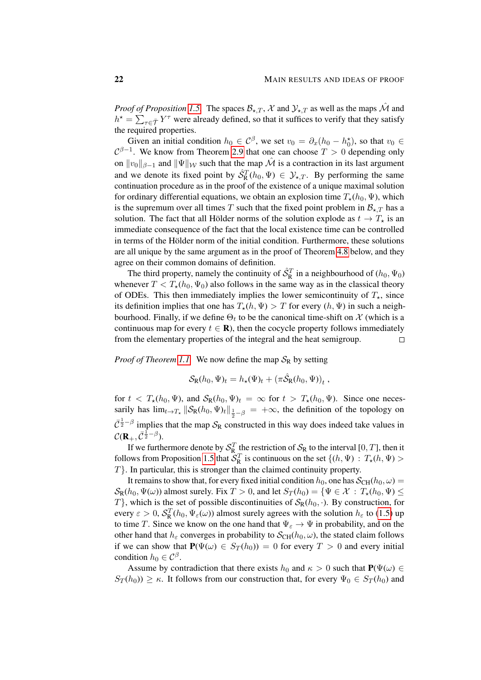*Proof of Proposition [1.5.](#page-5-1)* The spaces  $\mathcal{B}_{\star,T}$ , X and  $\mathcal{Y}_{\star,T}$  as well as the maps  $\hat{\mathcal{M}}$  and  $h^* = \sum_{\tau \in \bar{\mathcal{T}}} Y^{\tau}$  were already defined, so that it suffices to verify that they satisfy the required properties.

Given an initial condition  $h_0 \in C^{\beta}$ , we set  $v_0 = \partial_x(h_0 - h_0^*)$ , so that  $v_0 \in C^{\beta}$  $C^{\beta-1}$ . We know from Theorem [2.9](#page-19-0) that one can choose  $T > 0$  depending only on  $||v_0||_{\beta-1}$  and  $||\Psi||_{\mathcal{W}}$  such that the map  $\hat{\mathcal{M}}$  is a contraction in its last argument and we denote its fixed point by  $\hat{S}_{\text{R}}^{T}(h_0, \Psi) \in \mathcal{Y}_{\star,T}$ . By performing the same continuation procedure as in the proof of the existence of a unique maximal solution for ordinary differential equations, we obtain an explosion time  $T_{\star}(h_0, \Psi)$ , which is the supremum over all times T such that the fixed point problem in  $\mathcal{B}_{\star T}$  has a solution. The fact that all Hölder norms of the solution explode as  $t \to T_{\star}$  is an immediate consequence of the fact that the local existence time can be controlled in terms of the Hölder norm of the initial condition. Furthermore, these solutions are all unique by the same argument as in the proof of Theorem [4.8](#page-41-0) below, and they agree on their common domains of definition.

The third property, namely the continuity of  $\hat{\mathcal{S}}_R^T$  in a neighbourhood of  $(h_0, \Psi_0)$ whenever  $T < T_{\star}(h_0, \Psi_0)$  also follows in the same way as in the classical theory of ODEs. This then immediately implies the lower semicontinuity of  $T_{\star}$ , since its definition implies that one has  $T_{\star}(h, \Psi) > T$  for every  $(h, \Psi)$  in such a neighbourhood. Finally, if we define  $\Theta_t$  to be the canonical time-shift on  $\mathcal X$  (which is a continuous map for every  $t \in \mathbb{R}$ ), then the cocycle property follows immediately from the elementary properties of the integral and the heat semigroup.  $\Box$ 

*Proof of Theorem [1.1.](#page-4-3)* We now define the map  $S_R$  by setting

$$
\mathcal{S}_{\mathrm{R}}(h_0, \Psi)_t = h_{\star}(\Psi)_t + \left(\pi \hat{\mathcal{S}}_{\mathrm{R}}(h_0, \Psi)\right)_t,
$$

for  $t < T_{\star}(h_0, \Psi)$ , and  $S_{\mathbb{R}}(h_0, \Psi)_t = \infty$  for  $t > T_{\star}(h_0, \Psi)$ . Since one necessarily has  $\lim_{t\to T_*} \|\mathcal{S}_{R}(h_0,\Psi)_t\|_{\frac{1}{2}-\beta} = +\infty$ , the definition of the topology on  $\bar{C}^{\frac{1}{2}-\beta}$  implies that the map  $S_R$  constructed in this way does indeed take values in  $\mathcal{C}(\mathbf{R}_+, \bar{\mathcal{C}}^{\frac{1}{2}-\beta}).$ 

If we furthermore denote by  $S_{\rm R}^T$  the restriction of  $S_{\rm R}$  to the interval [0, T], then it follows from Proposition [1.5](#page-5-1) that  $S_R^T$  is continuous on the set  $\{(h, \Psi) : T_{\star}(h, \Psi) >$ T}. In particular, this is stronger than the claimed continuity property.

It remains to show that, for every fixed initial condition  $h_0$ , one has  $\mathcal{S}_{CH}(h_0, \omega)$  =  $\mathcal{S}_{R}(h_0, \Psi(\omega))$  almost surely. Fix  $T > 0$ , and let  $S_T(h_0) = {\Psi \in \mathcal{X} : T_{\star}(h_0, \Psi) \leq \Psi \in \mathcal{X} \times T_{\star}(h_0, \Psi)}$  $T$ , which is the set of possible discontinuities of  $S_R(h_0, \cdot)$ . By construction, for every  $\varepsilon > 0$ ,  $S_R^T(h_0, \Psi_\varepsilon(\omega))$  almost surely agrees with the solution  $h_\varepsilon$  to [\(1.5\)](#page-2-2) up to time T. Since we know on the one hand that  $\Psi_{\varepsilon} \to \Psi$  in probability, and on the other hand that  $h_{\varepsilon}$  converges in probability to  $\mathcal{S}_{CH}(h_0, \omega)$ , the stated claim follows if we can show that  $P(\Psi(\omega) \in S_T(h_0)) = 0$  for every  $T > 0$  and every initial condition  $h_0 \in \mathcal{C}^{\beta}$ .

Assume by contradiction that there exists  $h_0$  and  $\kappa > 0$  such that  $P(\Psi(\omega) \in$  $S_T(h_0) \geq \kappa$ . It follows from our construction that, for every  $\Psi_0 \in S_T(h_0)$  and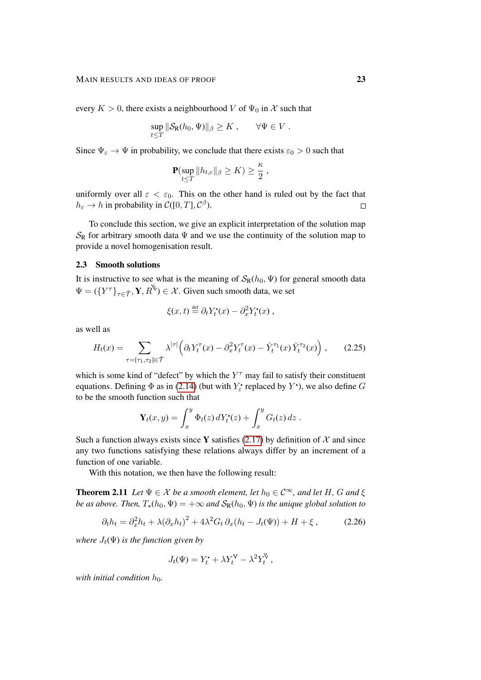every  $K > 0$ , there exists a neighbourhood V of  $\Psi_0$  in X such that

$$
\sup_{t\leq T} \|\mathcal{S}_{\mathsf{R}}(h_0,\Psi)\|_{\beta} \geq K, \qquad \forall \Psi \in V.
$$

Since  $\Psi_{\varepsilon} \to \Psi$  in probability, we conclude that there exists  $\varepsilon_0 > 0$  such that

$$
\mathbf{P}(\sup_{t\leq T}||h_{t,\varepsilon}||_{\beta}\geq K)\geq \frac{\kappa}{2},
$$

uniformly over all  $\varepsilon < \varepsilon_0$ . This on the other hand is ruled out by the fact that  $h_{\varepsilon} \to h$  in probability in  $\mathcal{C}([0,T], \mathcal{C}^{\beta})$ .  $\Box$ 

To conclude this section, we give an explicit interpretation of the solution map  $S_R$  for arbitrary smooth data  $\Psi$  and we use the continuity of the solution map to provide a novel homogenisation result.

### <span id="page-22-0"></span>2.3 Smooth solutions

It is instructive to see what is the meaning of  $\mathcal{S}_R(h_0, \Psi)$  for general smooth data  $\Psi = (\{Y^{\tau}\}_{\tau \in \bar{\mathcal{T}}}, \mathbf{Y}, R^{\mathsf{Y}}) \in \mathcal{X}$ . Given such smooth data, we set

<span id="page-22-1"></span>
$$
\xi(x,t) \stackrel{\text{def}}{=} \partial_t Y_t^{\bullet}(x) - \partial_x^2 Y_t^{\bullet}(x) ,
$$

as well as

$$
H_t(x) = \sum_{\tau = [\tau_1, \tau_2] \in \overline{\mathcal{T}}} \lambda^{|\tau|} \left( \partial_t Y_t^{\tau}(x) - \partial_x^2 Y_t^{\tau}(x) - \overline{Y}_t^{\tau_1}(x) \overline{Y}_t^{\tau_2}(x) \right), \qquad (2.25)
$$

which is some kind of "defect" by which the  $Y^{\tau}$  may fail to satisfy their constituent equations. Defining  $\Phi$  as in [\(2.14\)](#page-15-2) (but with  $Y_{\varepsilon}$  replaced by  $Y^{\bullet}$ ), we also define  $G$ to be the smooth function such that

$$
\mathbf{Y}_t(x,y) = \int_x^y \Phi_t(z) dY_t^{\bullet}(z) + \int_x^y G_t(z) dz.
$$

Such a function always exists since Y satisfies [\(2.17\)](#page-16-0) by definition of  $\mathcal X$  and since any two functions satisfying these relations always differ by an increment of a function of one variable.

With this notation, we then have the following result:

<span id="page-22-3"></span>**Theorem 2.11** *Let*  $\Psi \in \mathcal{X}$  *be a smooth element, let*  $h_0 \in \mathcal{C}^{\infty}$ *, and let*  $H$ *, G and*  $\xi$ *be as above. Then,*  $T_{\star}(h_0, \Psi) = +\infty$  *and*  $\mathcal{S}_{R}(h_0, \Psi)$  *is the unique global solution to* 

$$
\partial_t h_t = \partial_x^2 h_t + \lambda (\partial_x h_t)^2 + 4\lambda^2 G_t \partial_x (h_t - J_t(\Psi)) + H + \xi \,, \tag{2.26}
$$

*where*  $J_t(\Psi)$  *is the function given by* 

<span id="page-22-2"></span>
$$
J_t(\Psi) = Y_t^{\bullet} + \lambda Y_t^{\mathsf{V}} - \lambda^2 Y_t^{\mathsf{V}} ,
$$

*with initial condition*  $h_0$ *.*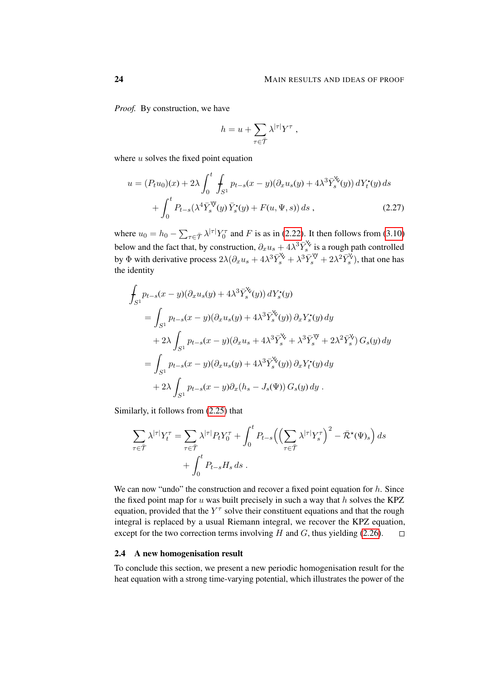*Proof.* By construction, we have

$$
h = u + \sum_{\tau \in \overline{\mathcal{T}}} \lambda^{|\tau|} Y^{\tau} ,
$$

where  $u$  solves the fixed point equation

$$
u = (P_t u_0)(x) + 2\lambda \int_0^t \int_{S^1} p_{t-s}(x-y)(\partial_x u_s(y) + 4\lambda^3 \bar{Y}_s^{\mathbf{V}}(y)) dY_t^{\bullet}(y) ds + \int_0^t P_{t-s}(\lambda^4 \bar{Y}_s^{\mathbf{V}}(y) \bar{Y}_s^{\bullet}(y) + F(u, \Psi, s)) ds ,
$$
 (2.27)

where  $u_0 = h_0 - \sum_{\tau \in \bar{\mathcal{T}}} \lambda^{|\tau|} Y_0^{\tau}$  and F is as in [\(2.22\)](#page-18-1). It then follows from [\(3.10\)](#page-29-0) below and the fact that, by construction,  $\partial_x u_s + 4\lambda^3 \bar{Y}_s^{\check{v}}$  is a rough path controlled by  $\Phi$  with derivative process  $2\lambda(\partial_x u_s + 4\lambda^3 \bar{Y}_s^{\vee} + \lambda^3 \bar{Y}_s^{\vee} + 2\lambda^2 \bar{Y}_s^{\vee})$ , that one has the identity

$$
\int_{S^1} p_{t-s}(x-y)(\partial_x u_s(y) + 4\lambda^3 \bar{Y}_s^{\check{\mathsf{X}}}(y)) dY_s^{\bullet}(y)
$$
\n
$$
= \int_{S^1} p_{t-s}(x-y)(\partial_x u_s(y) + 4\lambda^3 \bar{Y}_s^{\check{\mathsf{X}}}(y)) \partial_x Y_s^{\bullet}(y) dy
$$
\n
$$
+ 2\lambda \int_{S^1} p_{t-s}(x-y)(\partial_x u_s + 4\lambda^3 \bar{Y}_s^{\check{\mathsf{X}}} + \lambda^3 \bar{Y}_s^{\check{\mathsf{Y}}} + 2\lambda^2 \bar{Y}_s^{\check{\mathsf{Y}}}) G_s(y) dy
$$
\n
$$
= \int_{S^1} p_{t-s}(x-y)(\partial_x u_s(y) + 4\lambda^3 \bar{Y}_s^{\check{\mathsf{X}}}(y)) \partial_x Y_t^{\bullet}(y) dy
$$
\n
$$
+ 2\lambda \int_{S^1} p_{t-s}(x-y) \partial_x (h_s - J_s(\Psi)) G_s(y) dy.
$$

Similarly, it follows from [\(2.25\)](#page-22-1) that

$$
\sum_{\tau \in \overline{\mathcal{T}}} \lambda^{|\tau|} Y_t^{\tau} = \sum_{\tau \in \overline{\mathcal{T}}} \lambda^{|\tau|} P_t Y_0^{\tau} + \int_0^t P_{t-s} \Big( \Big( \sum_{\tau \in \overline{\mathcal{T}}} \lambda^{|\tau|} Y_s^{\tau} \Big)^2 - \overline{\mathcal{R}}^{\star} (\Psi)_s \Big) ds + \int_0^t P_{t-s} H_s ds .
$$

We can now "undo" the construction and recover a fixed point equation for  $h$ . Since the fixed point map for u was built precisely in such a way that  $h$  solves the KPZ equation, provided that the  $Y^{\tau}$  solve their constituent equations and that the rough integral is replaced by a usual Riemann integral, we recover the KPZ equation, except for the two correction terms involving  $H$  and  $G$ , thus yielding [\(2.26\)](#page-22-2).  $\Box$ 

# <span id="page-23-0"></span>2.4 A new homogenisation result

To conclude this section, we present a new periodic homogenisation result for the heat equation with a strong time-varying potential, which illustrates the power of the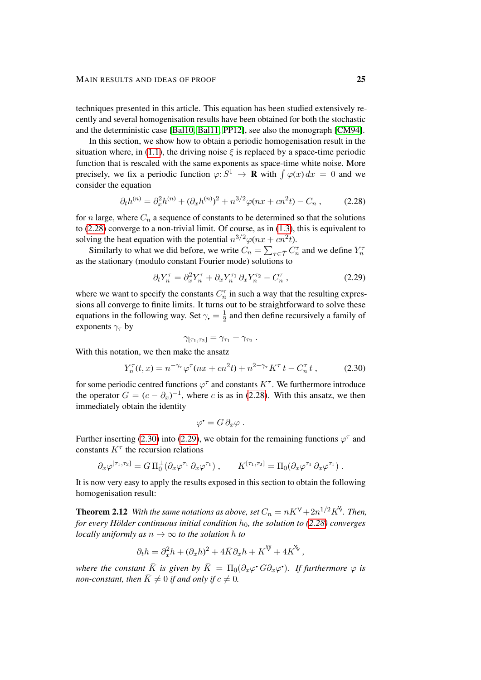techniques presented in this article. This equation has been studied extensively recently and several homogenisation results have been obtained for both the stochastic and the deterministic case [\[Bal10,](#page-99-16) [Bal11,](#page-99-10) [PP12\]](#page-101-6), see also the monograph [\[CM94\]](#page-99-17).

In this section, we show how to obtain a periodic homogenisation result in the situation where, in [\(1.1\)](#page-1-1), the driving noise  $\xi$  is replaced by a space-time periodic function that is rescaled with the same exponents as space-time white noise. More precisely, we fix a periodic function  $\varphi: S^1 \to \mathbf{R}$  with  $\int \varphi(x) dx = 0$  and we consider the equation

$$
\partial_t h^{(n)} = \partial_x^2 h^{(n)} + (\partial_x h^{(n)})^2 + n^{3/2} \varphi(nx + cn^2t) - C_n , \qquad (2.28)
$$

for n large, where  $C_n$  a sequence of constants to be determined so that the solutions to [\(2.28\)](#page-24-0) converge to a non-trivial limit. Of course, as in [\(1.3\)](#page-2-0), this is equivalent to solving the heat equation with the potential  $n^{3/2}\varphi(nx+cn^2t)$ .

Similarly to what we did before, we write  $C_n = \sum_{\tau \in \bar{\mathcal{T}}} C_n^{\tau}$  and we define  $Y_n^{\tau}$ as the stationary (modulo constant Fourier mode) solutions to

<span id="page-24-0"></span>
$$
\partial_t Y_n^\tau = \partial_x^2 Y_n^\tau + \partial_x Y_n^{\tau_1} \partial_x Y_n^{\tau_2} - C_n^\tau \,, \tag{2.29}
$$

where we want to specify the constants  $C_n^{\tau}$  in such a way that the resulting expressions all converge to finite limits. It turns out to be straightforward to solve these equations in the following way. Set  $\gamma_{\bullet} = \frac{1}{2}$  $\frac{1}{2}$  and then define recursively a family of exponents  $\gamma_\tau$  by

<span id="page-24-2"></span>
$$
\gamma_{[\tau_1,\tau_2]}=\gamma_{\tau_1}+\gamma_{\tau_2}.
$$

With this notation, we then make the ansatz

$$
Y_n^{\tau}(t,x) = n^{-\gamma_{\tau}} \varphi^{\tau}(nx + cn^2t) + n^{2-\gamma_{\tau}} K^{\tau} t - C_n^{\tau} t , \qquad (2.30)
$$

for some periodic centred functions  $\varphi^{\tau}$  and constants  $K^{\tau}$ . We furthermore introduce the operator  $G = (c - \partial_x)^{-1}$ , where c is as in [\(2.28\)](#page-24-0). With this ansatz, we then immediately obtain the identity

<span id="page-24-1"></span>
$$
\varphi^{\bullet} = G \, \partial_x \varphi \; .
$$

Further inserting [\(2.30\)](#page-24-1) into [\(2.29\)](#page-24-2), we obtain for the remaining functions  $\varphi^{\tau}$  and constants  $K^{\tau}$  the recursion relations

$$
\partial_x \varphi^{[\tau_1, \tau_2]} = G \Pi_0^{\perp} (\partial_x \varphi^{\tau_1} \, \partial_x \varphi^{\tau_1}), \qquad K^{[\tau_1, \tau_2]} = \Pi_0 (\partial_x \varphi^{\tau_1} \, \partial_x \varphi^{\tau_1}).
$$

It is now very easy to apply the results exposed in this section to obtain the following homogenisation result:

**Theorem 2.12** With the same notations as above, set  $C_n = nK^V + 2n^{1/2}K^V$ . Then, *for every Hölder continuous initial condition*  $h_0$ *, the solution to [\(2.28\)](#page-24-0) converges locally uniformly as*  $n \to \infty$  *to the solution h to* 

$$
\partial_t h = \partial_x^2 h + (\partial_x h)^2 + 4\bar{K}\partial_x h + K^{\mathcal{V}} + 4K^{\mathcal{V}},
$$

*where the constant*  $\bar{K}$  *is given by*  $\bar{K} = \Pi_0(\partial_x\varphi^{\bullet}G\partial_x\varphi^{\bullet})$ *. If furthermore*  $\varphi$  *is non-constant, then*  $\overline{K} \neq 0$  *if and only if*  $c \neq 0$ *.*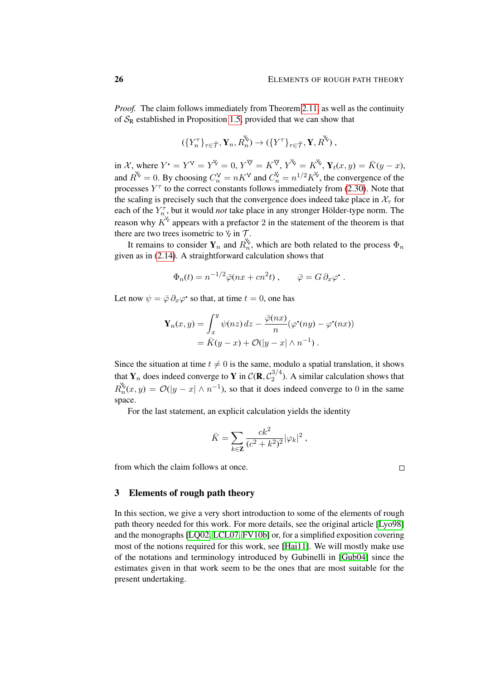*Proof.* The claim follows immediately from Theorem [2.11,](#page-22-3) as well as the continuity of  $S_R$  established in Proposition [1.5,](#page-5-1) provided that we can show that

$$
(\lbrace Y_n^{\tau} \rbrace_{\tau \in \overline{\mathcal{T}}}, \mathbf{Y}_n, R_n^{\mathsf{X}}) \to (\lbrace Y^{\tau} \rbrace_{\tau \in \overline{\mathcal{T}}}, \mathbf{Y}, R^{\mathsf{X}}),
$$

in X, where  $Y^{\bullet} = Y^{\vee} = Y^{\vee} = 0$ ,  $Y^{\vee} = K^{\vee}$ ,  $Y^{\vee} = K^{\vee}$ ,  $Y_t(x, y) = \overline{K}(y - x)$ , and  $R^{\mathcal{S}} = 0$ . By choosing  $C_n^{\mathcal{V}} = nK^{\mathcal{V}}$  and  $C_n^{\mathcal{N}} = n^{1/2}K^{\mathcal{V}}$ , the convergence of the processes  $Y^{\tau}$  to the correct constants follows immediately from [\(2.30\)](#page-24-1). Note that the scaling is precisely such that the convergence does indeed take place in  $\mathcal{X}_{\tau}$  for each of the  $Y_{n}^{\tau}$ , but it would *not* take place in any stronger Hölder-type norm. The reason why  $K^{\vee}$  appears with a prefactor 2 in the statement of the theorem is that there are two trees isometric to  $\forall$  in  $\mathcal{T}$ .

It remains to consider  $Y_n$  and  $R_n^{\vee}$ , which are both related to the process  $\Phi_n$ given as in [\(2.14\)](#page-15-2). A straightforward calculation shows that

$$
\Phi_n(t) = n^{-1/2} \bar{\varphi}(nx + cn^2t) , \qquad \bar{\varphi} = G \partial_x \varphi^* .
$$

Let now  $\psi = \bar{\varphi} \, \partial_x \varphi^*$  so that, at time  $t = 0$ , one has

$$
\mathbf{Y}_n(x, y) = \int_x^y \psi(nz) dz - \frac{\overline{\varphi}(nx)}{n} (\varphi^{\bullet}(ny) - \varphi^{\bullet}(nx))
$$
  
=  $\overline{K}(y - x) + \mathcal{O}(|y - x| \wedge n^{-1}).$ 

Since the situation at time  $t \neq 0$  is the same, modulo a spatial translation, it shows that  $Y_n$  does indeed converge to Y in  $\mathcal{C}(\mathbf{R}, \mathcal{C}_2^{3/4})$  $2^{(3/4)}$ . A similar calculation shows that  $R_n^{\mathcal{K}}(x,y) = \mathcal{O}(|y-x| \wedge n^{-1})$ , so that it does indeed converge to 0 in the same space.

For the last statement, an explicit calculation yields the identity

$$
\bar{K} = \sum_{k \in \mathbf{Z}} \frac{ck^2}{(c^2 + k^2)^2} |\varphi_k|^2 ,
$$

from which the claim follows at once.

# <span id="page-25-0"></span>3 Elements of rough path theory

In this section, we give a very short introduction to some of the elements of rough path theory needed for this work. For more details, see the original article [\[Lyo98\]](#page-101-13) and the monographs [\[LQ02,](#page-101-14) [LCL07,](#page-101-15) [FV10b\]](#page-100-12) or, for a simplified exposition covering most of the notions required for this work, see [\[Hai11\]](#page-100-8). We will mostly make use of the notations and terminology introduced by Gubinelli in [\[Gub04\]](#page-100-9) since the estimates given in that work seem to be the ones that are most suitable for the present undertaking.

 $\Box$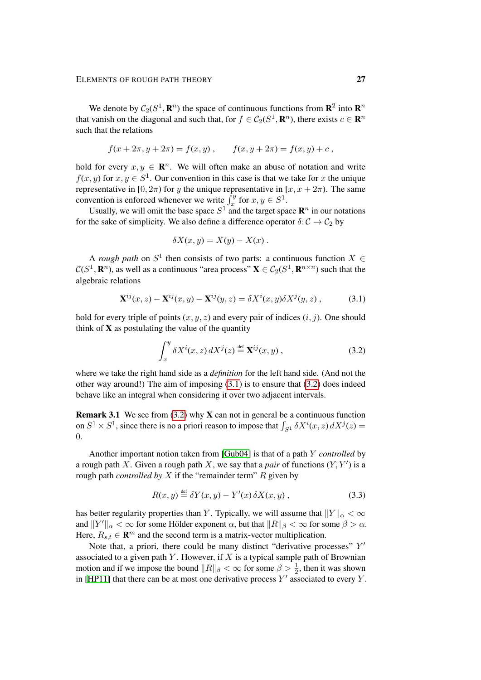We denote by  $C_2(S^1, \mathbf{R}^n)$  the space of continuous functions from  $\mathbf{R}^2$  into  $\mathbf{R}^n$ that vanish on the diagonal and such that, for  $f \in C_2(S^1, \mathbf{R}^n)$ , there exists  $c \in \mathbf{R}^n$ such that the relations

$$
f(x + 2\pi, y + 2\pi) = f(x, y), \qquad f(x, y + 2\pi) = f(x, y) + c,
$$

hold for every  $x, y \in \mathbb{R}^n$ . We will often make an abuse of notation and write  $f(x, y)$  for  $x, y \in S<sup>1</sup>$ . Our convention in this case is that we take for x the unique representative in [0,  $2\pi$ ) for y the unique representative in [x, x +  $2\pi$ ). The same convention is enforced whenever we write  $\int_x^y f$  for  $x, y \in S^1$ .

Usually, we will omit the base space  $S^1$  and the target space  $\mathbb{R}^n$  in our notations for the sake of simplicity. We also define a difference operator  $\delta: \mathcal{C} \to \mathcal{C}_2$  by

<span id="page-26-0"></span>
$$
\delta X(x,y) = X(y) - X(x) .
$$

A *rough path* on  $S^1$  then consists of two parts: a continuous function  $X \in$  $\mathcal{C}(S^1,\mathbf{R}^n)$ , as well as a continuous "area process"  $\mathbf{X}\in\mathcal{C}_2(S^1,\mathbf{R}^{n\times n})$  such that the algebraic relations

$$
\mathbf{X}^{ij}(x,z) - \mathbf{X}^{ij}(x,y) - \mathbf{X}^{ij}(y,z) = \delta X^i(x,y)\delta X^j(y,z) ,\qquad(3.1)
$$

hold for every triple of points  $(x, y, z)$  and every pair of indices  $(i, j)$ . One should think of  $X$  as postulating the value of the quantity

<span id="page-26-1"></span>
$$
\int_{x}^{y} \delta X^{i}(x, z) dX^{j}(z) \stackrel{\text{def}}{=} \mathbf{X}^{ij}(x, y) ,
$$
 (3.2)

where we take the right hand side as a *definition* for the left hand side. (And not the other way around!) The aim of imposing [\(3.1\)](#page-26-0) is to ensure that [\(3.2\)](#page-26-1) does indeed behave like an integral when considering it over two adjacent intervals.

**Remark 3.1** We see from [\(3.2\)](#page-26-1) why **X** can not in general be a continuous function on  $S^1 \times S^1$ , since there is no a priori reason to impose that  $\int_{S^1} \delta X^i(x, z) dX^j(z) =$ 0.

Another important notion taken from [\[Gub04\]](#page-100-9) is that of a path Y *controlled* by a rough path X. Given a rough path X, we say that a *pair* of functions  $(Y, Y')$  is a rough path *controlled by* X if the "remainder term" R given by

<span id="page-26-2"></span>
$$
R(x, y) \stackrel{\text{def}}{=} \delta Y(x, y) - Y'(x) \, \delta X(x, y) \,, \tag{3.3}
$$

has better regularity properties than Y. Typically, we will assume that  $||Y||_{\alpha} < \infty$ and  $||Y||_{\alpha} < \infty$  for some Hölder exponent  $\alpha$ , but that  $||R||_{\beta} < \infty$  for some  $\beta > \alpha$ . Here,  $R_{s,t} \in \mathbf{R}^m$  and the second term is a matrix-vector multiplication.

Note that, a priori, there could be many distinct "derivative processes"  $Y'$ associated to a given path  $Y$ . However, if  $X$  is a typical sample path of Brownian motion and if we impose the bound  $||R||_{\beta} < \infty$  for some  $\beta > \frac{1}{2}$ , then it was shown in [\[HP11\]](#page-100-13) that there can be at most one derivative process  $Y'$  associated to every  $Y$ .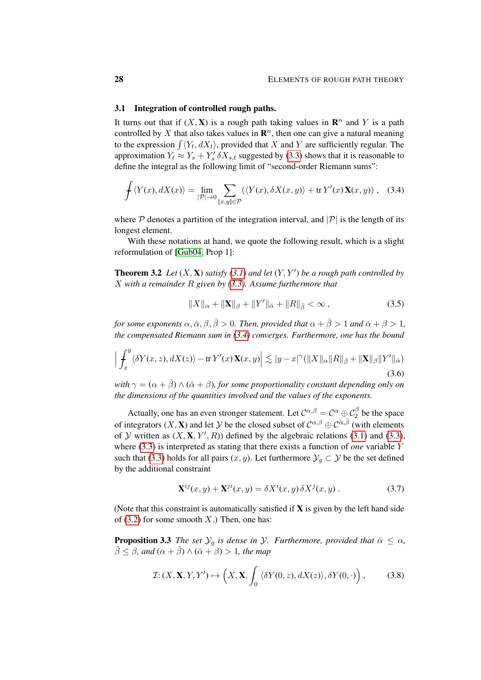### 3.1 Integration of controlled rough paths.

It turns out that if  $(X, X)$  is a rough path taking values in  $\mathbb{R}^n$  and Y is a path controlled by X that also takes values in  $\mathbb{R}^n$ , then one can give a natural meaning to the expression  $\int \langle Y_t, dX_t \rangle$ , provided that X and Y are sufficiently regular. The approximation  $Y_t \approx Y_s + Y'_s \, \delta X_{s,t}$  suggested by [\(3.3\)](#page-26-2) shows that it is reasonable to define the integral as the following limit of "second-order Riemann sums":

$$
\oint \langle Y(x), dX(x) \rangle = \lim_{|\mathcal{P}| \to 0} \sum_{[x,y] \in \mathcal{P}} (\langle Y(x), \delta X(x,y) \rangle + \text{tr}\, Y'(x) \mathbf{X}(x,y)), \quad (3.4)
$$

where  $P$  denotes a partition of the integration interval, and  $|P|$  is the length of its longest element.

With these notations at hand, we quote the following result, which is a slight reformulation of [\[Gub04,](#page-100-9) Prop 1]:

<span id="page-27-0"></span>**Theorem 3.2** Let  $(X, X)$  satisfy [\(3.1\)](#page-26-0) and let  $(Y, Y')$  be a rough path controlled by X *with a remainder* R *given by [\(3.3\)](#page-26-2). Assume furthermore that*

<span id="page-27-5"></span><span id="page-27-4"></span><span id="page-27-1"></span>
$$
||X||_{\alpha} + ||\mathbf{X}||_{\beta} + ||Y'||_{\bar{\alpha}} + ||R||_{\bar{\beta}} < \infty ,
$$
\n(3.5)

*for some exponents*  $\alpha$ ,  $\bar{\alpha}$ ,  $\beta$ ,  $\bar{\beta}$  > 0*. Then, provided that*  $\alpha + \bar{\beta}$  > 1 *and*  $\bar{\alpha} + \beta$  > 1*, the compensated Riemann sum in [\(3.4\)](#page-27-1) converges. Furthermore, one has the bound*

$$
\Big|\int_{x}^{y} \langle \delta Y(x,z), dX(z) \rangle - \text{tr}\, Y'(x) \mathbf{X}(x,y) \Big| \lesssim |y-x|^{\gamma} (\|X\|_{\alpha} \|R\|_{\bar{\beta}} + \|\mathbf{X}\|_{\beta} \|Y'\|_{\bar{\alpha}})
$$
\n(3.6)

*with*  $\gamma = (\alpha + \bar{\beta}) \wedge (\bar{\alpha} + \beta)$ *, for some proportionality constant depending only on the dimensions of the quantities involved and the values of the exponents.*

Actually, one has an even stronger statement. Let  $C^{\alpha,\beta} = C^{\alpha} \oplus C^{\beta}_2$  be the space of integrators  $(X, X)$  and let  $Y$  be the closed subset of  $C^{\alpha,\beta} \oplus C^{\bar{\alpha},\bar{\beta}}$  (with elements of Y written as  $(X, X, Y', R)$  defined by the algebraic relations [\(3.1\)](#page-26-0) and [\(3.3\)](#page-26-2), where [\(3.3\)](#page-26-2) is interpreted as stating that there exists a function of *one* variable Y such that [\(3.3\)](#page-26-2) holds for all pairs  $(x, y)$ . Let furthermore  $\mathcal{Y}_g \subset \mathcal{Y}$  be the set defined by the additional constraint

<span id="page-27-6"></span><span id="page-27-3"></span>
$$
\mathbf{X}^{ij}(x,y) + \mathbf{X}^{ji}(x,y) = \delta X^i(x,y) \, \delta X^j(x,y) \,. \tag{3.7}
$$

(Note that this constraint is automatically satisfied if  $X$  is given by the left hand side of [\(3.2\)](#page-26-1) for some smooth  $X$ .) Then, one has:

<span id="page-27-2"></span>**Proposition 3.3** *The set*  $\mathcal{Y}_q$  *is dense in*  $\mathcal{Y}$ *. Furthermore, provided that*  $\bar{\alpha} \leq \alpha$ *,*  $\bar{\beta} \leq \beta$ , and  $(\alpha + \bar{\beta}) \wedge (\bar{\alpha} + \beta) > 1$ , the map

$$
\mathcal{I}: (X, \mathbf{X}, Y, Y') \mapsto \left(X, \mathbf{X}, \int_0^{\cdot} \langle \delta Y(0, z), dX(z) \rangle, \delta Y(0, \cdot) \right), \tag{3.8}
$$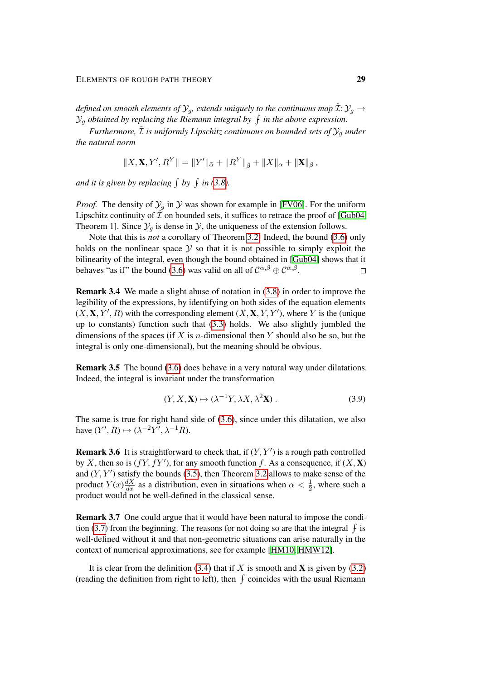*defined on smooth elements of*  $\mathcal{Y}_g$ *, extends uniquely to the continuous map*  $\mathcal{I}: \mathcal{Y}_g \rightarrow$  $\mathcal{Y}_g$  obtained by replacing the Riemann integral by  $\,\mathfrak{f}\,$  in the above expression.

*Furthermore,*  $\hat{\mathcal{I}}$  *is uniformly Lipschitz continuous on bounded sets of*  $\mathcal{Y}_q$  *under the natural norm*

$$
||X, \mathbf{X}, Y', R^Y|| = ||Y'||_{\bar{\alpha}} + ||R^Y||_{\bar{\beta}} + ||X||_{\alpha} + ||\mathbf{X}||_{\beta},
$$

and it is given by replacing  $\int$  by  $\int$  in [\(3.8\)](#page-27-3).

*Proof.* The density of  $\mathcal{Y}_g$  in  $\mathcal{Y}$  was shown for example in [\[FV06\]](#page-100-14). For the uniform Lipschitz continuity of  $\mathcal I$  on bounded sets, it suffices to retrace the proof of [\[Gub04,](#page-100-9) Theorem 1]. Since  $\mathcal{Y}_q$  is dense in  $\mathcal{Y}$ , the uniqueness of the extension follows.

Note that this is *not* a corollary of Theorem [3.2.](#page-27-0) Indeed, the bound [\(3.6\)](#page-27-4) only holds on the nonlinear space  $Y$  so that it is not possible to simply exploit the bilinearity of the integral, even though the bound obtained in [\[Gub04\]](#page-100-9) shows that it behaves "as if" the bound [\(3.6\)](#page-27-4) was valid on all of  $C^{\alpha,\beta} \oplus C^{\alpha,\overline{\beta}}$ .  $\Box$ 

Remark 3.4 We made a slight abuse of notation in [\(3.8\)](#page-27-3) in order to improve the legibility of the expressions, by identifying on both sides of the equation elements  $(X, X, Y', R)$  with the corresponding element  $(X, X, Y, Y')$ , where Y is the (unique up to constants) function such that [\(3.3\)](#page-26-2) holds. We also slightly jumbled the dimensions of the spaces (if X is *n*-dimensional then Y should also be so, but the integral is only one-dimensional), but the meaning should be obvious.

Remark 3.5 The bound [\(3.6\)](#page-27-4) does behave in a very natural way under dilatations. Indeed, the integral is invariant under the transformation

$$
(Y, X, \mathbf{X}) \mapsto (\lambda^{-1} Y, \lambda X, \lambda^2 \mathbf{X}). \tag{3.9}
$$

The same is true for right hand side of [\(3.6\)](#page-27-4), since under this dilatation, we also have  $(Y', R) \mapsto (\lambda^{-2} Y', \lambda^{-1} R)$ .

**Remark 3.6** It is straightforward to check that, if  $(Y, Y')$  is a rough path controlled by X, then so is  $(fY, fY')$ , for any smooth function f. As a consequence, if  $(X, X)$ and  $(Y, Y')$  satisfy the bounds [\(3.5\)](#page-27-5), then Theorem [3.2](#page-27-0) allows to make sense of the product  $Y(x) \frac{dX}{dx}$  as a distribution, even in situations when  $\alpha < \frac{1}{2}$ , where such a product would not be well-defined in the classical sense.

Remark 3.7 One could argue that it would have been natural to impose the condi-tion [\(3.7\)](#page-27-6) from the beginning. The reasons for not doing so are that the integral  $\oint$  is well-defined without it and that non-geometric situations can arise naturally in the context of numerical approximations, see for example [\[HM10,](#page-100-15) [HMW12\]](#page-100-5).

It is clear from the definition [\(3.4\)](#page-27-1) that if X is smooth and X is given by [\(3.2\)](#page-26-1) (reading the definition from right to left), then  $f$  coincides with the usual Riemann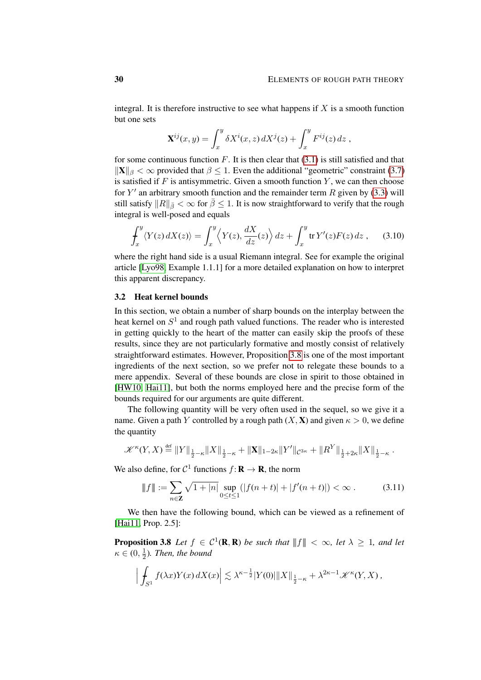integral. It is therefore instructive to see what happens if  $X$  is a smooth function but one sets

<span id="page-29-0"></span>
$$
\mathbf{X}^{ij}(x,y) = \int_x^y \delta X^i(x,z) dX^j(z) + \int_x^y F^{ij}(z) dz,
$$

for some continuous function  $F$ . It is then clear that  $(3.1)$  is still satisfied and that  $\|\mathbf{X}\|_{\beta} < \infty$  provided that  $\beta \leq 1$ . Even the additional "geometric" constraint [\(3.7\)](#page-27-6) is satisfied if  $F$  is antisymmetric. Given a smooth function  $Y$ , we can then choose for  $Y'$  an arbitrary smooth function and the remainder term R given by [\(3.3\)](#page-26-2) will still satisfy  $||R||_{\bar{\beta}} < \infty$  for  $\bar{\beta} \leq 1$ . It is now straightforward to verify that the rough integral is well-posed and equals

$$
\int_x^y \langle Y(z) \, dX(z) \rangle = \int_x^y \langle Y(z), \frac{dX}{dz}(z) \rangle \, dz + \int_x^y \text{tr } Y'(z) F(z) \, dz \;, \tag{3.10}
$$

where the right hand side is a usual Riemann integral. See for example the original article [\[Lyo98,](#page-101-13) Example 1.1.1] for a more detailed explanation on how to interpret this apparent discrepancy.

### 3.2 Heat kernel bounds

In this section, we obtain a number of sharp bounds on the interplay between the heat kernel on  $S<sup>1</sup>$  and rough path valued functions. The reader who is interested in getting quickly to the heart of the matter can easily skip the proofs of these results, since they are not particularly formative and mostly consist of relatively straightforward estimates. However, Proposition [3.8](#page-29-1) is one of the most important ingredients of the next section, so we prefer not to relegate these bounds to a mere appendix. Several of these bounds are close in spirit to those obtained in [\[HW10,](#page-100-11) [Hai11\]](#page-100-8), but both the norms employed here and the precise form of the bounds required for our arguments are quite different.

The following quantity will be very often used in the sequel, so we give it a name. Given a path Y controlled by a rough path  $(X, X)$  and given  $\kappa > 0$ , we define the quantity

$$
\mathscr{K}^{\kappa}(Y,X) \stackrel{\text{def}}{=} \|Y\|_{\frac{1}{2}-\kappa} \|X\|_{\frac{1}{2}-\kappa} + \|\mathbf{X}\|_{1-2\kappa} \|Y'\|_{\mathcal{C}^{3\kappa}} + \|R^Y\|_{\frac{1}{2}+2\kappa} \|X\|_{\frac{1}{2}-\kappa}.
$$

We also define, for  $C^1$  functions  $f: \mathbf{R} \to \mathbf{R}$ , the norm

<span id="page-29-2"></span>
$$
\|f\| := \sum_{n \in \mathbb{Z}} \sqrt{1+|n|} \sup_{0 \le t \le 1} (|f(n+t)| + |f'(n+t)|) < \infty. \tag{3.11}
$$

We then have the following bound, which can be viewed as a refinement of [\[Hai11,](#page-100-8) Prop. 2.5]:

<span id="page-29-1"></span>**Proposition 3.8** Let  $f \in C^1(\mathbf{R}, \mathbf{R})$  be such that  $||f|| < \infty$ , let  $\lambda \geq 1$ , and let  $\kappa \in (0, \frac{1}{2})$  $\frac{1}{2}$ ). Then, the bound

$$
\left| \int_{S^1} f(\lambda x) Y(x) \, dX(x) \right| \lesssim \lambda^{\kappa - \frac{1}{2}} |Y(0)| \|X\|_{\frac{1}{2} - \kappa} + \lambda^{2\kappa - 1} \mathscr{K}^\kappa(Y, X) \, ,
$$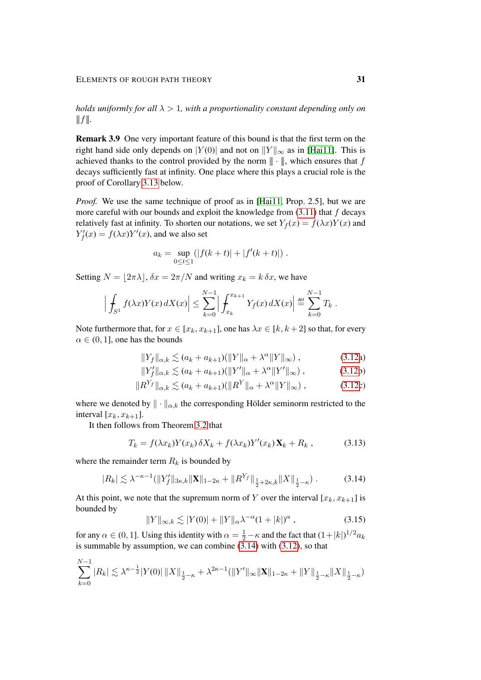*holds uniformly for all* λ > 1*, with a proportionality constant depending only on*  $|||f||.$ 

<span id="page-30-0"></span>Remark 3.9 One very important feature of this bound is that the first term on the right hand side only depends on  $|Y(0)|$  and not on  $||Y||_{\infty}$  as in [\[Hai11\]](#page-100-8). This is achieved thanks to the control provided by the norm  $\|\cdot\|$ , which ensures that f decays sufficiently fast at infinity. One place where this plays a crucial role is the proof of Corollary [3.13](#page-31-0) below.

*Proof.* We use the same technique of proof as in [\[Hai11,](#page-100-8) Prop. 2.5], but we are more careful with our bounds and exploit the knowledge from  $(3.11)$  that f decays relatively fast at infinity. To shorten our notations, we set  $Y_f(x) = f(\lambda x)Y(x)$  and  $Y'_f(x) = f(\lambda x) Y'(x)$ , and we also set

$$
a_k = \sup_{0 \le t \le 1} (|f(k+t)| + |f'(k+t)|).
$$

Setting  $N = \lfloor 2\pi\lambda \rfloor$ ,  $\delta x = 2\pi/N$  and writing  $x_k = k \, \delta x$ , we have

$$
\left| \int_{S^1} f(\lambda x) Y(x) \, dX(x) \right| \leq \sum_{k=0}^{N-1} \left| \int_{x_k}^{x_{k+1}} Y_f(x) \, dX(x) \right| \stackrel{\text{def}}{=} \sum_{k=0}^{N-1} T_k \, .
$$

Note furthermore that, for  $x \in [x_k, x_{k+1}]$ , one has  $\lambda x \in [k, k+2]$  so that, for every  $\alpha \in (0, 1]$ , one has the bounds

$$
||Y_f||_{\alpha,k} \lesssim (a_k + a_{k+1})(||Y||_{\alpha} + \lambda^{\alpha}||Y||_{\infty}), \qquad (3.12a)
$$

$$
||Y'_f||_{\alpha,k} \lesssim (a_k + a_{k+1})(||Y'||_{\alpha} + \lambda^{\alpha} ||Y'||_{\infty}), \qquad (3.12b)
$$

$$
||R^{Y_f}||_{\alpha,k} \lesssim (a_k + a_{k+1})(||R^Y||_{\alpha} + \lambda^{\alpha}||Y||_{\infty}), \qquad (3.12c)
$$

where we denoted by  $\|\cdot\|_{\alpha,k}$  the corresponding Hölder seminorm restricted to the interval  $[x_k, x_{k+1}]$ .

It then follows from Theorem [3.2](#page-27-0) that

$$
T_k = f(\lambda x_k) Y(x_k) \, \delta X_k + f(\lambda x_k) Y'(x_k) \mathbf{X}_k + R_k \,, \tag{3.13}
$$

where the remainder term  $R_k$  is bounded by

$$
|R_k| \lesssim \lambda^{-\kappa-1} (\|Y'_f\|_{3\kappa,k} \|\mathbf{X}\|_{1-2\kappa} + \|R^{Y_f}\|_{\frac{1}{2}+2\kappa,k} \|X\|_{\frac{1}{2}-\kappa}). \tag{3.14}
$$

At this point, we note that the supremum norm of Y over the interval  $[x_k, x_{k+1}]$  is bounded by

<span id="page-30-3"></span><span id="page-30-2"></span><span id="page-30-1"></span>
$$
||Y||_{\infty,k} \lesssim |Y(0)| + ||Y||_{\alpha} \lambda^{-\alpha} (1+|k|)^{\alpha} , \qquad (3.15)
$$

for any  $\alpha \in (0, 1]$ . Using this identity with  $\alpha = \frac{1}{2} - \kappa$  and the fact that  $(1 + |k|)^{1/2} a_k$ is summable by assumption, we can combine  $(3.14)$  with  $(3.12)$ , so that

$$
\sum_{k=0}^{N-1} |R_k| \lesssim \lambda^{\kappa - \frac{1}{2}} |Y(0)| \|X\|_{\frac{1}{2} - \kappa} + \lambda^{2\kappa - 1} (\|Y'\|_{\infty} \|X\|_{1 - 2\kappa} + \|Y\|_{\frac{1}{2} - \kappa} \|X\|_{\frac{1}{2} - \kappa})
$$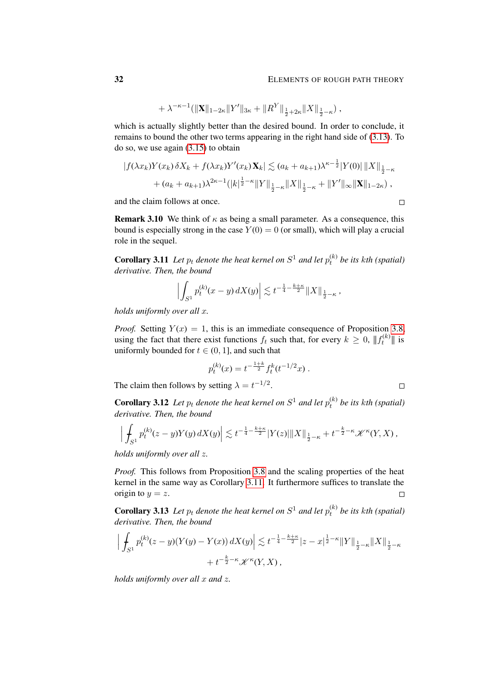$$
+ \lambda^{-\kappa-1} (\|\mathbf{X}\|_{1-2\kappa} \|Y'\|_{3\kappa} + \|R^Y\|_{\frac{1}{2}+2\kappa} \|X\|_{\frac{1}{2}-\kappa}) ,
$$

which is actually slightly better than the desired bound. In order to conclude, it remains to bound the other two terms appearing in the right hand side of [\(3.13\)](#page-30-2). To do so, we use again [\(3.15\)](#page-30-3) to obtain

$$
|f(\lambda x_k)Y(x_k)\,\delta X_k + f(\lambda x_k)Y'(x_k)\,\mathbf{X}_k| \lesssim (a_k + a_{k+1})\lambda^{\kappa - \frac{1}{2}}|Y(0)||X||_{\frac{1}{2} - \kappa} + (a_k + a_{k+1})\lambda^{2\kappa - 1}(|k|^{\frac{1}{2} - \kappa}||Y||_{\frac{1}{2} - \kappa}||X||_{\frac{1}{2} - \kappa} + ||Y'||_{\infty}||\mathbf{X}||_{1 - 2\kappa}),
$$

and the claim follows at once.

**Remark 3.10** We think of  $\kappa$  as being a small parameter. As a consequence, this bound is especially strong in the case  $Y(0) = 0$  (or small), which will play a crucial role in the sequel.

<span id="page-31-1"></span>**Corollary 3.11** Let  $p_t$  denote the heat kernel on  $S^1$  and let  $p_t^{(k)}$  be its kth (spatial) *derivative. Then, the bound*

$$
\left| \int_{S^1} p_t^{(k)}(x - y) \, dX(y) \right| \lesssim t^{-\frac{1}{4} - \frac{k + \kappa}{2}} \|X\|_{\frac{1}{2} - \kappa} \, ,
$$

*holds uniformly over all* x*.*

*Proof.* Setting  $Y(x) = 1$ , this is an immediate consequence of Proposition [3.8,](#page-29-1) using the fact that there exist functions  $f_t$  such that, for every  $k \geq 0$ ,  $|| f_t^{(k)} ||$  is uniformly bounded for  $t \in (0, 1]$ , and such that

$$
p_t^{(k)}(x) = t^{-\frac{1+k}{2}} f_t^k(t^{-1/2}x) .
$$

The claim then follows by setting  $\lambda = t^{-1/2}$ .

<span id="page-31-2"></span>**Corollary 3.12** Let  $p_t$  denote the heat kernel on  $S^1$  and let  $p_t^{(k)}$  be its kth (spatial) *derivative. Then, the bound*

$$
\left| \int_{S^1} p_t^{(k)}(z-y) Y(y) \, dX(y) \right| \lesssim t^{-\frac{1}{4} - \frac{k+\kappa}{2}} |Y(z)| \|X\|_{\frac{1}{2}-\kappa} + t^{-\frac{k}{2}-\kappa} \mathscr{K}^\kappa(Y,X) \, ,
$$

*holds uniformly over all* z*.*

*Proof.* This follows from Proposition [3.8](#page-29-1) and the scaling properties of the heat kernel in the same way as Corollary [3.11.](#page-31-1) It furthermore suffices to translate the origin to  $y = z$ .  $\Box$ 

<span id="page-31-0"></span>**Corollary 3.13** Let  $p_t$  denote the heat kernel on  $S^1$  and let  $p_t^{(k)}$  be its kth (spatial) *derivative. Then, the bound*

$$
\left| \int_{S^1} p_t^{(k)} (z - y) (Y(y) - Y(x)) \, dX(y) \right| \lesssim t^{-\frac{1}{4} - \frac{k + \kappa}{2}} |z - x|^{\frac{1}{2} - \kappa} \|Y\|_{\frac{1}{2} - \kappa} \|X\|_{\frac{1}{2} - \kappa} + t^{-\frac{k}{2} - \kappa} \mathcal{K}^{\kappa}(Y, X) ,
$$

*holds uniformly over all x and z.* 

 $\Box$ 

 $\Box$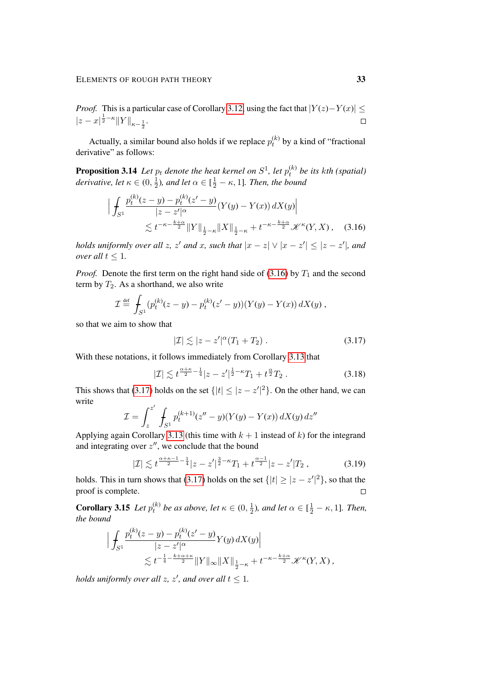*Proof.* This is a particular case of Corollary [3.12,](#page-31-2) using the fact that  $|Y(z)-Y(x)| \le$  $|z-x|^{\frac{1}{2}-\kappa}||Y||_{\kappa-\frac{1}{2}}.$  $\Box$ 

Actually, a similar bound also holds if we replace  $p_t^{(k)}$  by a kind of "fractional derivative" as follows:

<span id="page-32-2"></span>**Proposition 3.14** Let  $p_t$  denote the heat kernel on  $S^1$ , let  $p_t^{(k)}$  be its kth (spatial) *derivative, let*  $\kappa \in (0, \frac{1}{2})$  $\frac{1}{2}$ ), and let  $\alpha \in [\frac{1}{2} - \kappa, 1]$ . Then, the bound

$$
\left| \int_{S^1} \frac{p_t^{(k)}(z-y) - p_t^{(k)}(z'-y)}{|z-z'|^{\alpha}} (Y(y) - Y(x)) dX(y) \right|
$$
  
 
$$
\lesssim t^{-\kappa - \frac{k+\alpha}{2}} \|Y\|_{\frac{1}{2}-\kappa} \|X\|_{\frac{1}{2}-\kappa} + t^{-\kappa - \frac{k+\alpha}{2}} \mathcal{K}^{\kappa}(Y, X), \quad (3.16)
$$

*holds uniformly over all z, z' and x, such that*  $|x - z| \vee |x - z'| \le |z - z'|$ *, and over all*  $t \leq 1$ *.* 

*Proof.* Denote the first term on the right hand side of  $(3.16)$  by  $T_1$  and the second term by  $T_2$ . As a shorthand, we also write

$$
\mathcal{I} \stackrel{\text{def}}{=} \int_{S^1} (p_t^{(k)}(z-y) - p_t^{(k)}(z'-y))(Y(y) - Y(x)) dX(y) ,
$$

so that we aim to show that

<span id="page-32-1"></span><span id="page-32-0"></span>
$$
|\mathcal{I}| \lesssim |z - z'|^{\alpha} (T_1 + T_2) . \tag{3.17}
$$

With these notations, it follows immediately from Corollary [3.13](#page-31-0) that

$$
|\mathcal{I}| \lesssim t^{\frac{\alpha + \kappa}{2} - \frac{1}{4}} |z - z'|^{\frac{1}{2} - \kappa} T_1 + t^{\frac{\alpha}{2}} T_2 \,. \tag{3.18}
$$

This shows that [\(3.17\)](#page-32-1) holds on the set  $\{|t| \leq |z - z'|^2\}$ . On the other hand, we can write  $\overline{a}$ 

$$
\mathcal{I} = \int_{z}^{z'} \int_{S^1} p_t^{(k+1)}(z'' - y)(Y(y) - Y(x)) dX(y) dz''
$$

Applying again Corollary [3.13](#page-31-0) (this time with  $k + 1$  instead of k) for the integrand and integrating over  $z''$ , we conclude that the bound

$$
|\mathcal{I}| \lesssim t^{\frac{\alpha+\kappa-1}{2}-\frac{1}{4}}|z-z'|^{\frac{3}{2}-\kappa}T_1+t^{\frac{\alpha-1}{2}}|z-z'|T_2 \,,\tag{3.19}
$$

holds. This in turn shows that [\(3.17\)](#page-32-1) holds on the set  $\{|t| \geq |z - z'|^2\}$ , so that the proof is complete.  $\Box$ 

<span id="page-32-3"></span>**Corollary 3.15** Let  $p_t^{(k)}$  be as above, let  $\kappa \in (0, \frac{1}{2})$  $(\frac{1}{2})$ *, and let*  $\alpha \in [\frac{1}{2} - \kappa, 1]$ *. Then, the bound*

$$
\Big| \int_{S^1} \frac{p_t^{(k)}(z-y) - p_t^{(k)}(z'-y)}{|z-z'|^{\alpha}} Y(y) dX(y) \Big|
$$
  
 
$$
\lesssim t^{-\frac{1}{4} - \frac{k+\alpha+\kappa}{2}} \|Y\|_{\infty} \|X\|_{\frac{1}{2}-\kappa} + t^{-\kappa - \frac{k+\alpha}{2}} \mathscr{K}^{\kappa}(Y,X) ,
$$

*holds uniformly over all z, z', and over all*  $t \leq 1$ *.*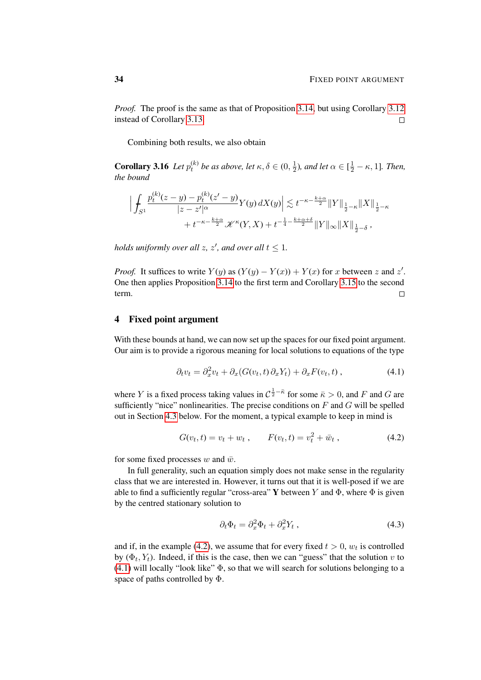*Proof.* The proof is the same as that of Proposition [3.14,](#page-32-2) but using Corollary [3.12](#page-31-2) instead of Corollary [3.13.](#page-31-0)  $\Box$ 

Combining both results, we also obtain

**Corollary 3.16** *Let*  $p_t^{(k)}$  *be as above, let*  $\kappa, \delta \in (0, \frac{1}{2})$  $(\frac{1}{2})$ *, and let*  $\alpha \in [\frac{1}{2} - \kappa, 1]$ *. Then, the bound*

$$
\Big| \int_{S^1} \frac{p_t^{(k)}(z-y) - p_t^{(k)}(z'-y)}{|z-z'|^{\alpha}} Y(y) dX(y) \Big| \lesssim t^{-\kappa - \frac{k+\alpha}{2}} \|Y\|_{\frac{1}{2}-\kappa} \|X\|_{\frac{1}{2}-\kappa} + t^{-\kappa - \frac{k+\alpha}{2}} \mathcal{K}^{\kappa}(Y, X) + t^{-\frac{1}{4} - \frac{k+\alpha+\delta}{2}} \|Y\|_{\infty} \|X\|_{\frac{1}{2}-\delta} ,
$$

*holds uniformly over all z, z', and over all*  $t \leq 1$ *.* 

*Proof.* It suffices to write  $Y(y)$  as  $(Y(y) - Y(x)) + Y(x)$  for x between z and z'. One then applies Proposition [3.14](#page-32-2) to the first term and Corollary [3.15](#page-32-3) to the second term.  $\Box$ 

### <span id="page-33-0"></span>4 Fixed point argument

With these bounds at hand, we can now set up the spaces for our fixed point argument. Our aim is to provide a rigorous meaning for local solutions to equations of the type

<span id="page-33-2"></span>
$$
\partial_t v_t = \partial_x^2 v_t + \partial_x (G(v_t, t) \partial_x Y_t) + \partial_x F(v_t, t) , \qquad (4.1)
$$

where Y is a fixed process taking values in  $C^{\frac{1}{2} - \bar{\kappa}}$  for some  $\bar{\kappa} > 0$ , and F and G are sufficiently "nice" nonlinearities. The precise conditions on  $F$  and  $G$  will be spelled out in Section [4.3](#page-40-0) below. For the moment, a typical example to keep in mind is

$$
G(v_t, t) = v_t + w_t, \qquad F(v_t, t) = v_t^2 + \bar{w}_t, \qquad (4.2)
$$

for some fixed processes w and  $\bar{w}$ .

In full generality, such an equation simply does not make sense in the regularity class that we are interested in. However, it turns out that it is well-posed if we are able to find a sufficiently regular "cross-area" Y between Y and  $\Phi$ , where  $\Phi$  is given by the centred stationary solution to

<span id="page-33-3"></span><span id="page-33-1"></span>
$$
\partial_t \Phi_t = \partial_x^2 \Phi_t + \partial_x^2 Y_t , \qquad (4.3)
$$

and if, in the example [\(4.2\)](#page-33-1), we assume that for every fixed  $t > 0$ ,  $w_t$  is controlled by  $(\Phi_t, Y_t)$ . Indeed, if this is the case, then we can "guess" that the solution v to  $(4.1)$  will locally "look like"  $\Phi$ , so that we will search for solutions belonging to a space of paths controlled by Φ.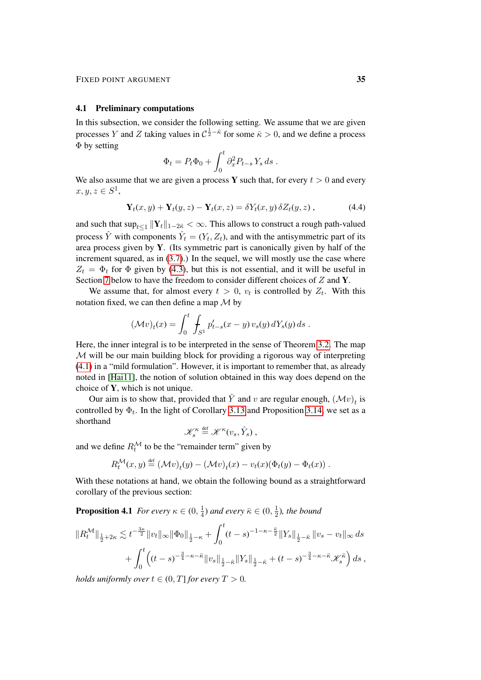#### 4.1 Preliminary computations

In this subsection, we consider the following setting. We assume that we are given processes Y and Z taking values in  $C^{\frac{1}{2} - \bar{\kappa}}$  for some  $\bar{\kappa} > 0$ , and we define a process Φ by setting

$$
\Phi_t = P_t \Phi_0 + \int_0^t \partial_x^2 P_{t-s} Y_s ds.
$$

We also assume that we are given a process Y such that, for every  $t > 0$  and every  $x, y, z \in S^1$ 

$$
\mathbf{Y}_{t}(x,y) + \mathbf{Y}_{t}(y,z) - \mathbf{Y}_{t}(x,z) = \delta Y_{t}(x,y) \, \delta Z_{t}(y,z) \,, \tag{4.4}
$$

and such that  $\sup_{t\leq 1} \|\mathbf{Y}_t\|_{1-2\bar\kappa}<\infty.$  This allows to construct a rough path-valued process  $\hat{Y}$  with components  $\hat{Y}_t = (Y_t, Z_t)$ , and with the antisymmetric part of its area process given by Y. (Its symmetric part is canonically given by half of the increment squared, as in  $(3.7)$ .) In the sequel, we will mostly use the case where  $Z_t = \Phi_t$  for  $\Phi$  given by [\(4.3\)](#page-33-3), but this is not essential, and it will be useful in Section [7](#page-79-0) below to have the freedom to consider different choices of Z and Y.

We assume that, for almost every  $t > 0$ ,  $v_t$  is controlled by  $Z_t$ . With this notation fixed, we can then define a map  $\mathcal M$  by

$$
(\mathcal{M}v)_t(x) = \int_0^t \int_{S^1} p'_{t-s}(x-y) v_s(y) dY_s(y) ds.
$$

Here, the inner integral is to be interpreted in the sense of Theorem [3.2.](#page-27-0) The map M will be our main building block for providing a rigorous way of interpreting [\(4.1\)](#page-33-2) in a "mild formulation". However, it is important to remember that, as already noted in [\[Hai11\]](#page-100-8), the notion of solution obtained in this way does depend on the choice of Y, which is not unique.

Our aim is to show that, provided that  $\hat{Y}$  and v are regular enough,  $(\mathcal{M}v)_t$  is controlled by  $\Phi_t$ . In the light of Corollary [3.13](#page-31-0) and Proposition [3.14,](#page-32-2) we set as a shorthand

$$
\mathscr{K}^\kappa_s\stackrel{\text{\tiny def}}{=}\mathscr{K}^\kappa(v_s,\hat{Y}_s)\,,
$$

and we define  $R_t^{\mathcal{M}}$  to be the "remainder term" given by

$$
R_t^{\mathcal{M}}(x,y) \stackrel{\text{def}}{=} (\mathcal{M}v)_t(y) - (\mathcal{M}v)_t(x) - v_t(x)(\Phi_t(y) - \Phi_t(x)).
$$

With these notations at hand, we obtain the following bound as a straightforward corollary of the previous section:

**Proposition 4.1** *For every*  $\kappa \in (0, \frac{1}{4})$  $(\frac{1}{4})$  and every  $\bar{\kappa} \in (0, \frac{1}{2})$  $\frac{1}{2}$ ), the bound

$$
||R_t^{\mathcal{M}}||_{\frac{1}{2}+2\kappa} \lesssim t^{-\frac{3\kappa}{2}}||v_t||_{\infty} ||\Phi_0||_{\frac{1}{2}-\kappa} + \int_0^t (t-s)^{-1-\kappa-\frac{\bar{\kappa}}{2}} ||Y_s||_{\frac{1}{2}-\bar{\kappa}} ||v_s-v_t||_{\infty} ds + \int_0^t \left( (t-s)^{-\frac{3}{4}-\kappa-\bar{\kappa}} ||v_s||_{\frac{1}{2}-\bar{\kappa}} ||Y_s||_{\frac{1}{2}-\bar{\kappa}} + (t-s)^{-\frac{3}{4}-\kappa-\bar{\kappa}} \mathcal{K}_s^{\bar{\kappa}} \right) ds ,
$$

*holds uniformly over*  $t \in (0, T]$  *for every*  $T > 0$ *.*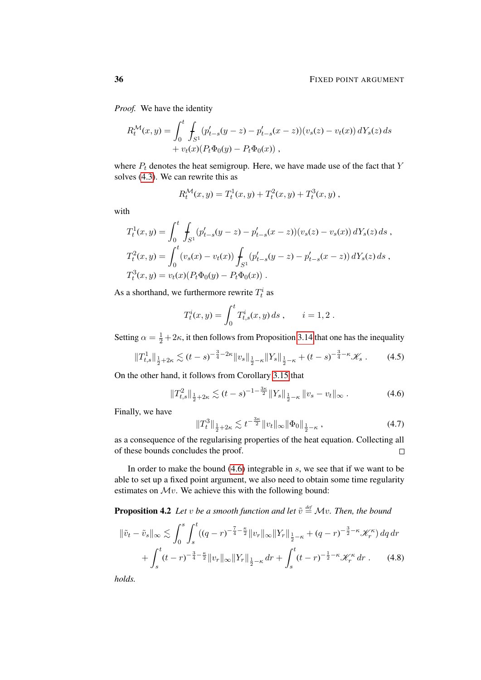*Proof.* We have the identity

$$
R_t^{\mathcal{M}}(x,y) = \int_0^t \int_{S^1} (p'_{t-s}(y-z) - p'_{t-s}(x-z))(v_s(z) - v_t(x)) dY_s(z) ds
$$
  
+  $v_t(x)(P_t \Phi_0(y) - P_t \Phi_0(x)),$ 

where  $P_t$  denotes the heat semigroup. Here, we have made use of the fact that Y solves [\(4.3\)](#page-33-3). We can rewrite this as

$$
R_t^{\mathcal{M}}(x,y) = T_t^1(x,y) + T_t^2(x,y) + T_t^3(x,y) ,
$$

with

$$
T_t^1(x, y) = \int_0^t \int_{S^1} (p'_{t-s}(y-z) - p'_{t-s}(x-z))(v_s(z) - v_s(x)) dY_s(z) ds,
$$
  
\n
$$
T_t^2(x, y) = \int_0^t (v_s(x) - v_t(x)) \int_{S^1} (p'_{t-s}(y-z) - p'_{t-s}(x-z)) dY_s(z) ds,
$$
  
\n
$$
T_t^3(x, y) = v_t(x)(P_t \Phi_0(y) - P_t \Phi_0(x)).
$$

As a shorthand, we furthermore rewrite  $T_t^i$  as

$$
T_t^i(x,y) = \int_0^t T_{t,s}^i(x,y) \, ds \,, \qquad i = 1,2 \, .
$$

Setting  $\alpha = \frac{1}{2} + 2\kappa$ , it then follows from Proposition [3.14](#page-32-2) that one has the inequality

$$
||T_{t,s}^1||_{\frac{1}{2}+2\kappa} \lesssim (t-s)^{-\frac{3}{4}-2\kappa} ||v_s||_{\frac{1}{2}-\kappa} ||Y_s||_{\frac{1}{2}-\kappa} + (t-s)^{-\frac{3}{4}-\kappa} \mathcal{K}_s . \tag{4.5}
$$

On the other hand, it follows from Corollary [3.15](#page-32-3) that

$$
||T_{t,s}^2||_{\frac{1}{2}+2\kappa} \lesssim (t-s)^{-1-\frac{3\kappa}{2}}||Y_s||_{\frac{1}{2}-\kappa}||v_s-v_t||_{\infty}.
$$
 (4.6)

Finally, we have

<span id="page-35-0"></span>
$$
||T_t^3||_{\frac{1}{2}+2\kappa} \lesssim t^{-\frac{3\kappa}{2}}||v_t||_{\infty} ||\Phi_0||_{\frac{1}{2}-\kappa},
$$
\n(4.7)

as a consequence of the regularising properties of the heat equation. Collecting all of these bounds concludes the proof.  $\Box$ 

In order to make the bound  $(4.6)$  integrable in s, we see that if we want to be able to set up a fixed point argument, we also need to obtain some time regularity estimates on  $\mathcal{M}\nu$ . We achieve this with the following bound:

**Proposition 4.2** Let v be a smooth function and let  $\tilde{v} \stackrel{\text{def}}{=} \mathcal{M}v$ . Then, the bound

$$
\|\tilde{v}_t - \tilde{v}_s\|_{\infty} \lesssim \int_0^s \int_s^t ((q - r)^{-\frac{7}{4} - \frac{\kappa}{2}} \|v_r\|_{\infty} \|Y_r\|_{\frac{1}{2} - \kappa} + (q - r)^{-\frac{3}{2} - \kappa} \mathcal{K}_r^{\kappa}) dq dr + \int_s^t (t - r)^{-\frac{3}{4} - \frac{\kappa}{2}} \|v_r\|_{\infty} \|Y_r\|_{\frac{1}{2} - \kappa} dr + \int_s^t (t - r)^{-\frac{1}{2} - \kappa} \mathcal{K}_r^{\kappa} dr . \tag{4.8}
$$

*holds.*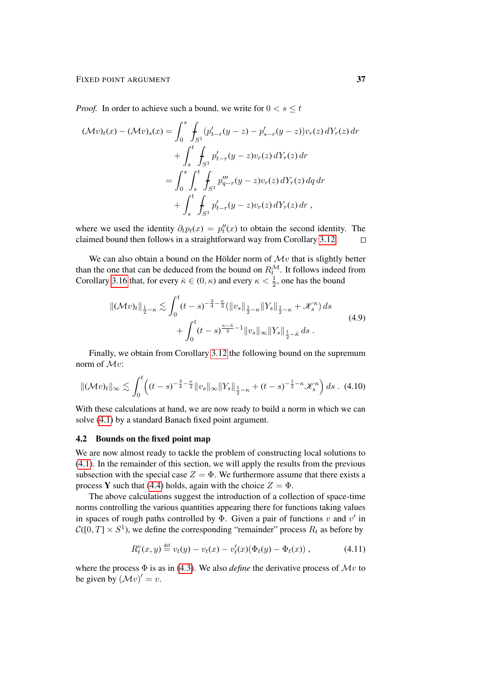*Proof.* In order to achieve such a bound, we write for  $0 < s \leq t$ 

$$
(\mathcal{M}v)_t(x) - (\mathcal{M}v)_s(x) = \int_0^s \int_{S^1} (p'_{t-r}(y-z) - p'_{s-r}(y-z))v_r(z) dY_r(z) dr + \int_s^t \int_{S^1} p'_{t-r}(y-z)v_r(z) dY_r(z) dr = \int_0^s \int_s^t \int_{S^1} p''_{q-r}(y-z)v_r(z) dY_r(z) dq dr + \int_s^t \int_{S^1} p'_{t-r}(y-z)v_r(z) dY_r(z) dr ,
$$

where we used the identity  $\partial_t p_t(x) = p''_t(x)$  to obtain the second identity. The claimed bound then follows in a straightforward way from Corollary [3.12.](#page-31-0)  $\Box$ 

We can also obtain a bound on the Hölder norm of  $\mathcal{M}v$  that is slightly better than the one that can be deduced from the bound on  $R_t^{\mathcal{M}}$ . It follows indeed from Corollary [3.16](#page-33-0) that, for every  $\bar{\kappa} \in (0, \kappa)$  and every  $\kappa < \frac{1}{2}$ , one has the bound

<span id="page-36-1"></span><span id="page-36-0"></span>
$$
\|(\mathcal{M}v)_t\|_{\frac{1}{2}-\kappa} \lesssim \int_0^t (t-s)^{-\frac{3}{4}-\frac{\kappa}{2}} (\|v_s\|_{\frac{1}{2}-\kappa} \|Y_s\|_{\frac{1}{2}-\kappa} + \mathcal{K}_s^{\kappa}) ds + \int_0^t (t-s)^{\frac{\kappa-\bar{\kappa}}{2}-1} \|v_s\|_{\infty} \|Y_s\|_{\frac{1}{2}-\bar{\kappa}} ds .
$$
\n(4.9)

Finally, we obtain from Corollary [3.12](#page-31-0) the following bound on the supremum norm of Mv:

$$
\|(\mathcal{M}v)_t\|_{\infty} \lesssim \int_0^t \left( (t-s)^{-\frac{3}{4}-\frac{\kappa}{2}} \|v_s\|_{\infty} \|Y_s\|_{\frac{1}{2}-\kappa} + (t-s)^{-\frac{1}{2}-\kappa} \mathcal{K}_s^{\kappa} \right) ds \quad (4.10)
$$

With these calculations at hand, we are now ready to build a norm in which we can solve [\(4.1\)](#page-33-1) by a standard Banach fixed point argument.

## 4.2 Bounds on the fixed point map

We are now almost ready to tackle the problem of constructing local solutions to [\(4.1\)](#page-33-1). In the remainder of this section, we will apply the results from the previous subsection with the special case  $Z = \Phi$ . We furthermore assume that there exists a process Y such that [\(4.4\)](#page-34-0) holds, again with the choice  $Z = \Phi$ .

The above calculations suggest the introduction of a collection of space-time norms controlling the various quantities appearing there for functions taking values in spaces of rough paths controlled by  $\Phi$ . Given a pair of functions v and v' in  $\mathcal{C}([0,T] \times S^1)$ , we define the corresponding "remainder" process  $R_t$  as before by

<span id="page-36-2"></span>
$$
R_t^v(x, y) \stackrel{\text{def}}{=} v_t(y) - v_t(x) - v'_t(x) (\Phi_t(y) - \Phi_t(x)), \qquad (4.11)
$$

where the process  $\Phi$  is as in [\(4.3\)](#page-33-2). We also *define* the derivative process of  $\mathcal{M}v$  to be given by  $(\mathcal{M}v)' = v$ .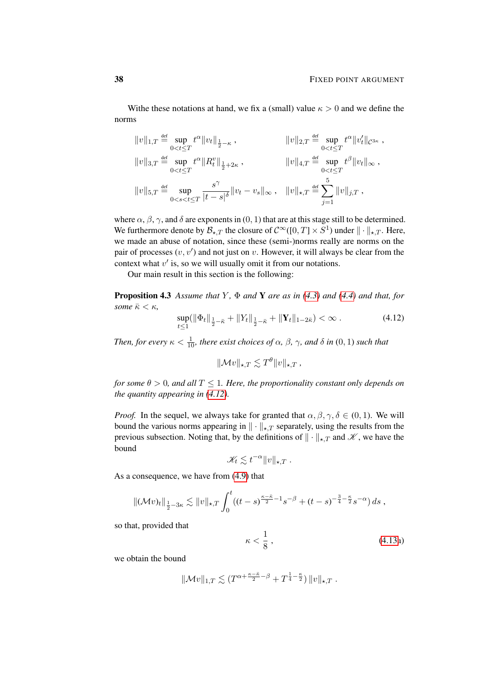Withe these notations at hand, we fix a (small) value  $\kappa > 0$  and we define the norms

$$
||v||_{1,T} \stackrel{\text{def}}{=} \sup_{0 < t \leq T} t^{\alpha} ||v_t||_{\frac{1}{2} - \kappa} , \qquad ||v||_{2,T} \stackrel{\text{def}}{=} \sup_{0 < t \leq T} t^{\alpha} ||v_t'||_{\mathcal{C}^{3\kappa}} ,
$$
  
\n
$$
||v||_{3,T} \stackrel{\text{def}}{=} \sup_{0 < t \leq T} t^{\alpha} ||R_t^v||_{\frac{1}{2} + 2\kappa} , \qquad ||v||_{4,T} \stackrel{\text{def}}{=} \sup_{0 < t \leq T} t^{\beta} ||v_t||_{\infty} ,
$$
  
\n
$$
||v||_{5,T} \stackrel{\text{def}}{=} \sup_{0 < s < t \leq T} \frac{s^{\gamma}}{|t - s|^{\delta}} ||v_t - v_s||_{\infty} , \quad ||v||_{\star,T} \stackrel{\text{def}}{=} \sum_{j=1}^{5} ||v||_{j,T} ,
$$

where  $\alpha$ ,  $\beta$ ,  $\gamma$ , and  $\delta$  are exponents in (0, 1) that are at this stage still to be determined. We furthermore denote by  $\mathcal{B}_{\star,T}$  the closure of  $C^{\infty}([0,T] \times S^1)$  under  $\|\cdot\|_{\star,T}$ . Here, we made an abuse of notation, since these (semi-)norms really are norms on the pair of processes  $(v, v')$  and not just on v. However, it will always be clear from the context what  $v'$  is, so we will usually omit it from our notations.

Our main result in this section is the following:

<span id="page-37-1"></span>**Proposition 4.3** Assume that Y,  $\Phi$  and **Y** are as in [\(4.3\)](#page-33-2) and [\(4.4\)](#page-34-0) and that, for *some*  $\bar{\kappa} < \kappa$ ,

$$
\sup_{t\leq 1} (\|\Phi_t\|_{\frac{1}{2}-\bar{\kappa}} + \|Y_t\|_{\frac{1}{2}-\bar{\kappa}} + \|\mathbf{Y}_t\|_{1-2\bar{\kappa}}) < \infty.
$$
 (4.12)

*Then, for every*  $\kappa < \frac{1}{10}$ *, there exist choices of*  $\alpha$ *,*  $\beta$ *,*  $\gamma$ *, and*  $\delta$  *in*  $(0,1)$  *such that* 

<span id="page-37-0"></span>
$$
\|\mathcal{M}v\|_{\star,T} \lesssim T^{\theta} \|v\|_{\star,T} ,
$$

*for some*  $\theta > 0$ *, and all*  $T \leq 1$ *. Here, the proportionality constant only depends on the quantity appearing in [\(4.12\)](#page-37-0).*

*Proof.* In the sequel, we always take for granted that  $\alpha, \beta, \gamma, \delta \in (0, 1)$ . We will bound the various norms appearing in  $\|\cdot\|_{\star,T}$  separately, using the results from the previous subsection. Noting that, by the definitions of  $\|\cdot\|_{\star,T}$  and  $\mathscr K$ , we have the bound

$$
\mathscr{K}_t \lesssim t^{-\alpha} \|v\|_{\star,T} .
$$

As a consequence, we have from [\(4.9\)](#page-36-0) that

$$
\|(\mathcal{M}v)_t\|_{\frac{1}{2}-3\kappa} \lesssim \|v\|_{\star,T} \int_0^t ((t-s)^{\frac{\kappa-\bar{\kappa}}{2}-1} s^{-\beta} + (t-s)^{-\frac{3}{4}-\frac{\kappa}{2}} s^{-\alpha}) ds ,
$$

so that, provided that

$$
\kappa < \frac{1}{8} \,,\tag{4.13a}
$$

we obtain the bound

$$
\|\mathcal{M}v\|_{1,T} \lesssim (T^{\alpha + \frac{\kappa - \bar{\kappa}}{2} - \beta} + T^{\frac{1}{4} - \frac{\kappa}{2}}) \|v\|_{\star,T}.
$$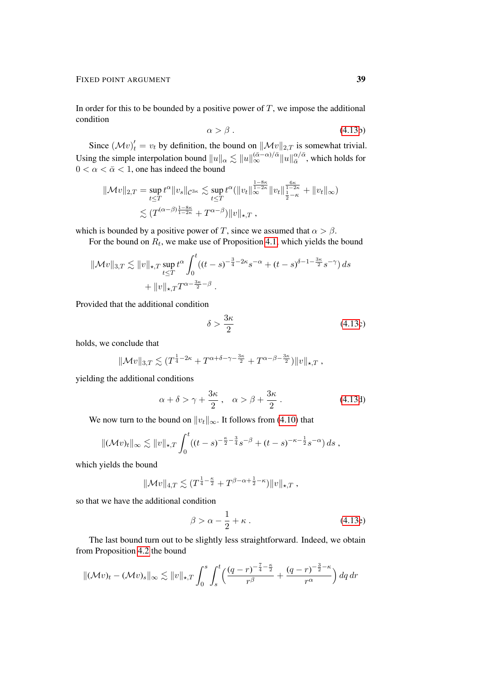In order for this to be bounded by a positive power of  $T$ , we impose the additional condition

$$
\alpha > \beta \tag{4.13b}
$$

Since  $(\mathcal{M}v)_t' = v_t$  by definition, the bound on  $\|\mathcal{M}v\|_{2,T}$  is somewhat trivial. Using the simple interpolation bound  $||u||_{\alpha} \lesssim ||u||_{\infty}^{(\bar{\alpha}-\alpha)/\bar{\alpha}} ||u||_{\bar{\alpha}}^{\alpha/\bar{\alpha}}$  $\frac{\alpha}{\bar{\alpha}}$ , which holds for  $0 < \alpha < \bar{\alpha} < 1$ , one has indeed the bound

$$
\|\mathcal{M}v\|_{2,T} = \sup_{t\leq T} t^{\alpha} \|v_s\|_{\mathcal{C}^{3\kappa}} \lesssim \sup_{t\leq T} t^{\alpha} (\|v_t\|_{\infty}^{\frac{1-8\kappa}{1-2\kappa}} \|v_t\|_{\frac{1}{2}-\kappa}^{\frac{6\kappa}{1-2\kappa}} + \|v_t\|_{\infty})
$$
  

$$
\lesssim (T^{(\alpha-\beta)\frac{1-8\kappa}{1-2\kappa}} + T^{\alpha-\beta}) \|v\|_{\star,T},
$$

which is bounded by a positive power of T, since we assumed that  $\alpha > \beta$ .

For the bound on  $R_t$ , we make use of Proposition [4.1,](#page-34-1) which yields the bound

$$
\|\mathcal{M}v\|_{3,T} \lesssim \|v\|_{\star,T} \sup_{t \leq T} t^{\alpha} \int_0^t ((t-s)^{-\frac{3}{4}-2\kappa} s^{-\alpha} + (t-s)^{\delta-1-\frac{3\kappa}{2}} s^{-\gamma}) ds + \|v\|_{\star,T} T^{\alpha-\frac{3\kappa}{2}-\beta}.
$$

Provided that the additional condition

$$
\delta > \frac{3\kappa}{2} \tag{4.13c}
$$

holds, we conclude that

$$
\|\mathcal{M}v\|_{3,T} \lesssim (T^{\frac{1}{4}-2\kappa}+T^{\alpha+\delta-\gamma-\frac{3\kappa}{2}}+T^{\alpha-\beta-\frac{3\kappa}{2}})\|v\|_{\star,T},
$$

yielding the additional conditions

$$
\alpha + \delta > \gamma + \frac{3\kappa}{2}, \quad \alpha > \beta + \frac{3\kappa}{2} \,. \tag{4.13d}
$$

We now turn to the bound on  $||v_t||_{\infty}$ . It follows from [\(4.10\)](#page-36-1) that

$$
\|(\mathcal{M}v)_t\|_{\infty} \lesssim \|v\|_{\star,T} \int_0^t ((t-s)^{-\frac{\kappa}{2}-\frac{3}{4}}s^{-\beta} + (t-s)^{-\kappa-\frac{1}{2}}s^{-\alpha}) ds ,
$$

which yields the bound

$$
\|\mathcal{M}v\|_{4,T} \lesssim (T^{\frac{1}{4}-\frac{\kappa}{2}}+T^{\beta-\alpha+\frac{1}{2}-\kappa})\|v\|_{\star,T},
$$

so that we have the additional condition

$$
\beta > \alpha - \frac{1}{2} + \kappa \,. \tag{4.13e}
$$

The last bound turn out to be slightly less straightforward. Indeed, we obtain from Proposition [4.2](#page-35-0) the bound

$$
\|(\mathcal{M}v)_t - (\mathcal{M}v)_s\|_{\infty} \lesssim \|v\|_{\star,T} \int_0^s \int_s^t \left(\frac{(q-r)^{-\frac{7}{4}-\frac{\kappa}{2}}}{r^{\beta}} + \frac{(q-r)^{-\frac{3}{2}-\kappa}}{r^{\alpha}}\right) dq dr
$$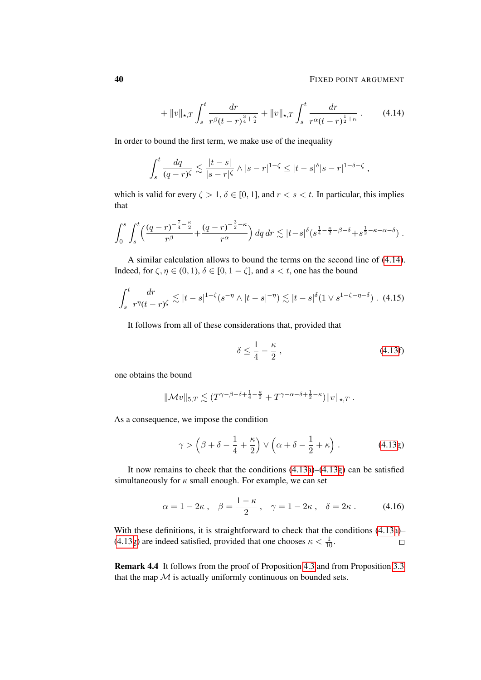### **40 FIXED POINT ARGUMENT**

<span id="page-39-3"></span><span id="page-39-0"></span>,

$$
+ \|v\|_{\star,T} \int_{s}^{t} \frac{dr}{r^{\beta}(t-r)^{\frac{3}{4}+\frac{\kappa}{2}}} + \|v\|_{\star,T} \int_{s}^{t} \frac{dr}{r^{\alpha}(t-r)^{\frac{1}{2}+\kappa}} \ . \tag{4.14}
$$

In order to bound the first term, we make use of the inequality

$$
\int_{s}^{t} \frac{dq}{(q-r)^{\zeta}} \lesssim \frac{|t-s|}{|s-r|^{\zeta}} \wedge |s-r|^{1-\zeta} \leq |t-s|^{\delta} |s-r|^{1-\delta-\zeta}
$$

which is valid for every  $\zeta > 1$ ,  $\delta \in [0, 1]$ , and  $r < s < t$ . In particular, this implies that

$$
\int_0^s \int_s^t \left( \frac{(q-r)^{-\frac{7}{4}-\frac{\kappa}{2}}}{r^{\beta}} + \frac{(q-r)^{-\frac{3}{2}-\kappa}}{r^{\alpha}} \right) dq dr \lesssim |t-s|^{\delta} (s^{\frac{1}{4}-\frac{\kappa}{2}-\beta-\delta}+s^{\frac{1}{2}-\kappa-\alpha-\delta}) .
$$

A similar calculation allows to bound the terms on the second line of [\(4.14\)](#page-39-0). Indeed, for  $\zeta$ ,  $\eta \in (0, 1)$ ,  $\delta \in [0, 1 - \zeta]$ , and  $s < t$ , one has the bound

$$
\int_s^t \frac{dr}{r^{\eta}(t-r)^{\zeta}} \lesssim |t-s|^{1-\zeta} (s^{-\eta} \wedge |t-s|^{-\eta}) \lesssim |t-s|^{\delta} (1 \vee s^{1-\zeta-\eta-\delta}). \tag{4.15}
$$

It follows from all of these considerations that, provided that

<span id="page-39-2"></span><span id="page-39-1"></span>
$$
\delta \le \frac{1}{4} - \frac{\kappa}{2} \,,\tag{4.13f}
$$

one obtains the bound

$$
\|\mathcal{M}v\|_{5,T} \lesssim (T^{\gamma-\beta-\delta+\frac{1}{4}-\frac{\kappa}{2}}+T^{\gamma-\alpha-\delta+\frac{1}{2}-\kappa})\|v\|_{\star,T}.
$$

As a consequence, we impose the condition

$$
\gamma > \left(\beta + \delta - \frac{1}{4} + \frac{\kappa}{2}\right) \vee \left(\alpha + \delta - \frac{1}{2} + \kappa\right). \tag{4.13g}
$$

It now remains to check that the conditions [\(4.13a\)](#page-30-0)–[\(4.13g\)](#page-39-1) can be satisfied simultaneously for  $\kappa$  small enough. For example, we can set

$$
\alpha = 1 - 2\kappa \,, \quad \beta = \frac{1 - \kappa}{2} \,, \quad \gamma = 1 - 2\kappa \,, \quad \delta = 2\kappa \,. \tag{4.16}
$$

With these definitions, it is straightforward to check that the conditions [\(4.13a\)](#page-30-0)– [\(4.13g\)](#page-39-1) are indeed satisfied, provided that one chooses  $\kappa < \frac{1}{10}$ .  $\Box$ 

Remark 4.4 It follows from the proof of Proposition [4.3](#page-37-1) and from Proposition [3.3](#page-27-0) that the map  $M$  is actually uniformly continuous on bounded sets.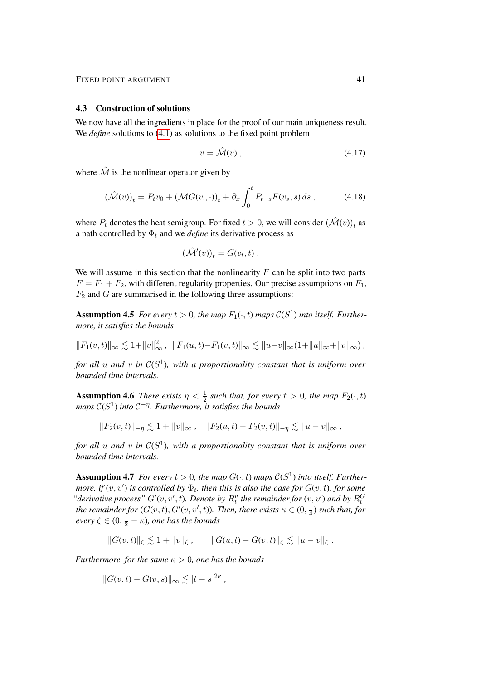#### 4.3 Construction of solutions

We now have all the ingredients in place for the proof of our main uniqueness result. We *define* solutions to [\(4.1\)](#page-33-1) as solutions to the fixed point problem

<span id="page-40-3"></span><span id="page-40-0"></span>
$$
v = \mathcal{\hat{M}}(v) \tag{4.17}
$$

where  $\hat{\mathcal{M}}$  is the nonlinear operator given by

$$
(\hat{\mathcal{M}}(v))_t = P_t v_0 + (\mathcal{M}G(v, \cdot))_t + \partial_x \int_0^t P_{t-s} F(v_s, s) ds , \qquad (4.18)
$$

where  $P_t$  denotes the heat semigroup. For fixed  $t > 0$ , we will consider  $(\hat{\mathcal{M}}(v))_t$  as a path controlled by  $\Phi_t$  and we *define* its derivative process as

$$
(\hat{\mathcal{M}}'(v))_t = G(v_t, t) .
$$

We will assume in this section that the nonlinearity  $F$  can be split into two parts  $F = F_1 + F_2$ , with different regularity properties. Our precise assumptions on  $F_1$ ,  $F_2$  and  $G$  are summarised in the following three assumptions:

<span id="page-40-1"></span>**Assumption 4.5** For every  $t > 0$ , the map  $F_1(\cdot, t)$  maps  $C(S^1)$  into itself. Further*more, it satisfies the bounds*

 $||F_1(v,t)||_{\infty} \lesssim 1+||v||_{\infty}^2$ ,  $||F_1(u,t)-F_1(v,t)||_{\infty} \lesssim ||u-v||_{\infty}(1+||u||_{\infty}+||v||_{\infty})$ ,

*for all* u *and* v *in* C(S 1 )*, with a proportionality constant that is uniform over bounded time intervals.*

**Assumption 4.6** *There exists*  $\eta < \frac{1}{2}$  *such that, for every*  $t > 0$ *, the map*  $F_2(\cdot, t)$ *maps*  $C(S<sup>1</sup>)$  *into*  $C<sup>−η</sup>$ *. Furthermore, it satisfies the bounds* 

$$
||F_2(v,t)||_{-\eta} \lesssim 1 + ||v||_{\infty}, \quad ||F_2(u,t) - F_2(v,t)||_{-\eta} \lesssim ||u - v||_{\infty},
$$

*for all* u *and* v *in* C(S 1 )*, with a proportionality constant that is uniform over bounded time intervals.*

<span id="page-40-2"></span>**Assumption 4.7** For every  $t > 0$ , the map  $G(\cdot, t)$  maps  $C(S^1)$  into itself. Further*more, if*  $(v, v')$  *is controlled by*  $\Phi_t$ *, then this is also the case for*  $G(v, t)$ *, for some* "*derivative process*"  $G'(v, v', t)$ . Denote by  $R_t^v$  the remainder for  $(v, v')$  and by  $R_t^G$ *the remainder for*  $(G(v, t), G'(v, v', t))$ *. Then, there exists*  $\kappa \in (0, \frac{1}{4})$  $\frac{1}{4}$ ) such that, for  $every \zeta \in (0, \frac{1}{2} - \kappa)$ , one has the bounds

$$
||G(v,t)||_{\zeta} \lesssim 1 + ||v||_{\zeta}, \qquad ||G(u,t) - G(v,t)||_{\zeta} \lesssim ||u - v||_{\zeta}.
$$

*Furthermore, for the same*  $\kappa > 0$ *, one has the bounds* 

$$
||G(v,t) - G(v,s)||_{\infty} \lesssim |t-s|^{2\kappa},
$$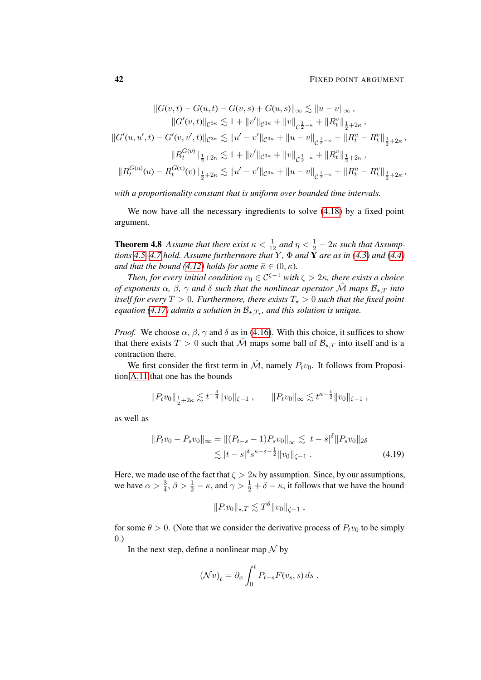### **42 FIXED POINT ARGUMENT**

$$
||G(v,t) - G(u,t) - G(v,s) + G(u,s)||_{\infty} \lesssim ||u - v||_{\infty},
$$
  
\n
$$
||G'(v,t)||_{C^{3\kappa}} \lesssim 1 + ||v'||_{C^{3\kappa}} + ||v||_{C^{\frac{1}{2}-\kappa}} + ||R_v^v||_{\frac{1}{2}+2\kappa},
$$
  
\n
$$
||G'(u,u',t) - G'(v,v',t)||_{C^{3\kappa}} \lesssim ||u' - v'||_{C^{3\kappa}} + ||u - v||_{C^{\frac{1}{2}-\kappa}} + ||R_v^u - R_v^v||_{\frac{1}{2}+2\kappa},
$$
  
\n
$$
||R_t^{G(v)}||_{\frac{1}{2}+2\kappa} \lesssim 1 + ||v'||_{C^{3\kappa}} + ||v||_{C^{\frac{1}{2}-\kappa}} + ||R_v^v||_{\frac{1}{2}+2\kappa},
$$
  
\n
$$
||R_t^{G(u)}(u) - R_t^{G(v)}(v)||_{\frac{1}{2}+2\kappa} \lesssim ||u' - v'||_{C^{3\kappa}} + ||u - v||_{C^{\frac{1}{2}-\kappa}} + ||R_v^u - R_v^v||_{\frac{1}{2}+2\kappa},
$$

*with a proportionality constant that is uniform over bounded time intervals.*

We now have all the necessary ingredients to solve [\(4.18\)](#page-40-0) by a fixed point argument.

<span id="page-41-1"></span>**Theorem 4.8** Assume that there exist  $\kappa < \frac{1}{12}$  and  $\eta < \frac{1}{2} - 2\kappa$  such that Assump*tions* [4.5](#page-40-1)[–4.7](#page-40-2) *hold.* Assume furthermore that Y,  $\Phi$  *and*  $\tilde{Y}$  *are as in* [\(4.3\)](#page-33-2) *and* [\(4.4\)](#page-34-0) *and that the bound* [\(4.12\)](#page-37-0) *holds for some*  $\bar{\kappa} \in (0, \kappa)$ *.* 

*Then, for every initial condition*  $v_0 \in C^{\zeta-1}$  *with*  $\zeta > 2\kappa$ *, there exists a choice of exponents*  $\alpha$ ,  $\beta$ ,  $\gamma$  *and*  $\delta$  *such that the nonlinear operator*  $\hat{\mathcal{M}}$  *maps*  $\mathcal{B}_{\star T}$  *into itself for every*  $T > 0$ *. Furthermore, there exists*  $T_{\star} > 0$  *such that the fixed point equation [\(4.17\)](#page-40-3) admits a solution in*  $\mathcal{B}_{\star,T_{\star}}$ *, and this solution is unique.* 

*Proof.* We choose  $\alpha$ ,  $\beta$ ,  $\gamma$  and  $\delta$  as in [\(4.16\)](#page-39-2). With this choice, it suffices to show that there exists  $T > 0$  such that  $\hat{\mathcal{M}}$  maps some ball of  $\mathcal{B}_{\star,T}$  into itself and is a contraction there.

We first consider the first term in  $\hat{\mathcal{M}}$ , namely  $P_t v_0$ . It follows from Proposition [A.11](#page-98-0) that one has the bounds

$$
||P_t v_0||_{\frac{1}{2}+2\kappa} \lesssim t^{-\frac{3}{4}} ||v_0||_{\zeta-1} , \qquad ||P_t v_0||_{\infty} \lesssim t^{\kappa-\frac{1}{2}} ||v_0||_{\zeta-1} ,
$$

as well as

$$
||P_t v_0 - P_s v_0||_{\infty} = ||(P_{t-s} - 1)P_s v_0||_{\infty} \lesssim |t - s|^{\delta} ||P_s v_0||_{2\delta}
$$
  
\$\lesssim |t - s|^{\delta} s^{\kappa - \delta - \frac{1}{2}} ||v\_0||\_{\zeta - 1} . \qquad (4.19)\$

Here, we made use of the fact that  $\zeta > 2\kappa$  by assumption. Since, by our assumptions, we have  $\alpha > \frac{3}{4}$ ,  $\beta > \frac{1}{2} - \kappa$ , and  $\gamma > \frac{1}{2} + \delta - \kappa$ , it follows that we have the bound

<span id="page-41-0"></span>
$$
||P.v_0||_{\star,T} \lesssim T^{\theta} ||v_0||_{\zeta-1} ,
$$

for some  $\theta > 0$ . (Note that we consider the derivative process of  $P_t v_0$  to be simply 0.)

In the next step, define a nonlinear map  $\mathcal N$  by

$$
(\mathcal{N}v)_t = \partial_x \int_0^t P_{t-s} F(v_s, s) ds.
$$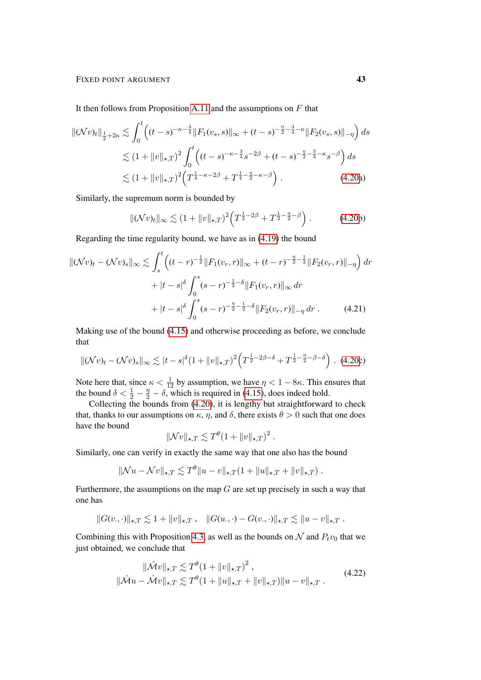It then follows from Proposition [A.11](#page-98-0) and the assumptions on  $F$  that

$$
\|(\mathcal{N}v)_t\|_{\frac{1}{2}+2\kappa} \lesssim \int_0^t \left( (t-s)^{-\kappa-\frac{3}{4}} \|F_1(v_s, s)\|_{\infty} + (t-s)^{-\frac{\eta}{2}-\frac{3}{4}-\kappa} \|F_2(v_s, s)\|_{-\eta} \right) ds
$$
  
\$\lesssim (1+\|v\|\_{\star,T})^2 \int\_0^t \left( (t-s)^{-\kappa-\frac{3}{4}} s^{-2\beta} + (t-s)^{-\frac{\eta}{2}-\frac{3}{4}-\kappa} s^{-\beta} \right) ds\$  
\$\lesssim (1+\|v\|\_{\star,T})^2 \left( T^{\frac{1}{4}-\kappa-2\beta} + T^{\frac{1}{4}-\frac{\eta}{2}-\kappa-\beta} \right). \tag{4.20a}

Similarly, the supremum norm is bounded by

$$
\|\mathcal{(N}v)_t\|_{\infty} \lesssim (1 + \|v\|_{\star,T})^2 \left(T^{\frac{1}{2}-2\beta} + T^{\frac{1}{2}-\frac{\eta}{2}-\beta}\right). \tag{4.20b}
$$

Regarding the time regularity bound, we have as in [\(4.19\)](#page-41-0) the bound

$$
\|(\mathcal{N}v)_t - (\mathcal{N}v)_s\|_{\infty} \lesssim \int_s^t \left( (t-r)^{-\frac{1}{2}} \|F_1(v_r, r)\|_{\infty} + (t-r)^{-\frac{\eta}{2} - \frac{1}{2}} \|F_2(v_r, r)\|_{-\eta} \right) dr
$$
  
+ 
$$
|t-s|^{\delta} \int_0^s (s-r)^{-\frac{1}{2} - \delta} \|F_1(v_r, r)\|_{\infty} dr
$$
  
+ 
$$
|t-s|^{\delta} \int_0^s (s-r)^{-\frac{\eta}{2} - \frac{1}{2} - \delta} \|F_2(v_r, r)\|_{-\eta} dr
$$
. (4.21)

Making use of the bound [\(4.15\)](#page-39-3) and otherwise proceeding as before, we conclude that

$$
\|(\mathcal{N}v)_t - (\mathcal{N}v)_s\|_{\infty} \lesssim |t - s|^{\delta} (1 + \|v\|_{\star,T})^2 \left( T^{\frac{1}{2} - 2\beta - \delta} + T^{\frac{1}{2} - \frac{\eta}{2} - \beta - \delta} \right). \tag{4.20c}
$$

Note here that, since  $\kappa < \frac{1}{12}$  by assumption, we have  $\eta < 1 - 8\kappa$ . This ensures that the bound  $\delta < \frac{1}{2} - \frac{\eta}{2} - \delta$ , which is required in [\(4.15\)](#page-39-3), does indeed hold.

Collecting the bounds from [\(4.20\)](#page-41-0), it is lengthy but straightforward to check that, thanks to our assumptions on  $\kappa$ ,  $\eta$ , and  $\delta$ , there exists  $\theta > 0$  such that one does have the bound

<span id="page-42-1"></span><span id="page-42-0"></span>
$$
\|\mathcal{N}v\|_{\star,T} \lesssim T^{\theta} (1 + \|v\|_{\star,T})^2.
$$

Similarly, one can verify in exactly the same way that one also has the bound

$$
\|\mathcal{N}u-\mathcal{N}v\|_{\star,T}\lesssim T^{\theta}\|u-v\|_{\star,T}(1+\|u\|_{\star,T}+\|v\|_{\star,T}).
$$

Furthermore, the assumptions on the map  $G$  are set up precisely in such a way that one has

$$
||G(v, \cdot)||_{\star,T} \lesssim 1 + ||v||_{\star,T} , \quad ||G(u, \cdot) - G(v, \cdot)||_{\star,T} \lesssim ||u - v||_{\star,T} .
$$

Combining this with Proposition [4.3,](#page-37-1) as well as the bounds on  $N$  and  $P_t v_0$  that we just obtained, we conclude that

$$
\|\hat{\mathcal{M}}v\|_{\star,T} \lesssim T^{\theta}(1 + \|v\|_{\star,T})^{2},
$$
  

$$
\|\hat{\mathcal{M}}u - \hat{\mathcal{M}}v\|_{\star,T} \lesssim T^{\theta}(1 + \|u\|_{\star,T} + \|v\|_{\star,T})\|u - v\|_{\star,T}. \tag{4.22}
$$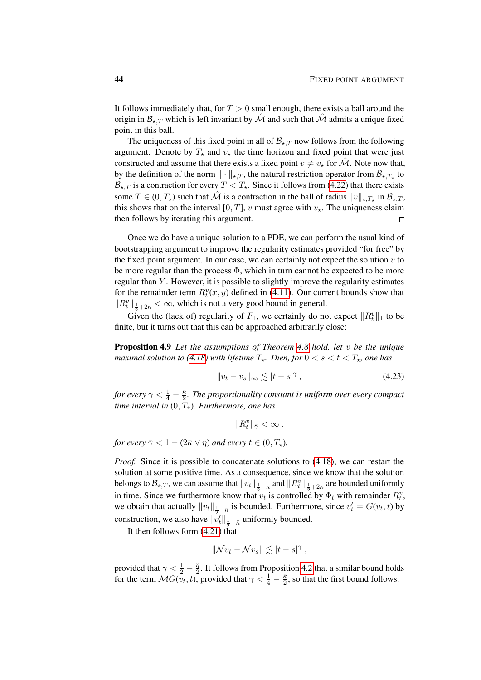It follows immediately that, for  $T > 0$  small enough, there exists a ball around the origin in  $\mathcal{B}_{\star T}$  which is left invariant by  $\hat{\mathcal{M}}$  and such that  $\hat{\mathcal{M}}$  admits a unique fixed point in this ball.

The uniqueness of this fixed point in all of  $\mathcal{B}_{\star,T}$  now follows from the following argument. Denote by  $T_{\star}$  and  $v_{\star}$  the time horizon and fixed point that were just constructed and assume that there exists a fixed point  $v \neq v_*$  for  $\mathcal{M}$ . Note now that, by the definition of the norm  $\|\cdot\|_{\star,T}$ , the natural restriction operator from  $\mathcal{B}_{\star,T_{\star}}$  to  $\mathcal{B}_{\star,T}$  is a contraction for every  $T < T_{\star}$ . Since it follows from [\(4.22\)](#page-42-0) that there exists some  $T \in (0, T_*)$  such that  $\hat{\mathcal{M}}$  is a contraction in the ball of radius  $||v||_{\star, T_{\star}}$  in  $\mathcal{B}_{\star, T}$ , this shows that on the interval [0, T], v must agree with  $v<sub>\star</sub>$ . The uniqueness claim then follows by iterating this argument.  $\Box$ 

Once we do have a unique solution to a PDE, we can perform the usual kind of bootstrapping argument to improve the regularity estimates provided "for free" by the fixed point argument. In our case, we can certainly not expect the solution  $v$  to be more regular than the process  $\Phi$ , which in turn cannot be expected to be more regular than  $Y$ . However, it is possible to slightly improve the regularity estimates for the remainder term  $R_t^v(x, y)$  defined in [\(4.11\)](#page-36-2). Our current bounds show that  $\|R_t^v\|_{\frac{1}{2}+2\kappa} < \infty$ , which is not a very good bound in general.

Given the (lack of) regularity of  $F_1$ , we certainly do not expect  $||R_t^v||_1$  to be finite, but it turns out that this can be approached arbitrarily close:

<span id="page-43-1"></span>Proposition 4.9 *Let the assumptions of Theorem [4.8](#page-41-1) hold, let* v *be the unique maximal solution to [\(4.18\)](#page-40-0)* with lifetime  $T_*$ . Then, for  $0 < s < t < T_*$ , one has

$$
||v_t - v_s||_{\infty} \lesssim |t - s|^{\gamma}, \qquad (4.23)
$$

*for every*  $\gamma < \frac{1}{4} - \frac{\bar{\kappa}}{2}$  $\frac{\kappa}{2}$ . The proportionality constant is uniform over every compact *time interval in*  $(0, T_{\star})$ *. Furthermore, one has* 

<span id="page-43-0"></span> $||R_t^v||_{\bar{\gamma}} < \infty$ ,

*for every*  $\bar{\gamma} < 1 - (2\bar{\kappa} \vee \eta)$  *and every*  $t \in (0, T_*)$ *.* 

*Proof.* Since it is possible to concatenate solutions to  $(4.18)$ , we can restart the solution at some positive time. As a consequence, since we know that the solution belongs to  $\mathcal{B}_{\star,T}$ , we can assume that  $||v_t||_{\frac{1}{2}-\kappa}$  and  $||R_t^v||_{\frac{1}{2}+2\kappa}$  are bounded uniformly in time. Since we furthermore know that  $v_t$  is controlled by  $\Phi_t$  with remainder  $R_t^v$ , we obtain that actually  $||v_t||_{\frac{1}{2} - \bar{\kappa}}$  is bounded. Furthermore, since  $v_t' = G(v_t, t)$  by construction, we also have  $\|\tilde{v}'_t\|_{\frac{1}{2}-\bar{\kappa}}$  uniformly bounded.

It then follows form [\(4.21\)](#page-42-1) that

$$
\|\mathcal{N}v_t-\mathcal{N}v_s\|\lesssim |t-s|^\gamma,
$$

provided that  $\gamma < \frac{1}{2} - \frac{\eta}{2}$  $\frac{\eta}{2}$ . It follows from Proposition [4.2](#page-35-0) that a similar bound holds for the term  $\mathcal{M}G(v_t, t)$ , provided that  $\gamma < \frac{1}{4} - \frac{\overline{\kappa}}{2}$  $\frac{\kappa}{2}$ , so that the first bound follows.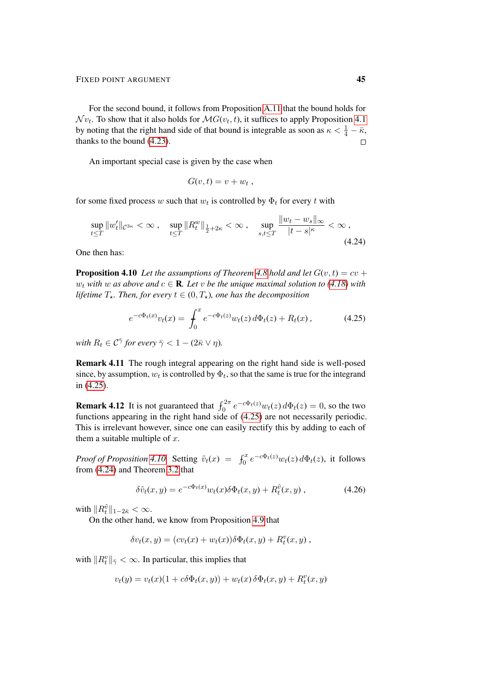For the second bound, it follows from Proposition [A.11](#page-98-0) that the bound holds for  $\mathcal{N} v_t$ . To show that it also holds for  $\mathcal{M}G(v_t,t)$ , it suffices to apply Proposition [4.1](#page-34-1) by noting that the right hand side of that bound is integrable as soon as  $\kappa < \frac{1}{4} - \bar{\kappa}$ , thanks to the bound [\(4.23\)](#page-43-0).  $\Box$ 

An important special case is given by the case when

<span id="page-44-2"></span><span id="page-44-0"></span>
$$
G(v,t)=v+w_t,
$$

for some fixed process w such that  $w_t$  is controlled by  $\Phi_t$  for every t with

$$
\sup_{t \le T} \|w_t'\|_{\mathcal{C}^{3\kappa}} < \infty \,, \quad \sup_{t \le T} \|R_t^w\|_{\frac{1}{2} + 2\kappa} < \infty \,, \quad \sup_{s,t \le T} \frac{\|w_t - w_s\|_{\infty}}{|t - s|^{\kappa}} < \infty \,, \tag{4.24}
$$

<span id="page-44-1"></span>One then has:

**Proposition 4.10** Let the assumptions of Theorem [4.8](#page-41-1) hold and let  $G(v, t) = cv +$ w<sub>t</sub> with w as above and  $c \in \mathbf{R}$ . Let v be the unique maximal solution to [\(4.18\)](#page-40-0) with *lifetime*  $T_*$ *. Then, for every*  $t \in (0, T_*)$ *, one has the decomposition* 

$$
e^{-c\Phi_t(x)}v_t(x) = \int_0^x e^{-c\Phi_t(z)}w_t(z) d\Phi_t(z) + R_t(x), \qquad (4.25)
$$

*with*  $R_t \in \mathcal{C}^{\bar{\gamma}}$  for every  $\bar{\gamma} < 1 - (2\bar{\kappa} \vee \eta)$ .

Remark 4.11 The rough integral appearing on the right hand side is well-posed since, by assumption,  $w_t$  is controlled by  $\Phi_t$ , so that the same is true for the integrand in [\(4.25\)](#page-44-0).

**Remark 4.12** It is not guaranteed that  $\int_0^{2\pi} e^{-c\Phi_t(z)} w_t(z) d\Phi_t(z) = 0$ , so the two functions appearing in the right hand side of [\(4.25\)](#page-44-0) are not necessarily periodic. This is irrelevant however, since one can easily rectify this by adding to each of them a suitable multiple of  $x$ .

*Proof of Proposition [4.10.](#page-44-1)* Setting  $\tilde{v}_t(x) = \int_0^x e^{-c\Phi_t(z)} w_t(z) d\Phi_t(z)$ , it follows from [\(4.24\)](#page-44-2) and Theorem [3.2](#page-27-1) that

<span id="page-44-3"></span>
$$
\delta\tilde{v}_t(x,y) = e^{-c\Phi_t(x)}w_t(x)\delta\Phi_t(x,y) + R_t^{\tilde{v}}(x,y) ,\qquad (4.26)
$$

with  $\|R_t^{\tilde{v}}\|_{1-2\bar{\kappa}} < \infty$ .

On the other hand, we know from Proposition [4.9](#page-43-1) that

$$
\delta v_t(x,y) = (cv_t(x) + w_t(x))\delta \Phi_t(x,y) + R_t^v(x,y) ,
$$

with  $\|R_t^v\|_{\bar{\gamma}} < \infty$ . In particular, this implies that

$$
v_t(y) = v_t(x)(1 + c\delta\Phi_t(x, y)) + w_t(x)\delta\Phi_t(x, y) + R_t^v(x, y)
$$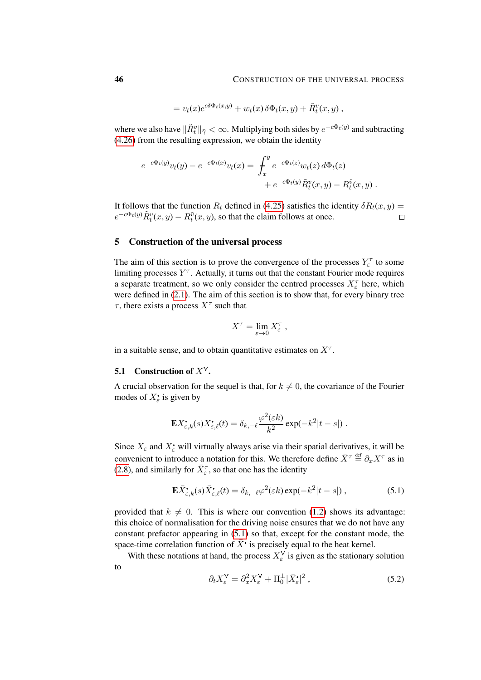$$
= v_t(x)e^{c\delta\Phi_t(x,y)} + w_t(x)\delta\Phi_t(x,y) + \tilde{R}_t^v(x,y),
$$

where we also have  $\|\tilde{R}^v_t\|_{\bar{\gamma}} < \infty$ . Multiplying both sides by  $e^{-c\Phi_t(y)}$  and subtracting [\(4.26\)](#page-44-3) from the resulting expression, we obtain the identity

$$
e^{-c\Phi_t(y)}v_t(y) - e^{-c\Phi_t(x)}v_t(x) = \int_x^y e^{-c\Phi_t(z)}w_t(z) d\Phi_t(z) + e^{-c\Phi_t(y)}\tilde{R}_t^v(x,y) - R_t^{\tilde{v}}(x,y).
$$

It follows that the function  $R_t$  defined in [\(4.25\)](#page-44-0) satisfies the identity  $\delta R_t(x, y) =$  $e^{-c\Phi_t(y)} \tilde{R}_t^v(x, y) - R_t^{\tilde{v}}(x, y)$ , so that the claim follows at once.  $\Box$ 

## 5 Construction of the universal process

The aim of this section is to prove the convergence of the processes  $Y_{\varepsilon}^{\tau}$  to some limiting processes  $Y^{\tau}$ . Actually, it turns out that the constant Fourier mode requires a separate treatment, so we only consider the centred processes  $X_{\varepsilon}^{\tau}$  here, which were defined in [\(2.1\)](#page-11-0). The aim of this section is to show that, for every binary tree  $\tau$ , there exists a process  $X^{\tau}$  such that

$$
X^{\tau} = \lim_{\varepsilon \to 0} X_{\varepsilon}^{\tau} ,
$$

in a suitable sense, and to obtain quantitative estimates on  $X^{\tau}$ .

## 5.1 Construction of  $X^V$ .

to

A crucial observation for the sequel is that, for  $k \neq 0$ , the covariance of the Fourier modes of  $X_{\varepsilon}^{\bullet}$  is given by

$$
\mathbf{E} X_{\varepsilon,k}^{\bullet}(s) X_{\varepsilon,\ell}^{\bullet}(t) = \delta_{k,-\ell} \frac{\varphi^2(\varepsilon k)}{k^2} \exp(-k^2|t-s|) .
$$

Since  $X_{\varepsilon}$  and  $X_{\varepsilon}^{\bullet}$  will virtually always arise via their spatial derivatives, it will be convenient to introduce a notation for this. We therefore define  $\bar{X}^{\tau} \stackrel{\text{def}}{=} \partial_x X^{\tau}$  as in [\(2.8\)](#page-13-0), and similarly for  $\bar{X}_{\varepsilon}^{\tau}$ , so that one has the identity

$$
\mathbf{E}\bar{X}_{\varepsilon,k}^{\bullet}(s)\bar{X}_{\varepsilon,\ell}^{\bullet}(t) = \delta_{k,-\ell}\varphi^{2}(\varepsilon k) \exp(-k^{2}|t-s|) , \qquad (5.1)
$$

provided that  $k \neq 0$ . This is where our convention [\(1.2\)](#page-1-0) shows its advantage: this choice of normalisation for the driving noise ensures that we do not have any constant prefactor appearing in [\(5.1\)](#page-45-0) so that, except for the constant mode, the space-time correlation function of  $\bar{X}^{\bullet}$  is precisely equal to the heat kernel.

With these notations at hand, the process  $X_{\varepsilon}^{\vee}$  is given as the stationary solution

<span id="page-45-1"></span><span id="page-45-0"></span>
$$
\partial_t X_{\varepsilon}^{\mathsf{V}} = \partial_x^2 X_{\varepsilon}^{\mathsf{V}} + \Pi_0^{\perp} |\bar{X}_{\varepsilon}^{\bullet}|^2 \,, \tag{5.2}
$$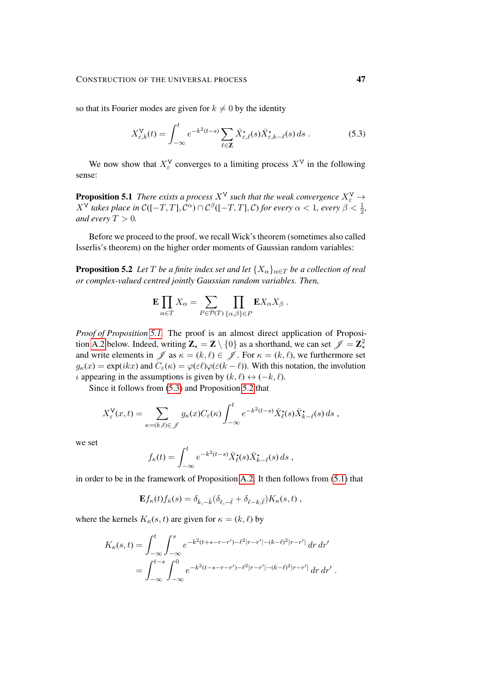so that its Fourier modes are given for  $k \neq 0$  by the identity

<span id="page-46-1"></span>
$$
X_{\varepsilon,k}^{\mathbf{V}}(t) = \int_{-\infty}^{t} e^{-k^2(t-s)} \sum_{\ell \in \mathbf{Z}} \bar{X}_{\varepsilon,\ell}^{\bullet}(s) \bar{X}_{\varepsilon,k-\ell}^{\bullet}(s) ds . \tag{5.3}
$$

<span id="page-46-0"></span>We now show that  $X_{\varepsilon}^{\vee}$  converges to a limiting process  $X^{\vee}$  in the following sense:

**Proposition 5.1** *There exists a process*  $X^V$  *such that the weak convergence*  $X^V_\varepsilon \rightarrow$  $X^{\mathsf{V}}$  takes place in  $\mathcal{C}([-T,T],\mathcal{C}^{\alpha})\cap\mathcal{C}^{\beta}([-T,T],\mathcal{C})$  for every  $\alpha<1,$  every  $\beta<\frac{1}{2},$ *and every*  $T > 0$ *.* 

Before we proceed to the proof, we recall Wick's theorem (sometimes also called Isserlis's theorem) on the higher order moments of Gaussian random variables:

**Proposition 5.2** *Let* T *be a finite index set and let*  $\{X_{\alpha}\}_{{\alpha \in T}}$  *be a collection of real or complex-valued centred jointly Gaussian random variables. Then,*

<span id="page-46-2"></span>
$$
\mathbf{E} \prod_{\alpha \in T} X_{\alpha} = \sum_{P \in \mathcal{P}(T)} \prod_{\{\alpha,\beta\} \in P} \mathbf{E} X_{\alpha} X_{\beta} .
$$

*Proof of Proposition [5.1.](#page-46-0)* The proof is an almost direct application of Proposi-tion [A.2](#page-92-0) below. Indeed, writing  $\mathbf{Z}_{\star} = \mathbf{Z} \setminus \{0\}$  as a shorthand, we can set  $\mathscr{J} = \mathbf{Z}_{\star}^2$ and write elements in  $\mathscr J$  as  $\kappa = (k, \ell) \in \mathscr J$ . For  $\kappa = (k, \ell)$ , we furthermore set  $g_{\kappa}(x) = \exp(ikx)$  and  $C_{\varepsilon}(\kappa) = \varphi(\varepsilon \ell) \varphi(\varepsilon (k - \ell))$ . With this notation, the involution  $\iota$  appearing in the assumptions is given by  $(k, \ell) \leftrightarrow (-k, \ell)$ .

Since it follows from [\(5.3\)](#page-46-1) and Proposition [5.2](#page-46-2) that

$$
X_{\varepsilon}^{\mathsf{V}}(x,t) = \sum_{\kappa = (k,\ell) \in \mathscr{J}} g_{\kappa}(x) C_{\varepsilon}(\kappa) \int_{-\infty}^{t} e^{-k^2(t-s)} \bar{X}_{\ell}^{\bullet}(s) \bar{X}_{k-\ell}^{\bullet}(s) ds ,
$$

we set

$$
f_{\kappa}(t) = \int_{-\infty}^{t} e^{-k^2(t-s)} \bar{X}_{\ell}^{\bullet}(s) \bar{X}_{k-\ell}^{\bullet}(s) ds ,
$$

in order to be in the framework of Proposition [A.2.](#page-92-0) It then follows from [\(5.1\)](#page-45-0) that

$$
\mathbf{E} f_{\kappa}(t) f_{\bar{\kappa}}(s) = \delta_{k,-\bar{k}} (\delta_{\ell,-\bar{\ell}} + \delta_{\ell-k,\bar{\ell}}) K_{\kappa}(s,t) ,
$$

where the kernels  $K_{\kappa}(s, t)$  are given for  $\kappa = (k, \ell)$  by

$$
K_{\kappa}(s,t) = \int_{-\infty}^{t} \int_{-\infty}^{s} e^{-k^{2}(t+s-r-r')-\ell^{2}|r-r'|-(k-\ell)^{2}|r-r'|} dr dr'
$$
  
= 
$$
\int_{-\infty}^{t-s} \int_{-\infty}^{0} e^{-k^{2}(t-s-r-r')-\ell^{2}|r-r'|- (k-\ell)^{2}|r-r'|} dr dr'.
$$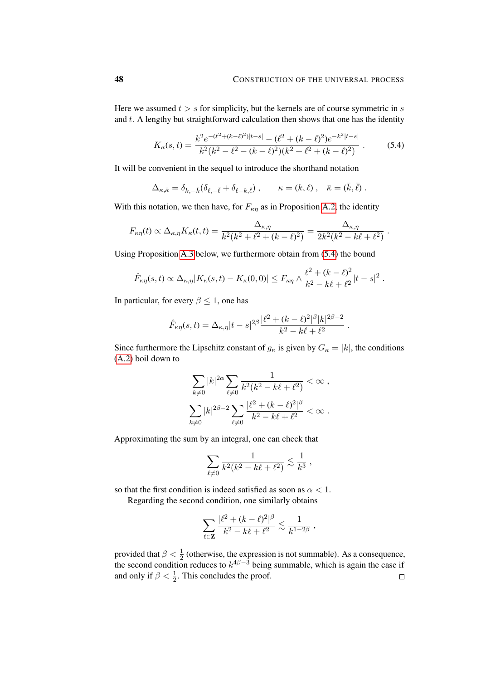Here we assumed  $t > s$  for simplicity, but the kernels are of course symmetric in s and  $t$ . A lengthy but straightforward calculation then shows that one has the identity

<span id="page-47-0"></span>
$$
K_{\kappa}(s,t) = \frac{k^2 e^{-(\ell^2 + (k-\ell)^2)|t-s|} - (\ell^2 + (k-\ell)^2)e^{-k^2|t-s|}}{k^2(k^2 - \ell^2 - (k-\ell)^2)(k^2 + \ell^2 + (k-\ell)^2)}.
$$
(5.4)

It will be convenient in the sequel to introduce the shorthand notation

$$
\Delta_{\kappa,\bar{\kappa}} = \delta_{k,-\bar{k}} (\delta_{\ell,-\bar{\ell}} + \delta_{\ell-k,\bar{\ell}}) , \qquad \kappa = (k,\ell) , \quad \bar{\kappa} = (\bar{k},\bar{\ell}) .
$$

With this notation, we then have, for  $F_{\kappa\eta}$  as in Proposition [A.2,](#page-92-0) the identity

$$
F_{\kappa\eta}(t) \propto \Delta_{\kappa,\eta} K_{\kappa}(t,t) = \frac{\Delta_{\kappa,\eta}}{k^2(k^2 + \ell^2 + (k-\ell)^2)} = \frac{\Delta_{\kappa,\eta}}{2k^2(k^2 - k\ell + \ell^2)}.
$$

Using Proposition [A.3](#page-94-0) below, we furthermore obtain from [\(5.4\)](#page-47-0) the bound

$$
\hat{F}_{\kappa\eta}(s,t) \propto \Delta_{\kappa,\eta} |K_{\kappa}(s,t) - K_{\kappa}(0,0)| \leq F_{\kappa\eta} \wedge \frac{\ell^2 + (k-\ell)^2}{k^2 - k\ell + \ell^2} |t-s|^2.
$$

In particular, for every  $\beta \leq 1$ , one has

$$
\hat{F}_{\kappa\eta}(s,t) = \Delta_{\kappa,\eta} |t-s|^{2\beta} \frac{|\ell^2 + (k-\ell)^2|^{\beta} |k|^{2\beta - 2}}{k^2 - k\ell + \ell^2}.
$$

Since furthermore the Lipschitz constant of  $g_{\kappa}$  is given by  $G_{\kappa} = |k|$ , the conditions [\(A.2\)](#page-93-0) boil down to

$$
\sum_{k\neq 0} |k|^{2\alpha} \sum_{\ell \neq 0} \frac{1}{k^2(k^2 - k\ell + \ell^2)} < \infty ,
$$
  

$$
\sum_{k\neq 0} |k|^{2\beta - 2} \sum_{\ell \neq 0} \frac{|\ell^2 + (k - \ell)^2|^{\beta}}{k^2 - k\ell + \ell^2} < \infty .
$$

Approximating the sum by an integral, one can check that

$$
\sum_{\ell \neq 0} \frac{1}{k^2 (k^2 - k\ell + \ell^2)} \lesssim \frac{1}{k^3} \; ,
$$

so that the first condition is indeed satisfied as soon as  $\alpha < 1$ .

Regarding the second condition, one similarly obtains

$$
\sum_{\ell \in \mathbf{Z}} \frac{|\ell^2 + (k - \ell)^2|^\beta}{k^2 - k\ell + \ell^2} \lesssim \frac{1}{k^{1-2\beta}},
$$

provided that  $\beta < \frac{1}{2}$  (otherwise, the expression is not summable). As a consequence, the second condition reduces to  $k^{4\beta-3}$  being summable, which is again the case if and only if  $\beta < \frac{1}{2}$ . This concludes the proof.  $\Box$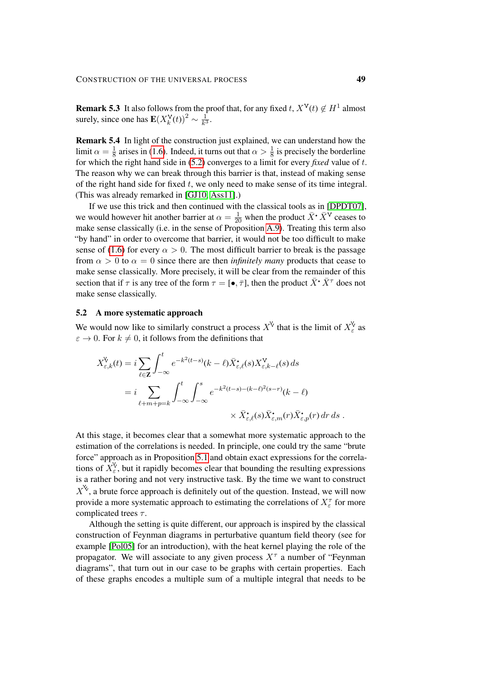**Remark 5.3** It also follows from the proof that, for any fixed  $t$ ,  $X^V(t) \notin H^1$  almost surely, since one has  $\mathbf{E}(X_k^{\mathbf{V}}(t))^2 \sim \frac{1}{k^3}$  $\frac{1}{k^3}$ .

Remark 5.4 In light of the construction just explained, we can understand how the limit  $\alpha = \frac{1}{8}$  $\frac{1}{8}$  arises in [\(1.6\)](#page-3-0). Indeed, it turns out that  $\alpha > \frac{1}{8}$  is precisely the borderline for which the right hand side in [\(5.2\)](#page-45-1) converges to a limit for every *fixed* value of t. The reason why we can break through this barrier is that, instead of making sense of the right hand side for fixed  $t$ , we only need to make sense of its time integral. (This was already remarked in [\[GJ10,](#page-100-0) [Ass11\]](#page-99-0).)

If we use this trick and then continued with the classical tools as in [\[DPDT07\]](#page-99-1), we would however hit another barrier at  $\alpha = \frac{1}{20}$  when the product  $\bar{X}$ <sup>\*</sup>  $\bar{X}$ <sup>\*</sup> ceases to make sense classically (i.e. in the sense of Proposition [A.9\)](#page-98-1). Treating this term also "by hand" in order to overcome that barrier, it would not be too difficult to make sense of [\(1.6\)](#page-3-0) for every  $\alpha > 0$ . The most difficult barrier to break is the passage from  $\alpha > 0$  to  $\alpha = 0$  since there are then *infinitely many* products that cease to make sense classically. More precisely, it will be clear from the remainder of this section that if  $\tau$  is any tree of the form  $\tau = [\bullet, \overline{\tau}]$ , then the product  $\overline{X}^{\bullet} \overline{X}^{\tau}$  does not make sense classically.

## 5.2 A more systematic approach

We would now like to similarly construct a process  $X^{\vee}$  that is the limit of  $X_{\varepsilon}^{\vee}$  as  $\varepsilon \to 0$ . For  $k \neq 0$ , it follows from the definitions that

$$
X_{\varepsilon,k}^{\mathbf{V}}(t) = i \sum_{\ell \in \mathbf{Z}} \int_{-\infty}^{t} e^{-k^2(t-s)} (k-\ell) \bar{X}_{\varepsilon,\ell}^{\bullet}(s) X_{\varepsilon,k-\ell}^{\mathbf{V}}(s) ds
$$
  

$$
= i \sum_{\ell+m+p=k} \int_{-\infty}^{t} \int_{-\infty}^{s} e^{-k^2(t-s) - (k-\ell)^2(s-r)} (k-\ell)
$$
  

$$
\times \bar{X}_{\varepsilon,\ell}^{\bullet}(s) \bar{X}_{\varepsilon,m}^{\bullet}(r) \bar{X}_{\varepsilon,p}^{\bullet}(r) dr ds .
$$

At this stage, it becomes clear that a somewhat more systematic approach to the estimation of the correlations is needed. In principle, one could try the same "brute force" approach as in Proposition [5.1](#page-46-0) and obtain exact expressions for the correlations of  $X_{\varepsilon}^{\vee}$ , but it rapidly becomes clear that bounding the resulting expressions is a rather boring and not very instructive task. By the time we want to construct  $X^{\mathcal{X}}$ , a brute force approach is definitely out of the question. Instead, we will now provide a more systematic approach to estimating the correlations of  $X_{\varepsilon}^{\tau}$  for more complicated trees  $\tau$ .

Although the setting is quite different, our approach is inspired by the classical construction of Feynman diagrams in perturbative quantum field theory (see for example [\[Pol05\]](#page-101-0) for an introduction), with the heat kernel playing the role of the propagator. We will associate to any given process  $X^{\tau}$  a number of "Feynman diagrams", that turn out in our case to be graphs with certain properties. Each of these graphs encodes a multiple sum of a multiple integral that needs to be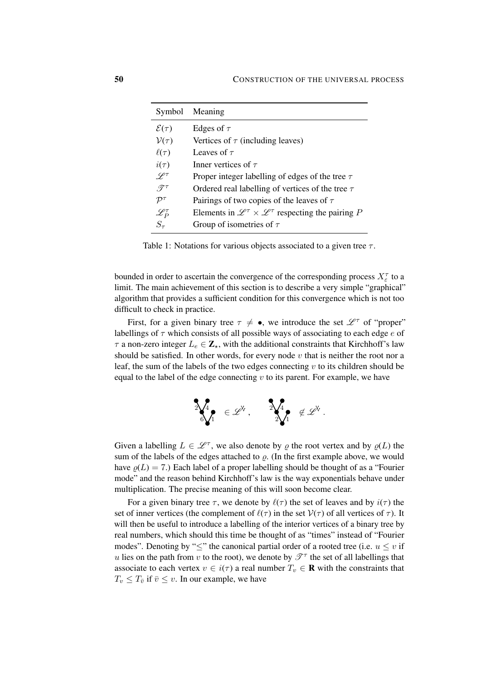| Symbol               | Meaning                                                                             |
|----------------------|-------------------------------------------------------------------------------------|
| $\mathcal{E}(\tau)$  | Edges of $\tau$                                                                     |
| $\mathcal{V}(\tau)$  | Vertices of $\tau$ (including leaves)                                               |
| $\ell(\tau)$         | Leaves of $\tau$                                                                    |
| $i(\tau)$            | Inner vertices of $\tau$                                                            |
| $\mathscr{L}^{\tau}$ | Proper integer labelling of edges of the tree $\tau$                                |
| $\mathscr{T}^{\tau}$ | Ordered real labelling of vertices of the tree $\tau$                               |
| $\mathcal{P}^\tau$   | Pairings of two copies of the leaves of $\tau$                                      |
| $\mathscr{L}^\tau_P$ | Elements in $\mathscr{L}^{\tau} \times \mathscr{L}^{\tau}$ respecting the pairing P |
| $S_{\tau}$           | Group of isometries of $\tau$                                                       |

Table 1: Notations for various objects associated to a given tree  $\tau$ .

bounded in order to ascertain the convergence of the corresponding process  $X_{\varepsilon}^{\tau}$  to a limit. The main achievement of this section is to describe a very simple "graphical" algorithm that provides a sufficient condition for this convergence which is not too difficult to check in practice.

First, for a given binary tree  $\tau \neq \bullet$ , we introduce the set  $\mathscr{L}^{\tau}$  of "proper" labellings of  $\tau$  which consists of all possible ways of associating to each edge  $e$  of  $\tau$  a non-zero integer  $L_e \in \mathbb{Z}_{\star}$ , with the additional constraints that Kirchhoff's law should be satisfied. In other words, for every node  $v$  that is neither the root nor a leaf, the sum of the labels of the two edges connecting  $v$  to its children should be equal to the label of the edge connecting  $v$  to its parent. For example, we have

$$
\begin{matrix}\n\mathbf{1} & \mathbf{1} & \mathbf{1} & \mathbf{1} \\
\mathbf{1} & \mathbf{1} & \mathbf{1} & \mathbf{1} \\
\mathbf{1} & \mathbf{1} & \mathbf{1} & \mathbf{1}\n\end{matrix}
$$

Given a labelling  $L \in \mathcal{L}^{\tau}$ , we also denote by  $\varrho$  the root vertex and by  $\varrho(L)$  the sum of the labels of the edges attached to  $\rho$ . (In the first example above, we would have  $\rho(L) = 7$ .) Each label of a proper labelling should be thought of as a "Fourier mode" and the reason behind Kirchhoff's law is the way exponentials behave under multiplication. The precise meaning of this will soon become clear.

For a given binary tree  $\tau$ , we denote by  $\ell(\tau)$  the set of leaves and by  $i(\tau)$  the set of inner vertices (the complement of  $\ell(\tau)$  in the set  $V(\tau)$  of all vertices of  $\tau$ ). It will then be useful to introduce a labelling of the interior vertices of a binary tree by real numbers, which should this time be thought of as "times" instead of "Fourier modes". Denoting by " $\leq$ " the canonical partial order of a rooted tree (i.e.  $u \leq v$  if u lies on the path from v to the root), we denote by  $\mathscr{T}^{\tau}$  the set of all labellings that associate to each vertex  $v \in i(\tau)$  a real number  $T_v \in \mathbf{R}$  with the constraints that  $T_v \leq T_{\overline{v}}$  if  $\overline{v} \leq v$ . In our example, we have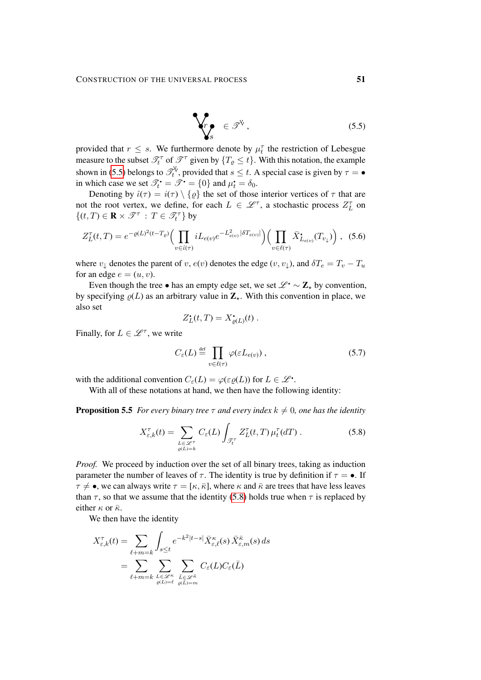<span id="page-50-0"></span>
$$
\begin{cases}\n\mathbf{r}_s & \in \mathscr{T}^{\mathbb{V}}, \\
\mathbf{r}_s & \in \mathscr{T}^{\mathbb{V}}.\n\end{cases} (5.5)
$$

provided that  $r \leq s$ . We furthermore denote by  $\mu_t^{\tau}$  the restriction of Lebesgue measure to the subset  $\mathcal{T}_t^{\tau}$  of  $\mathcal{T}^{\tau}$  given by  $\{T_{\varrho} \leq t\}$ . With this notation, the example shown in [\(5.5\)](#page-50-0) belongs to  $\mathcal{T}_t^{\vee}$ , provided that  $s \leq t$ . A special case is given by  $\tau = \bullet$ in which case we set  $\mathcal{T}_{t} = \mathcal{T} = \{0\}$  and  $\mu_{t} = \delta_{0}$ .

Denoting by  $\hat{\iota}(\tau) = i(\tau) \setminus {\varrho}$  the set of those interior vertices of  $\tau$  that are not the root vertex, we define, for each  $L \in \mathcal{L}^{\tau}$ , a stochastic process  $Z_L^{\tau}$  on  $\{(t,T)\in \mathbf{R}\times \mathscr{T}^\tau\,:\,T\in\mathscr{T}_t^\tau\}$  by

$$
Z_L^{\tau}(t,T) = e^{-\varrho(L)^2(t-T_{\varrho})} \Big( \prod_{v \in \hat{\iota}(\tau)} i L_{e(v)} e^{-L_{e(v)}^2 |\delta T_{e(v)}|} \Big) \Big( \prod_{v \in \ell(\tau)} \bar{X}_{L_{e(v)}}^{\bullet}(T_{v_{\downarrow}}) \Big) , \tag{5.6}
$$

where  $v_{\perp}$  denotes the parent of v,  $e(v)$  denotes the edge  $(v, v_{\perp})$ , and  $\delta T_e = T_v - T_u$ for an edge  $e = (u, v)$ .

Even though the tree • has an empty edge set, we set  $\mathcal{L}^{\bullet} \sim \mathbf{Z}_{\star}$  by convention, by specifying  $\rho(L)$  as an arbitrary value in  $\mathbb{Z}_{*}$ . With this convention in place, we also set

<span id="page-50-2"></span>
$$
Z_L^{\bullet}(t,T) = X_{\varrho(L)}^{\bullet}(t) .
$$

Finally, for  $L \in \mathscr{L}^{\tau}$ , we write

<span id="page-50-1"></span>
$$
C_{\varepsilon}(L) \stackrel{\text{def}}{=} \prod_{v \in \ell(\tau)} \varphi(\varepsilon L_{e(v)}) , \qquad (5.7)
$$

with the additional convention  $C_{\varepsilon}(L) = \varphi(\varepsilon \varrho(L))$  for  $L \in \mathcal{L}^{\bullet}$ .

With all of these notations at hand, we then have the following identity:

<span id="page-50-3"></span>**Proposition 5.5** *For every binary tree*  $\tau$  *and every index*  $k \neq 0$ *, one has the identity* 

$$
X_{\varepsilon,k}^{\tau}(t) = \sum_{\substack{L \in \mathcal{L}^{\tau} \\ \varrho(L)=k}} C_{\varepsilon}(L) \int_{\mathcal{J}_{t}^{\tau}} Z_{L}^{\tau}(t,T) \,\mu_{t}^{\tau}(dT) \,.
$$
 (5.8)

*Proof.* We proceed by induction over the set of all binary trees, taking as induction parameter the number of leaves of  $\tau$ . The identity is true by definition if  $\tau = \bullet$ . If  $\tau \neq \bullet$ , we can always write  $\tau = [\kappa, \bar{\kappa}]$ , where  $\kappa$  and  $\bar{\kappa}$  are trees that have less leaves than  $\tau$ , so that we assume that the identity [\(5.8\)](#page-50-1) holds true when  $\tau$  is replaced by either  $\kappa$  or  $\bar{\kappa}$ .

We then have the identity

$$
X_{\varepsilon,k}^{\tau}(t) = \sum_{\ell+m=k} \int_{s\leq t} e^{-k^2|t-s|} \bar{X}_{\varepsilon,\ell}^{\kappa}(s) \bar{X}_{\varepsilon,m}^{\bar{\kappa}}(s) ds
$$
  
= 
$$
\sum_{\ell+m=k} \sum_{L\in\mathscr{L}^{\kappa}} \sum_{\substack{\bar{L}\in\mathscr{L}^{\bar{\kappa}} \\ \varrho(\bar{L})=m}} C_{\varepsilon}(L) C_{\varepsilon}(\bar{L})
$$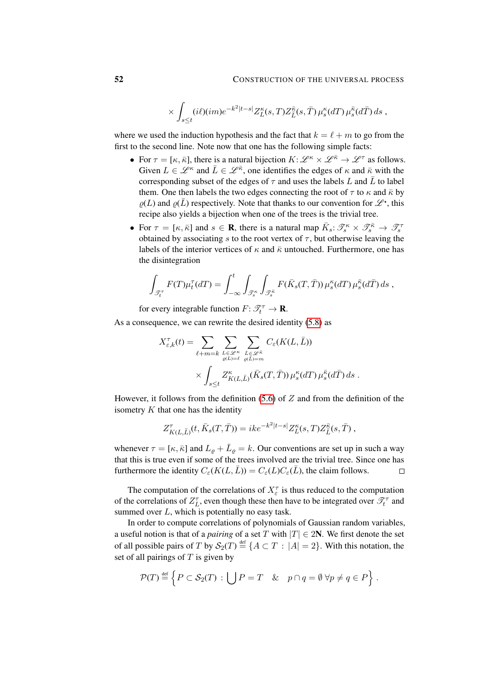$$
\times \int_{s\leq t} (i\ell)(im)e^{-k^2|t-s|} Z_L^{\kappa}(s,T) Z_{\bar{L}}^{\bar{\kappa}}(s,\bar{T}) \,\mu_s^{\kappa}(dT) \,\mu_s^{\bar{\kappa}}(d\bar{T})\,ds \;,
$$

where we used the induction hypothesis and the fact that  $k = \ell + m$  to go from the first to the second line. Note now that one has the following simple facts:

- For  $\tau = [\kappa, \bar{\kappa}]$ , there is a natural bijection  $K : \mathscr{L}^{\kappa} \times \mathscr{L}^{\bar{\kappa}} \to \mathscr{L}^{\tau}$  as follows. Given  $L \in \mathcal{L}^{\kappa}$  and  $\bar{L} \in \mathcal{L}^{\bar{\kappa}}$ , one identifies the edges of  $\kappa$  and  $\bar{\kappa}$  with the corresponding subset of the edges of  $\tau$  and uses the labels L and  $\bar{L}$  to label them. One then labels the two edges connecting the root of  $\tau$  to  $\kappa$  and  $\bar{\kappa}$  by  $\rho(L)$  and  $\rho(\bar{L})$  respectively. Note that thanks to our convention for  $\mathscr{L}^{\bullet}$ , this recipe also yields a bijection when one of the trees is the trivial tree.
- For  $\tau = [\kappa, \bar{\kappa}]$  and  $s \in \mathbf{R}$ , there is a natural map  $\bar{K}_s \colon \mathscr{T}_s^{\kappa} \times \mathscr{T}_s^{\bar{\kappa}} \to \mathscr{T}_s^{\tau}$ obtained by associating s to the root vertex of  $\tau$ , but otherwise leaving the labels of the interior vertices of  $\kappa$  and  $\bar{\kappa}$  untouched. Furthermore, one has the disintegration

$$
\int_{\mathcal{T}_t^{\tau}} F(T) \mu_t^{\tau}(dT) = \int_{-\infty}^t \int_{\mathcal{T}_s^{\kappa}} \int_{\mathcal{T}_s^{\bar{\kappa}}} F(\bar{K}_s(T,\bar{T})) \mu_s^{\kappa}(dT) \mu_s^{\bar{\kappa}}(d\bar{T}) ds ,
$$

for every integrable function  $F: \mathcal{T}_t^{\tau} \to \mathbf{R}$ .

As a consequence, we can rewrite the desired identity [\(5.8\)](#page-50-1) as

$$
X_{\varepsilon,k}^{\tau}(t) = \sum_{\ell+m=k} \sum_{L \in \mathcal{L}^{\kappa} \atop \varrho(L)=\ell} \sum_{\bar{L} \in \mathcal{L}^{\bar{\kappa}} \atop \varrho(L)=m} C_{\varepsilon}(K(L,\bar{L}))
$$

$$
\times \int_{s\leq t} Z_{K(L,\bar{L})}^{\kappa}(\bar{K}_{s}(T,\bar{T})) \,\mu_{s}^{\kappa}(dT) \,\mu_{s}^{\bar{\kappa}}(d\bar{T}) \,ds .
$$

However, it follows from the definition  $(5.6)$  of Z and from the definition of the isometry  $K$  that one has the identity

$$
Z^{\tau}_{K(L,\bar{L})}(t,\bar{K}_s(T,\bar{T})) = ike^{-k^2|t-s|}Z^{\kappa}_{L}(s,T)Z^{\bar{\kappa}}_{\bar{L}}(s,\bar{T}) ,
$$

whenever  $\tau = [\kappa, \bar{\kappa}]$  and  $L_{\varrho} + \bar{L}_{\varrho} = k$ . Our conventions are set up in such a way that this is true even if some of the trees involved are the trivial tree. Since one has furthermore the identity  $C_{\varepsilon}(K(L,\bar{L})) = C_{\varepsilon}(L)C_{\varepsilon}(\bar{L})$ , the claim follows.  $\Box$ 

The computation of the correlations of  $X_{\varepsilon}^{\tau}$  is thus reduced to the computation of the correlations of  $Z_L^{\tau}$ , even though these then have to be integrated over  $\mathcal{T}_t^{\tau}$  and summed over  $L$ , which is potentially no easy task.

In order to compute correlations of polynomials of Gaussian random variables, a useful notion is that of a *pairing* of a set T with  $|T| \in 2N$ . We first denote the set of all possible pairs of T by  $S_2(T) \stackrel{\text{def}}{=} \{A \subset T : |A| = 2\}$ . With this notation, the set of all pairings of  $T$  is given by

$$
\mathcal{P}(T) \stackrel{\text{def}}{=} \left\{ P \subset \mathcal{S}_2(T) : \bigcup P = T \quad \& \quad p \cap q = \emptyset \,\,\forall p \neq q \in P \right\}.
$$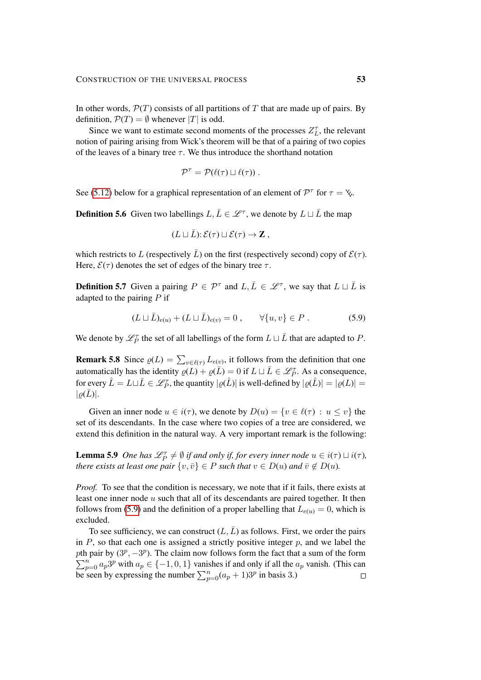In other words,  $\mathcal{P}(T)$  consists of all partitions of T that are made up of pairs. By definition,  $\mathcal{P}(T) = \emptyset$  whenever |T| is odd.

Since we want to estimate second moments of the processes  $Z_L^{\tau}$ , the relevant notion of pairing arising from Wick's theorem will be that of a pairing of two copies of the leaves of a binary tree  $\tau$ . We thus introduce the shorthand notation

$$
\mathcal{P}^{\tau} = \mathcal{P}(\ell(\tau) \sqcup \ell(\tau)).
$$

See [\(5.12\)](#page-54-0) below for a graphical representation of an element of  $\mathcal{P}^{\tau}$  for  $\tau = \mathcal{L}$ .

**Definition 5.6** Given two labellings  $L, \bar{L} \in \mathcal{L}^{\tau}$ , we denote by  $L \sqcup \bar{L}$  the map

<span id="page-52-0"></span>
$$
(L \sqcup \overline{L}) : \mathcal{E}(\tau) \sqcup \mathcal{E}(\tau) \to \mathbf{Z},
$$

which restricts to L (respectively  $\overline{L}$ ) on the first (respectively second) copy of  $\mathcal{E}(\tau)$ . Here,  $\mathcal{E}(\tau)$  denotes the set of edges of the binary tree  $\tau$ .

**Definition 5.7** Given a pairing  $P \in \mathcal{P}^{\tau}$  and  $L, \overline{L} \in \mathcal{L}^{\tau}$ , we say that  $L \sqcup \overline{L}$  is adapted to the pairing  $P$  if

$$
(L \sqcup \bar{L})_{e(u)} + (L \sqcup \bar{L})_{e(v)} = 0 , \qquad \forall \{u, v\} \in P . \tag{5.9}
$$

We denote by  $\mathcal{L}_P^{\tau}$  the set of all labellings of the form  $L \sqcup \overline{L}$  that are adapted to P.

**Remark 5.8** Since  $\varrho(L) = \sum_{v \in \ell(\tau)} L_{e(v)}$ , it follows from the definition that one automatically has the identity  $\rho(\bar{L}) + \rho(\bar{L}) = 0$  if  $L \sqcup \bar{L} \in \mathcal{L}_P^{\tau}$ . As a consequence, for every  $\hat{L} = L \sqcup \bar{L} \in \mathscr{L}_P^{\tau}$ , the quantity  $|\varrho(\hat{L})|$  is well-defined by  $|\varrho(\hat{L})| = |\varrho(L)| =$  $|\rho(L)|$ .

Given an inner node  $u \in i(\tau)$ , we denote by  $D(u) = \{v \in \ell(\tau) : u \le v\}$  the set of its descendants. In the case where two copies of a tree are considered, we extend this definition in the natural way. A very important remark is the following:

<span id="page-52-1"></span>**Lemma 5.9** One has  $\mathscr{L}_P^{\tau} \neq \emptyset$  if and only if, for every inner node  $u \in i(\tau) \sqcup i(\tau)$ , *there exists at least one pair*  $\{v, \overline{v}\} \in P$  *such that*  $v \in D(u)$  *and*  $\overline{v} \notin D(u)$ *.* 

*Proof.* To see that the condition is necessary, we note that if it fails, there exists at least one inner node  $u$  such that all of its descendants are paired together. It then follows from [\(5.9\)](#page-52-0) and the definition of a proper labelling that  $L_{e(u)} = 0$ , which is excluded.

<span id="page-52-2"></span>To see sufficiency, we can construct  $(L,\bar{L})$  as follows. First, we order the pairs in  $P$ , so that each one is assigned a strictly positive integer  $p$ , and we label the pth pair by  $(3^p, -3^p)$ . The claim now follows form the fact that a sum of the form  $\sum_{p=0}^{n} a_p 3^p$  with  $a_p \in \{-1, 0, 1\}$  vanishes if and only if all the  $a_p$  vanish. (This can be seen by expressing the number  $\sum_{p=0}^{n} (a_p + 1) 3^p$  in basis 3.)  $\Box$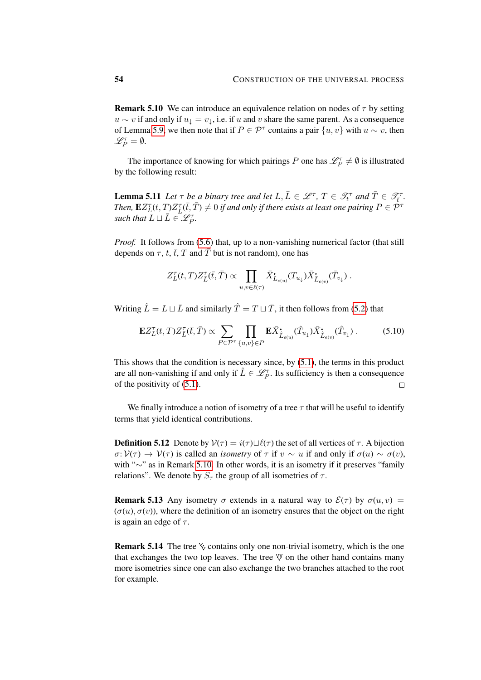**Remark 5.10** We can introduce an equivalence relation on nodes of  $\tau$  by setting  $u \sim v$  if and only if  $u_{\perp} = v_{\perp}$ , i.e. if u and v share the same parent. As a consequence of Lemma [5.9,](#page-52-1) we then note that if  $P \in \mathcal{P}^{\tau}$  contains a pair  $\{u, v\}$  with  $u \sim v$ , then  $\mathscr{L}_P^{\tau}=\emptyset.$ 

The importance of knowing for which pairings P one has  $\mathscr{L}_P^{\tau} \neq \emptyset$  is illustrated by the following result:

**Lemma 5.11** Let  $\tau$  be a binary tree and let  $L, \overline{L} \in \mathcal{L}^{\tau}, T \in \mathcal{I}^{\tau}$  and  $\overline{T} \in \mathcal{I}^{\tau}_{\overline{t}}$ . Then,  $\mathbf{E}Z_L^{\tau}(t,T)Z_{\bar{L}}^{\tau}(\bar{t},\bar{T})\neq 0$  if and only if there exists at least one pairing  $P\in \mathcal{P}^\tau$ such that  $\overline{L} \sqcup \overline{L} \in \mathscr{L}_P^{\tau}$ .

*Proof.* It follows from [\(5.6\)](#page-50-2) that, up to a non-vanishing numerical factor (that still depends on  $\tau$ , t,  $\bar{t}$ , T and  $\bar{T}$  but is not random), one has

$$
Z_L^{\tau}(t,T)Z_{\bar{L}}^{\tau}(\bar{t},\bar{T}) \propto \prod_{u,v \in \ell(\tau)} \bar{X}_{L_{e(u)}}^{\bullet}(T_{u_{\downarrow}}) \bar{X}_{\bar{L}_{e(v)}}^{\bullet}(\bar{T}_{v_{\downarrow}}) .
$$

Writing  $\hat{L} = L \sqcup \bar{L}$  and similarly  $\hat{T} = T \sqcup \bar{T}$ , it then follows from [\(5.2\)](#page-46-2) that

$$
\mathbf{E}Z_{L}^{\tau}(t,T)Z_{\bar{L}}^{\tau}(\bar{t},\bar{T}) \propto \sum_{P \in \mathcal{P}^{\tau}} \prod_{\{u,v\} \in P} \mathbf{E}\bar{X}^{\bullet}_{\hat{L}_{e(u)}}(\hat{T}_{u_{\downarrow}}) \bar{X}^{\bullet}_{\hat{L}_{e(v)}}(\hat{T}_{v_{\downarrow}}) . \tag{5.10}
$$

This shows that the condition is necessary since, by  $(5.1)$ , the terms in this product are all non-vanishing if and only if  $\hat{L} \in \mathscr{L}_P^{\tau}$ . Its sufficiency is then a consequence of the positivity of [\(5.1\)](#page-45-0).  $\Box$ 

We finally introduce a notion of isometry of a tree  $\tau$  that will be useful to identify terms that yield identical contributions.

**Definition 5.12** Denote by  $V(\tau) = i(\tau) \sqcup \ell(\tau)$  the set of all vertices of  $\tau$ . A bijection  $\sigma: V(\tau) \to V(\tau)$  is called an *isometry* of  $\tau$  if  $v \sim u$  if and only if  $\sigma(u) \sim \sigma(v)$ , with "∼" as in Remark [5.10.](#page-52-2) In other words, it is an isometry if it preserves "family relations". We denote by  $S_{\tau}$  the group of all isometries of  $\tau$ .

**Remark 5.13** Any isometry  $\sigma$  extends in a natural way to  $\mathcal{E}(\tau)$  by  $\sigma(u, v)$  =  $(\sigma(u), \sigma(v))$ , where the definition of an isometry ensures that the object on the right is again an edge of  $\tau$ .

**Remark 5.14** The tree  $\&\circ$  contains only one non-trivial isometry, which is the one that exchanges the two top leaves. The tree  $\mathbb {V}$  on the other hand contains many more isometries since one can also exchange the two branches attached to the root for example.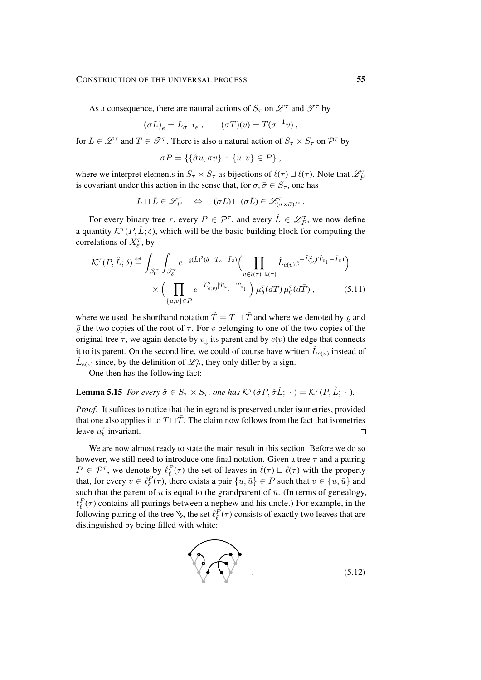#### CONSTRUCTION OF THE UNIVERSAL PROCESS 55

As a consequence, there are natural actions of  $S_{\tau}$  on  $\mathscr{L}^{\tau}$  and  $\mathscr{T}^{\tau}$  by

$$
(\sigma L)_e = L_{\sigma^{-1}e} , \qquad (\sigma T)(v) = T(\sigma^{-1}v) ,
$$

for  $L \in \mathcal{L}^{\tau}$  and  $T \in \mathcal{T}^{\tau}$ . There is also a natural action of  $S_{\tau} \times S_{\tau}$  on  $\mathcal{P}^{\tau}$  by

<span id="page-54-2"></span>
$$
\hat{\sigma}P = \{\{\hat{\sigma}u, \hat{\sigma}v\} : \{u, v\} \in P\},\
$$

where we interpret elements in  $S_\tau \times S_\tau$  as bijections of  $\ell(\tau) \sqcup \ell(\tau)$ . Note that  $\mathcal{L}_P^{\tau}$ is covariant under this action in the sense that, for  $\sigma, \bar{\sigma} \in S_{\tau}$ , one has

$$
L \sqcup \overline{L} \in \mathscr{L}_P^{\tau} \quad \Leftrightarrow \quad (\sigma L) \sqcup (\bar{\sigma} \overline{L}) \in \mathscr{L}_{(\sigma \times \bar{\sigma})P}^{\tau} .
$$

For every binary tree  $\tau$ , every  $P \in \mathcal{P}^{\tau}$ , and every  $\hat{L} \in \mathcal{L}_P^{\tau}$ , we now define a quantity  $\mathcal{K}^{\tau}(P, \hat{L}; \delta)$ , which will be the basic building block for computing the correlations of  $X_{\varepsilon}^{\tau}$ , by

$$
\mathcal{K}^{\tau}(P,\hat{L};\delta) \stackrel{\text{def}}{=} \int_{\mathcal{J}_{0}^{\tau}} \int_{\mathcal{J}_{\delta}^{\tau}} e^{-\varrho(\hat{L})^{2}(\delta - T_{\varrho} - \bar{T}_{\bar{\varrho}})} \Biggl( \prod_{v \in \hat{\iota}(\tau) \sqcup \hat{\iota}(\tau)} \hat{L}_{e(v)} e^{-\hat{L}_{(v)}^{2}(\hat{T}_{v_{\downarrow}} - \hat{T}_{v})} \Biggr) \times \Biggl( \prod_{\{u,v\} \in P} e^{-\hat{L}_{e(v)}^{2}|\hat{T}_{u_{\downarrow}} - \hat{T}_{v_{\downarrow}}|} \Biggr) \mu_{\delta}^{\tau}(dT) \mu_{0}^{\tau}(d\bar{T}), \tag{5.11}
$$

where we used the shorthand notation  $\hat{T} = T \sqcup \bar{T}$  and where we denoted by  $\rho$  and  $\bar{\rho}$  the two copies of the root of  $\tau$ . For v belonging to one of the two copies of the original tree  $\tau$ , we again denote by  $v_{\downarrow}$  its parent and by  $e(v)$  the edge that connects it to its parent. On the second line, we could of course have written  $\hat{L}_{e(u)}$  instead of  $\hat{L}_{e(v)}$  since, by the definition of  $\mathscr{L}_P^{\tau}$ , they only differ by a sign.

One then has the following fact:

# <span id="page-54-1"></span>**Lemma 5.15** *For every*  $\hat{\sigma} \in S_{\tau} \times S_{\tau}$ , one has  $\mathcal{K}^{\tau}(\hat{\sigma}P, \hat{\sigma}\hat{L}; \cdot) = \mathcal{K}^{\tau}(P, \hat{L}; \cdot)$ .

*Proof.* It suffices to notice that the integrand is preserved under isometries, provided that one also applies it to  $T \sqcup \overline{T}$ . The claim now follows from the fact that isometries leave  $\mu_t^{\tau}$  invariant.  $\Box$ 

We are now almost ready to state the main result in this section. Before we do so however, we still need to introduce one final notation. Given a tree  $\tau$  and a pairing  $P \in \mathcal{P}^{\tau}$ , we denote by  $\ell_{\ell}^{P}(\tau)$  the set of leaves in  $\ell(\tau) \sqcup \ell(\tau)$  with the property that, for every  $v \in \ell_{\ell}^P(\tau)$ , there exists a pair  $\{u, \bar{u}\} \in P$  such that  $v \in \{u, \bar{u}\}$  and such that the parent of u is equal to the grandparent of  $\bar{u}$ . (In terms of genealogy,  $\ell_{\ell}^{P}(\tau)$  contains all pairings between a nephew and his uncle.) For example, in the following pairing of the tree  $\zeta$ , the set  $\ell_{\ell}^P(\tau)$  consists of exactly two leaves that are distinguished by being filled with white:

<span id="page-54-0"></span>
$$
\bigotimes_{(5.12)}
$$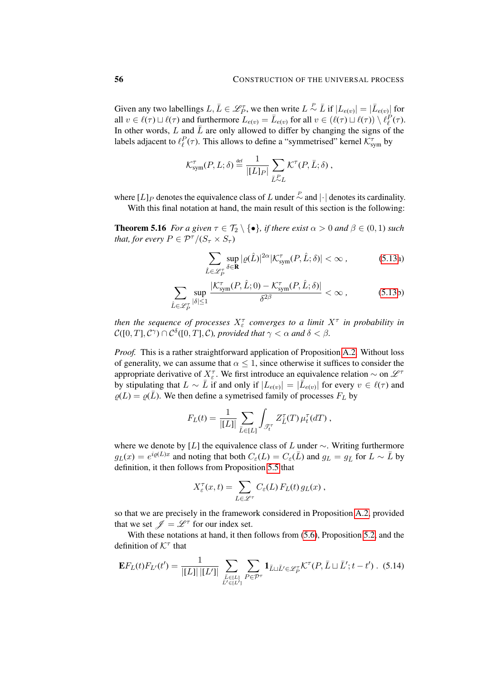Given any two labellings  $L, \bar{L} \in \mathscr{L}_P^{\tau}$ , we then write  $L \overset{P}{\sim} \bar{L}$  if  $|L_{e(v)}| = |\bar{L}_{e(v)}|$  for all  $v \in \ell(\tau) \sqcup \ell(\tau)$  and furthermore  $L_{e(v)} = \bar{L}_{e(v)}$  for all  $v \in (\ell(\tau) \sqcup \ell(\tau)) \setminus \ell_{\ell}^P(\tau)$ . In other words,  $L$  and  $\bar{L}$  are only allowed to differ by changing the signs of the labels adjacent to  $\ell_{\ell}^P(\tau)$ . This allows to define a "symmetrised" kernel  $\mathcal{K}^{\tau}_{sym}$  by

$$
\mathcal{K}_{sym}^{\tau}(P,L;\delta) \stackrel{\text{def}}{=} \frac{1}{|[L]_P|} \sum_{\bar{L} \sim L} \mathcal{K}^{\tau}(P,\bar{L};\delta) ,
$$

where  $[L]_P$  denotes the equivalence class of L under  $\sim$  and  $|\cdot|$  denotes its cardinality. With this final notation at hand, the main result of this section is the following:

<span id="page-55-0"></span>**Theorem 5.16** *For a given*  $\tau \in \mathcal{T}_2 \setminus \{\bullet\}$ *, if there exist*  $\alpha > 0$  *and*  $\beta \in (0,1)$  *such that, for every*  $P \in \mathcal{P}^{\tau}/(S_{\tau} \times S_{\tau})$ 

$$
\sum_{\hat{L}\in\mathscr{L}_{P}^{\tau}}\sup_{\delta\in\mathbf{R}}|\varrho(\hat{L})|^{2\alpha}|\mathcal{K}_{\text{sym}}^{\tau}(P,\hat{L};\delta)|<\infty,\tag{5.13a}
$$

$$
\sum_{\hat{L}\in\mathscr{L}_{P}^{\tau}}\sup_{|\delta|\leq 1}\frac{|\mathcal{K}_{\text{sym}}^{\tau}(P,\hat{L};0)-\mathcal{K}_{\text{sym}}^{\tau}(P,\hat{L};\delta)|}{\delta^{2\beta}}<\infty\,,\tag{5.13b}
$$

then the sequence of processes  $X_{\varepsilon}^{\tau}$  converges to a limit  $X^{\tau}$  in probability in  $\mathcal{C}([0,T],\mathcal{C}^\gamma)\cap\mathcal{C}^\delta([0,T],\mathcal{C})$ , provided that  $\gamma<\alpha$  and  $\delta<\beta$ .

*Proof.* This is a rather straightforward application of Proposition [A.2.](#page-92-0) Without loss of generality, we can assume that  $\alpha \leq 1$ , since otherwise it suffices to consider the appropriate derivative of  $X_{\varepsilon}^{\tau}$ . We first introduce an equivalence relation  $\sim$  on  $\mathscr{L}^{\tau}$ by stipulating that  $L \sim \bar{L}$  if and only if  $|L_{e(v)}| = |\bar{L}_{e(v)}|$  for every  $v \in \ell(\tau)$  and  $\rho(L) = \rho(\bar{L})$ . We then define a symetrised family of processes  $F_L$  by

$$
F_L(t) = \frac{1}{|[L]|} \sum_{\bar{L} \in [L]} \int_{\mathcal{T}_t} Z_{\bar{L}}^{\tau}(T) \mu_t^{\tau}(dT) ,
$$

where we denote by [L] the equivalence class of L under  $\sim$ . Writing furthermore  $g_L(x) = e^{i\varrho(L)x}$  and noting that both  $C_{\varepsilon}(L) = C_{\varepsilon}(\bar{L})$  and  $g_L = g_{\bar{L}}$  for  $L \sim \bar{L}$  by definition, it then follows from Proposition [5.5](#page-50-3) that

<span id="page-55-1"></span>
$$
X_{\varepsilon}^{\tau}(x,t) = \sum_{L \in \mathscr{L}^{\tau}} C_{\varepsilon}(L) F_{L}(t) g_{L}(x),
$$

so that we are precisely in the framework considered in Proposition [A.2,](#page-92-0) provided that we set  $\mathscr{J} = \mathscr{L}^{\tau}$  for our index set.

With these notations at hand, it then follows from  $(5.6)$ , Proposition [5.2,](#page-46-2) and the definition of  $K^{\tau}$  that

$$
\mathbf{E}F_{L}(t)F_{L'}(t') = \frac{1}{|[L]| |L'|!} \sum_{\substack{\bar{L}\in [L] \\ \bar{L}'\in [L']} } \sum_{P\in \mathcal{P}^{\tau}} \mathbf{1}_{\bar{L}\sqcup \bar{L}'\in \mathscr{L}_{P}^{\tau}} \mathcal{K}^{\tau}(P, \bar{L}\sqcup \bar{L}'; t-t') . (5.14)
$$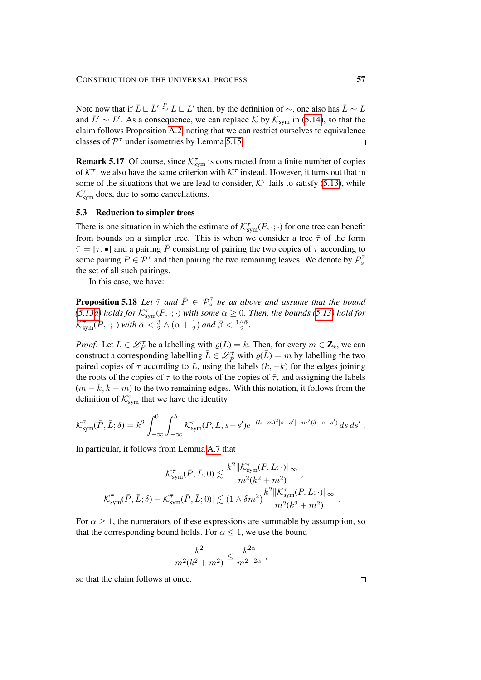Note now that if  $\bar{L} \sqcup \bar{L}' \stackrel{P}{\sim} L \sqcup L'$  then, by the definition of  $\sim$ , one also has  $\bar{L} \sim L$ and  $\bar{L}' \sim L'$ . As a consequence, we can replace K by  $\mathcal{K}_{sym}$  in [\(5.14\)](#page-55-1), so that the claim follows Proposition [A.2,](#page-92-0) noting that we can restrict ourselves to equivalence classes of  $\mathcal{P}^{\tau}$  under isometries by Lemma [5.15.](#page-54-1)  $\Box$ 

**Remark 5.17** Of course, since  $\mathcal{K}_{sym}^{\tau}$  is constructed from a finite number of copies of  $K^{\tau}$ , we also have the same criterion with  $K^{\tau}$  instead. However, it turns out that in some of the situations that we are lead to consider,  $K^{\tau}$  fails to satisfy [\(5.13\)](#page-55-0), while  $\mathcal{K}_{sym}^{\tau}$  does, due to some cancellations.

## 5.3 Reduction to simpler trees

There is one situation in which the estimate of  $\mathcal{K}^{\tau}_{sym}(P, \cdot; \cdot)$  for one tree can benefit from bounds on a simpler tree. This is when we consider a tree  $\bar{\tau}$  of the form  $\bar{\tau} = [\tau, \bullet]$  and a pairing  $\bar{P}$  consisting of pairing the two copies of  $\tau$  according to some pairing  $P \in \mathcal{P}^{\tau}$  and then pairing the two remaining leaves. We denote by  $\mathcal{P}_{s}^{\bar{\tau}}$ the set of all such pairings.

In this case, we have:

<span id="page-56-0"></span>**Proposition 5.18** Let  $\bar{\tau}$  and  $\bar{P} \in \mathcal{P}_{s}^{\bar{\tau}}$  be as above and assume that the bound *[\(5.13a\)](#page-30-0) holds for*  $\mathcal{K}_{sym}^{\tau}(P, \cdot; \cdot)$  *with some*  $\alpha \geq 0$ *. Then, the bounds* [\(5.13\)](#page-55-0) *hold for*  $\mathcal{K}_{\textrm{sym}}^{\bar{\tau}}(\bar{P},\cdot;\cdot)$  with  $\bar{\alpha}<\frac{3}{2}$  $\frac{3}{2} \wedge (\alpha + \frac{1}{2})$  $(\frac{1}{2})$  and  $\bar{\beta} < \frac{1 \wedge \bar{\alpha}}{2}$ .

*Proof.* Let  $L \in \mathcal{L}_P^{\tau}$  be a labelling with  $\varrho(L) = k$ . Then, for every  $m \in \mathbb{Z}_{*}$ , we can construct a corresponding labelling  $\bar{L} \in \mathscr{L}_{\bar{P}}^{\bar{\tau}}$  with  $\varrho(\bar{L}) = m$  by labelling the two paired copies of  $\tau$  according to L, using the labels  $(k, -k)$  for the edges joining the roots of the copies of  $\tau$  to the roots of the copies of  $\bar{\tau}$ , and assigning the labels  $(m - k, k - m)$  to the two remaining edges. With this notation, it follows from the definition of  $\mathcal{K}^{\tau}_{sym}$  that we have the identity

$$
\mathcal{K}_{sym}^{\bar{\tau}}(\bar{P}, \bar{L}; \delta) = k^2 \int_{-\infty}^0 \int_{-\infty}^{\delta} \mathcal{K}_{sym}^{\tau}(P, L, s - s') e^{-(k - m)^2 |s - s'| - m^2 (\delta - s - s')} ds ds'.
$$

In particular, it follows from Lemma [A.7](#page-96-0) that

$$
\mathcal{K}_{\text{sym}}^{\bar{\tau}}(\bar{P}, \bar{L}; 0) \lesssim \frac{k^2 \|\mathcal{K}_{\text{sym}}^{\tau}(P, L; \cdot)\|_{\infty}}{m^2 (k^2 + m^2)},
$$
  

$$
|\mathcal{K}_{\text{sym}}^{\bar{\tau}}(\bar{P}, \bar{L}; \delta) - \mathcal{K}_{\text{sym}}^{\bar{\tau}}(\bar{P}, \bar{L}; 0)| \lesssim (1 \wedge \delta m^2) \frac{k^2 \|\mathcal{K}_{\text{sym}}^{\tau}(P, L; \cdot)\|_{\infty}}{m^2 (k^2 + m^2)}
$$

For  $\alpha \geq 1$ , the numerators of these expressions are summable by assumption, so that the corresponding bound holds. For  $\alpha \leq 1$ , we use the bound

$$
\frac{k^2}{m^2(k^2+m^2)} \le \frac{k^{2\alpha}}{m^{2+2\alpha}} \ ,
$$

so that the claim follows at once.

.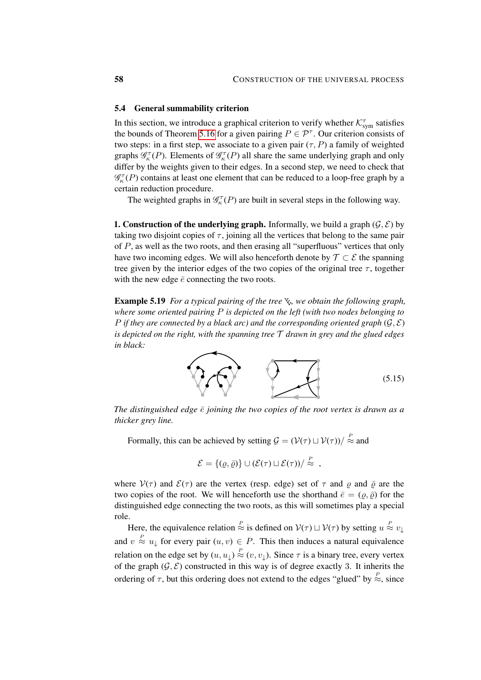#### <span id="page-57-1"></span>5.4 General summability criterion

In this section, we introduce a graphical criterion to verify whether  $\mathcal{K}^{\tau}_{sym}$  satisfies the bounds of Theorem [5.16](#page-55-0) for a given pairing  $P \in \mathcal{P}^{\tau}$ . Our criterion consists of two steps: in a first step, we associate to a given pair  $(\tau, P)$  a family of weighted graphs  $\mathcal{G}_{\kappa}^{\tau}(P)$ . Elements of  $\mathcal{G}_{\kappa}^{\tau}(P)$  all share the same underlying graph and only differ by the weights given to their edges. In a second step, we need to check that  $\mathscr{G}_{\kappa}^{\tau}(P)$  contains at least one element that can be reduced to a loop-free graph by a certain reduction procedure.

The weighted graphs in  $\mathcal{G}_{\kappa}^{\tau}(P)$  are built in several steps in the following way.

**1. Construction of the underlying graph.** Informally, we build a graph  $(\mathcal{G}, \mathcal{E})$  by taking two disjoint copies of  $\tau$ , joining all the vertices that belong to the same pair of  $P$ , as well as the two roots, and then erasing all "superfluous" vertices that only have two incoming edges. We will also henceforth denote by  $\mathcal{T} \subset \mathcal{E}$  the spanning tree given by the interior edges of the two copies of the original tree  $\tau$ , together with the new edge  $\bar{e}$  connecting the two roots.

**Example 5.19** *For a typical pairing of the tree*  $\chi$ , we obtain the following graph, *where some oriented pairing* P *is depicted on the left (with two nodes belonging to* P if they are connected by a black arc) and the corresponding oriented graph  $(G, \mathcal{E})$ *is depicted on the right, with the spanning tree* T *drawn in grey and the glued edges in black:*

<span id="page-57-0"></span>

*The distinguished edge*  $\bar{e}$  *joining the two copies of the root vertex is drawn as a thicker grey line.*

Formally, this can be achieved by setting  $\mathcal{G} = (\mathcal{V}(\tau) \sqcup \mathcal{V}(\tau)) / \stackrel{P}{\approx}$  and

$$
\mathcal{E} = \{(\varrho, \bar{\varrho})\} \cup (\mathcal{E}(\tau) \sqcup \mathcal{E}(\tau))/\stackrel{P}{\approx} ,
$$

where  $V(\tau)$  and  $\mathcal{E}(\tau)$  are the vertex (resp. edge) set of  $\tau$  and  $\rho$  and  $\bar{\rho}$  are the two copies of the root. We will henceforth use the shorthand  $\bar{e} = (\rho, \bar{\rho})$  for the distinguished edge connecting the two roots, as this will sometimes play a special role.

Here, the equivalence relation  $\stackrel{P}{\approx}$  is defined on  $V(\tau) \sqcup V(\tau)$  by setting  $u \stackrel{P}{\approx} v_{\downarrow}$ and  $v \approx u_{\downarrow}$  for every pair  $(u, v) \in P$ . This then induces a natural equivalence relation on the edge set by  $(u, u_{\downarrow}) \stackrel{P}{\approx} (v, v_{\downarrow})$ . Since  $\tau$  is a binary tree, every vertex of the graph  $(\mathcal{G}, \mathcal{E})$  constructed in this way is of degree exactly 3. It inherits the ordering of  $\tau$ , but this ordering does not extend to the edges "glued" by  $\stackrel{P}{\approx}$ , since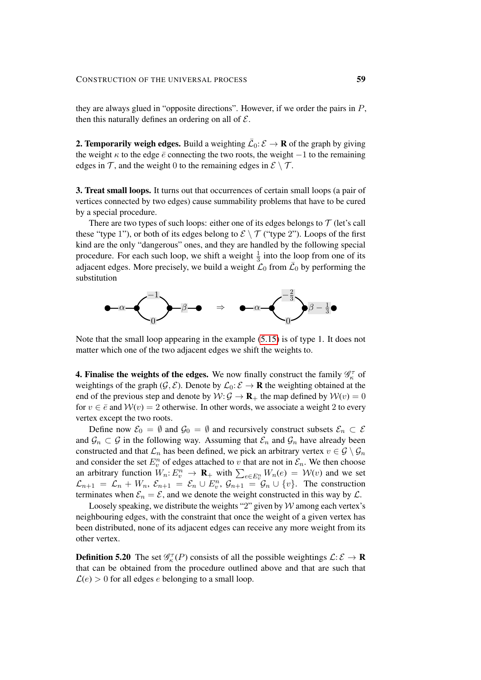they are always glued in "opposite directions". However, if we order the pairs in P, then this naturally defines an ordering on all of  $\mathcal{E}$ .

**2. Temporarily weigh edges.** Build a weighting  $\overline{\mathcal{L}}_0$ :  $\mathcal{E} \to \mathbf{R}$  of the graph by giving the weight  $\kappa$  to the edge  $\bar{e}$  connecting the two roots, the weight  $-1$  to the remaining edges in T, and the weight 0 to the remaining edges in  $\mathcal{E} \setminus \mathcal{T}$ .

3. Treat small loops. It turns out that occurrences of certain small loops (a pair of vertices connected by two edges) cause summability problems that have to be cured by a special procedure.

There are two types of such loops: either one of its edges belongs to  $\mathcal T$  (let's call these "type 1"), or both of its edges belong to  $\mathcal{E} \setminus \mathcal{T}$  ("type 2"). Loops of the first kind are the only "dangerous" ones, and they are handled by the following special procedure. For each such loop, we shift a weight  $\frac{1}{3}$  into the loop from one of its adjacent edges. More precisely, we build a weight  $\mathcal{L}_0$  from  $\bar{\mathcal{L}}_0$  by performing the substitution



Note that the small loop appearing in the example [\(5.15\)](#page-57-0) is of type 1. It does not matter which one of the two adjacent edges we shift the weights to.

**4. Finalise the weights of the edges.** We now finally construct the family  $\mathscr{G}_{\kappa}^{\tau}$  of weightings of the graph ( $\mathcal{G}, \mathcal{E}$ ). Denote by  $\mathcal{L}_0: \mathcal{E} \to \mathbf{R}$  the weighting obtained at the end of the previous step and denote by  $W: \mathcal{G} \to \mathbf{R}_{+}$  the map defined by  $W(v) = 0$ for  $v \in \bar{e}$  and  $\mathcal{W}(v) = 2$  otherwise. In other words, we associate a weight 2 to every vertex except the two roots.

Define now  $\mathcal{E}_0 = \emptyset$  and  $\mathcal{G}_0 = \emptyset$  and recursively construct subsets  $\mathcal{E}_n \subset \mathcal{E}$ and  $\mathcal{G}_n \subset \mathcal{G}$  in the following way. Assuming that  $\mathcal{E}_n$  and  $\mathcal{G}_n$  have already been constructed and that  $\mathcal{L}_n$  has been defined, we pick an arbitrary vertex  $v \in \mathcal{G} \setminus \mathcal{G}_n$ and consider the set  $E_v^n$  of edges attached to v that are not in  $\mathcal{E}_n$ . We then choose an arbitrary function  $W_n: E_v^n \to \mathbf{R}_+$  with  $\sum_{e \in E_v^n} W_n(e) = \mathcal{W}(v)$  and we set  $\mathcal{L}_{n+1} = \mathcal{L}_n + W_n$ ,  $\mathcal{E}_{n+1} = \mathcal{E}_n \cup E_v^n$ ,  $\mathcal{G}_{n+1} = \mathcal{G}_n \cup \{v\}$ . The construction terminates when  $\mathcal{E}_n = \mathcal{E}$ , and we denote the weight constructed in this way by  $\mathcal{L}$ .

Loosely speaking, we distribute the weights "2" given by  $W$  among each vertex's neighbouring edges, with the constraint that once the weight of a given vertex has been distributed, none of its adjacent edges can receive any more weight from its other vertex.

**Definition 5.20** The set  $\mathcal{G}_{\kappa}^{\tau}(P)$  consists of all the possible weightings  $\mathcal{L}: \mathcal{E} \to \mathbf{R}$ that can be obtained from the procedure outlined above and that are such that  $\mathcal{L}(e) > 0$  for all edges e belonging to a small loop.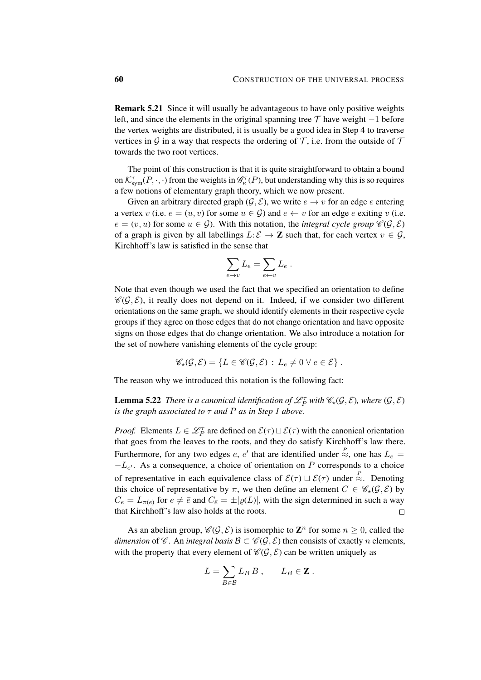Remark 5.21 Since it will usually be advantageous to have only positive weights left, and since the elements in the original spanning tree  $\mathcal T$  have weight  $-1$  before the vertex weights are distributed, it is usually be a good idea in Step 4 to traverse vertices in G in a way that respects the ordering of  $\mathcal T$ , i.e. from the outside of  $\mathcal T$ towards the two root vertices.

The point of this construction is that it is quite straightforward to obtain a bound on  $\mathcal{K}^{\tau}_{sym}(P,\cdot,\cdot)$  from the weights in  $\mathscr{G}_{\kappa}^{\tau}(P)$ , but understanding why this is so requires a few notions of elementary graph theory, which we now present.

Given an arbitrary directed graph ( $\mathcal{G}, \mathcal{E}$ ), we write  $e \to v$  for an edge e entering a vertex v (i.e.  $e = (u, v)$  for some  $u \in \mathcal{G}$ ) and  $e \leftarrow v$  for an edge e exiting v (i.e.  $e = (v, u)$  for some  $u \in \mathcal{G}$ ). With this notation, the *integral cycle group*  $\mathcal{C}(\mathcal{G}, \mathcal{E})$ of a graph is given by all labellings  $L: \mathcal{E} \to \mathbb{Z}$  such that, for each vertex  $v \in \mathcal{G}$ , Kirchhoff's law is satisfied in the sense that

$$
\sum_{e \to v} L_e = \sum_{e \gets v} L_e.
$$

Note that even though we used the fact that we specified an orientation to define  $\mathscr{C}(\mathcal{G}, \mathcal{E})$ , it really does not depend on it. Indeed, if we consider two different orientations on the same graph, we should identify elements in their respective cycle groups if they agree on those edges that do not change orientation and have opposite signs on those edges that do change orientation. We also introduce a notation for the set of nowhere vanishing elements of the cycle group:

$$
\mathscr{C}_{\star}(\mathcal{G}, \mathcal{E}) = \{ L \in \mathscr{C}(\mathcal{G}, \mathcal{E}) : L_e \neq 0 \ \forall \ e \in \mathcal{E} \}.
$$

<span id="page-59-0"></span>The reason why we introduced this notation is the following fact:

**Lemma 5.22** *There is a canonical identification of*  $\mathscr{L}_P^{\tau}$  *with*  $\mathscr{C}_{\star}(\mathcal{G}, \mathcal{E})$ *, where*  $(\mathcal{G}, \mathcal{E})$ *is the graph associated to* τ *and* P *as in Step 1 above.*

*Proof.* Elements  $L \in \mathcal{L}_P^{\tau}$  are defined on  $\mathcal{E}(\tau) \sqcup \mathcal{E}(\tau)$  with the canonical orientation that goes from the leaves to the roots, and they do satisfy Kirchhoff's law there. Furthermore, for any two edges e, e' that are identified under  $\approx$ , one has  $L_e$  =  $-L_{e'}$ . As a consequence, a choice of orientation on P corresponds to a choice of representative in each equivalence class of  $\mathcal{E}(\tau) \sqcup \mathcal{E}(\tau)$  under  $\stackrel{P}{\approx}$ . Denoting this choice of representative by  $\pi$ , we then define an element  $C \in \mathcal{C}_{*}(\mathcal{G}, \mathcal{E})$  by  $C_e = L_{\pi(e)}$  for  $e \neq \overline{e}$  and  $C_{\overline{e}} = \pm |\varrho(L)|$ , with the sign determined in such a way that Kirchhoff's law also holds at the roots.  $\Box$ 

As an abelian group,  $\mathscr{C}(\mathcal{G}, \mathcal{E})$  is isomorphic to  $\mathbb{Z}^n$  for some  $n \geq 0$ , called the *dimension* of  $\mathscr C$ . An *integral basis*  $\mathscr B \subset \mathscr C(\mathcal G, \mathcal E)$  then consists of exactly *n* elements, with the property that every element of  $\mathcal{C}(\mathcal{G}, \mathcal{E})$  can be written uniquely as

$$
L = \sum_{B \in \mathcal{B}} L_B B , \qquad L_B \in \mathbf{Z} .
$$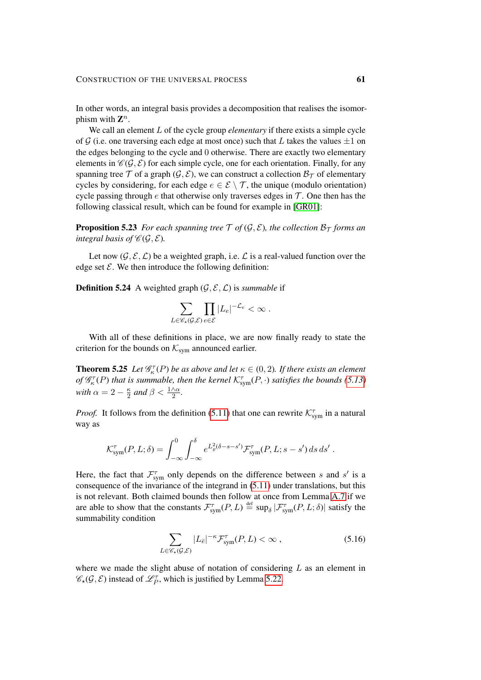In other words, an integral basis provides a decomposition that realises the isomorphism with  $\mathbf{Z}^n$ .

We call an element L of the cycle group *elementary* if there exists a simple cycle of G (i.e. one traversing each edge at most once) such that L takes the values  $\pm 1$  on the edges belonging to the cycle and 0 otherwise. There are exactly two elementary elements in  $\mathcal{C}(\mathcal{G}, \mathcal{E})$  for each simple cycle, one for each orientation. Finally, for any spanning tree  $\mathcal T$  of a graph  $(\mathcal G, \mathcal E)$ , we can construct a collection  $\mathcal B_{\mathcal T}$  of elementary cycles by considering, for each edge  $e \in \mathcal{E} \setminus \mathcal{T}$ , the unique (modulo orientation) cycle passing through e that otherwise only traverses edges in  $\mathcal T$ . One then has the following classical result, which can be found for example in [\[GR01\]](#page-100-1):

<span id="page-60-0"></span>**Proposition 5.23** *For each spanning tree*  $\mathcal{T}$  *of* ( $\mathcal{G}, \mathcal{E}$ )*, the collection*  $\mathcal{B}_{\mathcal{T}}$  *forms an integral basis of*  $\mathcal{C}(\mathcal{G}, \mathcal{E})$ *.* 

Let now  $(\mathcal{G}, \mathcal{E}, \mathcal{L})$  be a weighted graph, i.e.  $\mathcal{L}$  is a real-valued function over the edge set  $\mathcal{E}$ . We then introduce the following definition:

**Definition 5.24** A weighted graph  $(\mathcal{G}, \mathcal{E}, \mathcal{L})$  is *summable* if

$$
\sum_{L\in\mathscr{C}_{\star}(\mathcal{G},\mathcal{E})}\prod_{e\in\mathcal{E}}|L_e|^{-\mathcal{L}_e} < \infty.
$$

With all of these definitions in place, we are now finally ready to state the criterion for the bounds on  $\mathcal{K}_{sym}$  announced earlier.

<span id="page-60-1"></span>**Theorem 5.25** Let  $\mathscr{G}_{\kappa}^{\tau}(P)$  be as above and let  $\kappa \in (0,2)$ . If there exists an element *of*  $\mathscr{G}_{\kappa}^{\tau}(P)$  *that is summable, then the kernel*  $\mathcal{K}_{sym}^{\tau}(P, \cdot)$  *satisfies the bounds* [\(5.13\)](#page-55-0) *with*  $\alpha = 2 - \frac{\kappa}{2}$  $\frac{\kappa}{2}$  and  $\beta < \frac{1 \wedge \alpha}{2}$ .

*Proof.* It follows from the definition [\(5.11\)](#page-54-2) that one can rewrite  $\mathcal{K}_{sym}^{\tau}$  in a natural way as

$$
\mathcal{K}_{sym}^{\tau}(P,L;\delta) = \int_{-\infty}^{0} \int_{-\infty}^{\delta} e^{L_{\varrho}^{2}(\delta - s - s')} \mathcal{F}_{sym}^{\tau}(P,L;s - s') ds ds'.
$$

Here, the fact that  $\mathcal{F}_{sym}^{\tau}$  only depends on the difference between s and s' is a consequence of the invariance of the integrand in [\(5.11\)](#page-54-2) under translations, but this is not relevant. Both claimed bounds then follow at once from Lemma [A.7](#page-96-0) if we are able to show that the constants  $\mathcal{F}_{sym}^{\tau}(P,L) \stackrel{\text{def}}{=} \sup_{\delta} |\mathcal{F}_{sym}^{\tau}(P,L;\delta)|$  satisfy the summability condition

$$
\sum_{L \in \mathcal{C}_{\star}(\mathcal{G}, \mathcal{E})} |L_{\bar{e}}|^{-\kappa} \mathcal{F}_{sym}^{\tau}(P, L) < \infty \;, \tag{5.16}
$$

where we made the slight abuse of notation of considering  $L$  as an element in  $\mathscr{C}_\star(\mathcal{G}, \mathcal{E})$  instead of  $\mathcal{L}_P^{\tau}$ , which is justified by Lemma [5.22.](#page-59-0)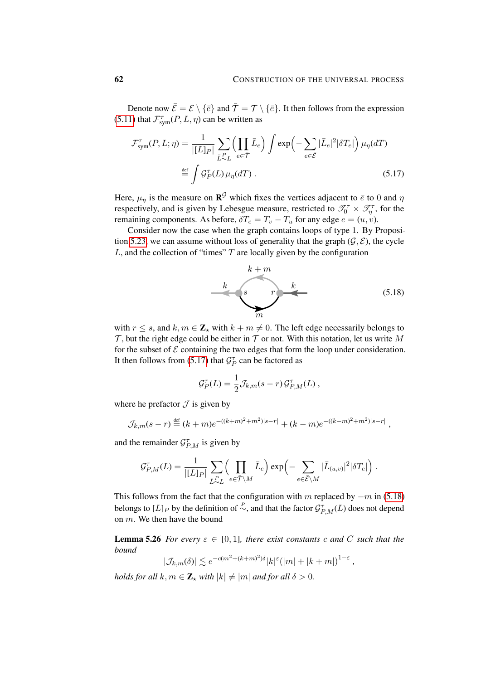Denote now  $\bar{\mathcal{E}} = \mathcal{E} \setminus \{\bar{e}\}\$ and  $\bar{\mathcal{T}} = \mathcal{T} \setminus \{\bar{e}\}\$ . It then follows from the expression [\(5.11\)](#page-54-2) that  $\mathcal{F}_{sym}^{\tau}(P, L, \eta)$  can be written as

$$
\mathcal{F}_{sym}^{\tau}(P, L; \eta) = \frac{1}{|[L]_P|} \sum_{\bar{L}^P \sim L} \left( \prod_{e \in \bar{\mathcal{T}}} \bar{L}_e \right) \int \exp\left(-\sum_{e \in \bar{\mathcal{E}}} |\bar{L}_e|^2 |\delta T_e|\right) \mu_{\eta}(dT)
$$
  

$$
\stackrel{\text{def}}{=} \int \mathcal{G}_P^{\tau}(L) \mu_{\eta}(dT) . \tag{5.17}
$$

Here,  $\mu_{\eta}$  is the measure on  $\mathbf{R}^{\mathcal{G}}$  which fixes the vertices adjacent to  $\bar{e}$  to 0 and  $\eta$ respectively, and is given by Lebesgue measure, restricted to  $\mathscr{T}_0^{\tau} \times \mathscr{T}_\eta^{\tau}$ , for the remaining components. As before,  $\delta T_e = T_v - T_u$  for any edge  $e = (u, v)$ .

Consider now the case when the graph contains loops of type 1. By Proposi-tion [5.23,](#page-60-0) we can assume without loss of generality that the graph  $(\mathcal{G}, \mathcal{E})$ , the cycle  $L$ , and the collection of "times"  $T$  are locally given by the configuration

<span id="page-61-0"></span>

<span id="page-61-1"></span>,

*,*

with  $r \leq s$ , and  $k, m \in \mathbb{Z}_{\star}$  with  $k + m \neq 0$ . The left edge necessarily belongs to  $\mathcal T$ , but the right edge could be either in  $\mathcal T$  or not. With this notation, let us write M for the subset of  $\mathcal E$  containing the two edges that form the loop under consideration. It then follows from [\(5.17\)](#page-61-0) that  $\mathcal{G}_P^{\tau}$  can be factored as

$$
\mathcal{G}_P^{\tau}(L) = \frac{1}{2} \mathcal{J}_{k,m}(s-r) \mathcal{G}_{P,M}^{\tau}(L) ,
$$

where he prefactor  $\mathcal J$  is given by

$$
\mathcal{J}_{k,m}(s-r) \stackrel{\text{def}}{=} (k+m)e^{-(k+m)^2+m^2)|s-r|} + (k-m)e^{-(k-m)^2+m^2)|s-r|}
$$

and the remainder  $\mathcal{G}^{\tau}_{P,M}$  is given by

$$
\mathcal{G}_{P,M}^{\tau}(L) = \frac{1}{|[L]_P|} \sum_{\bar{L}^P \sim L} \left( \prod_{e \in \bar{\mathcal{T}} \setminus M} \bar{L}_e \right) \exp \left( - \sum_{e \in \bar{\mathcal{E}} \setminus M} |\bar{L}_{(u,v)}|^2 |\delta T_e| \right).
$$

This follows from the fact that the configuration with m replaced by  $-m$  in [\(5.18\)](#page-61-1) belongs to  $[L]_P$  by the definition of  $\stackrel{P}{\sim}$ , and that the factor  $\mathcal{G}^{\tau}_{P,M}(L)$  does not depend on m. We then have the bound

**Lemma 5.26** *For every*  $\varepsilon \in [0,1]$ *, there exist constants c and* C *such that the bound*

$$
|\mathcal{J}_{k,m}(\delta)| \lesssim e^{-c(m^2 + (k+m)^2)\delta} |k|^{\varepsilon} (|m| + |k+m|)^{1-\varepsilon}
$$

*holds for all*  $k, m \in \mathbb{Z}_*$  *with*  $|k| \neq |m|$  *and for all*  $\delta > 0$ *.*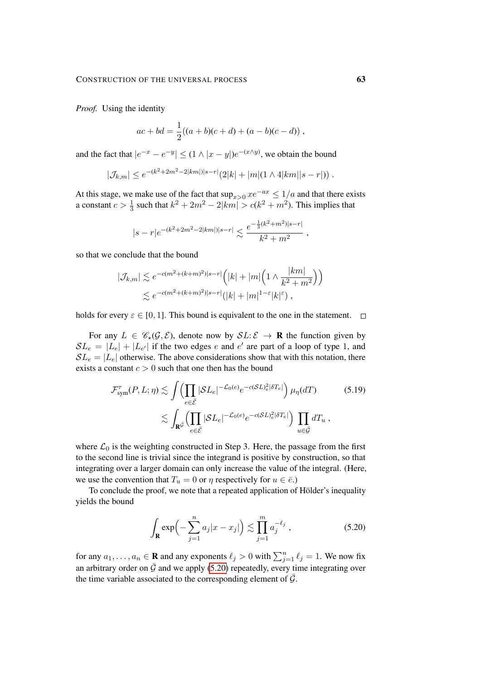*Proof.* Using the identity

$$
ac + bd = \frac{1}{2}((a+b)(c+d) + (a-b)(c-d)),
$$

and the fact that  $|e^{-x} - e^{-y}| \le (1 \wedge |x - y|)e^{-(x \wedge y)}$ , we obtain the bound

$$
|\mathcal{J}_{k,m}| \leq e^{-(k^2 + 2m^2 - 2|km|)|s-r|} (2|k| + |m|(1 \wedge 4|km||s-r|)).
$$

At this stage, we make use of the fact that  $\sup_{x>0} xe^{-ax} \leq 1/a$  and that there exists a constant  $c > \frac{1}{3}$  such that  $k^2 + 2m^2 - 2|km| > c(k^2 + m^2)$ . This implies that

$$
|s-r|e^{-(k^2+2m^2-2|km|)|s-r|} \lesssim \frac{e^{-\frac{1}{3}(k^2+m^2)|s-r|}}{k^2+m^2}
$$
,

so that we conclude that the bound

$$
|\mathcal{J}_{k,m}| \lesssim e^{-c(m^2 + (k+m)^2)|s-r|} \Big( |k| + |m| \Big( 1 \wedge \frac{|km|}{k^2 + m^2} \Big) \Big)
$$
  
 
$$
\lesssim e^{-c(m^2 + (k+m)^2)|s-r|} (|k| + |m|^{1-\varepsilon}|k|^{\varepsilon}),
$$

holds for every  $\varepsilon \in [0, 1]$ . This bound is equivalent to the one in the statement.  $\square$ 

For any  $L \in \mathcal{C}_*(\mathcal{G}, \mathcal{E})$ , denote now by  $SL: \mathcal{E} \to \mathbf{R}$  the function given by  $SL_e = |L_e| + |L_{e'}|$  if the two edges e and e' are part of a loop of type 1, and  $SL_e = |L_e|$  otherwise. The above considerations show that with this notation, there exists a constant  $c > 0$  such that one then has the bound

$$
\mathcal{F}_{sym}^{\tau}(P, L; \eta) \lesssim \int \left( \prod_{e \in \bar{\mathcal{E}}} |\mathcal{S}L_e|^{-\mathcal{L}_0(e)} e^{-c(\mathcal{S}L)_e^2 |\delta T_e|} \right) \mu_{\eta}(dT) \qquad (5.19)
$$

$$
\lesssim \int_{\mathbf{R}^{\bar{\mathcal{G}}}} \left( \prod_{e \in \bar{\mathcal{E}}} |\mathcal{S}L_e|^{-\mathcal{L}_0(e)} e^{-c(\mathcal{S}L)_e^2 |\delta T_e|} \right) \prod_{u \in \bar{\mathcal{G}}} dT_u ,
$$

where  $\mathcal{L}_0$  is the weighting constructed in Step 3. Here, the passage from the first to the second line is trivial since the integrand is positive by construction, so that integrating over a larger domain can only increase the value of the integral. (Here, we use the convention that  $T_u = 0$  or  $\eta$  respectively for  $u \in \overline{e}$ .)

To conclude the proof, we note that a repeated application of Hölder's inequality yields the bound

<span id="page-62-0"></span>
$$
\int_{\mathbf{R}} \exp\left(-\sum_{j=1}^{n} a_j |x - x_j|\right) \lesssim \prod_{j=1}^{m} a_j^{-\ell_j}, \tag{5.20}
$$

for any  $a_1, \ldots, a_n \in \mathbf{R}$  and any exponents  $\ell_j > 0$  with  $\sum_{j=1}^n \ell_j = 1$ . We now fix an arbitrary order on  $\bar{G}$  and we apply [\(5.20\)](#page-62-0) repeatedly, every time integrating over the time variable associated to the corresponding element of  $\bar{G}$ .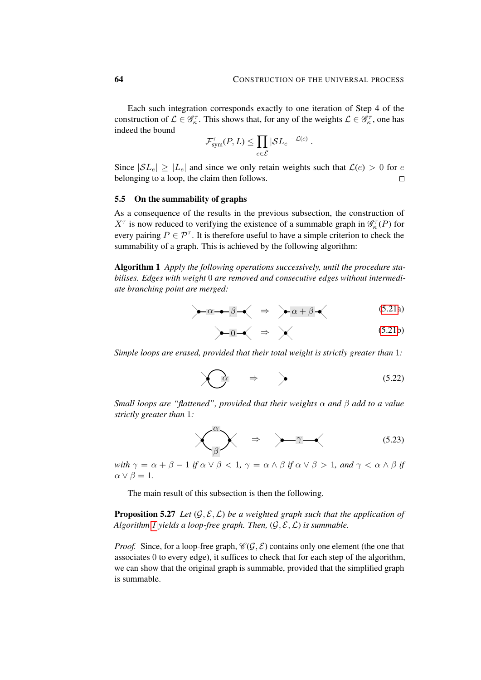Each such integration corresponds exactly to one iteration of Step 4 of the construction of  $\mathcal{L} \in \mathcal{G}_{\kappa}^{\tau}$ . This shows that, for any of the weights  $\mathcal{L} \in \mathcal{G}_{\kappa}^{\tau}$ , one has indeed the bound

$$
\mathcal{F}_{sym}^{\tau}(P,L) \leq \prod_{e \in \bar{\mathcal{E}}} |\mathcal{S}L_e|^{-\mathcal{L}(e)}.
$$

Since  $|SL_e| \geq |L_e|$  and since we only retain weights such that  $\mathcal{L}(e) > 0$  for e belonging to a loop, the claim then follows.  $\Box$ 

## 5.5 On the summability of graphs

As a consequence of the results in the previous subsection, the construction of  $X^{\tau}$  is now reduced to verifying the existence of a summable graph in  $\mathcal{G}^{\tau}_{\kappa}(P)$  for every pairing  $P \in \mathcal{P}^{\tau}$ . It is therefore useful to have a simple criterion to check the summability of a graph. This is achieved by the following algorithm:

<span id="page-63-0"></span>Algorithm 1 *Apply the following operations successively, until the procedure stabilises. Edges with weight* 0 *are removed and consecutive edges without intermediate branching point are merged:*

$$
\leftarrow \alpha \rightarrow \beta \rightarrow \Rightarrow \alpha + \beta \rightarrow (5.21a)
$$

<span id="page-63-2"></span>
$$
\leftarrow 0 \quad \Leftrightarrow \quad \times \quad (5.21b)
$$

*Simple loops are erased, provided that their total weight is strictly greater than* 1*:*

$$
\bigcirc \mathfrak{a} \quad \Rightarrow \quad \bigg\}
$$
 (5.22)

*Small loops are "flattened", provided that their weights* α *and* β *add to a value strictly greater than* 1*:*

<span id="page-63-1"></span>
$$
\times \qquad \qquad \overbrace{\beta} \qquad \Rightarrow \qquad \overbrace{\gamma - \langle} \qquad (5.23)
$$

*with*  $\gamma = \alpha + \beta - 1$  *if*  $\alpha \vee \beta < 1$ ,  $\gamma = \alpha \wedge \beta$  *if*  $\alpha \vee \beta > 1$ , and  $\gamma < \alpha \wedge \beta$  *if*  $\alpha \vee \beta = 1.$ 

The main result of this subsection is then the following.

<span id="page-63-3"></span>**Proposition 5.27** Let  $(G, \mathcal{E}, \mathcal{L})$  be a weighted graph such that the application of *Algorithm [1](#page-63-0) yields a loop-free graph. Then,*  $(\mathcal{G}, \mathcal{E}, \mathcal{L})$  *is summable.* 

*Proof.* Since, for a loop-free graph,  $\mathcal{C}(\mathcal{G}, \mathcal{E})$  contains only one element (the one that associates 0 to every edge), it suffices to check that for each step of the algorithm, we can show that the original graph is summable, provided that the simplified graph is summable.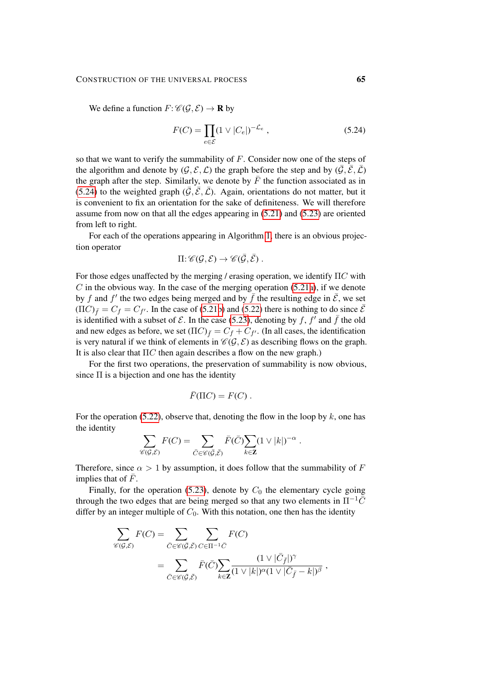#### CONSTRUCTION OF THE UNIVERSAL PROCESS 65

We define a function  $F: \mathcal{C}(\mathcal{G}, \mathcal{E}) \to \mathbf{R}$  by

<span id="page-64-0"></span>
$$
F(C) = \prod_{e \in \mathcal{E}} (1 \vee |C_e|)^{-\mathcal{L}_e},\tag{5.24}
$$

so that we want to verify the summability of F. Consider now one of the steps of the algorithm and denote by  $(\mathcal{G}, \mathcal{E}, \mathcal{L})$  the graph before the step and by  $(\bar{\mathcal{G}}, \bar{\mathcal{E}}, \bar{\mathcal{L}})$ the graph after the step. Similarly, we denote by  $\bar{F}$  the function associated as in [\(5.24\)](#page-64-0) to the weighted graph  $(\bar{G}, \bar{\mathcal{E}}, \bar{\mathcal{L}})$ . Again, orientations do not matter, but it is convenient to fix an orientation for the sake of definiteness. We will therefore assume from now on that all the edges appearing in [\(5.21\)](#page-63-0) and [\(5.23\)](#page-63-1) are oriented from left to right.

For each of the operations appearing in Algorithm [1,](#page-63-0) there is an obvious projection operator

$$
\Pi: \mathscr{C}(\mathcal{G}, \mathcal{E}) \to \mathscr{C}(\bar{\mathcal{G}}, \bar{\mathcal{E}}).
$$

For those edges unaffected by the merging / erasing operation, we identify  $\Pi C$  with  $C$  in the obvious way. In the case of the merging operation [\(5.21a\)](#page-30-0), if we denote by f and f' the two edges being merged and by  $\bar{f}$  the resulting edge in  $\bar{\mathcal{E}}$ , we set  $(\Pi C)_{\bar{f}} = C_f = C_{f'}$ . In the case of [\(5.21b\)](#page-30-1) and [\(5.22\)](#page-63-2) there is nothing to do since  $\bar{\mathcal{E}}$ is identified with a subset of  $\mathcal E$ . In the case [\(5.23\)](#page-63-1), denoting by f,  $f^{\dagger}$  and  $\bar{f}$  the old and new edges as before, we set  $(\Pi C)_{\bar{f}} = C_f + C_{f'}$ . (In all cases, the identification is very natural if we think of elements in  $\mathcal{C}(\mathcal{G}, \mathcal{E})$  as describing flows on the graph. It is also clear that  $\Pi C$  then again describes a flow on the new graph.)

For the first two operations, the preservation of summability is now obvious, since  $\Pi$  is a bijection and one has the identity

$$
\bar{F}(\Pi C) = F(C) .
$$

For the operation [\(5.22\)](#page-63-2), observe that, denoting the flow in the loop by  $k$ , one has the identity

$$
\sum_{\mathscr{C}(\mathcal{G},\mathcal{E})} F(C) = \sum_{\overline{C} \in \mathscr{C}(\overline{\mathcal{G}},\overline{\mathcal{E}})} \overline{F}(\overline{C}) \sum_{k \in \mathbf{Z}} (1 \vee |k|)^{-\alpha} .
$$

Therefore, since  $\alpha > 1$  by assumption, it does follow that the summability of F implies that of  $F$ .

Finally, for the operation [\(5.23\)](#page-63-1), denote by  $C_0$  the elementary cycle going through the two edges that are being merged so that any two elements in  $\Pi^{-1}\bar{C}$ differ by an integer multiple of  $C_0$ . With this notation, one then has the identity

$$
\sum_{\mathscr{C}(\mathcal{G},\mathcal{E})} F(C) = \sum_{\bar{C} \in \mathscr{C}(\bar{\mathcal{G}},\bar{\mathcal{E}})} \sum_{C \in \Pi^{-1}\bar{C}} F(C)
$$
  
= 
$$
\sum_{\bar{C} \in \mathscr{C}(\bar{\mathcal{G}},\bar{\mathcal{E}})} \bar{F}(\bar{C}) \sum_{k \in \mathbb{Z}} \frac{(1 \vee |\bar{C}_{\bar{f}}|)^{\gamma}}{(1 \vee |k|)^{\alpha} (1 \vee |\bar{C}_{\bar{f}} - k|)^{\beta}},
$$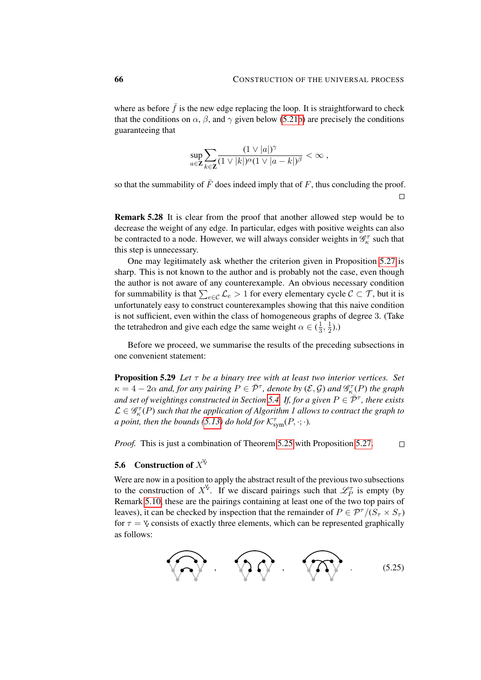where as before  $\bar{f}$  is the new edge replacing the loop. It is straightforward to check that the conditions on  $\alpha$ ,  $\beta$ , and  $\gamma$  given below [\(5.21b\)](#page-30-1) are precisely the conditions guaranteeing that

$$
\sup_{a\in\mathbf{Z}}\sum_{k\in\mathbf{Z}}\frac{(1\vee|a|)^{\gamma}}{(1\vee|k|)^{\alpha}(1\vee|a-k|)^{\beta}}<\infty\;,
$$

so that the summability of  $\bar{F}$  does indeed imply that of F, thus concluding the proof.  $\Box$ 

Remark 5.28 It is clear from the proof that another allowed step would be to decrease the weight of any edge. In particular, edges with positive weights can also be contracted to a node. However, we will always consider weights in  $\mathcal{G}^{\tau}_{\kappa}$  such that this step is unnecessary.

One may legitimately ask whether the criterion given in Proposition [5.27](#page-63-3) is sharp. This is not known to the author and is probably not the case, even though the author is not aware of any counterexample. An obvious necessary condition for summability is that  $\sum_{e \in \mathcal{C}} \mathcal{L}_e > 1$  for every elementary cycle  $\mathcal{C} \subset \mathcal{T}$ , but it is unfortunately easy to construct counterexamples showing that this naive condition is not sufficient, even within the class of homogeneous graphs of degree 3. (Take the tetrahedron and give each edge the same weight  $\alpha \in (\frac{1}{3})$  $\frac{1}{3}, \frac{1}{2}$  $(\frac{1}{2})$ .)

<span id="page-65-1"></span>Before we proceed, we summarise the results of the preceding subsections in one convenient statement:

Proposition 5.29 *Let* τ *be a binary tree with at least two interior vertices. Set*  $\kappa = 4 - 2\alpha$  and, for any pairing  $P \in \bar{\mathcal{P}}^{\tau}$ , denote by  $(\mathcal{E}, \mathcal{G})$  and  $\mathscr{G}_{\kappa}^{\tau}(P)$  the graph and set of weightings constructed in Section [5.4.](#page-57-1) If, for a given  $P \in \overline{P}^{\tau}$ , there exists  $\mathcal{L} \in \mathscr{G}_{\kappa}^{\tau}(P)$  such that the application of Algorithm 1 allows to contract the graph to *a point, then the bounds [\(5.13\)](#page-55-0) do hold for*  $\mathcal{K}^{\tau}_{sym}(P, \cdot; \cdot)$ *.* 

*Proof.* This is just a combination of Theorem [5.25](#page-60-1) with Proposition [5.27.](#page-63-3)  $\Box$ 

## 5.6 Construction of  $X^{\vee}$

Were are now in a position to apply the abstract result of the previous two subsections to the construction of  $X^{\vee}$ . If we discard pairings such that  $\mathscr{L}_P^{\tau}$  is empty (by Remark [5.10,](#page-52-2) these are the pairings containing at least one of the two top pairs of leaves), it can be checked by inspection that the remainder of  $P \in \mathcal{P}^{\tau}/(S_{\tau} \times S_{\tau})$ for  $\tau = \gamma$  consists of exactly three elements, which can be represented graphically as follows:

<span id="page-65-2"></span><span id="page-65-0"></span>
$$
\widehat{\mathbb{Q}}\widehat{\mathbb{Q}}\cdot\widehat{\mathbb{Q}}\widehat{\mathbb{Q}}\cdot\widehat{\mathbb{Q}}\widehat{\mathbb{Q}}\cdot\mathbb{Q}\cdot\mathbb{Q}^{(5.25)}
$$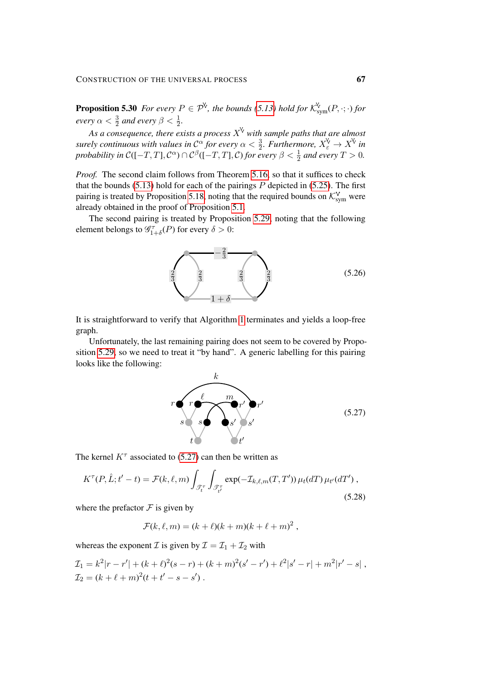**Proposition 5.30** *For every*  $P \in \mathcal{P}^{\vee}$ , *the bounds* [\(5.13\)](#page-55-0) *hold for*  $\mathcal{K}_{sym}^{\vee}(P, \cdot; \cdot)$  *for every*  $\alpha < \frac{3}{2}$  and every  $\beta < \frac{1}{2}$ .  $\frac{1}{2}$  and every  $\rho \searrow \frac{1}{2}$ 

As a consequence, there exists a process  $X^{\vee}$  with sample paths that are almost *surely continuous with values in*  $\mathcal{C}^{\alpha}$  *for every*  $\alpha < \frac{3}{2}$ *. Furthermore,*  $X^{\vee}_{\varepsilon} \to X^{\vee}$  *in probability in*  $C([-T, T], \mathcal{C}^{\alpha}) \cap \mathcal{C}^{\beta}([-T, T], \mathcal{C})$  *for every*  $\beta < \frac{1}{2}$  and every  $T > 0$ .

*Proof.* The second claim follows from Theorem [5.16,](#page-55-0) so that it suffices to check that the bounds  $(5.13)$  hold for each of the pairings  $P$  depicted in  $(5.25)$ . The first pairing is treated by Proposition [5.18,](#page-56-0) noting that the required bounds on  $\mathcal{K}_{sym}^V$  were already obtained in the proof of Proposition [5.1.](#page-46-0)

The second pairing is treated by Proposition [5.29,](#page-65-1) noting that the following element belongs to  $\mathcal{G}_{1+\delta}^{\tau}(P)$  for every  $\delta > 0$ :



It is straightforward to verify that Algorithm [1](#page-63-0) terminates and yields a loop-free graph.

Unfortunately, the last remaining pairing does not seem to be covered by Proposition [5.29,](#page-65-1) so we need to treat it "by hand". A generic labelling for this pairing looks like the following:

<span id="page-66-0"></span>

The kernel  $K^{\tau}$  associated to [\(5.27\)](#page-66-0) can then be written as

$$
K^{\tau}(P,\hat{L};t'-t) = \mathcal{F}(k,\ell,m) \int_{\mathcal{F}_t^{\tau}} \int_{\mathcal{F}_{t'}^{\tau}} \exp(-\mathcal{I}_{k,\ell,m}(T,T')) \,\mu_t(dT) \,\mu_{t'}(dT'),\tag{5.28}
$$

where the prefactor  $\mathcal F$  is given by

$$
\mathcal{F}(k,\ell,m)=(k+\ell)(k+m)(k+\ell+m)^2,
$$

whereas the exponent  $\mathcal I$  is given by  $\mathcal I = \mathcal I_1 + \mathcal I_2$  with

$$
\mathcal{I}_1 = k^2 |r - r'| + (k + \ell)^2 (s - r) + (k + m)^2 (s' - r') + \ell^2 |s' - r| + m^2 |r' - s|,
$$
  
\n
$$
\mathcal{I}_2 = (k + \ell + m)^2 (t + t' - s - s').
$$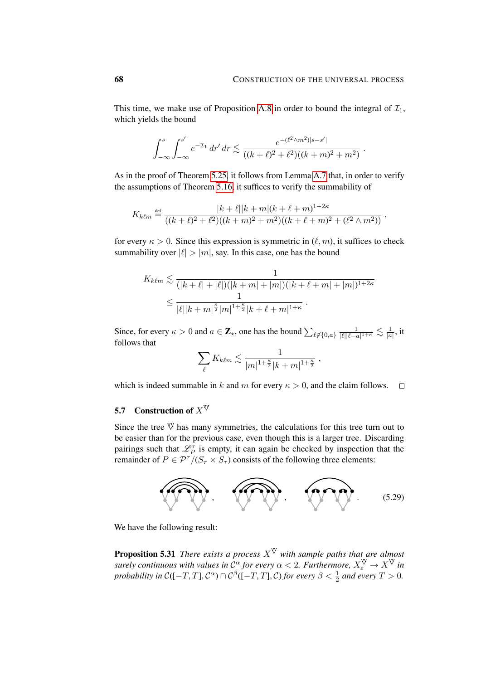,

This time, we make use of Proposition [A.8](#page-96-1) in order to bound the integral of  $\mathcal{I}_1$ , which yields the bound

$$
\int_{-\infty}^{s} \int_{-\infty}^{s'} e^{-\mathcal{I}_1} dr' dr \lesssim \frac{e^{-(\ell^2 \wedge m^2)|s-s'|}}{((k+\ell)^2 + \ell^2)((k+m)^2 + m^2)}.
$$

As in the proof of Theorem [5.25,](#page-60-1) it follows from Lemma [A.7](#page-96-0) that, in order to verify the assumptions of Theorem [5.16,](#page-55-0) it suffices to verify the summability of

$$
K_{k\ell m} \stackrel{\text{def}}{=} \frac{|k+\ell||k+m|(k+\ell+m)^{1-2\kappa}}{((k+\ell)^2+\ell^2)((k+m)^2+m^2)((k+\ell+m)^2+(\ell^2\wedge m^2))}
$$

for every  $\kappa > 0$ . Since this expression is symmetric in  $(\ell, m)$ , it suffices to check summability over  $|\ell| > |m|$ , say. In this case, one has the bound

$$
K_{k\ell m} \lesssim \frac{1}{(|k+\ell|+|\ell|)(|k+m|+|m|)(|k+\ell+m|+|m|)^{1+2\kappa}}
$$
  

$$
\leq \frac{1}{|\ell||k+m|^{\frac{\kappa}{2}}|m|^{1+\frac{\kappa}{2}}|k+\ell+m|^{1+\kappa}}.
$$

Since, for every  $\kappa > 0$  and  $a \in \mathbb{Z}_{\star}$ , one has the bound  $\sum_{\ell \notin \{0, a\}} \frac{1}{|\ell||\ell - \ell|}$  $\frac{1}{|\ell||\ell-a|^{1+\kappa}} \lesssim \frac{1}{|a|}$  $\frac{1}{|a|}$ , it follows that

<span id="page-67-0"></span>
$$
\sum_{\ell} K_{k\ell m} \lesssim \frac{1}{|m|^{1+\frac{\kappa}{2}}|k+m|^{1+\frac{\kappa}{2}}},
$$

which is indeed summable in k and m for every  $\kappa > 0$ , and the claim follows.  $\square$ 

## 5.7 Construction of  $X^{\nabla}$

Since the tree  $\Psi$  has many symmetries, the calculations for this tree turn out to be easier than for the previous case, even though this is a larger tree. Discarding pairings such that  $\mathcal{L}_P^{\tau}$  is empty, it can again be checked by inspection that the remainder of  $P \in \mathcal{P}^{\tau}/(S_{\tau} \times S_{\tau})$  consists of the following three elements:



We have the following result:

**Proposition 5.31** *There exists a process*  $X^{\vee}$  *with sample paths that are almost surely continuous with values in*  $C^{\alpha}$  *for every*  $\alpha < 2$ . *Furthermore,*  $X_{\varepsilon}^{\nabla} \to X^{\nabla}$  *in probability in*  $C([-T, T], \mathcal{C}^{\alpha}) \cap \mathcal{C}^{\beta}([-T, T], \mathcal{C})$  *for every*  $\beta < \frac{1}{2}$  and every  $T > 0$ .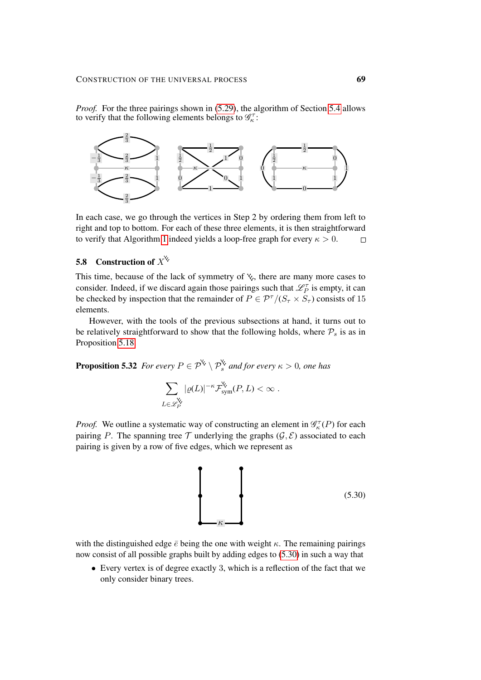*Proof.* For the three pairings shown in [\(5.29\)](#page-67-0), the algorithm of Section [5.4](#page-57-1) allows to verify that the following elements belongs to  $\mathscr{G}_{\kappa}^{\tau}$ :



In each case, we go through the vertices in Step 2 by ordering them from left to right and top to bottom. For each of these three elements, it is then straightforward to verify that Algorithm [1](#page-63-0) indeed yields a loop-free graph for every  $\kappa > 0$ .  $\Box$ 

# 5.8 Construction of  $X^{\check{C}}$

This time, because of the lack of symmetry of  $\mathbf{\check{y}}$ , there are many more cases to consider. Indeed, if we discard again those pairings such that  $\mathscr{L}_P^{\tau}$  is empty, it can be checked by inspection that the remainder of  $P \in \mathcal{P}^{\tau}/(S_{\tau} \times S_{\tau})$  consists of 15 elements.

However, with the tools of the previous subsections at hand, it turns out to be relatively straightforward to show that the following holds, where  $P_s$  is as in Proposition [5.18.](#page-56-0)

<span id="page-68-1"></span>**Proposition 5.32** *For every*  $P \in \mathcal{P}^{\times} \setminus \mathcal{P}_{s}^{\times}$  *and for every*  $\kappa > 0$ *, one has* 

$$
\sum_{L\in\mathscr{L}_P^{\mathsf{V}}}|\varrho(L)|^{-\kappa}\mathcal{F}_{\text{sym}}^{\mathsf{V}}(P,L)<\infty.
$$

*Proof.* We outline a systematic way of constructing an element in  $\mathcal{G}_{\kappa}^{\tau}(P)$  for each pairing P. The spanning tree T underlying the graphs  $(\mathcal{G}, \mathcal{E})$  associated to each pairing is given by a row of five edges, which we represent as

<span id="page-68-0"></span>

with the distinguished edge  $\bar{e}$  being the one with weight  $\kappa$ . The remaining pairings now consist of all possible graphs built by adding edges to [\(5.30\)](#page-68-0) in such a way that

• Every vertex is of degree exactly 3, which is a reflection of the fact that we only consider binary trees.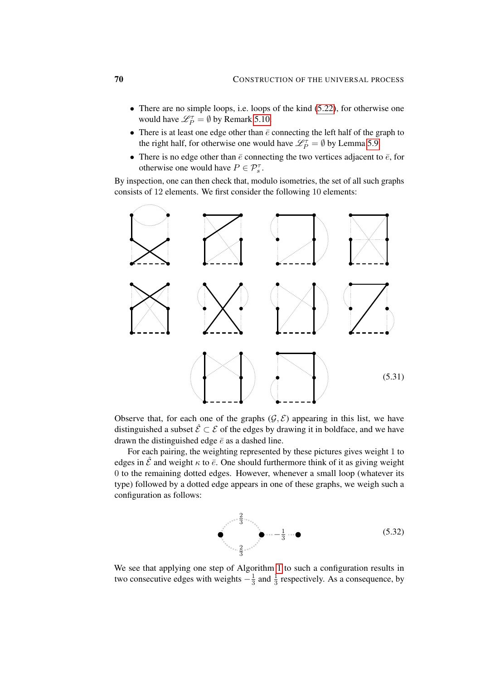- There are no simple loops, i.e. loops of the kind [\(5.22\)](#page-63-2), for otherwise one would have  $\mathscr{L}_P^{\tau} = \emptyset$  by Remark [5.10.](#page-52-2)
- There is at least one edge other than  $\bar{e}$  connecting the left half of the graph to the right half, for otherwise one would have  $\mathscr{L}_P^{\tau} = \emptyset$  by Lemma [5.9.](#page-52-1)
- There is no edge other than  $\bar{e}$  connecting the two vertices adjacent to  $\bar{e}$ , for otherwise one would have  $P \in \mathcal{P}_s^{\tau}$ .

By inspection, one can then check that, modulo isometries, the set of all such graphs consists of 12 elements. We first consider the following 10 elements:



Observe that, for each one of the graphs  $(\mathcal{G}, \mathcal{E})$  appearing in this list, we have distinguished a subset  $\hat{\mathcal{E}} \subset \mathcal{E}$  of the edges by drawing it in boldface, and we have drawn the distinguished edge  $\bar{e}$  as a dashed line.

For each pairing, the weighting represented by these pictures gives weight 1 to edges in  $\hat{\mathcal{E}}$  and weight  $\kappa$  to  $\bar{e}$ . One should furthermore think of it as giving weight 0 to the remaining dotted edges. However, whenever a small loop (whatever its type) followed by a dotted edge appears in one of these graphs, we weigh such a configuration as follows:

$$
\bullet \qquad \bullet \qquad \bullet \qquad \bullet \qquad \bullet \qquad \bullet \qquad \bullet \qquad (5.32)
$$

We see that applying one step of Algorithm [1](#page-63-0) to such a configuration results in two consecutive edges with weights  $-\frac{1}{3}$  $\frac{1}{3}$  and  $\frac{1}{3}$  respectively. As a consequence, by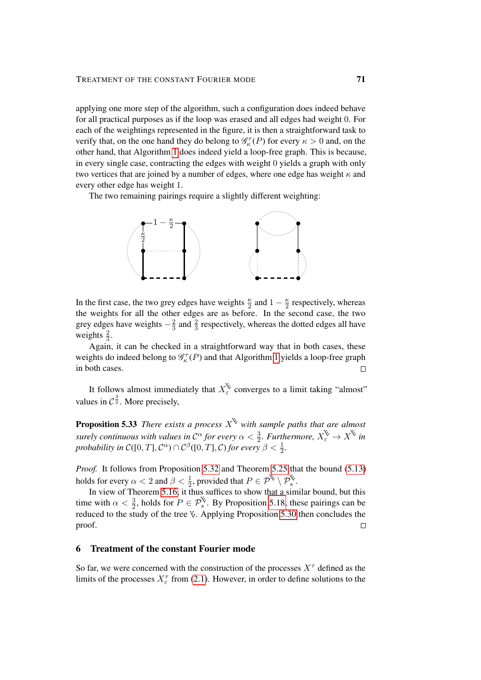applying one more step of the algorithm, such a configuration does indeed behave for all practical purposes as if the loop was erased and all edges had weight 0. For each of the weightings represented in the figure, it is then a straightforward task to verify that, on the one hand they do belong to  $\mathcal{G}_{\kappa}^{\tau}(P)$  for every  $\kappa > 0$  and, on the other hand, that Algorithm [1](#page-63-0) does indeed yield a loop-free graph. This is because, in every single case, contracting the edges with weight 0 yields a graph with only two vertices that are joined by a number of edges, where one edge has weight  $\kappa$  and every other edge has weight 1.

The two remaining pairings require a slightly different weighting:



In the first case, the two grey edges have weights  $\frac{\kappa}{2}$  and  $1 - \frac{\kappa}{2}$  $\frac{\kappa}{2}$  respectively, whereas the weights for all the other edges are as before. In the second case, the two grey edges have weights  $-\frac{2}{3}$  $\frac{2}{3}$  and  $\frac{2}{3}$  respectively, whereas the dotted edges all have weights  $\frac{2}{3}$ .

Again, it can be checked in a straightforward way that in both cases, these weights do indeed belong to  $\mathcal{G}_{\kappa}^{\tau}(P)$  and that Algorithm [1](#page-63-0) yields a loop-free graph in both cases.  $\Box$ 

It follows almost immediately that  $X_{\varepsilon}^{\vee}$  converges to a limit taking "almost" values in  $\mathcal{C}^{\frac{3}{2}}$ . More precisely,

**Proposition 5.33** *There exists a process*  $X^{\vee}$  *with sample paths that are almost surely continuous with values in*  $\mathcal{C}^{\alpha}$  *for every*  $\alpha < \frac{3}{2}$ *. Furthermore,*  $X_{\varepsilon}^{\vee} \to X^{\vee}$  *in probability in*  $C([0,T], \mathcal{C}^{\alpha}) \cap \mathcal{C}^{\beta}([0,T], \mathcal{C})$  *for every*  $\beta < \frac{1}{2}$ *.* 

*Proof.* It follows from Proposition [5.32](#page-68-1) and Theorem [5.25](#page-60-1) that the bound [\(5.13\)](#page-55-0) holds for every  $\alpha < 2$  and  $\beta < \frac{1}{2}$ , provided that  $P \in \mathcal{P}^{\aleph} \setminus \mathcal{P}_{s}^{\aleph}$ .

In view of Theorem [5.16,](#page-55-0) it thus suffices to show that a similar bound, but this time with  $\alpha < \frac{3}{2}$ , holds for  $P \in \mathcal{P}_s^{\mathcal{C}}$ . By Proposition [5.18,](#page-56-0) these pairings can be reduced to the study of the tree  $\vee$ . Applying Proposition [5.30](#page-65-2) then concludes the proof.  $\Box$ 

### 6 Treatment of the constant Fourier mode

So far, we were concerned with the construction of the processes  $X^{\tau}$  defined as the limits of the processes  $X_{\varepsilon}^{\tau}$  from [\(2.1\)](#page-11-0). However, in order to define solutions to the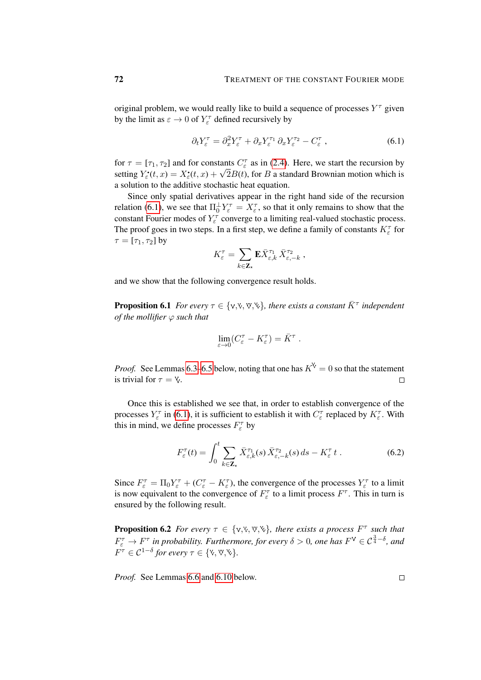original problem, we would really like to build a sequence of processes  $Y^{\tau}$  given by the limit as  $\varepsilon \to 0$  of  $Y_{\varepsilon}^{\tau}$  defined recursively by

<span id="page-71-0"></span>
$$
\partial_t Y_{\varepsilon}^{\tau} = \partial_x^2 Y_{\varepsilon}^{\tau} + \partial_x Y_{\varepsilon}^{\tau_1} \partial_x Y_{\varepsilon}^{\tau_2} - C_{\varepsilon}^{\tau} , \qquad (6.1)
$$

for  $\tau = [\tau_1, \tau_2]$  and for constants  $C_{\varepsilon}^{\tau}$  as in [\(2.4\)](#page-12-0). Here, we start the recursion by setting  $Y_{\varepsilon}^{\bullet}(t, x) = X_{\varepsilon}^{\bullet}(t, x) + \sqrt{2B(t)}$ , for B a standard Brownian motion which is a solution to the additive stochastic heat equation.

Since only spatial derivatives appear in the right hand side of the recursion relation [\(6.1\)](#page-71-0), we see that  $\Pi_0^{\perp} Y_{\varepsilon}^{\tau} = X_{\varepsilon}^{\tau}$ , so that it only remains to show that the constant Fourier modes of  $Y_{\varepsilon}^{\tau}$  converge to a limiting real-valued stochastic process. The proof goes in two steps. In a first step, we define a family of constants  $K_{\varepsilon}^{\tau}$  for  $\tau = [\tau_1, \tau_2]$  by

$$
K^\tau_\varepsilon = \sum_{k\in\mathbf{Z}_\star}\mathbf{E} \bar{X}^{\tau_1}_{\varepsilon,k}\,\bar{X}^{\tau_2}_{\varepsilon,-k}\;,
$$

and we show that the following convergence result holds.

**Proposition 6.1** *For every*  $\tau \in \{v, v, w, w\}$ , there exists a constant  $\overline{K}^{\tau}$  independent *of the mollifier* ϕ *such that*

$$
\lim_{\varepsilon\to 0}(C^\tau_\varepsilon-K^\tau_\varepsilon)=\bar K^\tau
$$

*Proof.* See Lemmas [6.3–](#page-72-0)[6.5](#page-74-0) below, noting that one has  $K^{\vee} = 0$  so that the statement is trivial for  $\tau = \mathcal{V}$ .  $\Box$ 

Once this is established we see that, in order to establish convergence of the processes  $Y_{\varepsilon}^{\tau}$  in [\(6.1\)](#page-71-0), it is sufficient to establish it with  $C_{\varepsilon}^{\tau}$  replaced by  $K_{\varepsilon}^{\tau}$ . With this in mind, we define processes  $F_{\varepsilon}^{\tau}$  by

$$
F_{\varepsilon}^{\tau}(t) = \int_0^t \sum_{k \in \mathbf{Z}_{\star}} \bar{X}_{\varepsilon,k}^{\tau_1}(s) \, \bar{X}_{\varepsilon,-k}^{\tau_2}(s) \, ds - K_{\varepsilon}^{\tau} \, t \,. \tag{6.2}
$$

.

Since  $F_{\varepsilon}^{\tau} = \Pi_0 Y_{\varepsilon}^{\tau} + (C_{\varepsilon}^{\tau} - K_{\varepsilon}^{\tau})$ , the convergence of the processes  $Y_{\varepsilon}^{\tau}$  to a limit is now equivalent to the convergence of  $F_{\varepsilon}^{\tau}$  to a limit process  $F^{\tau}$ . This in turn is ensured by the following result.

**Proposition 6.2** *For every*  $\tau \in \{v, v, w, w\}$ , *there exists a process*  $F^{\tau}$  *such that*  $F_{\varepsilon}^{\tau} \to F^{\tau}$  in probability. Furthermore, for every  $\delta > 0$ , one has  $F^{\vee} \in C^{\frac{3}{4} - \delta}$ , and  $F^{\tau} \in C^{1-\delta}$  for every  $\tau \in \{\mathbf{v}, \mathbf{v}, \mathbf{v}\}.$ 

*Proof.* See Lemmas [6.6](#page-75-0) and [6.10](#page-78-0) below.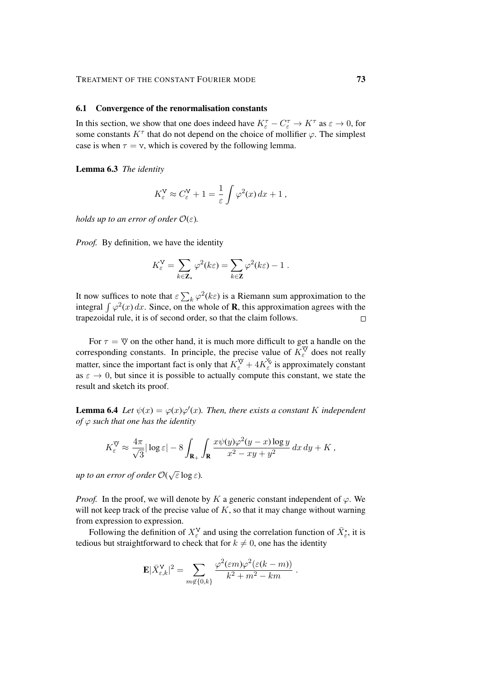### TREATMENT OF THE CONSTANT FOURIER MODE 73

#### 6.1 Convergence of the renormalisation constants

In this section, we show that one does indeed have  $K_{\varepsilon}^{\tau} - C_{\varepsilon}^{\tau} \to K^{\tau}$  as  $\varepsilon \to 0$ , for some constants  $K^{\tau}$  that do not depend on the choice of mollifier  $\varphi$ . The simplest case is when  $\tau = v$ , which is covered by the following lemma.

Lemma 6.3 *The identity*

$$
K_{\varepsilon}^{\mathsf{V}} \approx C_{\varepsilon}^{\mathsf{V}} + 1 = \frac{1}{\varepsilon} \int \varphi^2(x) \, dx + 1 \,,
$$

*holds up to an error of order*  $\mathcal{O}(\varepsilon)$ *.* 

*Proof.* By definition, we have the identity

$$
K_{\varepsilon}^{\mathbf{V}} = \sum_{k \in \mathbf{Z}_{\star}} \varphi^2(k\varepsilon) = \sum_{k \in \mathbf{Z}} \varphi^2(k\varepsilon) - 1.
$$

It now suffices to note that  $\epsilon \sum_k \varphi^2(k\epsilon)$  is a Riemann sum approximation to the integral  $\int \varphi^2(x) dx$ . Since, on the whole of **R**, this approximation agrees with the trapezoidal rule, it is of second order, so that the claim follows.  $\Box$ 

For  $\tau = \mathbf{\mathcal{V}}$  on the other hand, it is much more difficult to get a handle on the corresponding constants. In principle, the precise value of  $K_{\varepsilon}^{\vee}$  does not really matter, since the important fact is only that  $K_{\varepsilon}^{\vee} + 4K_{\varepsilon}^{\vee}$  is approximately constant as  $\varepsilon \to 0$ , but since it is possible to actually compute this constant, we state the result and sketch its proof.

**Lemma 6.4** Let  $\psi(x) = \varphi(x)\varphi'(x)$ . Then, there exists a constant K independent *of* ϕ *such that one has the identity*

$$
K_{\varepsilon}^{\mathbb{V}} \approx \frac{4\pi}{\sqrt{3}}|\log\varepsilon| - 8 \int_{\mathbf{R}_{+}} \int_{\mathbf{R}} \frac{x\psi(y)\varphi^{2}(y-x)\log y}{x^{2}-xy+y^{2}} dx dy + K,
$$

*up to an error of order* O( √ ε log ε)*.*

*Proof.* In the proof, we will denote by K a generic constant independent of  $\varphi$ . We will not keep track of the precise value of  $K$ , so that it may change without warning from expression to expression.

Following the definition of  $X_{\varepsilon}^{\mathsf{V}}$  and using the correlation function of  $\bar{X}_{\varepsilon}^{\bullet}$ , it is tedious but straightforward to check that for  $k \neq 0$ , one has the identity

$$
\mathbf{E}|\bar{X}_{\varepsilon,k}^{\mathbf{V}}|^2 = \sum_{m \notin \{0,k\}} \frac{\varphi^2(\varepsilon m) \varphi^2(\varepsilon (k-m))}{k^2 + m^2 - km}.
$$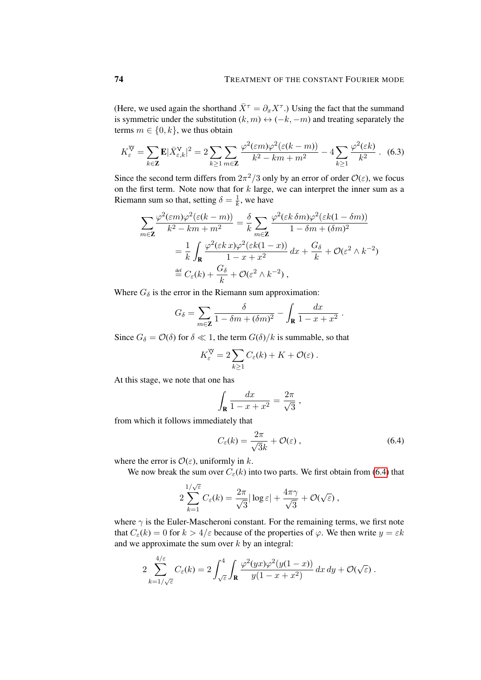(Here, we used again the shorthand  $\bar{X}^{\tau} = \partial_x X^{\tau}$ .) Using the fact that the summand is symmetric under the substitution  $(k, m) \leftrightarrow (-k, -m)$  and treating separately the terms  $m \in \{0, k\}$ , we thus obtain

$$
K_{\varepsilon}^{\mathbb{V}} = \sum_{k \in \mathbb{Z}} \mathbf{E} |\bar{X}_{\varepsilon,k}^{\mathbb{V}}|^2 = 2 \sum_{k \ge 1} \sum_{m \in \mathbb{Z}} \frac{\varphi^2(\varepsilon m) \varphi^2(\varepsilon (k-m))}{k^2 - km + m^2} - 4 \sum_{k \ge 1} \frac{\varphi^2(\varepsilon k)}{k^2}.
$$
 (6.3)

Since the second term differs from  $2\pi^2/3$  only by an error of order  $\mathcal{O}(\varepsilon)$ , we focus on the first term. Note now that for  $k$  large, we can interpret the inner sum as a Riemann sum so that, setting  $\delta = \frac{1}{k}$  $\frac{1}{k}$ , we have

<span id="page-73-1"></span>
$$
\sum_{m\in\mathbf{Z}} \frac{\varphi^2(\varepsilon m)\varphi^2(\varepsilon(k-m))}{k^2 - km + m^2} = \frac{\delta}{k} \sum_{m\in\mathbf{Z}} \frac{\varphi^2(\varepsilon k \,\delta m)\varphi^2(\varepsilon k(1-\delta m))}{1 - \delta m + (\delta m)^2}
$$

$$
= \frac{1}{k} \int_{\mathbf{R}} \frac{\varphi^2(\varepsilon k \,x)\varphi^2(\varepsilon k(1-x))}{1 - x + x^2} \,dx + \frac{G_\delta}{k} + \mathcal{O}(\varepsilon^2 \wedge k^{-2})
$$

$$
\stackrel{\text{def}}{=} C_\varepsilon(k) + \frac{G_\delta}{k} + \mathcal{O}(\varepsilon^2 \wedge k^{-2}),
$$

Where  $G_{\delta}$  is the error in the Riemann sum approximation:

$$
G_{\delta} = \sum_{m \in \mathbf{Z}} \frac{\delta}{1 - \delta m + (\delta m)^2} - \int_{\mathbf{R}} \frac{dx}{1 - x + x^2}.
$$

Since  $G_{\delta} = \mathcal{O}(\delta)$  for  $\delta \ll 1$ , the term  $G(\delta)/k$  is summable, so that

$$
K_{\varepsilon}^{\mathbb{W}} = 2 \sum_{k \geq 1} C_{\varepsilon}(k) + K + \mathcal{O}(\varepsilon).
$$

At this stage, we note that one has

$$
\int_{\mathbf{R}} \frac{dx}{1-x+x^2} = \frac{2\pi}{\sqrt{3}} \ ,
$$

from which it follows immediately that

<span id="page-73-0"></span>
$$
C_{\varepsilon}(k) = \frac{2\pi}{\sqrt{3}k} + \mathcal{O}(\varepsilon) , \qquad (6.4)
$$

where the error is  $\mathcal{O}(\varepsilon)$ , uniformly in k.

4/ε

We now break the sum over  $C_{\varepsilon}(k)$  into two parts. We first obtain from [\(6.4\)](#page-73-0) that

$$
2\sum_{k=1}^{1/\sqrt{\varepsilon}}C_{\varepsilon}(k) = \frac{2\pi}{\sqrt{3}}|\log\varepsilon| + \frac{4\pi\gamma}{\sqrt{3}} + \mathcal{O}(\sqrt{\varepsilon}),
$$

where  $\gamma$  is the Euler-Mascheroni constant. For the remaining terms, we first note that  $C_{\varepsilon}(k) = 0$  for  $k > 4/\varepsilon$  because of the properties of  $\varphi$ . We then write  $y = \varepsilon k$ and we approximate the sum over  $k$  by an integral:

$$
2\sum_{k=1/\sqrt{\varepsilon}}^{4/\varepsilon} C_{\varepsilon}(k) = 2\int_{\sqrt{\varepsilon}}^{4} \int_{\mathbf{R}} \frac{\varphi^2(yx)\varphi^2(y(1-x))}{y(1-x+x^2)} dx dy + \mathcal{O}(\sqrt{\varepsilon}).
$$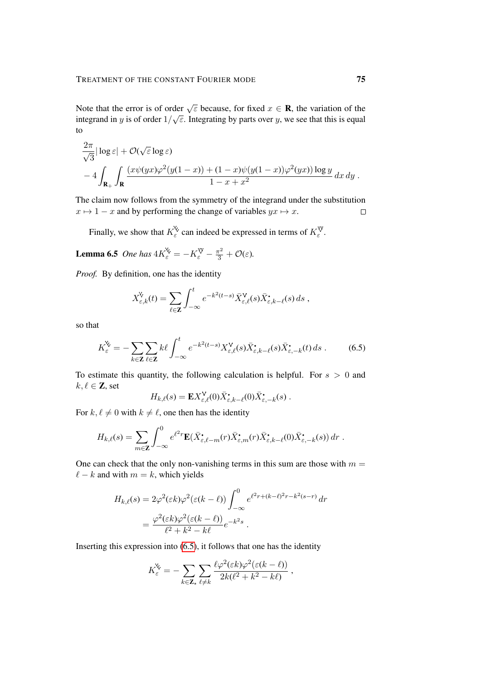Note that the error is of order  $\sqrt{\varepsilon}$  because, for fixed  $x \in \mathbf{R}$ , the variation of the integrand in y is of order  $1/\sqrt{\varepsilon}$ . Integrating by parts over y, we see that this is equal to

$$
\frac{2\pi}{\sqrt{3}}|\log \varepsilon| + \mathcal{O}(\sqrt{\varepsilon}\log \varepsilon)
$$
  
-4
$$
\int_{\mathbf{R}_+} \int_{\mathbf{R}} \frac{(x\psi(yx)\varphi^2(y(1-x)) + (1-x)\psi(y(1-x))\varphi^2(yx))\log y}{1-x+x^2} dx dy.
$$

The claim now follows from the symmetry of the integrand under the substitution  $x \mapsto 1 - x$  and by performing the change of variables  $yx \mapsto x$ .  $\Box$ 

Finally, we show that  $K_{\varepsilon}^{\vee}$  can indeed be expressed in terms of  $K_{\varepsilon}^{\vee}$ .

**Lemma 6.5** One has 
$$
4K_{\varepsilon}^{\vee} = -K_{\varepsilon}^{\vee} - \frac{\pi^2}{3} + \mathcal{O}(\varepsilon)
$$
.

*Proof.* By definition, one has the identity

$$
X_{\varepsilon,k}^{\mathsf{V}}(t) = \sum_{\ell \in \mathbf{Z}} \int_{-\infty}^{t} e^{-k^2(t-s)} \bar{X}_{\varepsilon,\ell}^{\mathsf{V}}(s) \bar{X}_{\varepsilon,k-\ell}^{\bullet}(s) \, ds \;,
$$

so that

$$
K_{\varepsilon}^{\mathbf{V}} = -\sum_{k \in \mathbf{Z}} \sum_{\ell \in \mathbf{Z}} k\ell \int_{-\infty}^{t} e^{-k^{2}(t-s)} X_{\varepsilon,\ell}^{\mathbf{V}}(s) \bar{X}_{\varepsilon,k-\ell}^{\bullet}(s) \bar{X}_{\varepsilon,-k}^{\bullet}(t) ds . \tag{6.5}
$$

To estimate this quantity, the following calculation is helpful. For  $s > 0$  and  $k, \ell \in \mathbb{Z}$ , set

<span id="page-74-0"></span>
$$
H_{k,\ell}(s) = \mathbf{E} X^{\mathsf{V}}_{\varepsilon,\ell}(0) \bar{X}^{\bullet}_{\varepsilon,k-\ell}(0) \bar{X}^{\bullet}_{\varepsilon,-k}(s) .
$$

For  $k, \ell \neq 0$  with  $k \neq \ell$ , one then has the identity

$$
H_{k,\ell}(s) = \sum_{m \in \mathbf{Z}} \int_{-\infty}^0 e^{\ell^2 r} \mathbf{E}(\bar{X}_{\varepsilon,\ell-m}^{\bullet}(r) \bar{X}_{\varepsilon,m}^{\bullet}(r) \bar{X}_{\varepsilon,k-\ell}^{\bullet}(0) \bar{X}_{\varepsilon,-k}^{\bullet}(s)) dr.
$$

One can check that the only non-vanishing terms in this sum are those with  $m =$  $\ell - k$  and with  $m = k$ , which yields

$$
H_{k,\ell}(s) = 2\varphi^2(\varepsilon k)\varphi^2(\varepsilon(k-\ell))\int_{-\infty}^0 e^{\ell^2 r + (k-\ell)^2 r - k^2(s-r)} dr
$$
  
= 
$$
\frac{\varphi^2(\varepsilon k)\varphi^2(\varepsilon(k-\ell))}{\ell^2 + k^2 - k\ell}e^{-k^2 s}.
$$

Inserting this expression into [\(6.5\)](#page-74-0), it follows that one has the identity

$$
K_{\varepsilon}^{\mathbf{X}} = -\sum_{k \in \mathbf{Z}_{\star}} \sum_{\ell \neq k} \frac{\ell \varphi^2(\varepsilon k) \varphi^2(\varepsilon (k - \ell))}{2k(\ell^2 + k^2 - k\ell)},
$$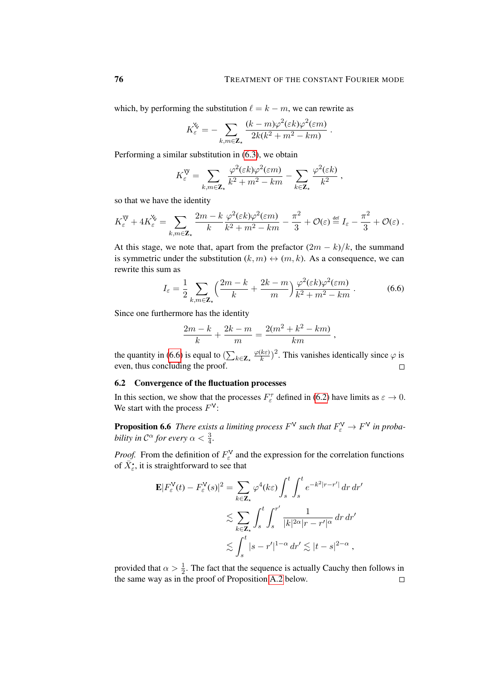<span id="page-75-0"></span>.

which, by performing the substitution  $\ell = k - m$ , we can rewrite as

$$
K_{\varepsilon}^{\mathbf{X}} = -\sum_{k,m \in \mathbf{Z}_{\star}} \frac{(k-m)\varphi^2(\varepsilon k)\varphi^2(\varepsilon m)}{2k(k^2+m^2-km)}
$$

Performing a similar substitution in [\(6.3\)](#page-73-1), we obtain

$$
K_{\varepsilon}^{\mathbb{V}} = \sum_{k,m \in \mathbf{Z}_{\star}} \frac{\varphi^2(\varepsilon k) \varphi^2(\varepsilon m)}{k^2 + m^2 - km} - \sum_{k \in \mathbf{Z}_{\star}} \frac{\varphi^2(\varepsilon k)}{k^2} ,
$$

so that we have the identity

$$
K_{\varepsilon}^{\mathbb{V}} + 4K_{\varepsilon}^{\mathbb{V}} = \sum_{k,m \in \mathbf{Z}_{\star}} \frac{2m - k}{k} \frac{\varphi^2(\varepsilon k) \varphi^2(\varepsilon m)}{k^2 + m^2 - km} - \frac{\pi^2}{3} + \mathcal{O}(\varepsilon) \stackrel{\text{def}}{=} I_{\varepsilon} - \frac{\pi^2}{3} + \mathcal{O}(\varepsilon).
$$

At this stage, we note that, apart from the prefactor  $(2m - k)/k$ , the summand is symmetric under the substitution  $(k, m) \leftrightarrow (m, k)$ . As a consequence, we can rewrite this sum as

$$
I_{\varepsilon} = \frac{1}{2} \sum_{k,m \in \mathbf{Z}_{\star}} \left( \frac{2m - k}{k} + \frac{2k - m}{m} \right) \frac{\varphi^2(\varepsilon k) \varphi^2(\varepsilon m)}{k^2 + m^2 - km} \,. \tag{6.6}
$$

Since one furthermore has the identity

$$
\frac{2m-k}{k} + \frac{2k-m}{m} = \frac{2(m^2 + k^2 - km)}{km},
$$

 $(\frac{k\varepsilon}{k})^2$ . This vanishes identically since  $\varphi$  is  $\varphi(k\varepsilon)$ the quantity in [\(6.6\)](#page-75-0) is equal to  $(\sum_{k \in \mathbb{Z}_{\star}})$ even, thus concluding the proof.  $\Box$ 

## 6.2 Convergence of the fluctuation processes

In this section, we show that the processes  $F_{\varepsilon}^{\tau}$  defined in [\(6.2\)](#page-71-0) have limits as  $\varepsilon \to 0$ . We start with the process  $F^V$ :

**Proposition 6.6** *There exists a limiting process*  $F^V$  *such that*  $F^V_\varepsilon \to F^V$  *in probability in*  $\mathcal{C}^{\alpha}$  for every  $\alpha < \frac{3}{4}$ .

*Proof.* From the definition of  $F_{\varepsilon}^{\vee}$  and the expression for the correlation functions of  $\bar{X}_{\varepsilon}^{\bullet}$ , it is straightforward to see that

$$
\mathbf{E}|F_{\varepsilon}^{V}(t) - F_{\varepsilon}^{V}(s)|^{2} = \sum_{k \in \mathbf{Z}_{\star}} \varphi^{4}(k\varepsilon) \int_{s}^{t} \int_{s}^{t} e^{-k^{2}|r-r'|} dr dr'
$$
  

$$
\lesssim \sum_{k \in \mathbf{Z}_{\star}} \int_{s}^{t} \int_{s}^{r'} \frac{1}{|k|^{2\alpha}|r-r'|^{\alpha}} dr dr'
$$
  

$$
\lesssim \int_{s}^{t} |s-r'|^{1-\alpha} dr' \lesssim |t-s|^{2-\alpha},
$$

provided that  $\alpha > \frac{1}{2}$ . The fact that the sequence is actually Cauchy then follows in the same way as in the proof of Proposition [A.2](#page-92-0) below. $\Box$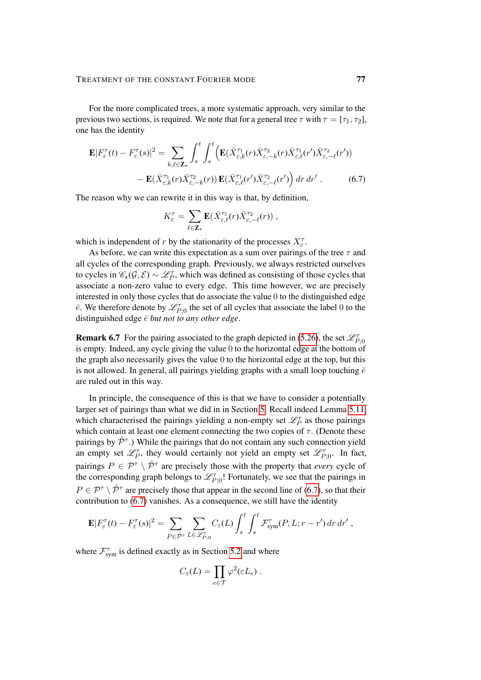For the more complicated trees, a more systematic approach, very similar to the previous two sections, is required. We note that for a general tree  $\tau$  with  $\tau = [\tau_1, \tau_2]$ , one has the identity

$$
\mathbf{E}|F_{\varepsilon}^{\tau}(t) - F_{\varepsilon}^{\tau}(s)|^{2} = \sum_{k,\ell \in \mathbf{Z}_{\star}} \int_{s}^{t} \int_{s}^{t} \left( \mathbf{E}(\bar{X}_{\varepsilon,k}^{\tau_{1}}(r)\bar{X}_{\varepsilon,-k}^{\tau_{2}}(r)\bar{X}_{\varepsilon,\ell}^{\tau_{1}}(r')\bar{X}_{\varepsilon,-\ell}^{\tau_{2}}(r') \right) - \mathbf{E}(\bar{X}_{\varepsilon,k}^{\tau_{1}}(r)\bar{X}_{\varepsilon,-k}^{\tau_{2}}(r)) \mathbf{E}(\bar{X}_{\varepsilon,\ell}^{\tau_{1}}(r')\bar{X}_{\varepsilon,-\ell}^{\tau_{2}}(r') \right) dr dr' . \tag{6.7}
$$

The reason why we can rewrite it in this way is that, by definition,

<span id="page-76-0"></span>
$$
K_{\varepsilon}^{\tau} = \sum_{\ell \in \mathbf{Z}_{\star}} \mathbf{E} (\bar{X}_{\varepsilon,\ell}^{\tau_1}(r) \bar{X}_{\varepsilon,-\ell}^{\tau_2}(r)),
$$

which is independent of r by the stationarity of the processes  $X_{\varepsilon}^{\tau}$ .

As before, we can write this expectation as a sum over pairings of the tree  $\tau$  and all cycles of the corresponding graph. Previously, we always restricted ourselves to cycles in  $\mathscr{C}_*(\mathcal{G}, \mathcal{E}) \sim \mathscr{L}_P^{\tau}$ , which was defined as consisting of those cycles that associate a non-zero value to every edge. This time however, we are precisely interested in only those cycles that do associate the value 0 to the distinguished edge  $\bar{e}$ . We therefore denote by  $\mathcal{L}_{P;0}^{\tau}$  the set of all cycles that associate the label 0 to the distinguished edge  $\bar{e}$  *but not to any other edge.* 

**Remark 6.7** For the pairing associated to the graph depicted in [\(5.26\)](#page-66-0), the set  $\mathcal{L}_{P,0}^{\tau}$ is empty. Indeed, any cycle giving the value 0 to the horizontal edge at the bottom of the graph also necessarily gives the value 0 to the horizontal edge at the top, but this is not allowed. In general, all pairings yielding graphs with a small loop touching  $\bar{e}$ are ruled out in this way.

In principle, the consequence of this is that we have to consider a potentially larger set of pairings than what we did in in Section [5.](#page-45-0) Recall indeed Lemma [5.11,](#page-53-0) which characterised the pairings yielding a non-empty set  $\mathcal{L}_P^{\tau}$  as those pairings which contain at least one element connecting the two copies of  $\tau$ . (Denote these pairings by  $\hat{\mathcal{P}}^{\tau}$ .) While the pairings that do not contain any such connection yield an empty set  $\mathscr{L}_P^{\tau}$ , they would certainly not yield an empty set  $\mathscr{L}_{P;0}^{\tau}$ . In fact, pairings  $P \in \mathcal{P}^{\tau} \setminus \hat{\mathcal{P}}^{\tau}$  are precisely those with the property that *every* cycle of the corresponding graph belongs to  $\mathcal{L}^{\tau}_{P;0}$ ! Fortunately, we see that the pairings in  $P \in \mathcal{P}^{\tau} \setminus \hat{\mathcal{P}}^{\tau}$  are precisely those that appear in the second line of [\(6.7\)](#page-76-0), so that their contribution to [\(6.7\)](#page-76-0) vanishes. As a consequence, we still have the identity

$$
\mathbf{E}|F_{\varepsilon}^{\tau}(t) - F_{\varepsilon}^{\tau}(s)|^{2} = \sum_{P \in \hat{\mathcal{P}}^{\tau}} \sum_{L \in \mathscr{L}_{P,0}^{\tau}} C_{\varepsilon}(L) \int_{s}^{t} \int_{s}^{t} \mathcal{F}_{sym}^{\tau}(P, L; r - r') dr dr',
$$

where  $\mathcal{F}_{sym}^{\tau}$  is defined exactly as in Section [5.2](#page-48-0) and where

$$
C_{\varepsilon}(L) = \prod_{e \in \mathcal{T}} \varphi^2(\varepsilon L_e) .
$$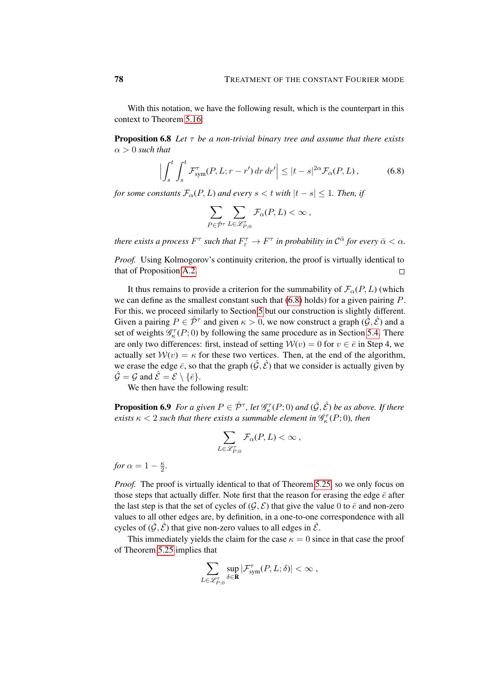With this notation, we have the following result, which is the counterpart in this context to Theorem [5.16:](#page-55-0)

<span id="page-77-1"></span>Proposition 6.8 *Let* τ *be a non-trivial binary tree and assume that there exists*  $\alpha > 0$  *such that* 

$$
\left| \int_{s}^{t} \int_{s}^{t} \mathcal{F}_{sym}^{\tau}(P, L; r - r') dr dr' \right| \leq |t - s|^{2\alpha} \mathcal{F}_{\alpha}(P, L), \tag{6.8}
$$

*for some constants*  $\mathcal{F}_{\alpha}(P, L)$  *and every*  $s < t$  *with*  $|t - s| \leq 1$ *. Then, if* 

<span id="page-77-0"></span>
$$
\sum_{P \in \hat{\mathcal{P}}^{\tau}} \sum_{L \in \mathscr{L}_{P,0}^{\tau}} \mathcal{F}_{\alpha}(P,L) < \infty ,
$$

*there exists a process*  $F^\tau$  *such that*  $F^\tau_\varepsilon \to F^\tau$  *in probability in*  $\mathcal{C}^{\bar \alpha}$  *for every*  $\bar \alpha < \alpha$ *.* 

*Proof.* Using Kolmogorov's continuity criterion, the proof is virtually identical to that of Proposition [A.2.](#page-92-0)  $\Box$ 

It thus remains to provide a criterion for the summability of  $\mathcal{F}_{\alpha}(P, L)$  (which we can define as the smallest constant such that  $(6.8)$  holds) for a given pairing  $P$ . For this, we proceed similarly to Section [5](#page-45-0) but our construction is slightly different. Given a pairing  $P \in \hat{\mathcal{P}}^{\tau}$  and given  $\kappa > 0$ , we now construct a graph  $(\hat{\mathcal{G}}, \hat{\mathcal{E}})$  and a set of weights  $\mathcal{G}_{\kappa}^{\tau}(P;0)$  by following the same procedure as in Section [5.4.](#page-57-0) There are only two differences: first, instead of setting  $\mathcal{W}(v) = 0$  for  $v \in \overline{e}$  in Step 4, we actually set  $W(v) = \kappa$  for these two vertices. Then, at the end of the algorithm, we erase the edge  $\bar{e}$ , so that the graph  $(\hat{G}, \hat{\mathcal{E}})$  that we consider is actually given by  $\hat{\mathcal{G}} = \mathcal{G}$  and  $\hat{\mathcal{E}} = \mathcal{E} \setminus \{\bar{e}\}.$ 

We then have the following result:

<span id="page-77-2"></span>**Proposition 6.9** For a given  $P \in \hat{\mathcal{P}}^{\tau}$ , let  $\mathscr{G}_{\kappa}^{\tau}(P;0)$  and  $(\hat{\mathcal{G}}, \hat{\mathcal{E}})$  be as above. If there *exists*  $\kappa < 2$  *such that there exists a summable element in*  $\mathscr{G}_{\kappa}^{\tau}(P;0)$ *, then* 

$$
\sum_{L\in\mathscr{L}^\tau_{P;0}} \mathcal{F}_\alpha(P,L) < \infty \;,
$$

*for*  $\alpha = 1 - \frac{\kappa}{2}$  $\frac{\kappa}{2}$ .

*Proof.* The proof is virtually identical to that of Theorem [5.25,](#page-60-0) so we only focus on those steps that actually differ. Note first that the reason for erasing the edge  $\bar{e}$  after the last step is that the set of cycles of  $(\mathcal{G}, \mathcal{E})$  that give the value 0 to  $\bar{e}$  and non-zero values to all other edges are, by definition, in a one-to-one correspondence with all cycles of  $(\hat{G}, \hat{\mathcal{E}})$  that give non-zero values to all edges in  $\hat{\mathcal{E}}$ .

This immediately yields the claim for the case  $\kappa = 0$  since in that case the proof of Theorem [5.25](#page-60-0) implies that

$$
\sum_{L\in \mathscr{L}^\tau_{P;0}} \sup_{\delta \in \mathbf{R}} |\mathcal{F}^\tau_{\mathrm{sym}}(P,L;\delta)| < \infty \;,
$$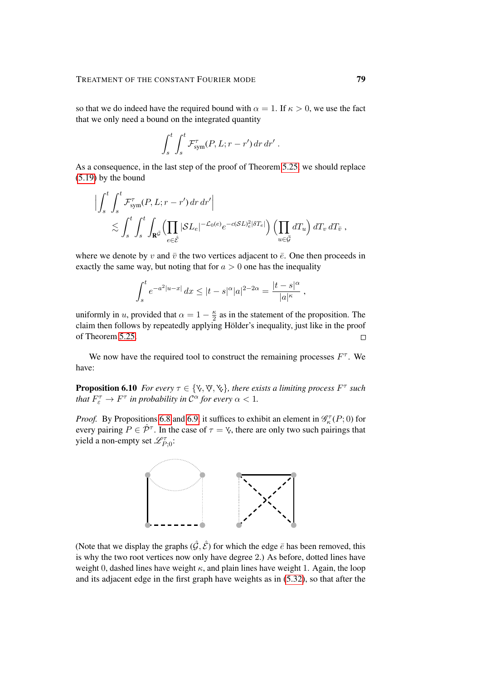so that we do indeed have the required bound with  $\alpha = 1$ . If  $\kappa > 0$ , we use the fact that we only need a bound on the integrated quantity

$$
\int_s^t \int_s^t \mathcal{F}^{\tau}_{sym}(P, L; r - r') dr dr' .
$$

As a consequence, in the last step of the proof of Theorem [5.25,](#page-60-0) we should replace [\(5.19\)](#page-62-0) by the bound

$$
\left| \int_{s}^{t} \int_{s}^{t} \mathcal{F}_{sym}^{\tau}(P, L; r - r') dr dr' \right|
$$
  
\$\lesssim \int\_{s}^{t} \int\_{s}^{t} \int\_{\mathbf{R}^{\bar{\mathcal{G}}}} \left( \prod\_{e \in \hat{\mathcal{E}}} |\mathcal{S}L\_{e}|^{-\mathcal{L}\_{0}(e)} e^{-c(\mathcal{S}L)\_{e}^{2} |\mathcal{S}T\_{e}|} \right) \left( \prod\_{u \in \bar{\mathcal{G}}} dT\_{u} \right) dT\_{v} dT\_{\bar{v}} ,

where we denote by v and  $\bar{v}$  the two vertices adjacent to  $\bar{e}$ . One then proceeds in exactly the same way, but noting that for  $a > 0$  one has the inequality

$$
\int_{s}^{t} e^{-a^{2}|u-x|} dx \leq |t-s|^{\alpha}|a|^{2-2\alpha} = \frac{|t-s|^{\alpha}}{|a|^{\kappa}},
$$

uniformly in u, provided that  $\alpha = 1 - \frac{\kappa}{2}$  $\frac{\kappa}{2}$  as in the statement of the proposition. The claim then follows by repeatedly applying Hölder's inequality, just like in the proof of Theorem [5.25.](#page-60-0)  $\Box$ 

We now have the required tool to construct the remaining processes  $F^{\tau}$ . We have:

**Proposition 6.10** *For every*  $\tau \in \{Y, Y, Y\}$ , *there exists a limiting process*  $F^{\tau}$  *such that*  $F_{\varepsilon}^{\tau} \to F^{\tau}$  *in probability in*  $\mathcal{C}^{\alpha}$  *for every*  $\alpha < 1$ *.* 

*Proof.* By Propositions [6.8](#page-77-1) and [6.9,](#page-77-2) it suffices to exhibit an element in  $\mathcal{G}_{\kappa}^{\tau}(P;0)$  for every pairing  $P \in \hat{\mathcal{P}}^{\tau}$ . In the case of  $\tau = \forall$ , there are only two such pairings that yield a non-empty set  $\mathscr{L}^{\tau}_{P;0}$ :



(Note that we display the graphs  $(\hat{G}, \hat{\mathcal{E}})$  for which the edge  $\bar{e}$  has been removed, this is why the two root vertices now only have degree 2.) As before, dotted lines have weight 0, dashed lines have weight  $\kappa$ , and plain lines have weight 1. Again, the loop and its adjacent edge in the first graph have weights as in [\(5.32\)](#page-69-0), so that after the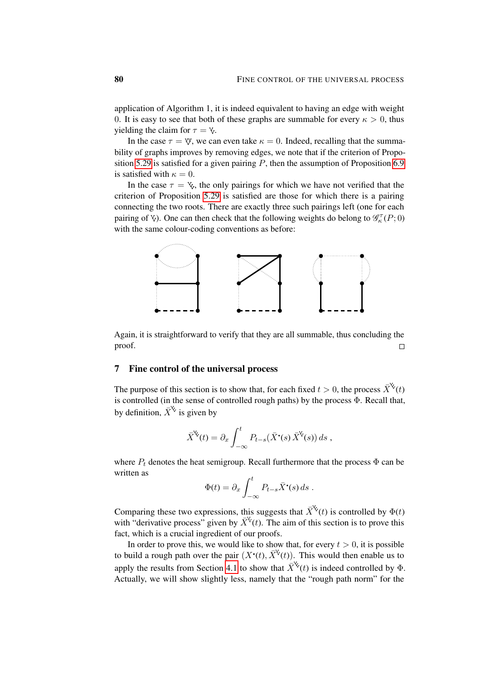application of Algorithm 1, it is indeed equivalent to having an edge with weight 0. It is easy to see that both of these graphs are summable for every  $\kappa > 0$ , thus yielding the claim for  $\tau = \gamma$ .

In the case  $\tau = \nabla$ , we can even take  $\kappa = 0$ . Indeed, recalling that the summability of graphs improves by removing edges, we note that if the criterion of Propo-sition [5.29](#page-65-0) is satisfied for a given pairing  $P$ , then the assumption of Proposition [6.9](#page-77-2) is satisfied with  $\kappa = 0$ .

In the case  $\tau = \mathcal{L}$ , the only pairings for which we have not verified that the criterion of Proposition [5.29](#page-65-0) is satisfied are those for which there is a pairing connecting the two roots. There are exactly three such pairings left (one for each pairing of  $\forall$ ). One can then check that the following weights do belong to  $\mathcal{G}_{\kappa}^{\tau}(P;0)$ with the same colour-coding conventions as before:



Again, it is straightforward to verify that they are all summable, thus concluding the proof.  $\Box$ 

## 7 Fine control of the universal process

The purpose of this section is to show that, for each fixed  $t > 0$ , the process  $\overline{X}^{\mathcal{K}}(t)$ is controlled (in the sense of controlled rough paths) by the process Φ. Recall that, by definition,  $\bar{X}^{\mathcal{K}}$  is given by

$$
\bar{X}^{\mathsf{V}}(t) = \partial_x \int_{-\infty}^t P_{t-s}(\bar{X}^{\bullet}(s) \bar{X}^{\mathsf{V}}(s)) ds ,
$$

where  $P_t$  denotes the heat semigroup. Recall furthermore that the process  $\Phi$  can be written as

$$
\Phi(t) = \partial_x \int_{-\infty}^t P_{t-s} \bar{X}^{\bullet}(s) ds .
$$

Comparing these two expressions, this suggests that  $\overline{X}^{\mathsf{K}}(t)$  is controlled by  $\Phi(t)$ with "derivative process" given by  $\bar{X}^{\vee}(t)$ . The aim of this section is to prove this fact, which is a crucial ingredient of our proofs.

In order to prove this, we would like to show that, for every  $t > 0$ , it is possible to build a rough path over the pair  $(X^{\bullet}(t), \bar{X}^{\vee}(t))$ . This would then enable us to apply the results from Section [4.1](#page-34-0) to show that  $\overline{X}^{\mathcal{K}}(t)$  is indeed controlled by  $\Phi$ . Actually, we will show slightly less, namely that the "rough path norm" for the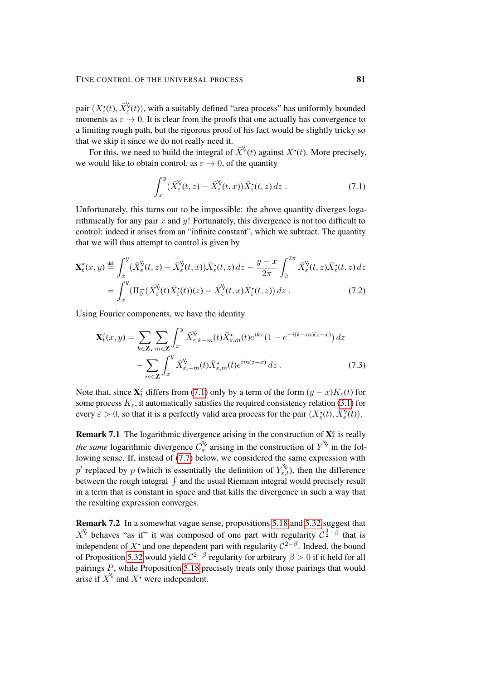pair  $(X_{\varepsilon}^{\bullet}(t), \bar{X}_{\varepsilon}^{\circ}(t))$ , with a suitably defined "area process" has uniformly bounded moments as  $\varepsilon \to 0$ . It is clear from the proofs that one actually has convergence to a limiting rough path, but the rigorous proof of his fact would be slightly tricky so that we skip it since we do not really need it.

For this, we need to build the integral of  $\bar{X}^{\vee}(t)$  against  $X^{\bullet}(t)$ . More precisely, we would like to obtain control, as  $\varepsilon \to 0$ , of the quantity

<span id="page-80-1"></span><span id="page-80-0"></span>
$$
\int_{x}^{y} (\bar{X}_{\varepsilon}^{\mathsf{V}}(t,z) - \bar{X}_{\varepsilon}^{\mathsf{V}}(t,x)) \bar{X}_{\varepsilon}^{\bullet}(t,z) dz . \tag{7.1}
$$

Unfortunately, this turns out to be impossible: the above quantity diverges logarithmically for any pair  $x$  and  $y$ ! Fortunately, this divergence is not too difficult to control: indeed it arises from an "infinite constant", which we subtract. The quantity that we will thus attempt to control is given by

$$
\mathbf{X}_{t}^{\varepsilon}(x,y) \stackrel{\text{def}}{=} \int_{x}^{y} (\bar{X}_{\varepsilon}^{\mathsf{V}}(t,z) - \bar{X}_{\varepsilon}^{\mathsf{V}}(t,x)) \bar{X}_{\varepsilon}^{\bullet}(t,z) dz - \frac{y-x}{2\pi} \int_{0}^{2\pi} \bar{X}_{\varepsilon}^{\mathsf{V}}(t,z) \bar{X}_{\varepsilon}^{\bullet}(t,z) dz = \int_{x}^{y} (\Pi_{0}^{\perp}(\bar{X}_{\varepsilon}^{\mathsf{V}}(t)\bar{X}_{\varepsilon}^{\bullet}(t))(z) - \bar{X}_{\varepsilon}^{\mathsf{V}}(t,x) \bar{X}_{\varepsilon}^{\bullet}(t,z)) dz .
$$
 (7.2)

Using Fourier components, we have the identity

<span id="page-80-2"></span>
$$
\mathbf{X}_{t}^{\varepsilon}(x,y) = \sum_{k \in \mathbf{Z}_{\star}} \sum_{m \in \mathbf{Z}} \int_{x}^{y} \bar{X}_{\varepsilon,k-m}^{\vee}(t) \bar{X}_{\varepsilon,m}^{\bullet}(t) e^{ikz} (1 - e^{-i(k-m)(z-x)}) dz - \sum_{m \in \mathbf{Z}} \int_{x}^{y} \bar{X}_{\varepsilon,-m}^{\vee}(t) \bar{X}_{\varepsilon,m}^{\bullet}(t) e^{im(z-x)} dz .
$$
 (7.3)

Note that, since  $X_t^{\varepsilon}$  differs from [\(7.1\)](#page-80-0) only by a term of the form  $(y - x)K_{\varepsilon}(t)$  for some process  $K_{\varepsilon}$ , it automatically satisfies the required consistency relation [\(3.1\)](#page-26-0) for every  $\varepsilon > 0$ , so that it is a perfectly valid area process for the pair  $(X_{\varepsilon}^{\bullet}(t), \bar{X}_{\varepsilon}^{\vee}(t))$ .

**Remark 7.1** The logarithmic divergence arising in the construction of  $\mathbf{X}_t^{\varepsilon}$  is really *the same* logarithmic divergence  $C_{\varepsilon}^{\vee}$  arising in the construction of  $Y^{\vee}$  in the following sense. If, instead of [\(7.7\)](#page-81-0) below, we considered the same expression with p' replaced by p (which is essentially the definition of  $Y_{\varepsilon,t}^{\mathbf{v}}$ ), then the difference between the rough integral  $\int$  and the usual Riemann integral would precisely result in a term that is constant in space and that kills the divergence in such a way that the resulting expression converges.

Remark 7.2 In a somewhat vague sense, propositions [5.18](#page-56-0) and [5.32](#page-68-0) suggest that  $X^{\vee}$  behaves "as if" it was composed of one part with regularity  $C^{\frac{3}{2}-\beta}$  that is independent of X<sup>•</sup> and one dependent part with regularity  $C^{2-\beta}$ . Indeed, the bound of Proposition [5.32](#page-68-0) would yield  $C^{2-\beta}$  regularity for arbitrary  $\beta > 0$  if it held for all pairings P, while Proposition [5.18](#page-56-0) precisely treats only those pairings that would arise if  $X^{\vee}$  and  $X^{\bullet}$  were independent.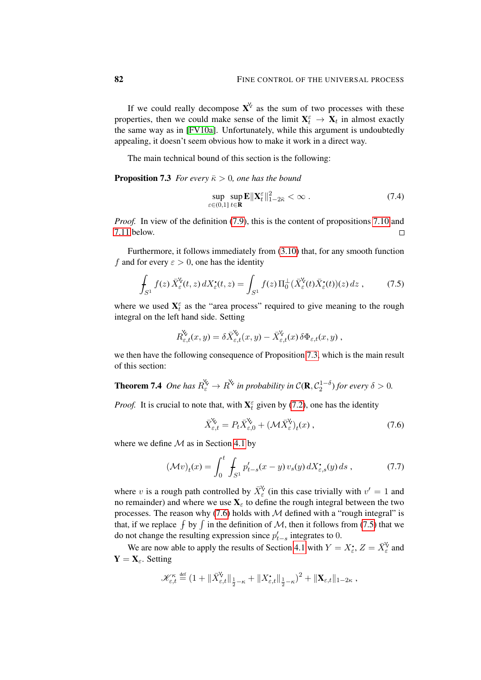If we could really decompose  $X^{\vee}$  as the sum of two processes with these properties, then we could make sense of the limit  $X_t^{\varepsilon} \to X_t$  in almost exactly the same way as in [\[FV10a\]](#page-100-0). Unfortunately, while this argument is undoubtedly appealing, it doesn't seem obvious how to make it work in a direct way.

The main technical bound of this section is the following:

**Proposition 7.3** *For every*  $\bar{\kappa} > 0$ *, one has the bound* 

<span id="page-81-4"></span><span id="page-81-3"></span><span id="page-81-1"></span>
$$
\sup_{\varepsilon \in (0,1]} \sup_{t \in \mathbf{R}} \mathbf{E} \|\mathbf{X}_t^{\varepsilon}\|_{1-2\bar{\kappa}}^2 < \infty \tag{7.4}
$$

*Proof.* In view of the definition [\(7.9\)](#page-82-0), this is the content of propositions [7.10](#page-88-0) and [7.11](#page-89-0) below.  $\Box$ 

Furthermore, it follows immediately from [\(3.10\)](#page-29-0) that, for any smooth function f and for every  $\varepsilon > 0$ , one has the identity

$$
\int_{S^1} f(z) \,\bar{X}^{\mathsf{V}}_{\varepsilon}(t,z) \,dX^{\bullet}_{\varepsilon}(t,z) = \int_{S^1} f(z) \,\Pi_0^{\perp}(\bar{X}^{\mathsf{V}}_{\varepsilon}(t)\bar{X}^{\bullet}_{\varepsilon}(t))(z) \,dz \;, \tag{7.5}
$$

where we used  $X_t^{\varepsilon}$  as the "area process" required to give meaning to the rough integral on the left hand side. Setting

$$
R_{\varepsilon,t}^{\mathsf{V}}(x,y) = \delta \bar{X}_{\varepsilon,t}^{\mathsf{V}}(x,y) - \bar{X}_{\varepsilon,t}^{\mathsf{V}}(x)\,\delta \Phi_{\varepsilon,t}(x,y)\,,
$$

we then have the following consequence of Proposition [7.3,](#page-81-1) which is the main result of this section:

**Theorem 7.4** One has 
$$
R_{\varepsilon}^{\chi} \to R^{\chi}
$$
 in probability in  $C(\mathbf{R}, C_2^{1-\delta})$  for every  $\delta > 0$ .

*Proof.* It is crucial to note that, with  $X_t^{\varepsilon}$  given by [\(7.2\)](#page-80-1), one has the identity

<span id="page-81-2"></span><span id="page-81-0"></span>
$$
\bar{X}_{\varepsilon,t}^{\mathsf{V}} = P_t \bar{X}_{\varepsilon,0}^{\mathsf{V}} + (\mathcal{M}\bar{X}_{\varepsilon}^{\mathsf{V}})_t(x) , \qquad (7.6)
$$

where we define  $\mathcal M$  as in Section [4.1](#page-34-0) by

$$
(\mathcal{M}v)_t(x) = \int_0^t \int_{S^1} p'_{t-s}(x-y) \, v_s(y) \, dX^{\bullet}_{\varepsilon,s}(y) \, ds \,, \tag{7.7}
$$

where v is a rough path controlled by  $\bar{X}_{\varepsilon}^{\vee}$  (in this case trivially with  $v' = 1$  and no remainder) and where we use  $X_\epsilon$  to define the rough integral between the two processes. The reason why  $(7.6)$  holds with  $M$  defined with a "rough integral" is that, if we replace  $\int$  by  $\int$  in the definition of M, then it follows from [\(7.5\)](#page-81-3) that we do not change the resulting expression since  $p'_{t-s}$  integrates to 0.

We are now able to apply the results of Section [4.1](#page-34-0) with  $Y = X_{\varepsilon}^{\bullet}$ ,  $Z = \overline{X}_{\varepsilon}^{\vee}$  and  $Y = X_{\varepsilon}$ . Setting

$$
\mathscr{K}_{\varepsilon,t}^\kappa \stackrel{\text{\tiny def}}{=} \left(1 + \|\bar{X}_{\varepsilon,t}^\forall\|_{\frac{1}{2}-\kappa} + \|X_{\varepsilon,t}^\bullet\|_{\frac{1}{2}-\kappa}\right)^2 + \|\mathbf{X}_{\varepsilon,t}\|_{1-2\kappa},
$$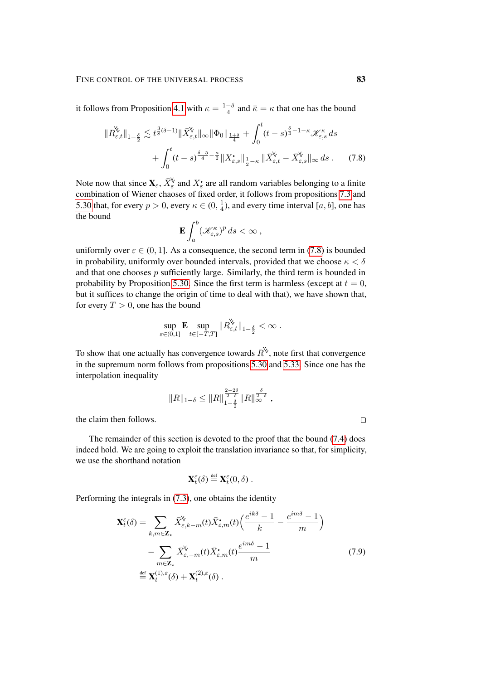it follows from Proposition [4.1](#page-34-1) with  $\kappa = \frac{1-\delta}{4}$  $\frac{-\delta}{4}$  and  $\bar{\kappa} = \kappa$  that one has the bound

$$
\|R^{\circ}_{\varepsilon,t}\|_{1-\frac{\delta}{2}} \lesssim t^{\frac{3}{8}(\delta-1)} \|\bar{X}^{\circ}_{\varepsilon,t}\|_{\infty} \|\Phi_0\|_{\frac{1+\delta}{4}} + \int_0^t (t-s)^{\frac{\delta}{4}-1-\kappa} \mathcal{K}^{\kappa}_{\varepsilon,s} ds + \int_0^t (t-s)^{\frac{\delta-5}{4}-\frac{\kappa}{2}} \|X^{\bullet}_{\varepsilon,s}\|_{\frac{1}{2}-\kappa} \|\bar{X}^{\circ}_{\varepsilon,t} - \bar{X}^{\circ}_{\varepsilon,s}\|_{\infty} ds . \tag{7.8}
$$

Note now that since  $\mathbf{X}_{\varepsilon}$ ,  $\bar{X}_{\varepsilon}^{\vee}$  and  $X_{\varepsilon}$  are all random variables belonging to a finite combination of Wiener chaoses of fixed order, it follows from propositions [7.3](#page-81-1) and [5.30](#page-65-1) that, for every  $p > 0$ , every  $\kappa \in (0, \frac{1}{4})$  $\frac{1}{4}$ ), and every time interval [a, b], one has the bound

<span id="page-82-1"></span>
$$
\mathbf{E}\int_a^b \left(\mathcal{K}_{\varepsilon,s}^\kappa\right)^p ds < \infty \;,
$$

uniformly over  $\varepsilon \in (0, 1]$ . As a consequence, the second term in [\(7.8\)](#page-82-1) is bounded in probability, uniformly over bounded intervals, provided that we choose  $\kappa < \delta$ and that one chooses  $p$  sufficiently large. Similarly, the third term is bounded in probability by Proposition [5.30.](#page-65-1) Since the first term is harmless (except at  $t = 0$ , but it suffices to change the origin of time to deal with that), we have shown that, for every  $T > 0$ , one has the bound

$$
\sup_{\varepsilon\in(0,1]} \mathbf{E} \sup_{t\in[-T,T]} \|R^{\mathsf{V}}_{\varepsilon,t}\|_{1-\frac{\delta}{2}} < \infty.
$$

 $\ddot{\phantom{a}}$ 

To show that one actually has convergence towards  $R^{\mathcal{V}}$ , note first that convergence in the supremum norm follows from propositions [5.30](#page-65-1) and [5.33.](#page-70-0) Since one has the interpolation inequality

$$
||R||_{1-\delta} \leq ||R||_{1-\frac{\delta}{2}}^{\frac{2-2\delta}{2-\delta}} ||R||_{\infty}^{\frac{\delta}{2-\delta}},
$$

the claim then follows.

The remainder of this section is devoted to the proof that the bound [\(7.4\)](#page-81-4) does indeed hold. We are going to exploit the translation invariance so that, for simplicity, we use the shorthand notation

$$
\mathbf{X}_{t}^{\varepsilon}(\delta) \stackrel{\text{def}}{=} \mathbf{X}_{t}^{\varepsilon}(0,\delta) .
$$

Performing the integrals in [\(7.3\)](#page-80-2), one obtains the identity

$$
\mathbf{X}_{t}^{\varepsilon}(\delta) = \sum_{k,m \in \mathbf{Z}_{\star}} \bar{X}_{\varepsilon,k-m}^{\vee}(t) \bar{X}_{\varepsilon,m}^{\bullet}(t) \left( \frac{e^{ik\delta} - 1}{k} - \frac{e^{im\delta} - 1}{m} \right)
$$

$$
- \sum_{m \in \mathbf{Z}_{\star}} \bar{X}_{\varepsilon,-m}^{\vee}(t) \bar{X}_{\varepsilon,m}^{\bullet}(t) \frac{e^{im\delta} - 1}{m}
$$

$$
\stackrel{\text{def}}{=} \mathbf{X}_{t}^{(1),\varepsilon}(\delta) + \mathbf{X}_{t}^{(2),\varepsilon}(\delta) .
$$
(7.9)

<span id="page-82-0"></span> $\Box$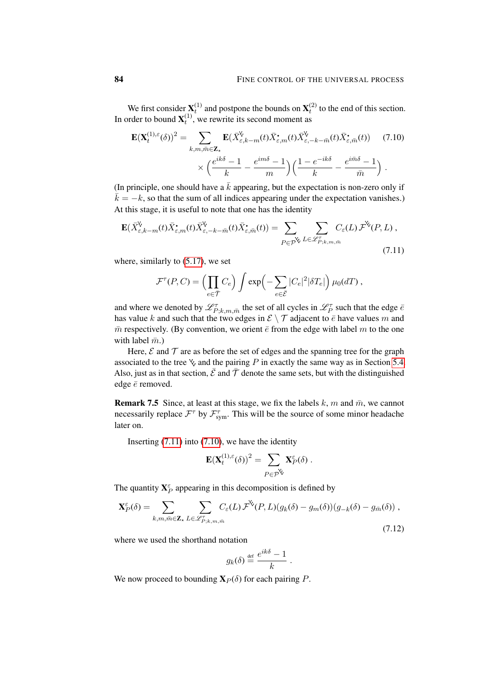We first consider  $X_t^{(1)}$  and postpone the bounds on  $X_t^{(2)}$  to the end of this section. In order to bound  $\mathbf{X}_{t}^{(1)}$ , we rewrite its second moment as

<span id="page-83-1"></span>
$$
\mathbf{E}(\mathbf{X}_{t}^{(1),\varepsilon}(\delta))^{2} = \sum_{k,m,\bar{m}\in\mathbf{Z}_{\star}} \mathbf{E}(\bar{X}_{\varepsilon,k-m}^{\mathbf{V}}(t)\bar{X}_{\varepsilon,m}^{\star}(t)\bar{X}_{\varepsilon,-k-\bar{m}}^{\mathbf{V}}(t)\bar{X}_{\varepsilon,\bar{m}}^{\star}(t)) \qquad (7.10)
$$

$$
\times \left(\frac{e^{ik\delta}-1}{k} - \frac{e^{im\delta}-1}{m}\right) \left(\frac{1-e^{-ik\delta}}{k} - \frac{e^{i\bar{m}\delta}-1}{\bar{m}}\right).
$$

(In principle, one should have a  $\bar{k}$  appearing, but the expectation is non-zero only if  $\bar{k} = -k$ , so that the sum of all indices appearing under the expectation vanishes.) At this stage, it is useful to note that one has the identity

$$
\mathbf{E}(\bar{X}_{\varepsilon,k-m}^{\mathbf{V}}(t)\bar{X}_{\varepsilon,m}^{\bullet}(t))\bar{X}_{\varepsilon,-k-\bar{m}}^{\mathbf{V}}(t)\bar{X}_{\varepsilon,\bar{m}}^{\bullet}(t)) = \sum_{P\in\mathcal{P}^{\mathbf{V}}} \sum_{L\in\mathscr{L}_{P;k,m,\bar{m}}^{\bar{r}}} C_{\varepsilon}(L)\bar{\mathcal{F}}^{\mathbf{V}}(P,L),
$$
\n(7.11)

where, similarly to [\(5.17\)](#page-61-0), we set

<span id="page-83-0"></span>
$$
\mathcal{F}^{\tau}(P,C) = \left(\prod_{e \in \overline{\mathcal{T}}} C_e\right) \int \exp\left(-\sum_{e \in \overline{\mathcal{E}}} |C_e|^2 |\delta T_e|\right) \mu_0(dT),
$$

and where we denoted by  $\mathscr{L}^\tau_{P;k,m,\bar{m}}$  the set of all cycles in  $\mathscr{L}^\tau_P$  such that the edge  $\bar{e}$ has value k and such that the two edges in  $\mathcal{E} \setminus \mathcal{T}$  adjacent to  $\bar{e}$  have values m and  $\bar{m}$  respectively. (By convention, we orient  $\bar{e}$  from the edge with label m to the one with label  $\bar{m}$ .)

Here,  $\mathcal E$  and  $\mathcal T$  are as before the set of edges and the spanning tree for the graph associated to the tree  $\&$  and the pairing P in exactly the same way as in Section [5.4.](#page-57-0) Also, just as in that section,  $\bar{\mathcal{E}}$  and  $\bar{\mathcal{T}}$  denote the same sets, but with the distinguished edge  $\bar{e}$  removed.

**Remark 7.5** Since, at least at this stage, we fix the labels k, m and  $\bar{m}$ , we cannot necessarily replace  $\mathcal{F}^{\tau}$  by  $\mathcal{F}_{sym}^{\tau}$ . This will be the source of some minor headache later on.

Inserting  $(7.11)$  into  $(7.10)$ , we have the identity

$$
\mathbf{E}(\mathbf{X}_t^{(1),\varepsilon}(\delta))^2 = \sum_{P \in \mathcal{P}^{\mathsf{V}}} \mathbf{X}_P^{\varepsilon}(\delta).
$$

The quantity  $X_P^{\varepsilon}$  appearing in this decomposition is defined by

$$
\mathbf{X}_{P}^{\varepsilon}(\delta) = \sum_{k,m,\bar{m}\in\mathbf{Z}_{\star}} \sum_{L\in\mathscr{L}_{P;k,m,\bar{m}}^{\tau}} C_{\varepsilon}(L) \mathcal{F}^{\mathbf{X}}(P,L)(g_{k}(\delta) - g_{m}(\delta))(g_{-k}(\delta) - g_{\bar{m}}(\delta)),
$$
\n(7.12)

where we used the shorthand notation

<span id="page-83-2"></span>
$$
g_k(\delta) \stackrel{\text{def}}{=} \frac{e^{ik\delta} - 1}{k} .
$$

<span id="page-83-3"></span>We now proceed to bounding  $\mathbf{X}_P(\delta)$  for each pairing P.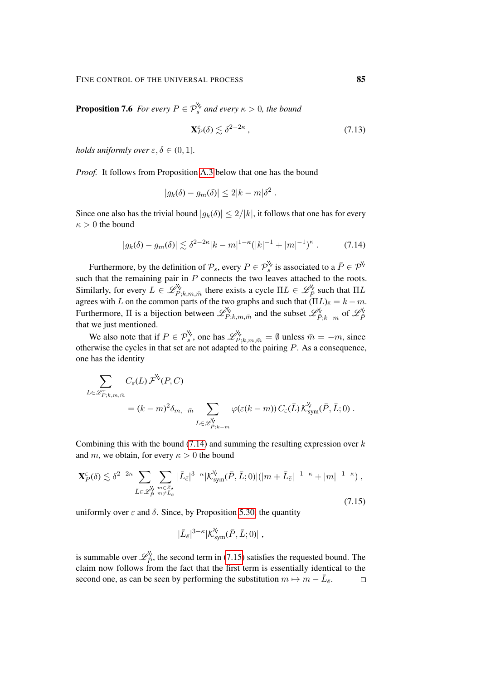**Proposition 7.6** *For every*  $P \in \mathcal{P}_s^{\mathsf{X}}$  *and every*  $\kappa > 0$ *, the bound* 

<span id="page-84-2"></span>
$$
\mathbf{X}_P^{\varepsilon}(\delta) \lesssim \delta^{2-2\kappa} \,, \tag{7.13}
$$

*holds uniformly over*  $\varepsilon, \delta \in (0, 1]$ *.* 

*Proof.* It follows from Proposition [A.3](#page-94-0) below that one has the bound

<span id="page-84-0"></span>
$$
|g_k(\delta) - g_m(\delta)| \le 2|k - m|\delta^2.
$$

Since one also has the trivial bound  $|g_k(\delta)| \leq 2/|k|$ , it follows that one has for every  $\kappa > 0$  the bound

$$
|g_k(\delta) - g_m(\delta)| \lesssim \delta^{2-2\kappa} |k - m|^{1-\kappa} (|k|^{-1} + |m|^{-1})^{\kappa} . \tag{7.14}
$$

Furthermore, by the definition of  $\mathcal{P}_s$ , every  $P \in \mathcal{P}_s^{\mathcal{S}}$  is associated to a  $\bar{P} \in \mathcal{P}_s$ such that the remaining pair in  $P$  connects the two leaves attached to the roots. Similarly, for every  $L \in \mathscr{L}_{P;k,m,\bar{m}}^{\vee}$  there exists a cycle  $\Pi L \in \mathscr{L}_{\bar{P}}^{\vee}$  such that  $\Pi L$ agrees with L on the common parts of the two graphs and such that  $(\Pi L)_{\bar{e}} = k - m$ . Furthermore,  $\Pi$  is a bijection between  $\mathscr{L}_{P;k,m,\bar{m}}^{\vee}$  and the subset  $\mathscr{L}_{\bar{P};k-m}^{\vee}$  of  $\mathscr{L}_{\bar{P}}^{\vee}$ that we just mentioned.

We also note that if  $P \in \mathcal{P}_s^{\vee}$ , one has  $\mathscr{L}_{P;k,m,\bar{m}}^{\vee} = \emptyset$  unless  $\bar{m} = -m$ , since otherwise the cycles in that set are not adapted to the pairing  $P$ . As a consequence, one has the identity

$$
\sum_{L \in \mathscr{L}_{P;k,m,\bar{m}}^{\tau}} C_{\varepsilon}(L) \mathcal{F}^{\mathsf{X}}(P,C)
$$
\n
$$
= (k - m)^2 \delta_{m,-\bar{m}} \sum_{\bar{L} \in \mathscr{L}_{P;k-m}^{\mathsf{Y}}} \varphi(\varepsilon(k - m)) C_{\varepsilon}(\bar{L}) \mathcal{K}_{sym}^{\mathsf{Y}}(\bar{P}, \bar{L}; 0).
$$

Combining this with the bound  $(7.14)$  and summing the resulting expression over k and m, we obtain, for every  $\kappa > 0$  the bound

$$
\mathbf{X}_{P}^{\varepsilon}(\delta) \lesssim \delta^{2-2\kappa} \sum_{\bar{L}\in\mathscr{L}_{\bar{P}}^{\vee}} \sum_{m\in\mathbb{Z}_{\bar{\kappa}} \atop m\neq\bar{L}_{\bar{\epsilon}}}\left|\bar{L}_{\bar{\epsilon}}\right|^{3-\kappa} |\mathcal{K}_{sym}^{\vee}(\bar{P},\bar{L};0)|(|m+\bar{L}_{\bar{\epsilon}}|^{-1-\kappa}+|m|^{-1-\kappa}),\tag{7.15}
$$

uniformly over  $\varepsilon$  and  $\delta$ . Since, by Proposition [5.30,](#page-65-1) the quantity

<span id="page-84-1"></span>
$$
|\bar{L}_{\bar{e}}|^{3-\kappa}|\mathcal{K}_{sym}^{\mathsf{V}}(\bar{P},\bar{L};0)|\ ,
$$

is summable over  $\mathcal{L}_{\bar{P}}^{\vee}$ , the second term in [\(7.15\)](#page-84-1) satisfies the requested bound. The claim now follows from the fact that the first term is essentially identical to the second one, as can be seen by performing the substitution  $m \mapsto m - \overline{L}_{\overline{e}}$ .  $\Box$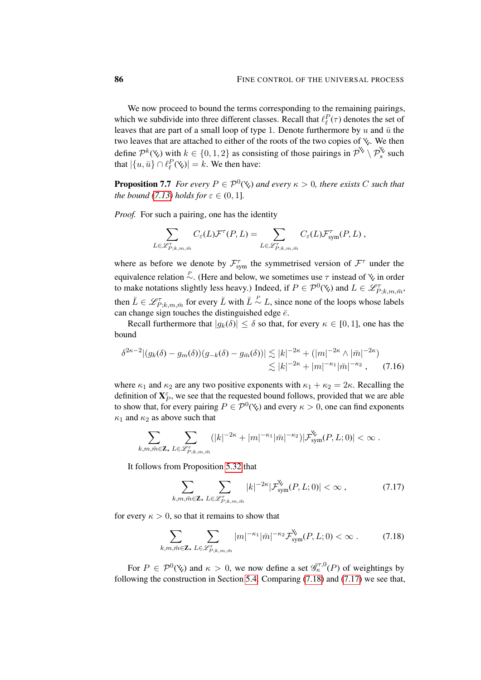We now proceed to bound the terms corresponding to the remaining pairings, which we subdivide into three different classes. Recall that  $\ell_{\ell}^{P}(\tau)$  denotes the set of leaves that are part of a small loop of type 1. Denote furthermore by u and  $\bar{u}$  the two leaves that are attached to either of the roots of the two copies of  $\mathbf{\%}$ . We then define  $\mathcal{P}^k(\mathbf{\check{y}})$  with  $k \in \{0,1,2\}$  as consisting of those pairings in  $\mathcal{P}^{\mathbf{\check{y}}}\setminus \mathcal{P}^{\mathbf{\check{y}}}_s$  such that  $|\{u, \bar{u}\} \cap \ell_{\ell}^P(\mathbf{\check{w}})| = k$ . We then have:

<span id="page-85-2"></span>**Proposition 7.7** *For every*  $P \in \mathcal{P}^0(\mathcal{X})$  *and every*  $\kappa > 0$ *, there exists* C *such that the bound* [\(7.13\)](#page-84-2) *holds for*  $\varepsilon \in (0, 1]$ *.* 

*Proof.* For such a pairing, one has the identity

$$
\sum_{L \in \mathscr{L}_{P;k,m,\bar{m}}^{\tau}} C_{\varepsilon}(L) \mathcal{F}^{\tau}(P, L) = \sum_{L \in \mathscr{L}_{P;k,m,\bar{m}}^{\tau}} C_{\varepsilon}(L) \mathcal{F}_{sym}^{\tau}(P, L) ,
$$

where as before we denote by  $\mathcal{F}_{sym}^{\tau}$  the symmetrised version of  $\mathcal{F}^{\tau}$  under the equivalence relation  $\stackrel{P}{\sim}$ . (Here and below, we sometimes use  $\tau$  instead of  $\chi$  in order to make notations slightly less heavy.) Indeed, if  $P \in \mathcal{P}^0(\mathcal{R})$  and  $L \in \mathcal{L}^{\tau}_{P;k,m,\bar{m}}$ , then  $\bar{L} \in \mathscr{L}_{P;k,m,\bar{m}}^{\tau}$  for every  $\bar{L}$  with  $\bar{L} \stackrel{P}{\sim} L$ , since none of the loops whose labels can change sign touches the distinguished edge  $\bar{e}$ .

Recall furthermore that  $|g_k(\delta)| \leq \delta$  so that, for every  $\kappa \in [0, 1]$ , one has the bound

$$
\delta^{2\kappa-2} |(g_k(\delta) - g_m(\delta))(g_{-k}(\delta) - g_{\bar{m}}(\delta))| \lesssim |k|^{-2\kappa} + (|m|^{-2\kappa} \wedge |\bar{m}|^{-2\kappa})
$$
  

$$
\lesssim |k|^{-2\kappa} + |m|^{-\kappa_1} |\bar{m}|^{-\kappa_2}, \qquad (7.16)
$$

where  $\kappa_1$  and  $\kappa_2$  are any two positive exponents with  $\kappa_1 + \kappa_2 = 2\kappa$ . Recalling the definition of  $X_P^{\varepsilon}$ , we see that the requested bound follows, provided that we are able to show that, for every pairing  $P \in \mathcal{P}^0(\mathcal{X})$  and every  $\kappa > 0$ , one can find exponents  $\kappa_1$  and  $\kappa_2$  as above such that

$$
\sum_{k,m,\bar{m}\in\mathbf{Z}_{\star}}\sum_{L\in\mathscr{L}_{P;k,m,\bar{m}}^{\tau}}(|k|^{-2\kappa}+|m|^{-\kappa_1}|\bar{m}|^{-\kappa_2})|\mathcal{F}_{\text{sym}}^{\mathbf{Y}_{\tau}}(P,L;0)|<\infty.
$$

It follows from Proposition [5.32](#page-68-0) that

<span id="page-85-1"></span><span id="page-85-0"></span>
$$
\sum_{k,m,\bar{m}\in\mathbf{Z}_{\star}}\sum_{L\in\mathscr{L}_{P;k,m,\bar{m}}^{\tau}}|k|^{-2\kappa}|\mathcal{F}_{sym}^{\mathbf{Y}_{\star}}(P,L;0)|<\infty,\qquad\qquad(7.17)
$$

for every  $\kappa > 0$ , so that it remains to show that

$$
\sum_{k,m,\bar{m}\in\mathbf{Z}_{\star}}\sum_{L\in\mathscr{L}_{P;k,m,\bar{m}}^{\tau}}|m|^{-\kappa_{1}}|\bar{m}|^{-\kappa_{2}}\mathcal{F}_{sym}^{\mathbf{V}}(P,L;0)<\infty.
$$
 (7.18)

For  $P \in \mathcal{P}^0(\mathcal{X})$  and  $\kappa > 0$ , we now define a set  $\overline{\mathscr{G}}_{\kappa}^{\tau,0}(P)$  of weightings by following the construction in Section [5.4.](#page-57-0) Comparing [\(7.18\)](#page-85-0) and [\(7.17\)](#page-85-1) we see that,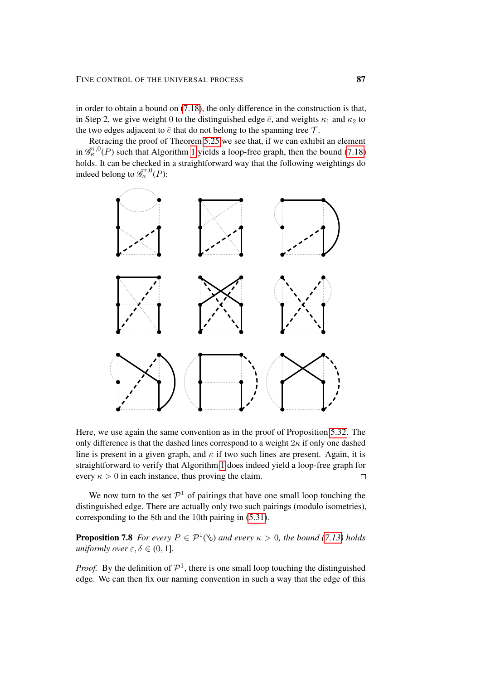in order to obtain a bound on [\(7.18\)](#page-85-0), the only difference in the construction is that, in Step 2, we give weight 0 to the distinguished edge  $\bar{e}$ , and weights  $\kappa_1$  and  $\kappa_2$  to the two edges adjacent to  $\bar{e}$  that do not belong to the spanning tree  $\mathcal{T}$ .

Retracing the proof of Theorem [5.25](#page-60-0) we see that, if we can exhibit an element in  $\bar{\mathcal{G}}_k^{\tau,0}(P)$  such that Algorithm [1](#page-63-0) yields a loop-free graph, then the bound [\(7.18\)](#page-85-0) holds. It can be checked in a straightforward way that the following weightings do indeed belong to  $\overline{\mathscr{G}}_{\kappa}^{\tau,0}(P)$ :



Here, we use again the same convention as in the proof of Proposition [5.32.](#page-68-0) The only difference is that the dashed lines correspond to a weight  $2\kappa$  if only one dashed line is present in a given graph, and  $\kappa$  if two such lines are present. Again, it is straightforward to verify that Algorithm [1](#page-63-0) does indeed yield a loop-free graph for every  $\kappa > 0$  in each instance, thus proving the claim.  $\Box$ 

We now turn to the set  $\mathcal{P}^1$  of pairings that have one small loop touching the distinguished edge. There are actually only two such pairings (modulo isometries), corresponding to the 8th and the 10th pairing in [\(5.31\)](#page-69-1).

<span id="page-86-0"></span>**Proposition 7.8** *For every*  $P \in \mathcal{P}^1(\mathcal{C})$  *and every*  $\kappa > 0$ *, the bound* [\(7.13\)](#page-84-2) *holds uniformly over*  $\varepsilon, \delta \in (0, 1]$ *.* 

*Proof.* By the definition of  $\mathcal{P}^1$ , there is one small loop touching the distinguished edge. We can then fix our naming convention in such a way that the edge of this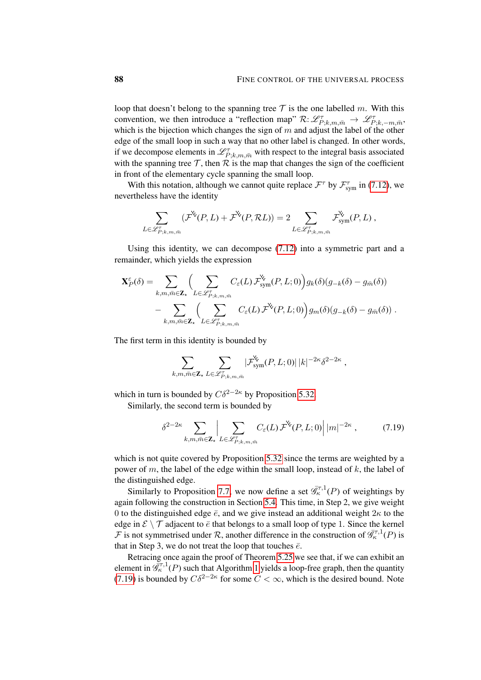loop that doesn't belong to the spanning tree  $T$  is the one labelled m. With this convention, we then introduce a "reflection map"  $\mathcal{R}: \mathscr{L}_{P;k,m,\bar{m}}^{\tau} \to \mathscr{L}_{P;k,-m,\bar{m}}^{\tau}$ which is the bijection which changes the sign of  $m$  and adjust the label of the other edge of the small loop in such a way that no other label is changed. In other words, if we decompose elements in  $\mathcal{L}_{P;k,m,\bar{m}}^{\tau}$  with respect to the integral basis associated with the spanning tree  $\mathcal T$ , then  $\mathcal R$  is the map that changes the sign of the coefficient in front of the elementary cycle spanning the small loop.

With this notation, although we cannot quite replace  $\mathcal{F}^{\tau}$  by  $\mathcal{F}_{sym}^{\tau}$  in [\(7.12\)](#page-83-2), we nevertheless have the identity

$$
\sum_{L \in \mathscr{L}_{P;k,m,\bar{m}}^{\tau}} (\mathcal{F}^{\mathsf{X}}(P,L) + \mathcal{F}^{\mathsf{X}}(P,\mathcal{R}L)) = 2 \sum_{L \in \mathscr{L}_{P;k,m,\bar{m}}^{\tau}} \mathcal{F}^{\mathsf{X}}_{sym}(P,L),
$$

Using this identity, we can decompose [\(7.12\)](#page-83-2) into a symmetric part and a remainder, which yields the expression

$$
\mathbf{X}_{P}^{\varepsilon}(\delta) = \sum_{k,m,\bar{m}\in\mathbf{Z}_{\star}} \Biggl( \sum_{L\in\mathscr{L}_{P;k,m,\bar{m}}^{\tau}} C_{\varepsilon}(L) \mathcal{F}_{sym}^{\mathbf{Y}}(P,L;0) \Biggr) g_{k}(\delta) (g_{-k}(\delta) - g_{\bar{m}}(\delta)) - \sum_{k,m,\bar{m}\in\mathbf{Z}_{\star}} \Biggl( \sum_{L\in\mathscr{L}_{P;k,m,\bar{m}}^{\tau}} C_{\varepsilon}(L) \mathcal{F}^{\mathbf{Y}}(P,L;0) \Biggr) g_{m}(\delta) (g_{-k}(\delta) - g_{\bar{m}}(\delta)) .
$$

The first term in this identity is bounded by

<span id="page-87-0"></span>
$$
\sum_{k,m,\bar{m}\in\mathbf{Z}_{\star}}\sum_{L\in\mathscr{L}_{P;k,m,\bar{m}}^{\tau}}|\mathcal{F}_{\text{sym}}^{\mathbf{Y}_{\star}}(P,L;0)|\,|k|^{-2\kappa}\delta^{2-2\kappa}\;,
$$

which in turn is bounded by  $C\delta^{2-2\kappa}$  by Proposition [5.32.](#page-68-0)

Similarly, the second term is bounded by

$$
\delta^{2-2\kappa} \sum_{k,m,\bar{m}\in\mathbf{Z}_{\star}} \left| \sum_{L\in\mathscr{L}_{P;k,m,\bar{m}}^{\tau}} C_{\varepsilon}(L) \mathcal{F}^{\mathsf{X}}(P,L;0) \right| |m|^{-2\kappa}, \tag{7.19}
$$

which is not quite covered by Proposition [5.32](#page-68-0) since the terms are weighted by a power of m, the label of the edge within the small loop, instead of  $k$ , the label of the distinguished edge.

Similarly to Proposition [7.7,](#page-85-2) we now define a set  $\overline{\mathscr{G}}_{\kappa}^{\tau,1}(P)$  of weightings by again following the construction in Section [5.4.](#page-57-0) This time, in Step 2, we give weight 0 to the distinguished edge  $\bar{e}$ , and we give instead an additional weight  $2\kappa$  to the edge in  $\mathcal{E} \setminus \mathcal{T}$  adjacent to  $\bar{e}$  that belongs to a small loop of type 1. Since the kernel  $\mathcal F$  is not symmetrised under  $\mathcal R$ , another difference in the construction of  $\overline{\mathscr G}_{\kappa}^{\tau,1}(P)$  is that in Step 3, we do not treat the loop that touches  $\bar{e}$ .

Retracing once again the proof of Theorem [5.25](#page-60-0) we see that, if we can exhibit an element in  $\overline{\mathscr{G}}_{\kappa}^{\tau,1}(P)$  such that Algorithm [1](#page-63-0) yields a loop-free graph, then the quantity [\(7.19\)](#page-87-0) is bounded by  $C\delta^{2-2\kappa}$  for some  $C < \infty$ , which is the desired bound. Note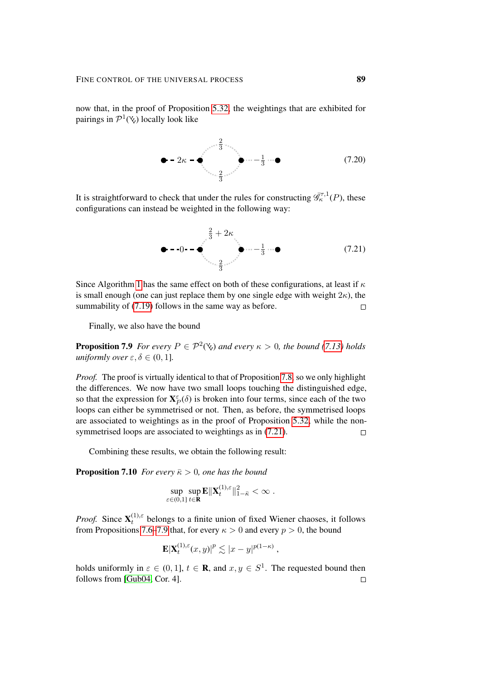now that, in the proof of Proposition [5.32,](#page-68-0) the weightings that are exhibited for pairings in  $\mathcal{P}^1(\mathcal{X})$  locally look like



It is straightforward to check that under the rules for constructing  $\overline{\mathscr{G}}_{\kappa}^{\tau,1}(P)$ , these configurations can instead be weighted in the following way:

<span id="page-88-1"></span>0 − 1 3 2 3 2 <sup>3</sup> + 2κ (7.21)

Since Algorithm [1](#page-63-0) has the same effect on both of these configurations, at least if  $\kappa$ is small enough (one can just replace them by one single edge with weight  $2\kappa$ ), the summability of  $(7.19)$  follows in the same way as before.  $\Box$ 

Finally, we also have the bound

<span id="page-88-2"></span>**Proposition 7.9** *For every*  $P \in \mathcal{P}^2(\mathcal{C})$  *and every*  $\kappa > 0$ *, the bound* [\(7.13\)](#page-84-2) *holds uniformly over*  $\varepsilon, \delta \in (0, 1]$ *.* 

*Proof.* The proof is virtually identical to that of Proposition [7.8,](#page-86-0) so we only highlight the differences. We now have two small loops touching the distinguished edge, so that the expression for  $X_P^{\varepsilon}(\delta)$  is broken into four terms, since each of the two loops can either be symmetrised or not. Then, as before, the symmetrised loops are associated to weightings as in the proof of Proposition [5.32,](#page-68-0) while the nonsymmetrised loops are associated to weightings as in [\(7.21\)](#page-88-1).  $\Box$ 

Combining these results, we obtain the following result:

<span id="page-88-0"></span>**Proposition 7.10** *For every*  $\bar{\kappa} > 0$ *, one has the bound* 

$$
\sup_{\varepsilon\in(0,1]}\sup_{t\in\mathbf{R}}\mathbf{E}\|\mathbf{X}_t^{(1),\varepsilon}\|_{1-\bar{\kappa}}^2<\infty.
$$

*Proof.* Since  $X_t^{(1),\varepsilon}$  $t_t^{(1),\epsilon}$  belongs to a finite union of fixed Wiener chaoses, it follows from Propositions [7.6–](#page-83-3)[7.9](#page-88-2) that, for every  $\kappa > 0$  and every  $p > 0$ , the bound

$$
\mathbf{E}|\mathbf{X}_t^{(1),\varepsilon}(x,y)|^p \lesssim |x-y|^{p(1-\kappa)},
$$

holds uniformly in  $\varepsilon \in (0,1]$ ,  $t \in \mathbb{R}$ , and  $x, y \in S^1$ . The requested bound then follows from [\[Gub04,](#page-100-1) Cor. 4]. $\Box$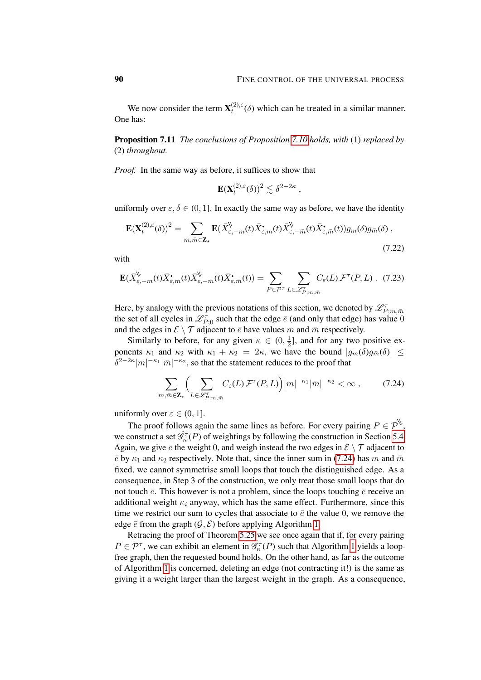We now consider the term  $\mathbf{X}_t^{(2),\varepsilon}$  $t_t^{(2),\epsilon}(\delta)$  which can be treated in a similar manner. One has:

<span id="page-89-0"></span>Proposition 7.11 *The conclusions of Proposition [7.10](#page-88-0) holds, with* (1) *replaced by* (2) *throughout.*

*Proof.* In the same way as before, it suffices to show that

<span id="page-89-2"></span>
$$
\mathbf{E}(\mathbf{X}_t^{(2),\varepsilon}(\delta))^2 \lesssim \delta^{2-2\kappa} ,
$$

uniformly over  $\varepsilon, \delta \in (0, 1]$ . In exactly the same way as before, we have the identity

$$
\mathbf{E}(\mathbf{X}_{t}^{(2),\varepsilon}(\delta))^{2} = \sum_{m,\bar{m}\in\mathbf{Z}_{\star}} \mathbf{E}(\bar{X}_{\varepsilon,-m}^{\mathsf{V}}(t)\bar{X}_{\varepsilon,m}^{\bullet}(t)\bar{X}_{\varepsilon,-\bar{m}}^{\mathsf{V}}(t)\bar{X}_{\varepsilon,\bar{m}}^{\bullet}(t))g_{m}(\delta)g_{\bar{m}}(\delta),
$$
\n(7.22)

with

$$
\mathbf{E}(\bar{X}_{\varepsilon,-m}^{\mathsf{V}}(t)\bar{X}_{\varepsilon,m}^{\bullet}(t)\bar{X}_{\varepsilon,-\bar{m}}^{\mathsf{V}}(t)\bar{X}_{\varepsilon,\bar{m}}^{\bullet}(t)) = \sum_{P \in \mathcal{P}^{\tau}} \sum_{L \in \mathscr{L}_{P;m,\bar{m}}^{\tau}} C_{\varepsilon}(L) \mathcal{F}^{\tau}(P,L) \ . \tag{7.23}
$$

Here, by analogy with the previous notations of this section, we denoted by  $\mathscr{L}^{\tau}_{P;m,\bar{m}}$ the set of all cycles in  $\mathcal{L}_{P,0}^{\tau}$  such that the edge  $\bar{e}$  (and only that edge) has value 0 and the edges in  $\mathcal{E} \setminus \mathcal{T}$  adjacent to  $\bar{e}$  have values m and  $\bar{m}$  respectively.

Similarly to before, for any given  $\kappa \in (0, \frac{1}{2})$  $\frac{1}{2}$ ], and for any two positive exponents  $\kappa_1$  and  $\kappa_2$  with  $\kappa_1 + \kappa_2 = 2\kappa$ , we have the bound  $|g_m(\delta)g_{\bar{m}}(\delta)| \leq$  $\delta^{2-2\kappa} |m|^{-\kappa_1} |\bar{m}|^{-\kappa_2}$ , so that the statement reduces to the proof that

<span id="page-89-1"></span>
$$
\sum_{m,\bar{m}\in\mathbf{Z}_{\star}}\Big(\sum_{L\in\mathscr{L}_{P,m,\bar{m}}^{\tau}}C_{\varepsilon}(L)\mathcal{F}^{\tau}(P,L)\Big)|m|^{-\kappa_{1}}|\bar{m}|^{-\kappa_{2}}<\infty\,,\tag{7.24}
$$

uniformly over  $\varepsilon \in (0, 1]$ .

The proof follows again the same lines as before. For every pairing  $P \in \mathcal{P}^{\mathsf{S}}$ , we construct a set  $\hat{\mathcal{G}}_{\kappa}^{\tau}(P)$  of weightings by following the construction in Section [5.4.](#page-57-0) Again, we give  $\bar{e}$  the weight 0, and weigh instead the two edges in  $\mathcal{E} \setminus \mathcal{T}$  adjacent to  $\bar{e}$  by  $\kappa_1$  and  $\kappa_2$  respectively. Note that, since the inner sum in [\(7.24\)](#page-89-1) has m and  $\bar{m}$ fixed, we cannot symmetrise small loops that touch the distinguished edge. As a consequence, in Step 3 of the construction, we only treat those small loops that do not touch  $\bar{e}$ . This however is not a problem, since the loops touching  $\bar{e}$  receive an additional weight  $\kappa_i$  anyway, which has the same effect. Furthermore, since this time we restrict our sum to cycles that associate to  $\bar{e}$  the value 0, we remove the edge  $\bar{e}$  from the graph  $(\mathcal{G}, \mathcal{E})$  before applying Algorithm [1.](#page-63-0)

Retracing the proof of Theorem [5.25](#page-60-0) we see once again that if, for every pairing  $P \in \mathcal{P}^{\tau}$ , we can exhibit an element in  $\hat{\mathcal{G}}_{\kappa}^{\tau}(P)$  such that Algorithm [1](#page-63-0) yields a loopfree graph, then the requested bound holds. On the other hand, as far as the outcome of Algorithm [1](#page-63-0) is concerned, deleting an edge (not contracting it!) is the same as giving it a weight larger than the largest weight in the graph. As a consequence,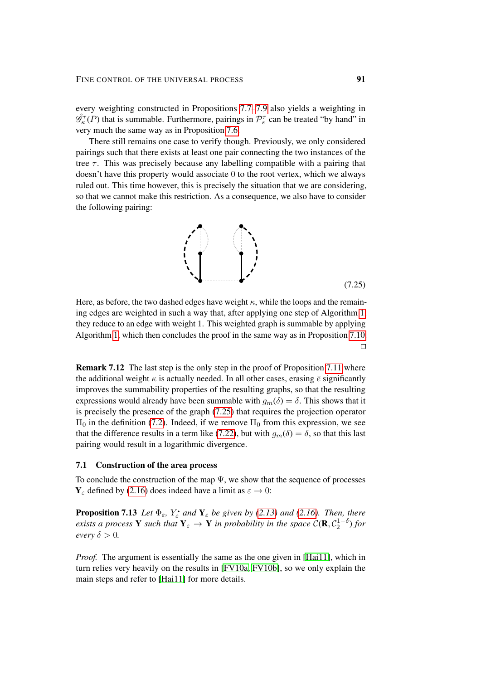every weighting constructed in Propositions [7.7](#page-85-2)[–7.9](#page-88-2) also yields a weighting in  $\hat{\mathscr{G}}_{\kappa}^{\tau}(P)$  that is summable. Furthermore, pairings in  $\mathcal{P}_{s}^{\tau}$  can be treated "by hand" in very much the same way as in Proposition [7.6.](#page-83-3)

There still remains one case to verify though. Previously, we only considered pairings such that there exists at least one pair connecting the two instances of the tree  $\tau$ . This was precisely because any labelling compatible with a pairing that doesn't have this property would associate 0 to the root vertex, which we always ruled out. This time however, this is precisely the situation that we are considering, so that we cannot make this restriction. As a consequence, we also have to consider the following pairing:

<span id="page-90-0"></span>

Here, as before, the two dashed edges have weight  $\kappa$ , while the loops and the remaining edges are weighted in such a way that, after applying one step of Algorithm [1,](#page-63-0) they reduce to an edge with weight 1. This weighted graph is summable by applying Algorithm [1,](#page-63-0) which then concludes the proof in the same way as in Proposition [7.10.](#page-88-0)  $\Box$ 

Remark 7.12 The last step is the only step in the proof of Proposition [7.11](#page-89-0) where the additional weight  $\kappa$  is actually needed. In all other cases, erasing  $\bar{e}$  significantly improves the summability properties of the resulting graphs, so that the resulting expressions would already have been summable with  $g_m(\delta) = \delta$ . This shows that it is precisely the presence of the graph [\(7.25\)](#page-90-0) that requires the projection operator  $\Pi$ <sub>0</sub> in the definition [\(7.2\)](#page-80-1). Indeed, if we remove  $\Pi$ <sub>0</sub> from this expression, we see that the difference results in a term like [\(7.22\)](#page-89-2), but with  $g_m(\delta) = \delta$ , so that this last pairing would result in a logarithmic divergence.

### 7.1 Construction of the area process

To conclude the construction of the map  $\Psi$ , we show that the sequence of processes  $Y_{\epsilon}$  defined by [\(2.16\)](#page-16-0) does indeed have a limit as  $\varepsilon \to 0$ :

**Proposition 7.13** *Let*  $\Phi_{\varepsilon}$ *,*  $Y_{\varepsilon}^{\bullet}$  *and*  $Y_{\varepsilon}$  *be given by [\(2.13\)](#page-15-0) and* [\(2.16\)](#page-16-0)*. Then, there exists a process* Y *such that*  $Y_\varepsilon \to Y$  *in probability in the space*  $\mathcal{C}(\mathbf{R}, \mathcal{C}_2^{1-\delta})$  *for every*  $\delta > 0$ *.* 

*Proof.* The argument is essentially the same as the one given in [\[Hai11\]](#page-100-2), which in turn relies very heavily on the results in [\[FV10a,](#page-100-0) [FV10b\]](#page-100-3), so we only explain the main steps and refer to [\[Hai11\]](#page-100-2) for more details.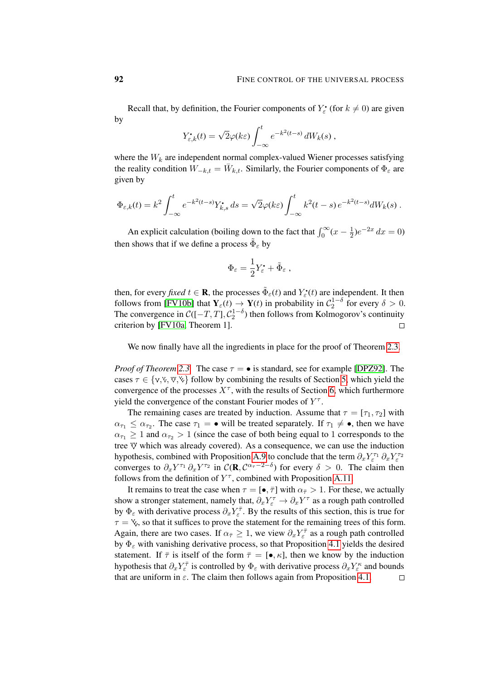Recall that, by definition, the Fourier components of  $Y_{\varepsilon}^{\bullet}$  (for  $k \neq 0$ ) are given by

$$
Y_{\varepsilon,k}^{\bullet}(t) = \sqrt{2}\varphi(k\varepsilon) \int_{-\infty}^{t} e^{-k^2(t-s)} dW_k(s) ,
$$

where the  $W_k$  are independent normal complex-valued Wiener processes satisfying the reality condition  $\overline{W}_{-k,t} = \overline{W}_{k,t}$ . Similarly, the Fourier components of  $\Phi_{\varepsilon}$  are given by

$$
\Phi_{\varepsilon,k}(t) = k^2 \int_{-\infty}^t e^{-k^2(t-s)} Y_{k,s}^{\bullet} ds = \sqrt{2}\varphi(k\varepsilon) \int_{-\infty}^t k^2(t-s) e^{-k^2(t-s)} dW_k(s) .
$$

An explicit calculation (boiling down to the fact that  $\int_0^\infty (x - \frac{1}{2})^2 dx$  $(\frac{1}{2})e^{-2x} dx = 0$ then shows that if we define a process  $\tilde{\Phi}_{\varepsilon}$  by

$$
\Phi_{\varepsilon} = \frac{1}{2} Y_{\varepsilon}^{\bullet} + \tilde{\Phi}_{\varepsilon} ,
$$

then, for every *fixed*  $t \in \mathbf{R}$ , the processes  $\tilde{\Phi}_{\varepsilon}(t)$  and  $Y_{\varepsilon}(t)$  are independent. It then follows from [\[FV10b\]](#page-100-3) that  $Y_{\varepsilon}(t) \to Y(t)$  in probability in  $C_2^{1-\delta}$  for every  $\delta > 0$ . The convergence in  $C([-T, T], \mathcal{C}_2^{1-\delta})$  then follows from Kolmogorov's continuity criterion by [\[FV10a,](#page-100-0) Theorem 1].  $\Box$ 

We now finally have all the ingredients in place for the proof of Theorem [2.3.](#page-13-0)

*Proof of Theorem [2.3.](#page-13-0)* The case  $\tau = \bullet$  is standard, see for example [\[DPZ92\]](#page-100-4). The cases  $\tau \in \{v, v, v, v\}$  follow by combining the results of Section [5,](#page-45-0) which yield the convergence of the processes  $X^{\tau}$ , with the results of Section [6,](#page-70-1) which furthermore yield the convergence of the constant Fourier modes of  $Y^{\tau}$ .

The remaining cases are treated by induction. Assume that  $\tau = [\tau_1, \tau_2]$  with  $\alpha_{\tau_1} \leq \alpha_{\tau_2}$ . The case  $\tau_1 = \bullet$  will be treated separately. If  $\tau_1 \neq \bullet$ , then we have  $\alpha_{\tau_1} \geq 1$  and  $\alpha_{\tau_2} > 1$  (since the case of both being equal to 1 corresponds to the tree  $\Psi$  which was already covered). As a consequence, we can use the induction hypothesis, combined with Proposition [A.9](#page-98-0) to conclude that the term  $\partial_x Y_{\varepsilon}^{\tau_1} \partial_x Y_{\varepsilon}^{\tau_2}$ converges to  $\partial_x Y^{\tau_1} \partial_x Y^{\tau_2}$  in  $\mathcal{C}(\mathbf{R}, \mathcal{C}^{\alpha_{\tau}-2-\delta})$  for every  $\delta > 0$ . The claim then follows from the definition of  $Y^{\tau}$ , combined with Proposition [A.11.](#page-98-1)

It remains to treat the case when  $\tau = [\bullet, \overline{\tau}]$  with  $\alpha_{\overline{\tau}} > 1$ . For these, we actually show a stronger statement, namely that,  $\partial_x Y_\varepsilon^\tau \to \partial_x Y^\tau$  as a rough path controlled by  $\Phi_{\varepsilon}$  with derivative process  $\partial_x Y_{\varepsilon}^{\bar{\tau}}$ . By the results of this section, this is true for  $\tau = \gamma$ , so that it suffices to prove the statement for the remaining trees of this form. Again, there are two cases. If  $\alpha_{\bar{\tau}} \geq 1$ , we view  $\partial_x Y_{\varepsilon}^{\bar{\tau}}$  as a rough path controlled by  $\Phi_{\varepsilon}$  with vanishing derivative process, so that Proposition [4.1](#page-34-1) yields the desired statement. If  $\bar{\tau}$  is itself of the form  $\bar{\tau} = [\bullet, \kappa]$ , then we know by the induction hypothesis that  $\partial_x Y^{\bar{\tau}}_ε$  is controlled by  $\Phi_{\varepsilon}$  with derivative process  $\partial_x Y^{\kappa}_{ε}$  and bounds that are uniform in  $\varepsilon$ . The claim then follows again from Proposition [4.1.](#page-34-1)  $\Box$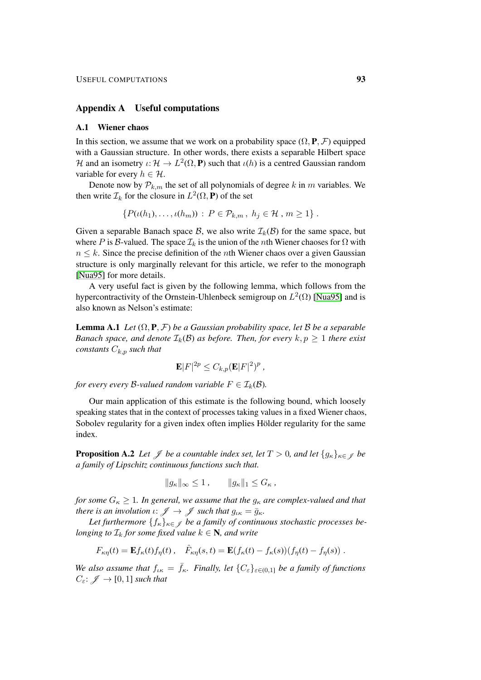#### Appendix A Useful computations

### A.1 Wiener chaos

In this section, we assume that we work on a probability space  $(\Omega, \mathbf{P}, \mathcal{F})$  equipped with a Gaussian structure. In other words, there exists a separable Hilbert space H and an isometry  $\iota: \mathcal{H} \to L^2(\Omega, \mathbf{P})$  such that  $\iota(h)$  is a centred Gaussian random variable for every  $h \in \mathcal{H}$ .

Denote now by  $P_{k,m}$  the set of all polynomials of degree k in m variables. We then write  $\mathcal{I}_k$  for the closure in  $L^2(\Omega, \mathbf{P})$  of the set

$$
\{P(\iota(h_1),\ldots,\iota(h_m))\,:\,P\in\mathcal{P}_{k,m}\,,\;h_j\in\mathcal{H}\,,\,m\geq 1\}.
$$

Given a separable Banach space B, we also write  $\mathcal{I}_k(\mathcal{B})$  for the same space, but where P is B-valued. The space  $\mathcal{I}_k$  is the union of the nth Wiener chaoses for  $\Omega$  with  $n \leq k$ . Since the precise definition of the *n*th Wiener chaos over a given Gaussian structure is only marginally relevant for this article, we refer to the monograph [\[Nua95\]](#page-101-0) for more details.

A very useful fact is given by the following lemma, which follows from the hypercontractivity of the Ornstein-Uhlenbeck semigroup on  $L^2(\Omega)$  [\[Nua95\]](#page-101-0) and is also known as Nelson's estimate:

**Lemma A.1** *Let*  $(\Omega, \mathbf{P}, \mathcal{F})$  *be a Gaussian probability space, let* B *be a separable Banach space, and denote*  $\mathcal{I}_k(\mathcal{B})$  *as before. Then, for every*  $k, p \geq 1$  *there exist constants*  $C_{k,p}$  *such that* 

<span id="page-92-1"></span>
$$
\mathbf{E}|F|^{2p} \leq C_{k,p}(\mathbf{E}|F|^2)^p,
$$

*for every every B-valued random variable*  $F \in I_k(\mathcal{B})$ *.* 

Our main application of this estimate is the following bound, which loosely speaking states that in the context of processes taking values in a fixed Wiener chaos, Sobolev regularity for a given index often implies Hölder regularity for the same index.

<span id="page-92-0"></span>**Proposition A.2** *Let*  $\mathcal{J}$  *be a countable index set, let*  $T > 0$ *, and let*  $\{g_{\kappa}\}_{{\kappa} \in \mathcal{J}}$  *be a family of Lipschitz continuous functions such that.*

$$
||g_{\kappa}||_{\infty} \le 1, \qquad ||g_{\kappa}||_{1} \le G_{\kappa},
$$

*for some*  $G_{\kappa} \geq 1$ *. In general, we assume that the*  $g_{\kappa}$  *are complex-valued and that there is an involution*  $\iota: \mathscr{J} \to \mathscr{J}$  *such that*  $g_{\iota\kappa} = \bar{g}_{\kappa}$ *.* 

Let furthermore  $\{f_{\kappa}\}_{{\kappa}\in\mathscr{J}}$  be a family of continuous stochastic processes be*longing to*  $\mathcal{I}_k$  *for some fixed value*  $k \in \mathbb{N}$ *, and write* 

$$
F_{\kappa\eta}(t) = \mathbf{E} f_{\kappa}(t) f_{\eta}(t) , \quad \hat{F}_{\kappa\eta}(s,t) = \mathbf{E} (f_{\kappa}(t) - f_{\kappa}(s)) (f_{\eta}(t) - f_{\eta}(s)) .
$$

*We also assume that*  $f_{ik} = \bar{f}_{k}$ *. Finally, let*  $\{C_{\varepsilon}\}_{\varepsilon \in (0,1]}$  *be a family of functions*  $C_{\varepsilon}$ :  $\mathscr{J} \to [0, 1]$  *such that*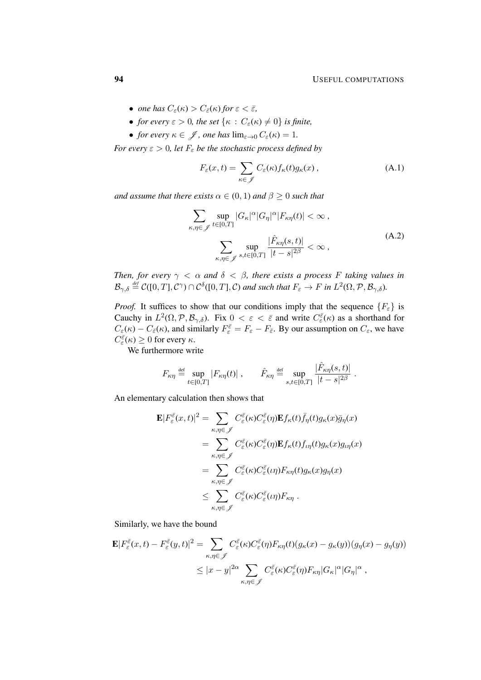- *one has*  $C_{\varepsilon}(\kappa) > C_{\bar{\varepsilon}}(\kappa)$  *for*  $\varepsilon < \bar{\varepsilon}$ *,*
- *for every*  $\varepsilon > 0$ *, the set*  $\{\kappa : C_{\varepsilon}(\kappa) \neq 0\}$  *is finite,*
- *for every*  $\kappa \in \mathcal{J}$ , *one has*  $\lim_{\varepsilon \to 0} C_{\varepsilon}(\kappa) = 1$ .

*For every*  $\varepsilon > 0$ *, let*  $F_{\varepsilon}$  *be the stochastic process defined by* 

$$
F_{\varepsilon}(x,t) = \sum_{\kappa \in \mathscr{J}} C_{\varepsilon}(\kappa) f_{\kappa}(t) g_{\kappa}(x), \qquad (A.1)
$$

*and assume that there exists*  $\alpha \in (0,1)$  *and*  $\beta \geq 0$  *such that* 

$$
\sum_{\kappa,\eta\in\mathcal{J}}\sup_{t\in[0,T]}|G_{\kappa}|^{\alpha}|G_{\eta}|^{\alpha}|F_{\kappa\eta}(t)|<\infty,
$$
\n
$$
\sum_{\kappa,\eta\in\mathcal{J}}\sup_{s,t\in[0,T]}\frac{|\hat{F}_{\kappa\eta}(s,t)|}{|t-s|^{2\beta}}<\infty,
$$
\n(A.2)

*Then, for every*  $\gamma < \alpha$  *and*  $\delta < \beta$ *, there exists a process F taking values in*  $\mathcal{B}_{\gamma,\delta} \stackrel{\text{\tiny def}}{=} \mathcal{C}([0,T],\mathcal{C}^{\gamma}) \cap \mathcal{C}^{\delta}([0,T],\mathcal{C})$  and such that  $F_{\varepsilon} \to F$  in  $L^2(\Omega,\mathcal{P},\mathcal{B}_{\gamma,\delta})$ .

*Proof.* It suffices to show that our conditions imply that the sequence  ${F_{\varepsilon}}$  is Cauchy in  $L^2(\Omega, \mathcal{P}, \mathcal{B}_{\gamma,\delta})$ . Fix  $0 < \varepsilon < \overline{\varepsilon}$  and write  $C_{\varepsilon}^{\overline{\varepsilon}}(\kappa)$  as a shorthand for  $C_{\varepsilon}(\kappa) - C_{\bar{\varepsilon}}(\kappa)$ , and similarly  $F_{\varepsilon}^{\bar{\varepsilon}} = F_{\varepsilon} - F_{\bar{\varepsilon}}$ . By our assumption on  $C_{\varepsilon}$ , we have  $C_{\varepsilon}^{\bar{\varepsilon}}(\kappa) \geq 0$  for every  $\kappa$ .

We furthermore write

$$
F_{\kappa\eta} \stackrel{\text{def}}{=} \sup_{t \in [0,T]} |F_{\kappa\eta}(t)| \;, \qquad \hat{F}_{\kappa\eta} \stackrel{\text{def}}{=} \sup_{s,t \in [0,T]} \frac{|\hat{F}_{\kappa\eta}(s,t)|}{|t-s|^{2\beta}} \;.
$$

An elementary calculation then shows that

$$
\mathbf{E}|F_{\varepsilon}^{\bar{\varepsilon}}(x,t)|^{2} = \sum_{\kappa,\eta \in \mathscr{J}} C_{\varepsilon}^{\bar{\varepsilon}}(\kappa) C_{\varepsilon}^{\bar{\varepsilon}}(\eta) \mathbf{E} f_{\kappa}(t) \bar{f}_{\eta}(t) g_{\kappa}(x) \bar{g}_{\eta}(x)
$$
  
\n
$$
= \sum_{\kappa,\eta \in \mathscr{J}} C_{\varepsilon}^{\bar{\varepsilon}}(\kappa) C_{\varepsilon}^{\bar{\varepsilon}}(\eta) \mathbf{E} f_{\kappa}(t) f_{\iota\eta}(t) g_{\kappa}(x) g_{\iota\eta}(x)
$$
  
\n
$$
= \sum_{\kappa,\eta \in \mathscr{J}} C_{\varepsilon}^{\bar{\varepsilon}}(\kappa) C_{\varepsilon}^{\bar{\varepsilon}}(\iota\eta) F_{\kappa\eta}(t) g_{\kappa}(x) g_{\eta}(x)
$$
  
\n
$$
\leq \sum_{\kappa,\eta \in \mathscr{J}} C_{\varepsilon}^{\bar{\varepsilon}}(\kappa) C_{\varepsilon}^{\bar{\varepsilon}}(\iota\eta) F_{\kappa\eta} .
$$

Similarly, we have the bound

$$
\mathbf{E}|F_{\varepsilon}^{\overline{\varepsilon}}(x,t) - F_{\varepsilon}^{\overline{\varepsilon}}(y,t)|^{2} = \sum_{\kappa,\eta \in \mathscr{J}} C_{\varepsilon}^{\overline{\varepsilon}}(\kappa) C_{\varepsilon}^{\overline{\varepsilon}}(\eta) F_{\kappa\eta}(t) (g_{\kappa}(x) - g_{\kappa}(y)) (g_{\eta}(x) - g_{\eta}(y))
$$
  

$$
\leq |x - y|^{2\alpha} \sum_{\kappa,\eta \in \mathscr{J}} C_{\varepsilon}^{\overline{\varepsilon}}(\kappa) C_{\varepsilon}^{\overline{\varepsilon}}(\eta) F_{\kappa\eta} |G_{\kappa}|^{\alpha} |G_{\eta}|^{\alpha},
$$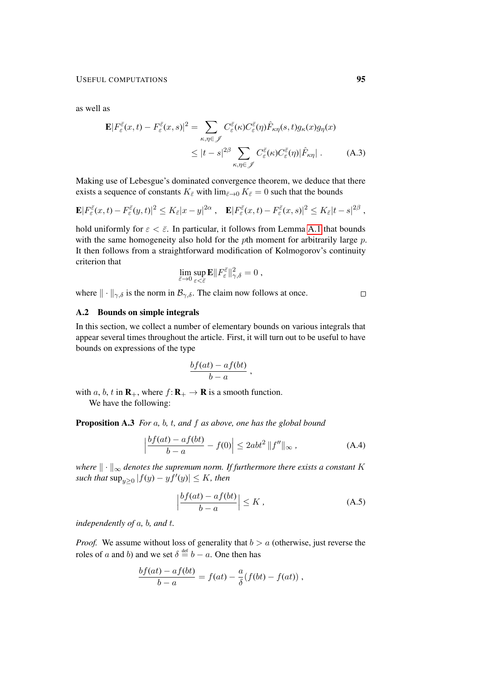as well as

$$
\mathbf{E}|F_{\varepsilon}^{\bar{\varepsilon}}(x,t) - F_{\varepsilon}^{\bar{\varepsilon}}(x,s)|^{2} = \sum_{\kappa,\eta \in \mathscr{J}} C_{\varepsilon}^{\bar{\varepsilon}}(\kappa) C_{\varepsilon}^{\bar{\varepsilon}}(\eta) \hat{F}_{\kappa\eta}(s,t) g_{\kappa}(x) g_{\eta}(x)
$$
  

$$
\leq |t-s|^{2\beta} \sum_{\kappa,\eta \in \mathscr{J}} C_{\varepsilon}^{\bar{\varepsilon}}(\kappa) C_{\varepsilon}^{\bar{\varepsilon}}(\eta) |\hat{F}_{\kappa\eta}|.
$$
 (A.3)

Making use of Lebesgue's dominated convergence theorem, we deduce that there exists a sequence of constants  $K_{\bar{\varepsilon}}$  with  $\lim_{\bar{\varepsilon}\to 0} K_{\bar{\varepsilon}} = 0$  such that the bounds

$$
\mathbf{E}|F_{\varepsilon}^{\bar{\varepsilon}}(x,t)-F_{\varepsilon}^{\bar{\varepsilon}}(y,t)|^2\leq K_{\bar{\varepsilon}}|x-y|^{2\alpha}\,,\quad \mathbf{E}|F_{\varepsilon}^{\bar{\varepsilon}}(x,t)-F_{\varepsilon}^{\bar{\varepsilon}}(x,s)|^2\leq K_{\bar{\varepsilon}}|t-s|^{2\beta}\,,
$$

hold uniformly for  $\varepsilon < \bar{\varepsilon}$ . In particular, it follows from Lemma [A.1](#page-92-1) that bounds with the same homogeneity also hold for the *p*th moment for arbitrarily large *p*. It then follows from a straightforward modification of Kolmogorov's continuity criterion that

$$
\lim_{\bar{\varepsilon}\to 0}\sup_{\varepsilon<\bar{\varepsilon}}\mathbf{E}\|F^{\bar{\varepsilon}}_{\varepsilon}\|_{\gamma,\delta}^2=0\ ,
$$

where  $\|\cdot\|_{\gamma,\delta}$  is the norm in  $\mathcal{B}_{\gamma,\delta}$ . The claim now follows at once.

<span id="page-94-1"></span> $\Box$ 

# A.2 Bounds on simple integrals

In this section, we collect a number of elementary bounds on various integrals that appear several times throughout the article. First, it will turn out to be useful to have bounds on expressions of the type

<span id="page-94-0"></span>
$$
\frac{bf(at) - af(bt)}{b - a},
$$

with a, b, t in  $\mathbf{R}_+$ , where  $f: \mathbf{R}_+ \to \mathbf{R}$  is a smooth function.

We have the following:

Proposition A.3 *For* a*,* b*,* t*, and* f *as above, one has the global bound*

$$
\left| \frac{bf(at) - af(bt)}{b - a} - f(0) \right| \le 2abt^2 \|f''\|_{\infty},
$$
\n(A.4)

*where*  $\|\cdot\|_{\infty}$  *denotes the supremum norm. If furthermore there exists a constant* K  $\textit{such that } \sup_{y\geq 0} |f(y) - y f'(y)| \leq K$ , then

<span id="page-94-2"></span>
$$
\left|\frac{bf(at) - af(bt)}{b - a}\right| \le K\,,\tag{A.5}
$$

*independently of* a*,* b*, and* t*.*

*Proof.* We assume without loss of generality that  $b > a$  (otherwise, just reverse the roles of a and b) and we set  $\delta \stackrel{\text{def}}{=} b - a$ . One then has

$$
\frac{bf(at) - af(bt)}{b - a} = f(at) - \frac{a}{\delta}(f(bt) - f(at)),
$$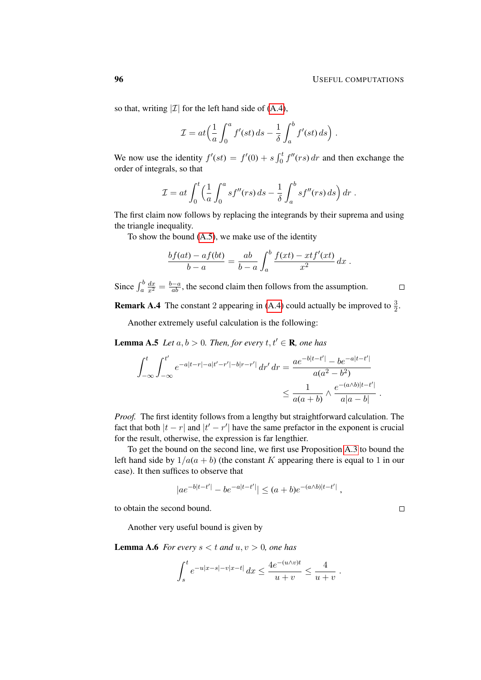so that, writing  $|\mathcal{I}|$  for the left hand side of [\(A.4\)](#page-94-1),

$$
\mathcal{I} = at \left( \frac{1}{a} \int_0^a f'(st) \, ds - \frac{1}{\delta} \int_a^b f'(st) \, ds \right).
$$

We now use the identity  $f'(st) = f'(0) + s \int_0^t f''(rs) dr$  and then exchange the order of integrals, so that

$$
\mathcal{I} = at \int_0^t \left( \frac{1}{a} \int_0^a s f''(rs) \, ds - \frac{1}{\delta} \int_a^b s f''(rs) \, ds \right) dr.
$$

The first claim now follows by replacing the integrands by their suprema and using the triangle inequality.

To show the bound [\(A.5\)](#page-94-2), we make use of the identity

$$
\frac{bf(at) - af(bt)}{b-a} = \frac{ab}{b-a} \int_a^b \frac{f(xt) - xtf'(xt)}{x^2} dx.
$$

Since  $\int_a^b$  $\frac{dx}{x^2} = \frac{b-a}{ab}$ , the second claim then follows from the assumption.

**Remark A.4** The constant 2 appearing in [\(A.4\)](#page-94-1) could actually be improved to  $\frac{3}{2}$ .

Another extremely useful calculation is the following:

<span id="page-95-1"></span>**Lemma A.5** *Let*  $a, b > 0$ *. Then, for every*  $t, t' \in \mathbb{R}$ *, one has* 

$$
\int_{-\infty}^{t} \int_{-\infty}^{t'} e^{-a|t-r| - a|t'-r'| - b|r-r'|} dr' dr = \frac{ae^{-b|t-t'|} - be^{-a|t-t'|}}{a(a^2 - b^2)} \le \frac{1}{a(a+b)} \wedge \frac{e^{-(a/b)|t-t'|}}{a|a-b|}.
$$

*Proof.* The first identity follows from a lengthy but straightforward calculation. The fact that both  $|t - r|$  and  $|t' - r'|$  have the same prefactor in the exponent is crucial for the result, otherwise, the expression is far lengthier.

To get the bound on the second line, we first use Proposition [A.3](#page-94-0) to bound the left hand side by  $1/a(a + b)$  (the constant K appearing there is equal to 1 in our case). It then suffices to observe that

$$
|ae^{-b|t-t'|} - be^{-a|t-t'|} \le (a+b)e^{-(a\wedge b)|t-t'|},
$$

to obtain the second bound.

Another very useful bound is given by

<span id="page-95-0"></span>**Lemma A.6** *For every*  $s < t$  *and*  $u, v > 0$ *, one has* 

$$
\int_{s}^{t} e^{-u|x-s| - v|x-t|} dx \le \frac{4e^{-(u \wedge v)t}}{u+v} \le \frac{4}{u+v} .
$$

 $\Box$ 

 $\Box$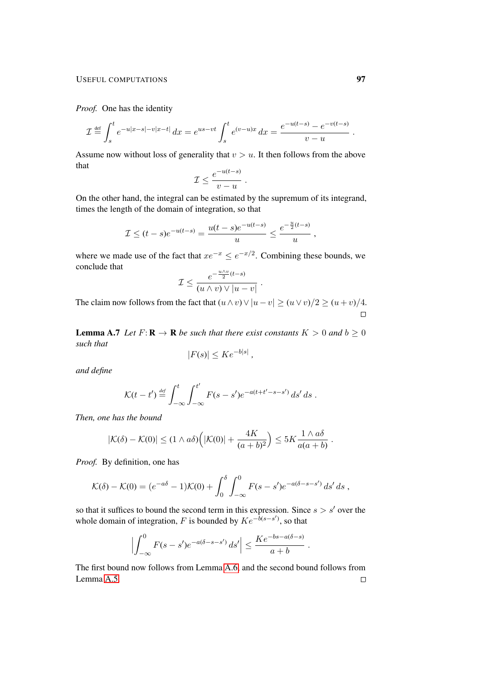## USEFUL COMPUTATIONS 97

*Proof.* One has the identity

$$
\mathcal{I} \stackrel{\text{def}}{=} \int_s^t e^{-u|x-s| - v|x-t|} dx = e^{us - vt} \int_s^t e^{(v-u)x} dx = \frac{e^{-u(t-s)} - e^{-v(t-s)}}{v - u}.
$$

Assume now without loss of generality that  $v > u$ . It then follows from the above that

$$
\mathcal{I} \leq \frac{e^{-u(t-s)}}{v-u} \; .
$$

On the other hand, the integral can be estimated by the supremum of its integrand, times the length of the domain of integration, so that

$$
\mathcal{I} \le (t-s)e^{-u(t-s)} = \frac{u(t-s)e^{-u(t-s)}}{u} \le \frac{e^{-\frac{u}{2}(t-s)}}{u},
$$

where we made use of the fact that  $xe^{-x} \le e^{-x/2}$ . Combining these bounds, we conclude that

$$
\mathcal{I} \le \frac{e^{-\frac{u \wedge v}{2}(t-s)}}{(u \wedge v) \vee |u-v|}
$$

.

.

The claim now follows from the fact that  $(u \wedge v) \vee |u - v| \ge (u \vee v)/2 \ge (u + v)/4$ .  $\Box$ 

**Lemma A.7** *Let*  $F: \mathbf{R} \to \mathbf{R}$  *be such that there exist constants*  $K > 0$  *and*  $b > 0$ *such that*

$$
|F(s)| \leq Ke^{-b|s|},
$$

*and define*

$$
\mathcal{K}(t-t') \stackrel{\text{def}}{=} \int_{-\infty}^{t} \int_{-\infty}^{t'} F(s-s') e^{-a(t+t'-s-s')} \, ds' \, ds \; .
$$

*Then, one has the bound*

$$
|\mathcal{K}(\delta) - \mathcal{K}(0)| \le (1 \wedge a\delta) \Big( |\mathcal{K}(0)| + \frac{4K}{(a+b)^2} \Big) \le 5K \frac{1 \wedge a\delta}{a(a+b)}
$$

*Proof.* By definition, one has

$$
\mathcal{K}(\delta) - \mathcal{K}(0) = (e^{-a\delta} - 1)\mathcal{K}(0) + \int_0^{\delta} \int_{-\infty}^0 F(s - s')e^{-a(\delta - s - s')} ds' ds,
$$

so that it suffices to bound the second term in this expression. Since  $s > s'$  over the whole domain of integration, F is bounded by  $Ke^{-\tilde{b}(s-s')}$ , so that

$$
\left| \int_{-\infty}^0 F(s-s') e^{-a(\delta-s-s')} ds' \right| \leq \frac{Ke^{-bs-a(\delta-s)}}{a+b}.
$$

The first bound now follows from Lemma [A.6,](#page-95-0) and the second bound follows from Lemma [A.5.](#page-95-1) $\Box$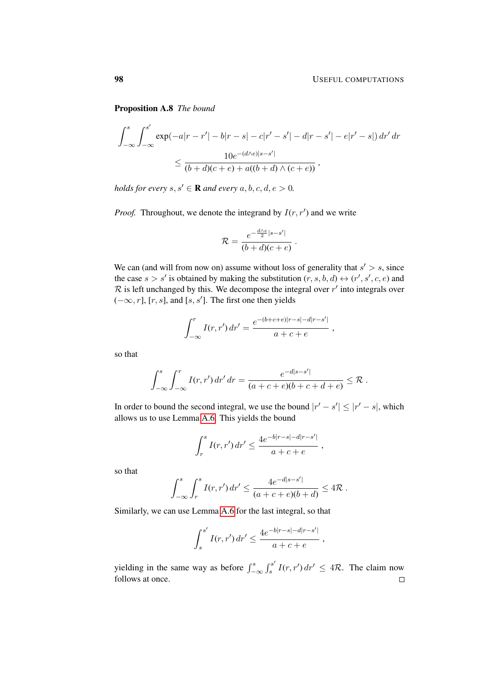Proposition A.8 *The bound*

$$
\int_{-\infty}^{s} \int_{-\infty}^{s'} \exp(-a|r - r'| - b|r - s| - c|r' - s'| - d|r - s'| - e|r' - s|) dr' dr
$$
  

$$
\leq \frac{10e^{-(d/e)|s - s'|}}{(b+d)(c+e) + a((b+d)\wedge(c+e))},
$$

*holds for every*  $s, s' \in \mathbf{R}$  *and every*  $a, b, c, d, e > 0$ *.* 

*Proof.* Throughout, we denote the integrand by  $I(r, r')$  and we write

$$
\mathcal{R} = \frac{e^{-\frac{d\wedge e}{2}|s-s'|}}{(b+d)(c+e)}.
$$

We can (and will from now on) assume without loss of generality that  $s' > s$ , since the case  $s > s'$  is obtained by making the substitution  $(r, s, b, d) \leftrightarrow (r', s', c, e)$  and  $\mathcal R$  is left unchanged by this. We decompose the integral over  $r'$  into integrals over  $(-\infty, r]$ , [r, s], and [s, s']. The first one then yields

$$
\int_{-\infty}^{r} I(r, r') dr' = \frac{e^{-(b+c+e)|r-s| - d|r - s'|}}{a+c+e} ,
$$

so that

$$
\int_{-\infty}^{s} \int_{-\infty}^{r} I(r, r') dr' dr = \frac{e^{-d|s-s'|}}{(a+c+e)(b+c+d+e)} \leq \mathcal{R}.
$$

In order to bound the second integral, we use the bound  $|r' - s'| \leq |r' - s|$ , which allows us to use Lemma [A.6.](#page-95-0) This yields the bound

$$
\int_r^s I(r,r') dr' \leq \frac{4e^{-b|r-s|-d|r-s'|}}{a+c+e} ,
$$

so that

$$
\int_{-\infty}^{s} \int_{r}^{s} I(r, r') dr' \leq \frac{4e^{-d|s-s'|}}{(a+c+e)(b+d)} \leq 4\mathcal{R}.
$$

Similarly, we can use Lemma [A.6](#page-95-0) for the last integral, so that

$$
\int_s^{s'} I(r, r') dr' \leq \frac{4e^{-b|r-s|-d|r-s'|}}{a+c+e} ,
$$

yielding in the same way as before  $\int_{-\infty}^{s} \int_{s}^{s'}$  $\int_s^{s'} I(r, r') dr' \leq 4\mathcal{R}$ . The claim now follows at once. $\Box$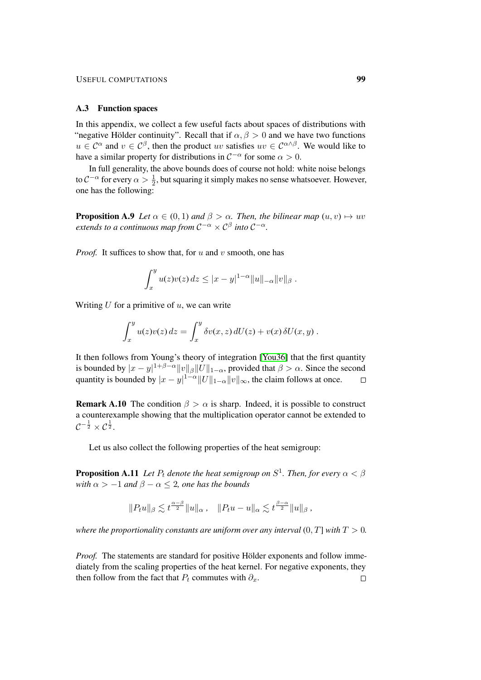### USEFUL COMPUTATIONS **99**

#### A.3 Function spaces

In this appendix, we collect a few useful facts about spaces of distributions with "negative Hölder continuity". Recall that if  $\alpha, \beta > 0$  and we have two functions  $u \in C^{\alpha}$  and  $v \in C^{\beta}$ , then the product uv satisfies  $uv \in C^{\alpha \wedge \beta}$ . We would like to have a similar property for distributions in  $C^{-\alpha}$  for some  $\alpha > 0$ .

In full generality, the above bounds does of course not hold: white noise belongs to  $C^{-\alpha}$  for every  $\alpha > \frac{1}{2}$ , but squaring it simply makes no sense whatsoever. However, one has the following:

<span id="page-98-0"></span>**Proposition A.9** *Let*  $\alpha \in (0,1)$  *and*  $\beta > \alpha$ *. Then, the bilinear map*  $(u, v) \mapsto uv$  $e$ xtends to a continuous map from  $C^{-\alpha}\times C^\beta$  into  $C^{-\alpha}$ .

*Proof.* It suffices to show that, for  $u$  and  $v$  smooth, one has

$$
\int_x^y u(z)v(z) \, dz \le |x - y|^{1 - \alpha} ||u||_{-\alpha} ||v||_{\beta} .
$$

Writing  $U$  for a primitive of  $u$ , we can write

$$
\int_x^y u(z)v(z) dz = \int_x^y \delta v(x, z) dU(z) + v(x) \delta U(x, y) .
$$

It then follows from Young's theory of integration [\[You36\]](#page-102-0) that the first quantity is bounded by  $|x-y|^{1+\beta-\alpha}||v||_{\beta}||U||_{1-\alpha}$ , provided that  $\beta > \alpha$ . Since the second quantity is bounded by  $|x-y|^{1-\alpha}||U||_{1-\alpha}||v||_{\infty}$ , the claim follows at once.  $\Box$ 

**Remark A.10** The condition  $\beta > \alpha$  is sharp. Indeed, it is possible to construct a counterexample showing that the multiplication operator cannot be extended to  $\mathcal{C}^{-\frac{1}{2}} \times \mathcal{C}^{\frac{1}{2}}.$ 

<span id="page-98-1"></span>Let us also collect the following properties of the heat semigroup:

**Proposition A.11** Let  $P_t$  denote the heat semigroup on  $S^1$ . Then, for every  $\alpha < \beta$ *with*  $\alpha > -1$  *and*  $\beta - \alpha \leq 2$ *, one has the bounds* 

$$
||P_t u||_{\beta} \lesssim t^{\frac{\alpha-\beta}{2}} ||u||_{\alpha}, \quad ||P_t u - u||_{\alpha} \lesssim t^{\frac{\beta-\alpha}{2}} ||u||_{\beta},
$$

*where the proportionality constants are uniform over any interval*  $(0, T]$  *with*  $T > 0$ *.* 

*Proof.* The statements are standard for positive Hölder exponents and follow immediately from the scaling properties of the heat kernel. For negative exponents, they then follow from the fact that  $P_t$  commutes with  $\partial_x$ .  $\Box$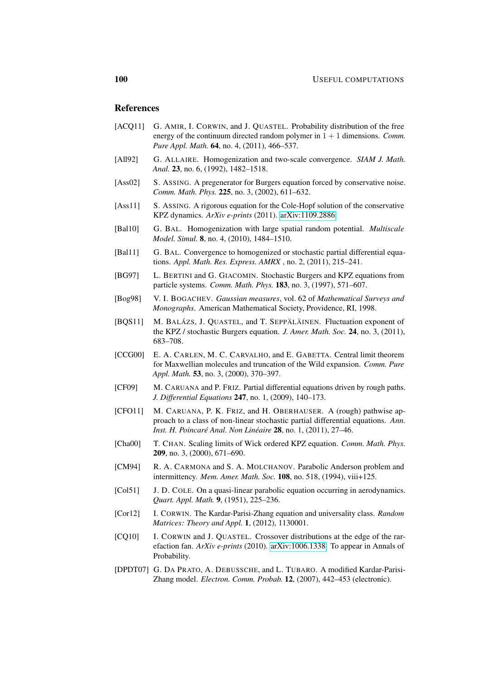## References

- [ACQ11] G. AMIR, I. CORWIN, and J. QUASTEL. Probability distribution of the free energy of the continuum directed random polymer in  $1 + 1$  dimensions. *Comm. Pure Appl. Math.* 64, no. 4, (2011), 466–537.
- [All92] G. ALLAIRE. Homogenization and two-scale convergence. *SIAM J. Math. Anal.* 23, no. 6, (1992), 1482–1518.
- [Ass02] S. ASSING. A pregenerator for Burgers equation forced by conservative noise. *Comm. Math. Phys.* 225, no. 3, (2002), 611–632.
- [Ass11] S. ASSING. A rigorous equation for the Cole-Hopf solution of the conservative KPZ dynamics. *ArXiv e-prints* (2011). [arXiv:1109.2886.](http://arxiv.org/abs/1109.2886)
- [Bal10] G. BAL. Homogenization with large spatial random potential. *Multiscale Model. Simul.* 8, no. 4, (2010), 1484–1510.
- [Bal11] G. BAL. Convergence to homogenized or stochastic partial differential equations. *Appl. Math. Res. Express. AMRX* , no. 2, (2011), 215–241.
- [BG97] L. BERTINI and G. GIACOMIN. Stochastic Burgers and KPZ equations from particle systems. *Comm. Math. Phys.* 183, no. 3, (1997), 571–607.
- [Bog98] V. I. BOGACHEV. *Gaussian measures*, vol. 62 of *Mathematical Surveys and Monographs*. American Mathematical Society, Providence, RI, 1998.
- [BQS11] M. BALÁZS, J. QUASTEL, and T. SEPPÄLÄINEN. Fluctuation exponent of the KPZ / stochastic Burgers equation. *J. Amer. Math. Soc.* 24, no. 3, (2011), 683–708.
- [CCG00] E. A. CARLEN, M. C. CARVALHO, and E. GABETTA. Central limit theorem for Maxwellian molecules and truncation of the Wild expansion. *Comm. Pure Appl. Math.* 53, no. 3, (2000), 370–397.
- [CF09] M. CARUANA and P. FRIZ. Partial differential equations driven by rough paths. *J. Differential Equations* 247, no. 1, (2009), 140–173.
- [CFO11] M. CARUANA, P. K. FRIZ, and H. OBERHAUSER. A (rough) pathwise approach to a class of non-linear stochastic partial differential equations. *Ann. Inst. H. Poincaré Anal. Non Linéaire* **28**, no. 1, (2011), 27–46.
- [Cha00] T. CHAN. Scaling limits of Wick ordered KPZ equation. *Comm. Math. Phys.* 209, no. 3, (2000), 671–690.
- [CM94] R. A. CARMONA and S. A. MOLCHANOV. Parabolic Anderson problem and intermittency. *Mem. Amer. Math. Soc.* 108, no. 518, (1994), viii+125.
- [Col51] J. D. COLE. On a quasi-linear parabolic equation occurring in aerodynamics. *Quart. Appl. Math.* 9, (1951), 225–236.
- [Cor12] I. CORWIN. The Kardar-Parisi-Zhang equation and universality class. *Random Matrices: Theory and Appl.* 1, (2012), 1130001.
- [CQ10] I. CORWIN and J. QUASTEL. Crossover distributions at the edge of the rarefaction fan. *ArXiv e-prints* (2010). [arXiv:1006.1338.](http://arxiv.org/abs/1006.1338) To appear in Annals of Probability.
- [DPDT07] G. DA PRATO, A. DEBUSSCHE, and L. TUBARO. A modified Kardar-Parisi-Zhang model. *Electron. Comm. Probab.* 12, (2007), 442–453 (electronic).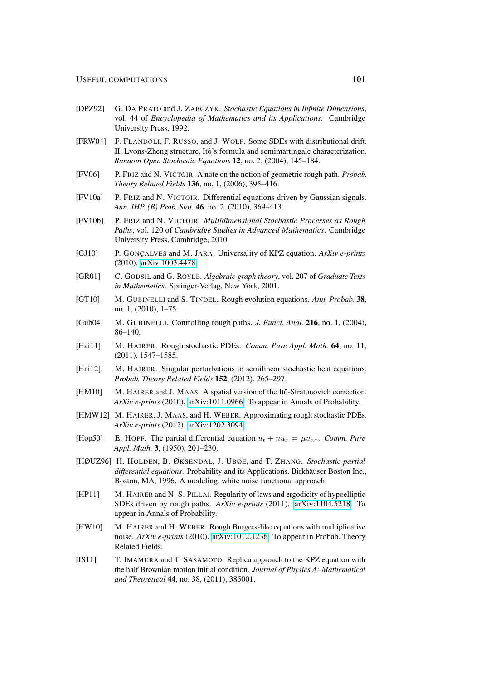- <span id="page-100-4"></span>[DPZ92] G. DA PRATO and J. ZABCZYK. *Stochastic Equations in Infinite Dimensions*, vol. 44 of *Encyclopedia of Mathematics and its Applications*. Cambridge University Press, 1992.
- [FRW04] F. FLANDOLI, F. RUSSO, and J. WOLF. Some SDEs with distributional drift. II. Lyons-Zheng structure, Itô's formula and semimartingale characterization. *Random Oper. Stochastic Equations* 12, no. 2, (2004), 145–184.
- [FV06] P. FRIZ and N. VICTOIR. A note on the notion of geometric rough path. *Probab. Theory Related Fields* 136, no. 1, (2006), 395–416.
- <span id="page-100-0"></span>[FV10a] P. FRIZ and N. VICTOIR. Differential equations driven by Gaussian signals. *Ann. IHP. (B) Prob. Stat.* 46, no. 2, (2010), 369–413.
- <span id="page-100-3"></span>[FV10b] P. FRIZ and N. VICTOIR. *Multidimensional Stochastic Processes as Rough Paths*, vol. 120 of *Cambridge Studies in Advanced Mathematics*. Cambridge University Press, Cambridge, 2010.
- [GJ10] P. GONCALVES and M. JARA. Universality of KPZ equation. *ArXiv e-prints* (2010). [arXiv:1003.4478.](http://arxiv.org/abs/1003.4478)
- [GR01] C. GODSIL and G. ROYLE. *Algebraic graph theory*, vol. 207 of *Graduate Texts in Mathematics*. Springer-Verlag, New York, 2001.
- [GT10] M. GUBINELLI and S. TINDEL. Rough evolution equations. *Ann. Probab.* 38, no. 1, (2010), 1–75.
- <span id="page-100-1"></span>[Gub04] M. GUBINELLI. Controlling rough paths. *J. Funct. Anal.* 216, no. 1, (2004), 86–140.
- <span id="page-100-2"></span>[Hai11] M. HAIRER. Rough stochastic PDEs. *Comm. Pure Appl. Math.* 64, no. 11, (2011), 1547–1585.
- [Hai12] M. HAIRER. Singular perturbations to semilinear stochastic heat equations. *Probab. Theory Related Fields* 152, (2012), 265–297.
- [HM10] M. HAIRER and J. MAAS. A spatial version of the Itô-Stratonovich correction. *ArXiv e-prints* (2010). [arXiv:1011.0966.](http://arxiv.org/abs/1011.0966) To appear in Annals of Probability.
- [HMW12] M. HAIRER, J. MAAS, and H. WEBER. Approximating rough stochastic PDEs. *ArXiv e-prints* (2012). [arXiv:1202.3094.](http://arxiv.org/abs/1202.3094)
- [Hop50] E. HOPF. The partial differential equation  $u_t + uu_x = \mu u_{xx}$ . *Comm. Pure Appl. Math.* 3, (1950), 201–230.
- [HØUZ96] H. HOLDEN, B. ØKSENDAL, J. UBØE, and T. ZHANG. *Stochastic partial differential equations*. Probability and its Applications. Birkhäuser Boston Inc., Boston, MA, 1996. A modeling, white noise functional approach.
- [HP11] M. HAIRER and N. S. PILLAI. Regularity of laws and ergodicity of hypoelliptic SDEs driven by rough paths. *ArXiv e-prints* (2011). [arXiv:1104.5218.](http://arxiv.org/abs/1104.5218) To appear in Annals of Probability.
- [HW10] M. HAIRER and H. WEBER. Rough Burgers-like equations with multiplicative noise. *ArXiv e-prints* (2010). [arXiv:1012.1236.](http://arxiv.org/abs/1012.1236) To appear in Probab. Theory Related Fields.
- [IS11] T. IMAMURA and T. SASAMOTO. Replica approach to the KPZ equation with the half Brownian motion initial condition. *Journal of Physics A: Mathematical and Theoretical* 44, no. 38, (2011), 385001.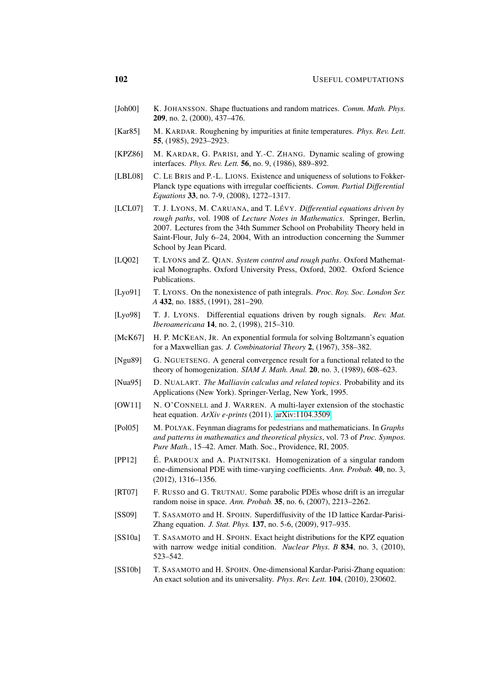- [Joh00] K. JOHANSSON. Shape fluctuations and random matrices. *Comm. Math. Phys.* 209, no. 2, (2000), 437–476.
- [Kar85] M. KARDAR. Roughening by impurities at finite temperatures. *Phys. Rev. Lett.* 55, (1985), 2923–2923.
- [KPZ86] M. KARDAR, G. PARISI, and Y.-C. ZHANG. Dynamic scaling of growing interfaces. *Phys. Rev. Lett.* 56, no. 9, (1986), 889–892.
- [LBL08] C. LE BRIS and P.-L. LIONS. Existence and uniqueness of solutions to Fokker-Planck type equations with irregular coefficients. *Comm. Partial Differential Equations* 33, no. 7-9, (2008), 1272–1317.
- [LCL07] T. J. LYONS, M. CARUANA, and T. LÉVY. *Differential equations driven by rough paths*, vol. 1908 of *Lecture Notes in Mathematics*. Springer, Berlin, 2007. Lectures from the 34th Summer School on Probability Theory held in Saint-Flour, July 6–24, 2004, With an introduction concerning the Summer School by Jean Picard.
- [LQ02] T. LYONS and Z. QIAN. *System control and rough paths*. Oxford Mathematical Monographs. Oxford University Press, Oxford, 2002. Oxford Science Publications.
- [Lyo91] T. LYONS. On the nonexistence of path integrals. *Proc. Roy. Soc. London Ser. A* 432, no. 1885, (1991), 281–290.
- [Lyo98] T. J. LYONS. Differential equations driven by rough signals. *Rev. Mat. Iberoamericana* 14, no. 2, (1998), 215–310.
- [McK67] H. P. MCKEAN, JR. An exponential formula for solving Boltzmann's equation for a Maxwellian gas. *J. Combinatorial Theory* 2, (1967), 358–382.
- [Ngu89] G. NGUETSENG. A general convergence result for a functional related to the theory of homogenization. *SIAM J. Math. Anal.* 20, no. 3, (1989), 608–623.
- <span id="page-101-0"></span>[Nua95] D. NUALART. *The Malliavin calculus and related topics*. Probability and its Applications (New York). Springer-Verlag, New York, 1995.
- [OW11] N. O'CONNELL and J. WARREN. A multi-layer extension of the stochastic heat equation. *ArXiv e-prints* (2011). [arXiv:1104.3509.](http://arxiv.org/abs/1104.3509)
- [Pol05] M. POLYAK. Feynman diagrams for pedestrians and mathematicians. In *Graphs and patterns in mathematics and theoretical physics*, vol. 73 of *Proc. Sympos. Pure Math.*, 15–42. Amer. Math. Soc., Providence, RI, 2005.
- $[PP12]$  E. PARDOUX and A. PIATNITSKI. Homogenization of a singular random one-dimensional PDE with time-varying coefficients. *Ann. Probab.* 40, no. 3, (2012), 1316–1356.
- [RT07] F. RUSSO and G. TRUTNAU. Some parabolic PDEs whose drift is an irregular random noise in space. *Ann. Probab.* 35, no. 6, (2007), 2213–2262.
- [SS09] T. SASAMOTO and H. SPOHN. Superdiffusivity of the 1D lattice Kardar-Parisi-Zhang equation. *J. Stat. Phys.* 137, no. 5-6, (2009), 917–935.
- [SS10a] T. SASAMOTO and H. SPOHN. Exact height distributions for the KPZ equation with narrow wedge initial condition. *Nuclear Phys. B* 834, no. 3, (2010), 523–542.
- [SS10b] T. SASAMOTO and H. SPOHN. One-dimensional Kardar-Parisi-Zhang equation: An exact solution and its universality. *Phys. Rev. Lett.* 104, (2010), 230602.